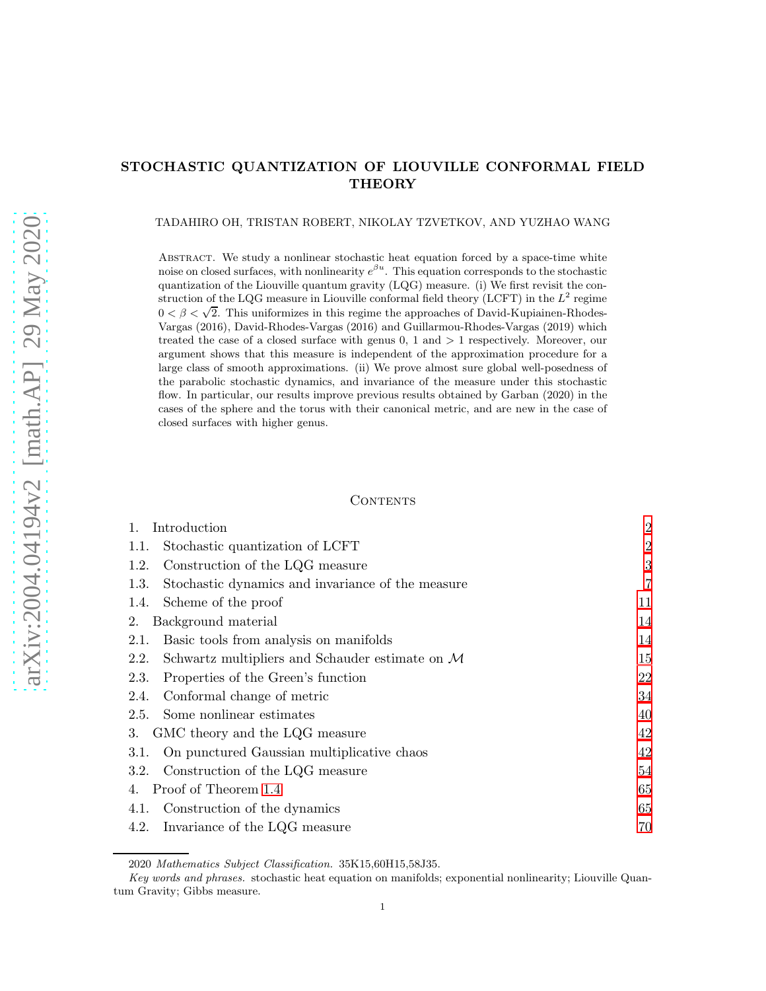# STOCHASTIC QUANTIZATION OF LIOUVILLE CONFORMAL FIELD **THEORY**

TADAHIRO OH, TRISTAN ROBERT, NIKOLAY TZVETKOV, AND YUZHAO WANG

Abstract. We study a nonlinear stochastic heat equation forced by a space-time white noise on closed surfaces, with nonlinearity  $e^{\beta u}$ . This equation corresponds to the stochastic quantization of the Liouville quantum gravity (LQG) measure. (i) We first revisit the construction of the LQG measure in Liouville conformal field theory (LCFT) in the  $L^2$  regime  $0 < \beta < \sqrt{2}$ . This uniformizes in this regime the approaches of David-Kupiainen-Rhodes-Vargas (2016), David-Rhodes-Vargas (2016) and Guillarmou-Rhodes-Vargas (2019) which treated the case of a closed surface with genus  $0, 1$  and  $> 1$  respectively. Moreover, our argument shows that this measure is independent of the approximation procedure for a large class of smooth approximations. (ii) We prove almost sure global well-posedness of the parabolic stochastic dynamics, and invariance of the measure under this stochastic flow. In particular, our results improve previous results obtained by Garban (2020) in the cases of the sphere and the torus with their canonical metric, and are new in the case of closed surfaces with higher genus.

#### **CONTENTS**

| Introduction<br>1.                                                 | $\overline{2}$ |
|--------------------------------------------------------------------|----------------|
| Stochastic quantization of LCFT<br>1.1.                            | $\overline{2}$ |
| Construction of the LQG measure<br>1.2.                            | 3              |
| Stochastic dynamics and invariance of the measure<br>1.3.          | 7              |
| Scheme of the proof<br>1.4.                                        | 11             |
| Background material<br>2.                                          | 14             |
| Basic tools from analysis on manifolds<br>2.1.                     | 14             |
| Schwartz multipliers and Schauder estimate on $\mathcal M$<br>2.2. | 15             |
| Properties of the Green's function<br>2.3.                         | 22             |
| Conformal change of metric<br>2.4.                                 | 34             |
| Some nonlinear estimates<br>2.5.                                   | 40             |
| GMC theory and the LQG measure<br>3.                               | 42             |
| On punctured Gaussian multiplicative chaos<br>3.1.                 | 42             |
| 3.2. Construction of the LQG measure                               | 54             |
| 4. Proof of Theorem 1.4                                            | 65             |
| Construction of the dynamics<br>4.1.                               | 65             |
| 4.2. Invariance of the LQG measure                                 | 70             |

<sup>2020</sup> Mathematics Subject Classification. 35K15,60H15,58J35.

Key words and phrases. stochastic heat equation on manifolds; exponential nonlinearity; Liouville Quantum Gravity; Gibbs measure.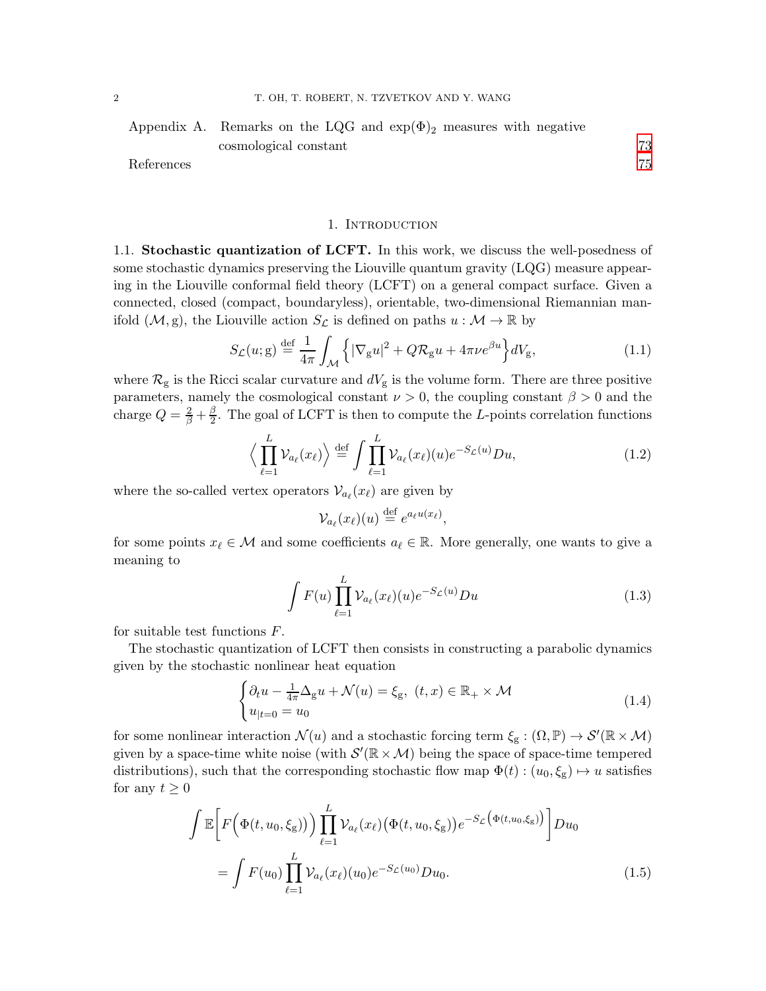Appendix A. Remarks on the LQG and  $\exp(\Phi)_2$  measures with negative cosmological constant [73](#page-72-0)

<span id="page-1-0"></span>References [75](#page-74-0)

#### <span id="page-1-3"></span>1. INTRODUCTION

<span id="page-1-1"></span>1.1. Stochastic quantization of LCFT. In this work, we discuss the well-posedness of some stochastic dynamics preserving the Liouville quantum gravity (LQG) measure appearing in the Liouville conformal field theory (LCFT) on a general compact surface. Given a connected, closed (compact, boundaryless), orientable, two-dimensional Riemannian manifold  $(\mathcal{M}, g)$ , the Liouville action  $S_{\mathcal{L}}$  is defined on paths  $u : \mathcal{M} \to \mathbb{R}$  by

$$
S_{\mathcal{L}}(u; g) \stackrel{\text{def}}{=} \frac{1}{4\pi} \int_{\mathcal{M}} \left\{ |\nabla_g u|^2 + Q \mathcal{R}_g u + 4\pi \nu e^{\beta u} \right\} dV_g, \tag{1.1}
$$

where  $\mathcal{R}_{g}$  is the Ricci scalar curvature and  $dV_{g}$  is the volume form. There are three positive parameters, namely the cosmological constant  $\nu > 0$ , the coupling constant  $\beta > 0$  and the charge  $Q = \frac{2}{\beta} + \frac{\beta}{2}$  $\frac{\beta}{2}$ . The goal of LCFT is then to compute the *L*-points correlation functions

$$
\left\langle \prod_{\ell=1}^{L} \mathcal{V}_{a_{\ell}}(x_{\ell}) \right\rangle \stackrel{\text{def}}{=} \int \prod_{\ell=1}^{L} \mathcal{V}_{a_{\ell}}(x_{\ell})(u) e^{-S_{\mathcal{L}}(u)} Du,
$$
\n(1.2)

where the so-called vertex operators  $\mathcal{V}_{a_{\ell}}(x_{\ell})$  are given by

<span id="page-1-6"></span><span id="page-1-4"></span><span id="page-1-2"></span>
$$
\mathcal{V}_{a_{\ell}}(x_{\ell})(u) \stackrel{\text{def}}{=} e^{a_{\ell}u(x_{\ell})},
$$

for some points  $x_{\ell} \in \mathcal{M}$  and some coefficients  $a_{\ell} \in \mathbb{R}$ . More generally, one wants to give a meaning to

$$
\int F(u) \prod_{\ell=1}^{L} \mathcal{V}_{a_{\ell}}(x_{\ell})(u) e^{-S_{\mathcal{L}}(u)} Du
$$
\n(1.3)

for suitable test functions F.

The stochastic quantization of LCFT then consists in constructing a parabolic dynamics given by the stochastic nonlinear heat equation

<span id="page-1-5"></span>
$$
\begin{cases} \partial_t u - \frac{1}{4\pi} \Delta_g u + \mathcal{N}(u) = \xi_g, \ (t, x) \in \mathbb{R}_+ \times \mathcal{M} \\ u_{|t=0} = u_0 \end{cases}
$$
 (1.4)

for some nonlinear interaction  $\mathcal{N}(u)$  and a stochastic forcing term  $\xi_{\mathrm{g}} : (\Omega, \mathbb{P}) \to \mathcal{S}'(\mathbb{R} \times \mathcal{M})$ given by a space-time white noise (with  $\mathcal{S}'(\mathbb{R} \times \mathcal{M})$  being the space of space-time tempered distributions), such that the corresponding stochastic flow map  $\Phi(t) : (u_0, \xi_{\rm g}) \mapsto u$  satisfies for any  $t \geq 0$ 

$$
\int \mathbb{E}\bigg[F\Big(\Phi(t, u_0, \xi_g)\Big)\bigg)\prod_{\ell=1}^L \mathcal{V}_{a_\ell}(x_\ell)\big(\Phi(t, u_0, \xi_g)\big)e^{-S_{\mathcal{L}}\big(\Phi(t, u_0, \xi_g)\big)}\bigg]Du_0
$$
\n
$$
=\int F(u_0)\prod_{\ell=1}^L \mathcal{V}_{a_\ell}(x_\ell)(u_0)e^{-S_{\mathcal{L}}(u_0)}Du_0.
$$
\n(1.5)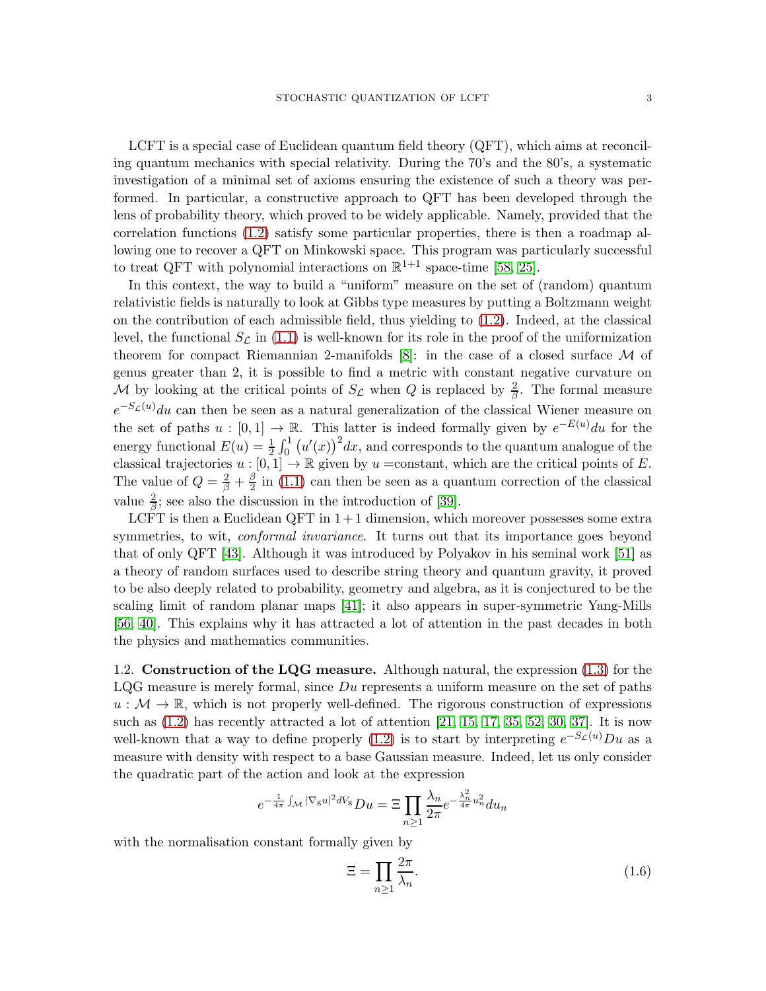LCFT is a special case of Euclidean quantum field theory (QFT), which aims at reconciling quantum mechanics with special relativity. During the 70's and the 80's, a systematic investigation of a minimal set of axioms ensuring the existence of such a theory was performed. In particular, a constructive approach to QFT has been developed through the lens of probability theory, which proved to be widely applicable. Namely, provided that the correlation functions [\(1.2\)](#page-1-2) satisfy some particular properties, there is then a roadmap allowing one to recover a QFT on Minkowski space. This program was particularly successful to treat QFT with polynomial interactions on  $\mathbb{R}^{1+1}$  space-time [\[58,](#page-76-0) [25\]](#page-75-0).

In this context, the way to build a "uniform" measure on the set of (random) quantum relativistic fields is naturally to look at Gibbs type measures by putting a Boltzmann weight on the contribution of each admissible field, thus yielding to  $(1.2)$ . Indeed, at the classical level, the functional  $S_{\mathcal{L}}$  in [\(1.1\)](#page-1-3) is well-known for its role in the proof of the uniformization theorem for compact Riemannian 2-manifolds  $[8]$ : in the case of a closed surface M of genus greater than 2, it is possible to find a metric with constant negative curvature on M by looking at the critical points of  $S_{\mathcal{L}}$  when Q is replaced by  $\frac{2}{\beta}$ . The formal measure  $e^{-S_{\mathcal{L}}(u)}du$  can then be seen as a natural generalization of the classical Wiener measure on the set of paths  $u : [0,1] \to \mathbb{R}$ . This latter is indeed formally given by  $e^{-E(u)}du$  for the energy functional  $E(u) = \frac{1}{2} \int_0^1 (u'(x))^2 dx$ , and corresponds to the quantum analogue of the classical trajectories  $u : [0,1] \to \mathbb{R}$  given by  $u = constant$ , which are the critical points of E. The value of  $Q = \frac{2}{\beta} + \frac{\beta}{2}$  $\frac{6}{2}$  in [\(1.1\)](#page-1-3) can then be seen as a quantum correction of the classical value  $\frac{2}{\beta}$ ; see also the discussion in the introduction of [\[39\]](#page-75-1).

LCFT is then a Euclidean QFT in  $1+1$  dimension, which moreover possesses some extra symmetries, to wit, *conformal invariance*. It turns out that its importance goes beyond that of only QFT [\[43\]](#page-76-1). Although it was introduced by Polyakov in his seminal work [\[51\]](#page-76-2) as a theory of random surfaces used to describe string theory and quantum gravity, it proved to be also deeply related to probability, geometry and algebra, as it is conjectured to be the scaling limit of random planar maps [\[41\]](#page-75-2); it also appears in super-symmetric Yang-Mills [\[56,](#page-76-3) [40\]](#page-75-3). This explains why it has attracted a lot of attention in the past decades in both the physics and mathematics communities.

<span id="page-2-0"></span>1.2. Construction of the LQG measure. Although natural, the expression [\(1.3\)](#page-1-4) for the LQG measure is merely formal, since  $Du$  represents a uniform measure on the set of paths  $u : \mathcal{M} \to \mathbb{R}$ , which is not properly well-defined. The rigorous construction of expressions such as  $(1.2)$  has recently attracted a lot of attention  $[21, 15, 17, 35, 52, 30, 37]$  $[21, 15, 17, 35, 52, 30, 37]$  $[21, 15, 17, 35, 52, 30, 37]$  $[21, 15, 17, 35, 52, 30, 37]$  $[21, 15, 17, 35, 52, 30, 37]$  $[21, 15, 17, 35, 52, 30, 37]$  $[21, 15, 17, 35, 52, 30, 37]$ . It is now well-known that a way to define properly [\(1.2\)](#page-1-2) is to start by interpreting  $e^{-S_{\mathcal{L}}(u)}Du$  as a measure with density with respect to a base Gaussian measure. Indeed, let us only consider the quadratic part of the action and look at the expression

$$
e^{-\frac{1}{4\pi}\int_{\mathcal{M}}|\nabla_{\mathbf{g}}u|^2dV_{\mathbf{g}}}Du=\Xi\prod_{n\geq 1}\frac{\lambda_n}{2\pi}e^{-\frac{\lambda_n^2}{4\pi}u_n^2}du_n
$$

with the normalisation constant formally given by

<span id="page-2-1"></span>
$$
\Xi = \prod_{n\geq 1} \frac{2\pi}{\lambda_n}.\tag{1.6}
$$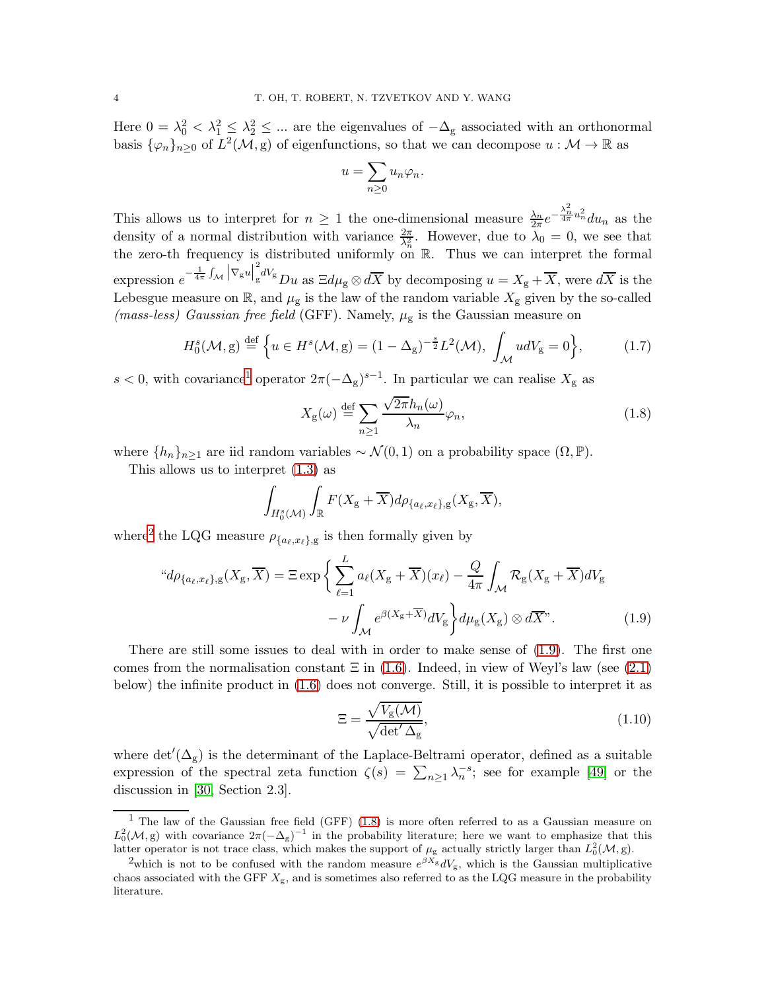Here  $0 = \lambda_0^2 < \lambda_1^2 \leq \lambda_2^2 \leq \dots$  are the eigenvalues of  $-\Delta_g$  associated with an orthonormal basis  $\{\varphi_n\}_{n\geq 0}$  of  $L^2(\mathcal{M}, g)$  of eigenfunctions, so that we can decompose  $u : \mathcal{M} \to \mathbb{R}$  as

$$
u = \sum_{n \geq 0} u_n \varphi_n.
$$

This allows us to interpret for  $n \geq 1$  the one-dimensional measure  $\frac{\lambda_n}{2\pi}e^{-\frac{\lambda_n^2}{4\pi}u_n^2}du_n$  as the density of a normal distribution with variance  $\frac{2\pi}{\lambda_n^2}$ . However, due to  $\lambda_0 = 0$ , we see that the zero-th frequency is distributed uniformly on R. Thus we can interpret the formal expression  $e^{-\frac{1}{4\pi}\int_{\mathcal{M}}\left|\nabla_{g}u\right|_{g}^{2}}$  $g^{dV_g}Du$  as  $\Xi d\mu_g\otimes d\overline{X}$  by decomposing  $u=X_g+\overline{X}$ , were  $d\overline{X}$  is the Lebesgue measure on  $\mathbb{R}$ , and  $\mu_{\mathbb{g}}$  is the law of the random variable  $X_{\mathbb{g}}$  given by the so-called *(mass-less) Gaussian free field* (GFF). Namely,  $\mu_{\rm g}$  is the Gaussian measure on

$$
H_0^s(\mathcal{M}, \mathbf{g}) \stackrel{\text{def}}{=} \left\{ u \in H^s(\mathcal{M}, \mathbf{g}) = (1 - \Delta_{\mathbf{g}})^{-\frac{s}{2}} L^2(\mathcal{M}), \int_{\mathcal{M}} u dV_{\mathbf{g}} = 0 \right\},\tag{1.7}
$$

s < 0, with covariance<sup>[1](#page-3-0)</sup> operator  $2\pi(-\Delta_g)^{s-1}$ . In particular we can realise  $X_g$  as

<span id="page-3-4"></span><span id="page-3-3"></span>
$$
X_{\rm g}(\omega) \stackrel{\text{def}}{=} \sum_{n\geq 1} \frac{\sqrt{2\pi}h_n(\omega)}{\lambda_n} \varphi_n,\tag{1.8}
$$

where  $\{h_n\}_{n\geq 1}$  are iid random variables ~  $\mathcal{N}(0,1)$  on a probability space  $(\Omega, \mathbb{P})$ .

This allows us to interpret [\(1.3\)](#page-1-4) as

$$
\int_{H_0^s(\mathcal{M})}\int_{\mathbb{R}} F(X_{\mathbf{g}}+\overline{X})d\rho_{\{a_{\ell},x_{\ell}\},\mathbf{g}}(X_{\mathbf{g}},\overline{X}),
$$

where<sup>[2](#page-3-1)</sup> the LQG measure  $\rho_{\{a_\ell, x_\ell\},\mathbf{g}}$  is then formally given by

$$
\begin{split} \text{``}d\rho_{\{a_{\ell},x_{\ell}\},g}(X_{g},\overline{X}) &= \Xi \exp\bigg\{\sum_{\ell=1}^{L} a_{\ell}(X_{g}+\overline{X})(x_{\ell}) - \frac{Q}{4\pi} \int_{\mathcal{M}} \mathcal{R}_{g}(X_{g}+\overline{X}) dV_{g} \\ &- \nu \int_{\mathcal{M}} e^{\beta(X_{g}+\overline{X})} dV_{g}\bigg\} d\mu_{g}(X_{g}) \otimes d\overline{X}^{\prime}. \end{split} \tag{1.9}
$$

There are still some issues to deal with in order to make sense of [\(1.9\)](#page-3-2). The first one comes from the normalisation constant  $\Xi$  in [\(1.6\)](#page-2-1). Indeed, in view of Weyl's law (see [\(2.1\)](#page-13-2) below) the infinite product in [\(1.6\)](#page-2-1) does not converge. Still, it is possible to interpret it as

<span id="page-3-5"></span><span id="page-3-2"></span>
$$
\Xi = \frac{\sqrt{V_{\rm g}(\mathcal{M})}}{\sqrt{\det' \Delta_{\rm g}}},\tag{1.10}
$$

where  $\det'(\Delta_g)$  is the determinant of the Laplace-Beltrami operator, defined as a suitable expression of the spectral zeta function  $\zeta(s) = \sum_{n\geq 1} \lambda_n^{-s}$ ; see for example [\[49\]](#page-76-5) or the discussion in [\[30,](#page-75-8) Section 2.3].

<span id="page-3-0"></span><sup>&</sup>lt;sup>1</sup> The law of the Gaussian free field (GFF)  $(1.8)$  is more often referred to as a Gaussian measure on  $L_0^2(\mathcal{M},g)$  with covariance  $2\pi(-\Delta_g)^{-1}$  in the probability literature; here we want to emphasize that this latter operator is not trace class, which makes the support of  $\mu_{\rm g}$  actually strictly larger than  $L_0^2(\mathcal{M}, g)$ .

<span id="page-3-1"></span><sup>&</sup>lt;sup>2</sup>which is not to be confused with the random measure  $e^{\beta X_{\rm g}}dV_{\rm g}$ , which is the Gaussian multiplicative chaos associated with the GFF  $X_g$ , and is sometimes also referred to as the LQG measure in the probability literature.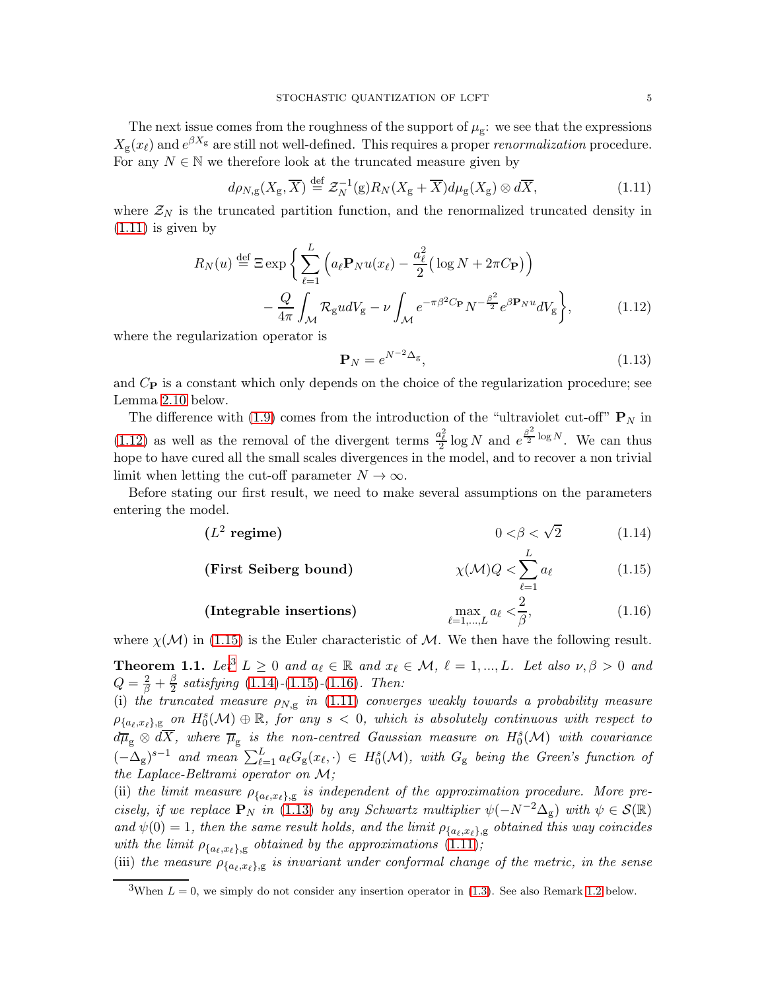The next issue comes from the roughness of the support of  $\mu_{\rm g}$ : we see that the expressions  $X_{\rm g}(x_\ell)$  and  $e^{\beta X_{\rm g}}$  are still not well-defined. This requires a proper *renormalization* procedure. For any  $N \in \mathbb{N}$  we therefore look at the truncated measure given by

$$
d\rho_{N,g}(X_g, \overline{X}) \stackrel{\text{def}}{=} \mathcal{Z}_N^{-1}(g) R_N(X_g + \overline{X}) d\mu_g(X_g) \otimes d\overline{X},\tag{1.11}
$$

where  $\mathcal{Z}_N$  is the truncated partition function, and the renormalized truncated density in  $(1.11)$  is given by

$$
R_N(u) \stackrel{\text{def}}{=} \Xi \exp\left\{ \sum_{\ell=1}^L \left( a_\ell \mathbf{P}_N u(x_\ell) - \frac{a_\ell^2}{2} \left( \log N + 2\pi C_\mathbf{P} \right) \right) - \frac{Q}{4\pi} \int_{\mathcal{M}} \mathcal{R}_{\rm g} u dV_{\rm g} - \nu \int_{\mathcal{M}} e^{-\pi \beta^2 C_\mathbf{P}} N^{-\frac{\beta^2}{2}} e^{\beta \mathbf{P}_N u} dV_{\rm g} \right\},\tag{1.12}
$$

where the regularization operator is

<span id="page-4-0"></span>
$$
\mathbf{P}_N = e^{N^{-2}\Delta_{\mathbf{g}}},\tag{1.13}
$$

<span id="page-4-6"></span><span id="page-4-5"></span><span id="page-4-4"></span><span id="page-4-2"></span><span id="page-4-1"></span>L

and  $C_{\mathbf{P}}$  is a constant which only depends on the choice of the regularization procedure; see Lemma [2.10](#page-26-0) below.

The difference with [\(1.9\)](#page-3-2) comes from the introduction of the "ultraviolet cut-off"  $\mathbf{P}_N$  in [\(1.12\)](#page-4-1) as well as the removal of the divergent terms  $\frac{a_\ell^2}{2} \log N$  and  $e^{\frac{\beta^2}{2}}$  $\frac{p}{2}$  log N. We can thus hope to have cured all the small scales divergences in the model, and to recover a non trivial limit when letting the cut-off parameter  $N \to \infty$ .

Before stating our first result, we need to make several assumptions on the parameters entering the model.

$$
(L^2 \text{ regime}) \t\t 0 < \beta < \sqrt{2} \t (1.14)
$$

(First Seiberg bound) 
$$
\chi(\mathcal{M})Q < \sum_{\ell=1} a_{\ell} \tag{1.15}
$$

(Integrable insertions) 
$$
\max_{\ell=1,\dots,L} a_{\ell} < \frac{2}{\beta}, \tag{1.16}
$$

where  $\chi(\mathcal{M})$  in [\(1.15\)](#page-4-2) is the Euler characteristic of M. We then have the following result.

<span id="page-4-7"></span>**Theorem 1.1.** Let<sup>[3](#page-4-3)</sup>  $L \geq 0$  and  $a_{\ell} \in \mathbb{R}$  and  $x_{\ell} \in \mathcal{M}$ ,  $\ell = 1, ..., L$ . Let also  $\nu, \beta > 0$  and  $Q=\frac{2}{\beta}+\frac{\beta}{2}$  $\frac{\beta}{2}$  satisfying [\(1.14\)](#page-4-4)-[\(1.15\)](#page-4-2)-[\(1.16\)](#page-4-5)*.* Then:

(i) the truncated measure  $\rho_{N,g}$  in [\(1.11\)](#page-4-0) converges weakly towards a probability measure  $\rho_{a_\ell,x_\ell},\underline{s}$  on  $H^s_0(\mathcal{M})\oplus\mathbb{R}$ , for any  $s < 0$ , which is absolutely continuous with respect to  $d\overline{\mu}_{\rm g}\otimes d\overline{X},$  where  $\overline{\mu}_{\rm g}$  is the non-centred Gaussian measure on  $H^s_0(\mathcal{M})$  with covariance  $(-\Delta_g)^{s-1}$  and mean  $\sum_{\ell=1}^L a_{\ell} G_g(x_{\ell},\cdot) \in H_0^s(\mathcal{M})$ , with  $G_g$  being the Green's function of *the Laplace-Beltrami operator on* M*;*

(ii) the limit measure  $\rho_{\{a_\ell, x_\ell\}, g}$  is independent of the approximation procedure. More pre*cisely, if we replace*  $\mathbf{P}_N$  *in* [\(1.13\)](#page-4-6) *by any Schwartz multiplier*  $\psi(-N^{-2}\Delta_g)$  *with*  $\psi \in \mathcal{S}(\mathbb{R})$ and  $\psi(0) = 1$ , then the same result holds, and the limit  $\rho_{\{a_\ell, x_\ell\}, g}$  *obtained this way coincides with the limit*  $\rho_{a_\ell,x_\ell}$ <sub>*i.g. obtained by the approximations* [\(1.11\)](#page-4-0)*;*</sub>

(iii) the measure  $\rho_{\{a_\ell,x_\ell\},\mathbf{g}}$  is invariant under conformal change of the metric, in the sense

<span id="page-4-3"></span><sup>&</sup>lt;sup>3</sup>When  $L = 0$ , we simply do not consider any insertion operator in [\(1.3\)](#page-1-4). See also Remark [1.2](#page-5-0) below.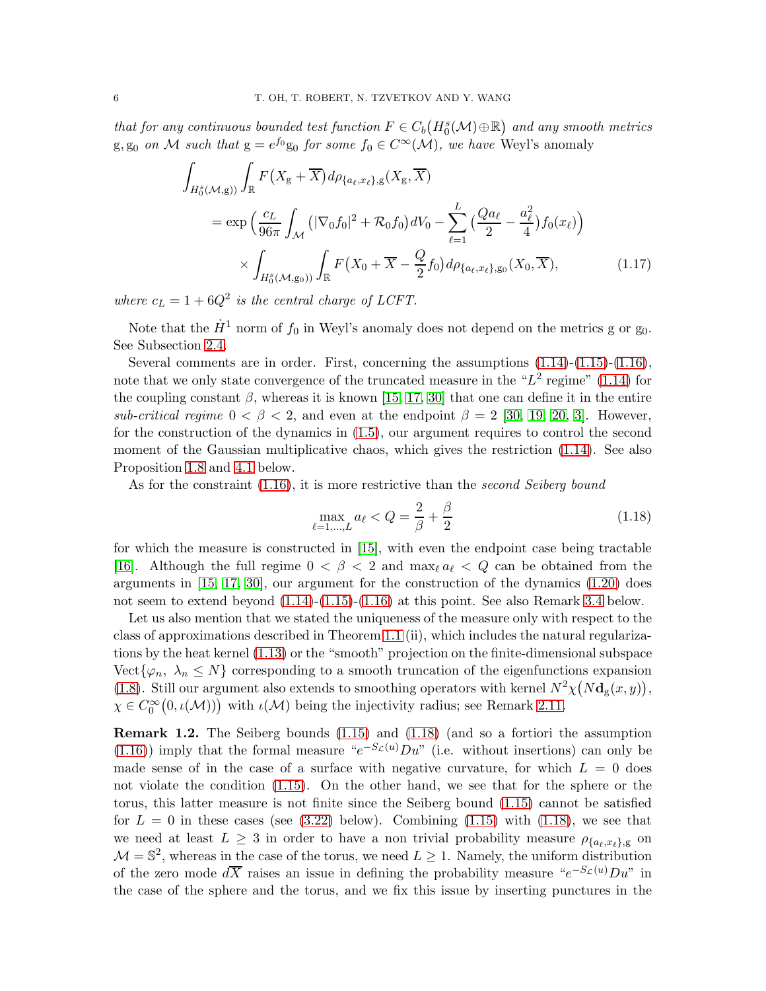*that for any continuous bounded test function*  $F \in C_b(H_0^s(\mathcal{M}) \oplus \mathbb{R})$  *and any smooth metrics* g, g<sub>0</sub> *on*  $M$  *such that*  $g = e^{f_0}g_0$  *for some*  $f_0 \in C^{\infty}(\mathcal{M})$ *, we have* Weyl's anomaly

$$
\int_{H_0^s(\mathcal{M}, g))} \int_{\mathbb{R}} F(X_g + \overline{X}) d\rho_{\{a_\ell, x_\ell\}, g}(X_g, \overline{X})
$$
\n
$$
= \exp\left(\frac{c_L}{96\pi} \int_{\mathcal{M}} \left( |\nabla_0 f_0|^2 + \mathcal{R}_0 f_0 \right) dV_0 - \sum_{\ell=1}^L \left( \frac{Q a_\ell}{2} - \frac{a_\ell^2}{4} \right) f_0(x_\ell) \right)
$$
\n
$$
\times \int_{H_0^s(\mathcal{M}, g_0))} \int_{\mathbb{R}} F(X_0 + \overline{X} - \frac{Q}{2} f_0) d\rho_{\{a_\ell, x_\ell\}, g_0}(X_0, \overline{X}), \tag{1.17}
$$

where  $c_L = 1 + 6Q^2$  is the central charge of LCFT.

Note that the  $\dot{H}^1$  norm of  $f_0$  in Weyl's anomaly does not depend on the metrics g or  $g_0$ . See Subsection [2.4.](#page-33-0)

Several comments are in order. First, concerning the assumptions  $(1.14)-(1.15)-(1.16)$  $(1.14)-(1.15)-(1.16)$  $(1.14)-(1.15)-(1.16)$  $(1.14)-(1.15)-(1.16)$ , note that we only state convergence of the truncated measure in the " $L^2$  regime" [\(1.14\)](#page-4-4) for the coupling constant  $\beta$ , whereas it is known [\[15,](#page-75-5) [17,](#page-75-6) [30\]](#page-75-8) that one can define it in the entire *sub-critical regime*  $0 < \beta < 2$ , and even at the endpoint  $\beta = 2$  [\[30,](#page-75-8) [19,](#page-75-10) [20,](#page-75-11) [3\]](#page-74-2). However, for the construction of the dynamics in [\(1.5\)](#page-1-5), our argument requires to control the second moment of the Gaussian multiplicative chaos, which gives the restriction [\(1.14\)](#page-4-4). See also Proposition [1.8](#page-11-0) and [4.1](#page-64-2) below.

As for the constraint [\(1.16\)](#page-4-5), it is more restrictive than the *second Seiberg bound*

<span id="page-5-1"></span>
$$
\max_{\ell=1,\dots,L} a_{\ell} < Q = \frac{2}{\beta} + \frac{\beta}{2} \tag{1.18}
$$

for which the measure is constructed in [\[15\]](#page-75-5), with even the endpoint case being tractable [\[16\]](#page-75-12). Although the full regime  $0 < \beta < 2$  and  $\max_{\ell} a_{\ell} < Q$  can be obtained from the arguments in  $[15, 17, 30]$  $[15, 17, 30]$  $[15, 17, 30]$ , our argument for the construction of the dynamics  $(1.20)$  does not seem to extend beyond  $(1.14)-(1.15)-(1.16)$  $(1.14)-(1.15)-(1.16)$  $(1.14)-(1.15)-(1.16)$  $(1.14)-(1.15)-(1.16)$  at this point. See also Remark [3.4](#page-53-1) below.

Let us also mention that we stated the uniqueness of the measure only with respect to the class of approximations described in Theorem [1.1](#page-4-7) (ii), which includes the natural regularizations by the heat kernel [\(1.13\)](#page-4-6) or the "smooth" projection on the finite-dimensional subspace Vect $\{\varphi_n, \lambda_n \leq N\}$  corresponding to a smooth truncation of the eigenfunctions expansion [\(1.8\)](#page-3-3). Still our argument also extends to smoothing operators with kernel  $N^2 \chi(N\mathbf{d}_{g}(x, y)),$  $\chi \in C_0^{\infty}(0, \iota(M))$  with  $\iota(M)$  being the injectivity radius; see Remark [2.11.](#page-29-0)

<span id="page-5-0"></span>Remark 1.2. The Seiberg bounds [\(1.15\)](#page-4-2) and [\(1.18\)](#page-5-1) (and so a fortiori the assumption [\(1.16\)](#page-4-5)) imply that the formal measure " $e^{-S_{\mathcal{L}}(u)}Du$ " (i.e. without insertions) can only be made sense of in the case of a surface with negative curvature, for which  $L = 0$  does not violate the condition [\(1.15\)](#page-4-2). On the other hand, we see that for the sphere or the torus, this latter measure is not finite since the Seiberg bound [\(1.15\)](#page-4-2) cannot be satisfied for  $L = 0$  in these cases (see [\(3.22\)](#page-60-0) below). Combining [\(1.15\)](#page-4-2) with [\(1.18\)](#page-5-1), we see that we need at least  $L \geq 3$  in order to have a non trivial probability measure  $\rho_{\{a_\ell, x_\ell\}, g}$  on  $M = \mathbb{S}^2$ , whereas in the case of the torus, we need  $L \geq 1$ . Namely, the uniform distribution of the zero mode  $d\overline{X}$  raises an issue in defining the probability measure " $e^{-S_{\mathcal{L}}(u)}Du$ " in the case of the sphere and the torus, and we fix this issue by inserting punctures in the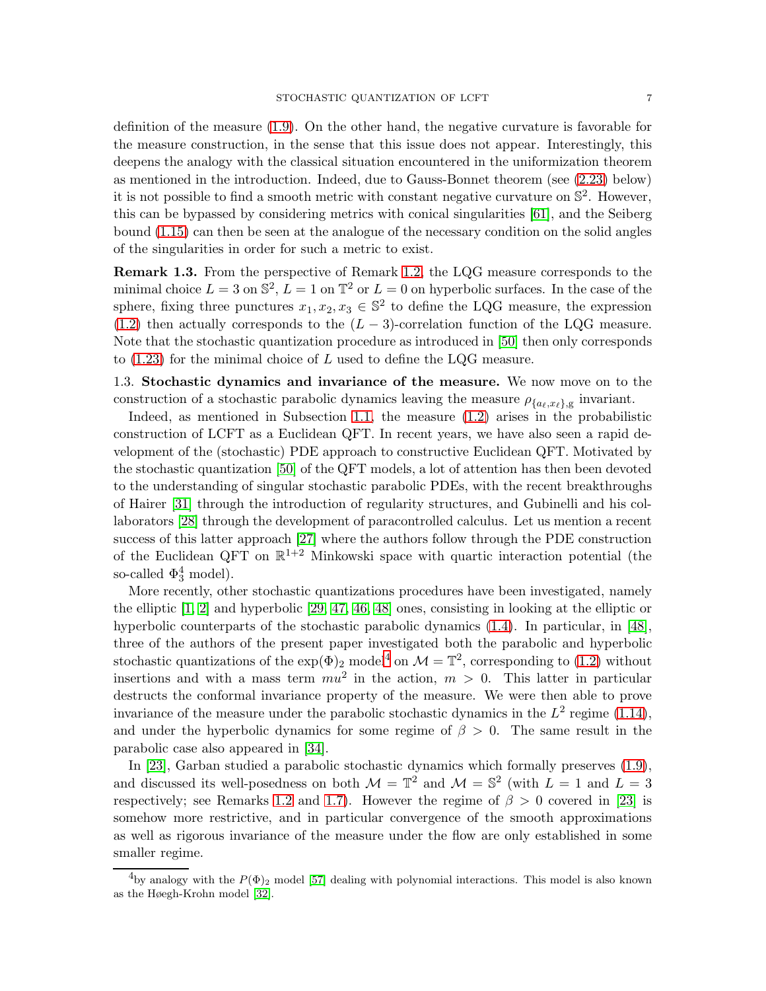definition of the measure [\(1.9\)](#page-3-2). On the other hand, the negative curvature is favorable for the measure construction, in the sense that this issue does not appear. Interestingly, this deepens the analogy with the classical situation encountered in the uniformization theorem as mentioned in the introduction. Indeed, due to Gauss-Bonnet theorem (see [\(2.23\)](#page-33-1) below) it is not possible to find a smooth metric with constant negative curvature on  $\mathbb{S}^2$ . However, this can be bypassed by considering metrics with conical singularities [\[61\]](#page-76-6), and the Seiberg bound [\(1.15\)](#page-4-2) can then be seen at the analogue of the necessary condition on the solid angles of the singularities in order for such a metric to exist.

Remark 1.3. From the perspective of Remark [1.2,](#page-5-0) the LQG measure corresponds to the minimal choice  $L = 3$  on  $\mathbb{S}^2$ ,  $L = 1$  on  $\mathbb{T}^2$  or  $L = 0$  on hyperbolic surfaces. In the case of the sphere, fixing three punctures  $x_1, x_2, x_3 \in \mathbb{S}^2$  to define the LQG measure, the expression [\(1.2\)](#page-1-2) then actually corresponds to the  $(L-3)$ -correlation function of the LQG measure. Note that the stochastic quantization procedure as introduced in [\[50\]](#page-76-7) then only corresponds to  $(1.23)$  for the minimal choice of  $L$  used to define the LQG measure.

<span id="page-6-0"></span>1.3. Stochastic dynamics and invariance of the measure. We now move on to the construction of a stochastic parabolic dynamics leaving the measure  $\rho_{\{a_\ell,x_\ell\},\mathbf{g}}$  invariant.

Indeed, as mentioned in Subsection [1.1,](#page-1-1) the measure [\(1.2\)](#page-1-2) arises in the probabilistic construction of LCFT as a Euclidean QFT. In recent years, we have also seen a rapid development of the (stochastic) PDE approach to constructive Euclidean QFT. Motivated by the stochastic quantization [\[50\]](#page-76-7) of the QFT models, a lot of attention has then been devoted to the understanding of singular stochastic parabolic PDEs, with the recent breakthroughs of Hairer [\[31\]](#page-75-13) through the introduction of regularity structures, and Gubinelli and his collaborators [\[28\]](#page-75-14) through the development of paracontrolled calculus. Let us mention a recent success of this latter approach [\[27\]](#page-75-15) where the authors follow through the PDE construction of the Euclidean QFT on  $\mathbb{R}^{1+2}$  Minkowski space with quartic interaction potential (the so-called  $\Phi_3^4$  model).

More recently, other stochastic quantizations procedures have been investigated, namely the elliptic [\[1,](#page-74-3) [2\]](#page-74-4) and hyperbolic [\[29,](#page-75-16) [47,](#page-76-8) [46,](#page-76-9) [48\]](#page-76-10) ones, consisting in looking at the elliptic or hyperbolic counterparts of the stochastic parabolic dynamics [\(1.4\)](#page-1-6). In particular, in [\[48\]](#page-76-10), three of the authors of the present paper investigated both the parabolic and hyperbolic stochastic quantizations of the  $\exp(\Phi)_2$  model<sup>[4](#page-6-1)</sup> on  $\mathcal{M} = \mathbb{T}^2$ , corresponding to [\(1.2\)](#page-1-2) without insertions and with a mass term  $mu^2$  in the action,  $m > 0$ . This latter in particular destructs the conformal invariance property of the measure. We were then able to prove invariance of the measure under the parabolic stochastic dynamics in the  $L^2$  regime [\(1.14\)](#page-4-4), and under the hyperbolic dynamics for some regime of  $\beta > 0$ . The same result in the parabolic case also appeared in [\[34\]](#page-75-17).

In [\[23\]](#page-75-18), Garban studied a parabolic stochastic dynamics which formally preserves [\(1.9\)](#page-3-2), and discussed its well-posedness on both  $\mathcal{M} = \mathbb{T}^2$  and  $\mathcal{M} = \mathbb{S}^2$  (with  $L = 1$  and  $L = 3$ respectively; see Remarks [1.2](#page-5-0) and [1.7\)](#page-10-1). However the regime of  $\beta > 0$  covered in [\[23\]](#page-75-18) is somehow more restrictive, and in particular convergence of the smooth approximations as well as rigorous invariance of the measure under the flow are only established in some smaller regime.

<span id="page-6-1"></span> $^{4}$ by analogy with the  $P(\Phi)_{2}$  model [\[57\]](#page-76-11) dealing with polynomial interactions. This model is also known as the Høegh-Krohn model [\[32\]](#page-75-19).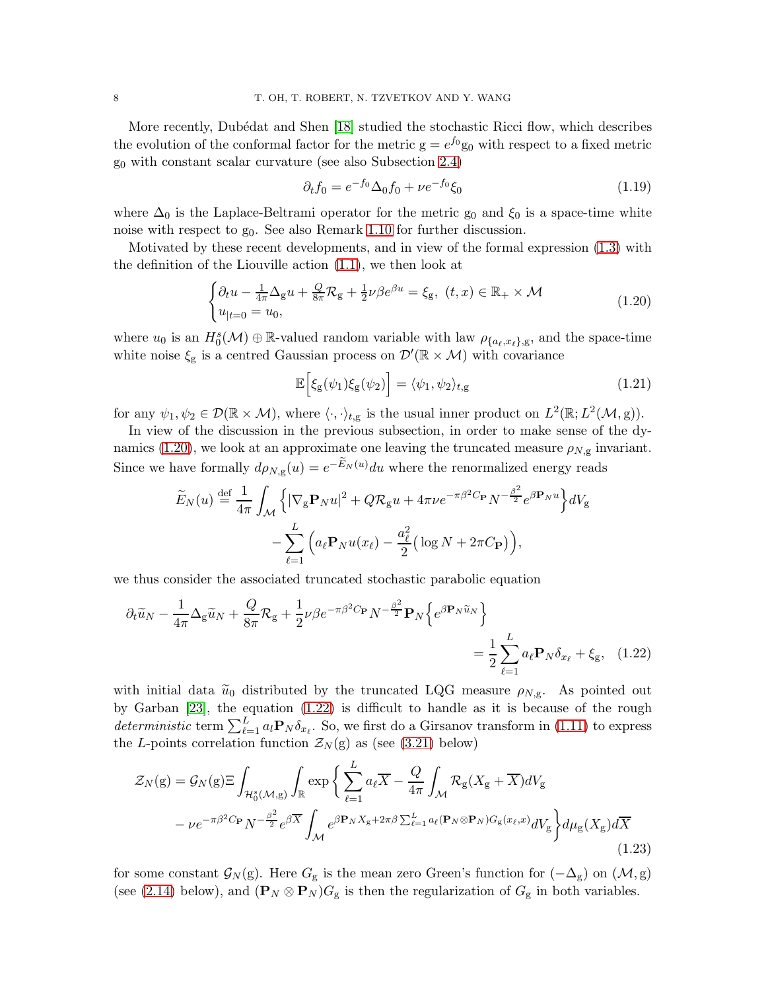More recently, Dubédat and Shen [\[18\]](#page-75-20) studied the stochastic Ricci flow, which describes the evolution of the conformal factor for the metric  $g = e^{f_0}g_0$  with respect to a fixed metric g<sup>0</sup> with constant scalar curvature (see also Subsection [2.4\)](#page-33-0)

<span id="page-7-4"></span><span id="page-7-0"></span>
$$
\partial_t f_0 = e^{-f_0} \Delta_0 f_0 + \nu e^{-f_0} \xi_0 \tag{1.19}
$$

where  $\Delta_0$  is the Laplace-Beltrami operator for the metric  $g_0$  and  $\xi_0$  is a space-time white noise with respect to  $g_0$ . See also Remark [1.10](#page-12-0) for further discussion.

Motivated by these recent developments, and in view of the formal expression [\(1.3\)](#page-1-4) with the definition of the Liouville action [\(1.1\)](#page-1-3), we then look at

$$
\begin{cases} \partial_t u - \frac{1}{4\pi} \Delta_g u + \frac{Q}{8\pi} \mathcal{R}_g + \frac{1}{2} \nu \beta e^{\beta u} = \xi_g, \ (t, x) \in \mathbb{R}_+ \times \mathcal{M} \\ u_{|t=0} = u_0, \end{cases}
$$
\n(1.20)

where  $u_0$  is an  $H_0^s(\mathcal{M}) \oplus \mathbb{R}$ -valued random variable with law  $\rho_{\{a_\ell,x_\ell\},g}$ , and the space-time white noise  $\xi_{\rm g}$  is a centred Gaussian process on  $\mathcal{D}'(\mathbb{R} \times \mathcal{M})$  with covariance

<span id="page-7-3"></span><span id="page-7-2"></span>
$$
\mathbb{E}\Big[\xi_{\rm g}(\psi_1)\xi_{\rm g}(\psi_2)\Big] = \langle \psi_1, \psi_2 \rangle_{t,\rm g} \tag{1.21}
$$

for any  $\psi_1, \psi_2 \in \mathcal{D}(\mathbb{R} \times \mathcal{M})$ , where  $\langle \cdot, \cdot \rangle_{t,g}$  is the usual inner product on  $L^2(\mathbb{R}; L^2(\mathcal{M}, g))$ .

In view of the discussion in the previous subsection, in order to make sense of the dy-namics [\(1.20\)](#page-7-0), we look at an approximate one leaving the truncated measure  $\rho_{N,g}$  invariant. Since we have formally  $d\rho_{N,g}(u) = e^{-E_N(u)} du$  where the renormalized energy reads

$$
\widetilde{E}_N(u) \stackrel{\text{def}}{=} \frac{1}{4\pi} \int_{\mathcal{M}} \left\{ |\nabla_{\mathbf{g}} \mathbf{P}_N u|^2 + Q \mathcal{R}_{\mathbf{g}} u + 4\pi \nu e^{-\pi \beta^2 C_{\mathbf{P}}} N^{-\frac{\beta^2}{2}} e^{\beta \mathbf{P}_N u} \right\} dV_{\mathbf{g}}
$$

$$
- \sum_{\ell=1}^L \left( a_\ell \mathbf{P}_N u(x_\ell) - \frac{a_\ell^2}{2} \left( \log N + 2\pi C_{\mathbf{P}} \right) \right),
$$

we thus consider the associated truncated stochastic parabolic equation

$$
\partial_t \widetilde{u}_N - \frac{1}{4\pi} \Delta_g \widetilde{u}_N + \frac{Q}{8\pi} \mathcal{R}_g + \frac{1}{2} \nu \beta e^{-\pi \beta^2 C_{\mathbf{P}}} N^{-\frac{\beta^2}{2}} \mathbf{P}_N \left\{ e^{\beta \mathbf{P}_N \widetilde{u}_N} \right\}
$$

$$
= \frac{1}{2} \sum_{\ell=1}^L a_\ell \mathbf{P}_N \delta_{x_\ell} + \xi_g, \quad (1.22)
$$

with initial data  $\tilde{u}_0$  distributed by the truncated LQG measure  $\rho_{N,g}$ . As pointed out by Garban [\[23\]](#page-75-18), the equation [\(1.22\)](#page-7-2) is difficult to handle as it is because of the rough deterministic term  $\sum_{\ell=1}^{L} a_{\ell} \mathbf{P}_N \delta_{x_{\ell}}$ . So, we first do a Girsanov transform in [\(1.11\)](#page-4-0) to express the L-points correlation function  $\mathcal{Z}_N(g)$  as (see [\(3.21\)](#page-59-0) below)

<span id="page-7-1"></span>
$$
\mathcal{Z}_N(\mathbf{g}) = \mathcal{G}_N(\mathbf{g}) \Xi \int_{\mathcal{H}_0^s(\mathcal{M}, \mathbf{g})} \int_{\mathbb{R}} \exp \left\{ \sum_{\ell=1}^L a_\ell \overline{X} - \frac{Q}{4\pi} \int_{\mathcal{M}} \mathcal{R}_{\mathbf{g}} (X_{\mathbf{g}} + \overline{X}) dV_{\mathbf{g}} \right.\left. - \nu e^{-\pi \beta^2 C_{\mathbf{P}}} N^{-\frac{\beta^2}{2}} e^{\beta \overline{X}} \int_{\mathcal{M}} e^{\beta \mathbf{P}_N X_{\mathbf{g}} + 2\pi \beta \sum_{\ell=1}^L a_\ell (\mathbf{P}_N \otimes \mathbf{P}_N) G_{\mathbf{g}}(x_\ell, x)} dV_{\mathbf{g}} \right\} d\mu_{\mathbf{g}} (X_{\mathbf{g}}) d\overline{X}
$$
\n(1.23)

for some constant  $\mathcal{G}_N(g)$ . Here  $G_g$  is the mean zero Green's function for  $(-\Delta_g)$  on  $(\mathcal{M}, g)$ (see [\(2.14\)](#page-21-1) below), and  $(\mathbf{P}_N \otimes \mathbf{P}_N)G_g$  is then the regularization of  $G_g$  in both variables.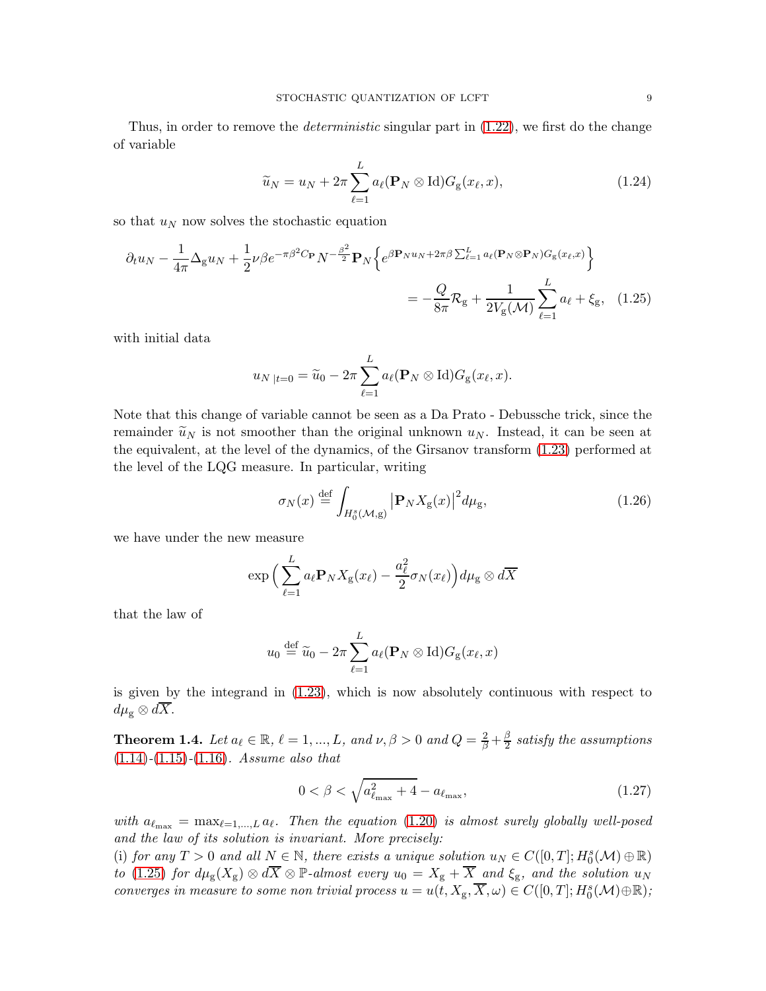Thus, in order to remove the *deterministic* singular part in [\(1.22\)](#page-7-2), we first do the change of variable

$$
\widetilde{u}_N = u_N + 2\pi \sum_{\ell=1}^L a_\ell (\mathbf{P}_N \otimes \mathrm{Id}) G_{\mathrm{g}}(x_\ell, x), \tag{1.24}
$$

so that  $u_N$  now solves the stochastic equation

$$
\partial_t u_N - \frac{1}{4\pi} \Delta_g u_N + \frac{1}{2} \nu \beta e^{-\pi \beta^2 C_{\mathbf{P}}} N^{-\frac{\beta^2}{2}} \mathbf{P}_N \Big\{ e^{\beta \mathbf{P}_N u_N + 2\pi \beta \sum_{\ell=1}^L a_\ell (\mathbf{P}_N \otimes \mathbf{P}_N) G_g(x_\ell, x)} \Big\}
$$
  
= 
$$
-\frac{Q}{8\pi} \mathcal{R}_g + \frac{1}{2V_g(\mathcal{M})} \sum_{\ell=1}^L a_\ell + \xi_g, \quad (1.25)
$$

with initial data

<span id="page-8-1"></span>
$$
u_{N}|_{t=0} = \widetilde{u}_0 - 2\pi \sum_{\ell=1}^{L} a_{\ell}(\mathbf{P}_N \otimes \mathrm{Id}) G_{\mathrm{g}}(x_{\ell}, x).
$$

Note that this change of variable cannot be seen as a Da Prato - Debussche trick, since the remainder  $\tilde{u}_N$  is not smoother than the original unknown  $u_N$ . Instead, it can be seen at the equivalent, at the level of the dynamics, of the Girsanov transform [\(1.23\)](#page-7-1) performed at the level of the LQG measure. In particular, writing

$$
\sigma_N(x) \stackrel{\text{def}}{=} \int_{H_0^s(\mathcal{M}, g)} |\mathbf{P}_N X_g(x)|^2 d\mu_g, \tag{1.26}
$$

we have under the new measure

$$
\exp\Big(\sum_{\ell=1}^La_{\ell}\mathbf{P}_NX_{\mathrm{g}}(x_{\ell})-\frac{a_{\ell}^2}{2}\sigma_N(x_{\ell})\Big)d\mu_{\mathrm{g}}\otimes d\overline{X}
$$

that the law of

$$
u_0 \stackrel{\text{def}}{=} \widetilde{u}_0 - 2\pi \sum_{\ell=1}^L a_\ell(\mathbf{P}_N \otimes \mathrm{Id}) G_{\mathrm{g}}(x_\ell, x)
$$

is given by the integrand in [\(1.23\)](#page-7-1), which is now absolutely continuous with respect to  $d\mu_{\rm g}\otimes d\overline{X}.$ 

<span id="page-8-0"></span>**Theorem 1.4.** Let  $a_{\ell} \in \mathbb{R}$ ,  $\ell = 1, ..., L$ , and  $\nu, \beta > 0$  and  $Q = \frac{2}{\beta} + \frac{\beta}{2}$  $\frac{\beta}{2}$  satisfy the assumptions [\(1.14\)](#page-4-4)*-*[\(1.15\)](#page-4-2)*-*[\(1.16\)](#page-4-5)*. Assume also that*

<span id="page-8-2"></span>
$$
0 < \beta < \sqrt{a_{\ell_{\text{max}}}^2 + 4} - a_{\ell_{\text{max}}},\tag{1.27}
$$

with  $a_{\ell_{\text{max}}} = \max_{\ell=1,\dots,L} a_{\ell}$ . Then the equation [\(1.20\)](#page-7-0) is almost surely globally well-posed *and the law of its solution is invariant. More precisely:*

(i) *for any*  $T > 0$  *and all*  $N \in \mathbb{N}$ *, there exists a unique solution*  $u_N \in C([0, T]; H_0^s(\mathcal{M}) \oplus \mathbb{R})$ *to* [\(1.25\)](#page-8-1) *for*  $d\mu_{g}(X_{g}) \otimes d\overline{X} \otimes \mathbb{P}$ *-almost every*  $u_{0} = X_{g} + \overline{X}$  *and*  $\xi_{g}$ *, and the solution*  $u_{N}$ *converges in measure to some non trivial process*  $u = u(t, X_g, \overline{X}, \omega) \in C([0, T]; H_0^s(\mathcal{M}) \oplus \mathbb{R})$ ;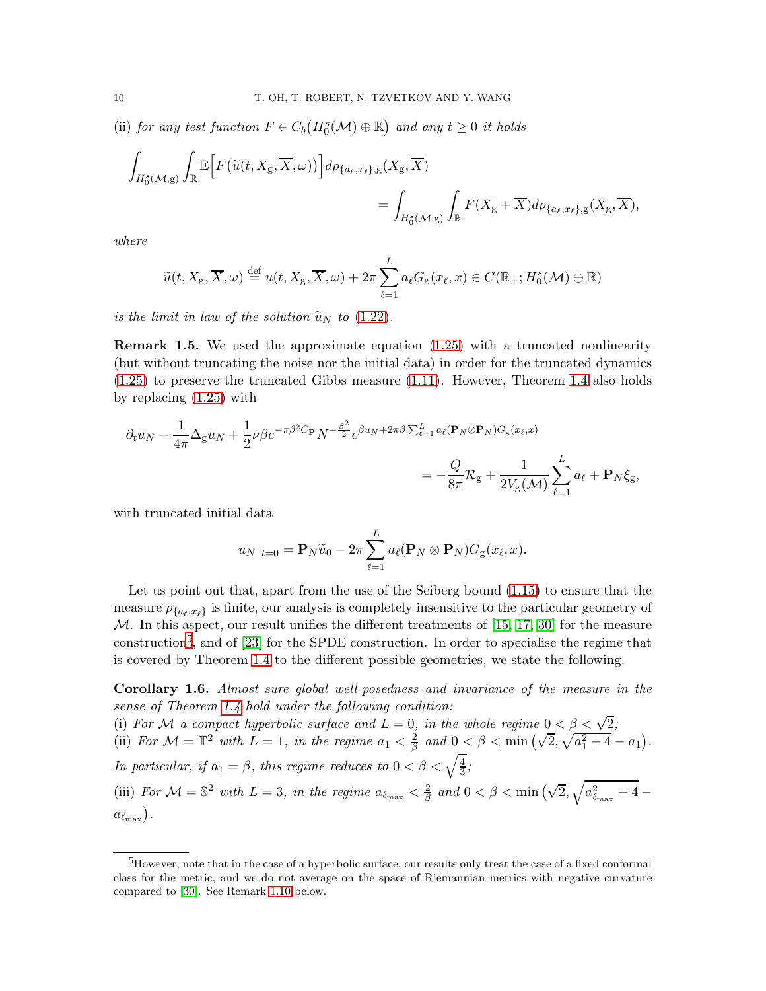(ii) *for any test function*  $F \in C_b(H_0^s(\mathcal{M}) \oplus \mathbb{R})$  *and any*  $t \geq 0$  *it holds* 

$$
\int_{H_0^s(\mathcal{M},g)} \int_{\mathbb{R}} \mathbb{E}\Big[F\big(\widetilde{u}(t,X_g,\overline{X},\omega)\big)\Big] d\rho_{\{a_\ell,x_\ell\},g}(X_g,\overline{X})
$$
\n
$$
= \int_{H_0^s(\mathcal{M},g)} \int_{\mathbb{R}} F(X_g+\overline{X}) d\rho_{\{a_\ell,x_\ell\},g}(X_g,\overline{X}),
$$

*where*

$$
\widetilde{u}(t, X_g, \overline{X}, \omega) \stackrel{\text{def}}{=} u(t, X_g, \overline{X}, \omega) + 2\pi \sum_{\ell=1}^L a_{\ell} G_g(x_{\ell}, x) \in C(\mathbb{R}_+; H_0^s(\mathcal{M}) \oplus \mathbb{R})
$$

*is the limit in law of the solution*  $\widetilde{u}_N$  *to* [\(1.22\)](#page-7-2).

Remark 1.5. We used the approximate equation [\(1.25\)](#page-8-1) with a truncated nonlinearity (but without truncating the noise nor the initial data) in order for the truncated dynamics [\(1.25\)](#page-8-1) to preserve the truncated Gibbs measure [\(1.11\)](#page-4-0). However, Theorem [1.4](#page-8-0) also holds by replacing [\(1.25\)](#page-8-1) with

$$
\partial_t u_N - \frac{1}{4\pi} \Delta_g u_N + \frac{1}{2} \nu \beta e^{-\pi \beta^2 C_{\mathbf{P}}} N^{-\frac{\beta^2}{2}} e^{\beta u_N + 2\pi \beta \sum_{\ell=1}^L a_\ell (\mathbf{P}_N \otimes \mathbf{P}_N) G_g(x_\ell, x)} \n= -\frac{Q}{8\pi} \mathcal{R}_g + \frac{1}{2V_g(\mathcal{M})} \sum_{\ell=1}^L a_\ell + \mathbf{P}_N \xi_g,
$$

with truncated initial data

$$
u_{N}|_{t=0} = \mathbf{P}_{N}\widetilde{u}_{0} - 2\pi \sum_{\ell=1}^{L} a_{\ell}(\mathbf{P}_{N} \otimes \mathbf{P}_{N})G_{g}(x_{\ell}, x).
$$

Let us point out that, apart from the use of the Seiberg bound  $(1.15)$  to ensure that the measure  $\rho_{\{a_\ell, x_\ell\}}$  is finite, our analysis is completely insensitive to the particular geometry of  $M$ . In this aspect, our result unifies the different treatments of  $[15, 17, 30]$  $[15, 17, 30]$  $[15, 17, 30]$  for the measure construction<sup>[5](#page-9-0)</sup>, and of [\[23\]](#page-75-18) for the SPDE construction. In order to specialise the regime that is covered by Theorem [1.4](#page-8-0) to the different possible geometries, we state the following.

Corollary 1.6. *Almost sure global well-posedness and invariance of the measure in the sense of Theorem [1.4](#page-8-0) hold under the following condition:*

(i) For M a compact hyperbolic surface and  $L = 0$ , in the whole regime  $0 < \beta < \sqrt{2}$ ; (ii) For  $\mathcal{M} = \mathbb{T}^2$  with  $L = 1$ , in the regime  $a_1 < \frac{2}{\beta}$  and  $0 < \beta < \min\left(\sqrt{2}, \sqrt{a_1^2 + 4} - a_1\right)$ . *In particular, if*  $a_1 = \beta$ *, this regime reduces to*  $0 < \beta < \sqrt{\frac{4}{3}}$  $\frac{4}{3}$ ; (iii) *For*  $M = \mathbb{S}^2$  *with*  $L = 3$ *, in the regime*  $a_{\ell_{\max}} < \frac{2}{\beta}$  *and*  $0 < \beta < \min\left(\sqrt{2}, \sqrt{a_{\ell_{\max}}^2 + 4} - \frac{1}{\beta}\right)$  $a_{\ell_{\text{max}}}\big).$ 

<span id="page-9-0"></span><sup>&</sup>lt;sup>5</sup>However, note that in the case of a hyperbolic surface, our results only treat the case of a fixed conformal class for the metric, and we do not average on the space of Riemannian metrics with negative curvature compared to [\[30\]](#page-75-8). See Remark [1.10](#page-12-0) below.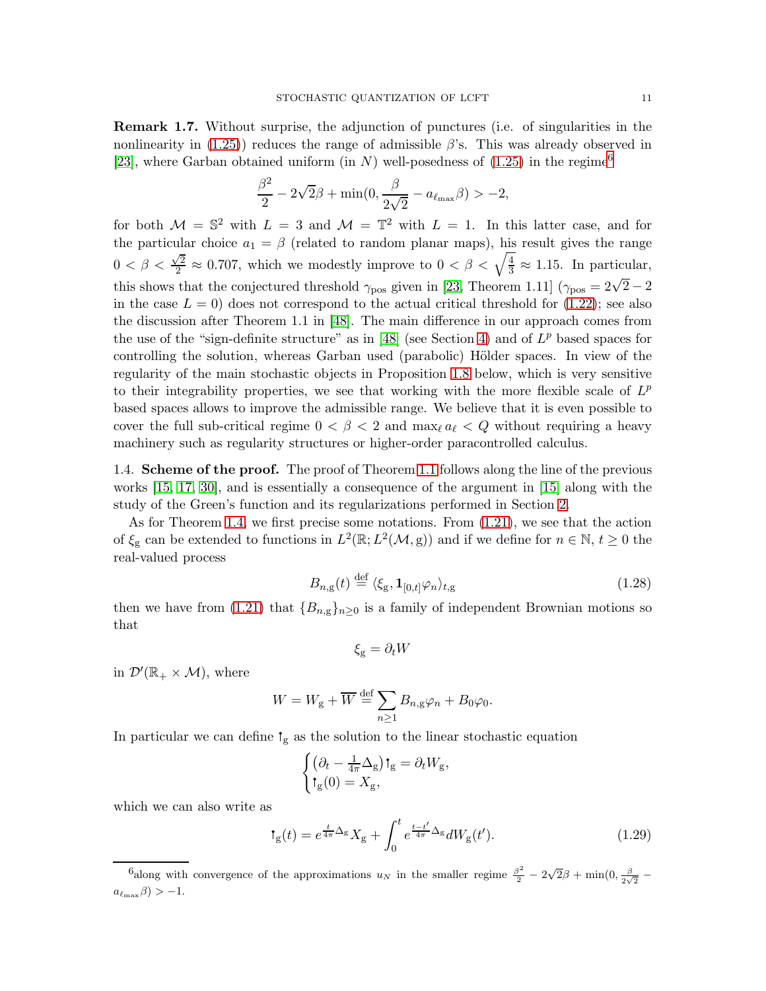<span id="page-10-1"></span>Remark 1.7. Without surprise, the adjunction of punctures (i.e. of singularities in the nonlinearity in  $(1.25)$ ) reduces the range of admissible  $\beta$ 's. This was already observed in [\[23\]](#page-75-18), where Garban obtained uniform (in N) well-posedness of  $(1.25)$  in the regime<sup>[6](#page-10-2)</sup>

$$
\frac{\beta^2}{2} - 2\sqrt{2}\beta + \min(0, \frac{\beta}{2\sqrt{2}} - a_{\ell_{\max}}\beta) > -2,
$$

for both  $\mathcal{M} = \mathbb{S}^2$  with  $L = 3$  and  $\mathcal{M} = \mathbb{T}^2$  with  $L = 1$ . In this latter case, and for the particular choice  $a_1 = \beta$  (related to random planar maps), his result gives the range  $0 < \beta < \frac{\sqrt{2}}{2} \approx 0.707$ , which we modestly improve to  $0 < \beta < \sqrt{\frac{4}{3}} \approx 1.15$ . In particular, this shows that the conjectured threshold  $\gamma_{\text{pos}}$  given in [\[23,](#page-75-18) Theorem 1.11] ( $\gamma_{\text{pos}} = 2\sqrt{2} - 2$ in the case  $L = 0$ ) does not correspond to the actual critical threshold for  $(1.22)$ ; see also the discussion after Theorem 1.1 in [\[48\]](#page-76-10). The main difference in our approach comes from the use of the "sign-definite structure" as in [\[48\]](#page-76-10) (see Section [4\)](#page-64-0) and of  $L^p$  based spaces for controlling the solution, whereas Garban used (parabolic) Hölder spaces. In view of the regularity of the main stochastic objects in Proposition [1.8](#page-11-0) below, which is very sensitive to their integrability properties, we see that working with the more flexible scale of  $L^p$ based spaces allows to improve the admissible range. We believe that it is even possible to cover the full sub-critical regime  $0 < \beta < 2$  and  $\max_{\ell} a_{\ell} < Q$  without requiring a heavy machinery such as regularity structures or higher-order paracontrolled calculus.

<span id="page-10-0"></span>1.4. Scheme of the proof. The proof of Theorem [1.1](#page-4-7) follows along the line of the previous works [\[15,](#page-75-5) [17,](#page-75-6) [30\]](#page-75-8), and is essentially a consequence of the argument in [\[15\]](#page-75-5) along with the study of the Green's function and its regularizations performed in Section [2.](#page-13-0)

As for Theorem [1.4,](#page-8-0) we first precise some notations. From [\(1.21\)](#page-7-3), we see that the action of  $\xi_g$  can be extended to functions in  $L^2(\mathbb{R}; L^2(\mathcal{M}, g))$  and if we define for  $n \in \mathbb{N}, t \ge 0$  the real-valued process

$$
B_{n,g}(t) \stackrel{\text{def}}{=} \langle \xi_g, \mathbf{1}_{[0,t]} \varphi_n \rangle_{t,g} \tag{1.28}
$$

then we have from [\(1.21\)](#page-7-3) that  ${B_{n,g}}_{n>0}$  is a family of independent Brownian motions so that

$$
\xi_{\rm g}=\partial_t W
$$

in  $\mathcal{D}'(\mathbb{R}_+ \times \mathcal{M})$ , where

$$
W = W_{\rm g} + \overline{W} \stackrel{\text{def}}{=} \sum_{n \ge 1} B_{n, {\rm g}} \varphi_n + B_0 \varphi_0.
$$

In particular we can define  $\mathbf{I}_{g}$  as the solution to the linear stochastic equation

$$
\begin{cases} \left(\partial_t - \frac{1}{4\pi} \Delta_g\right) \mathbf{1}_g = \partial_t W_g, \\ \mathbf{1}_g(0) = X_g, \end{cases}
$$

which we can also write as

$$
\mathbf{1}_{g}(t) = e^{\frac{t}{4\pi}\Delta_{g}} X_{g} + \int_{0}^{t} e^{\frac{t-t'}{4\pi}\Delta_{g}} dW_{g}(t'). \qquad (1.29)
$$

<span id="page-10-2"></span><sup>&</sup>lt;sup>6</sup> along with convergence of the approximations  $u_N$  in the smaller regime  $\frac{\beta^2}{2} - 2\sqrt{2}\beta + \min(0, \frac{\beta}{2\sqrt{2}})$  $\frac{1}{2\sqrt{2}}$  –  $a_{\ell_{\text{max}}} \beta$ ) > -1.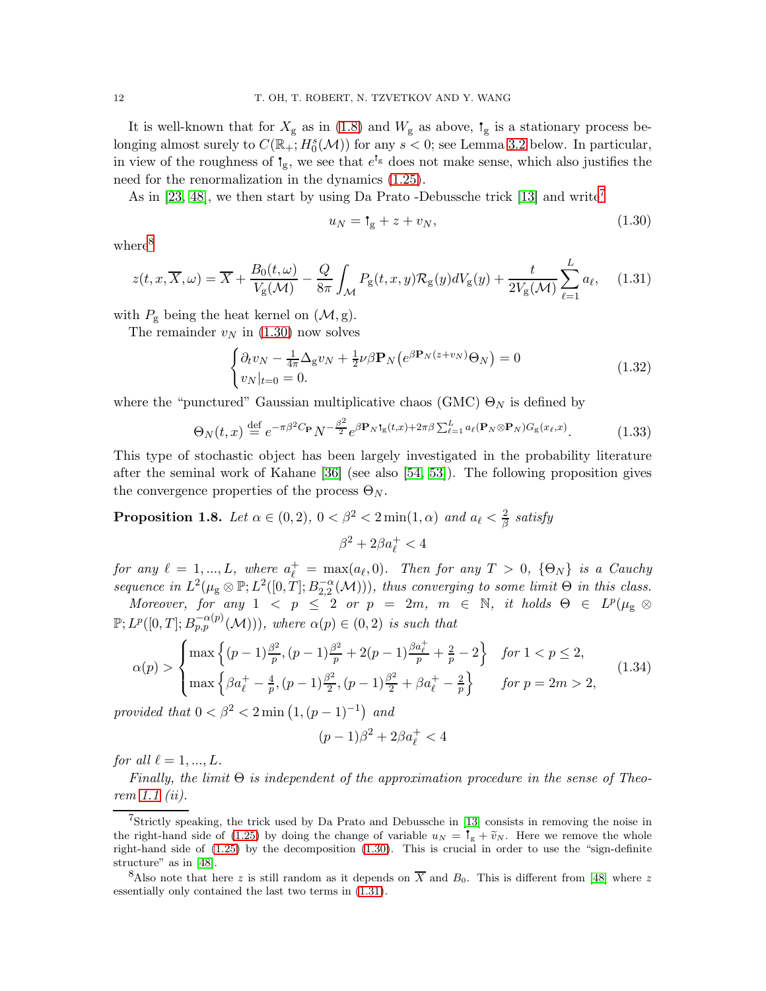It is well-known that for  $X_g$  as in [\(1.8\)](#page-3-3) and  $W_g$  as above,  $\mathbf{I}_g$  is a stationary process belonging almost surely to  $C(\mathbb{R}_+; H_0^s(\mathcal{M}))$  for any  $s < 0$ ; see Lemma [3.2](#page-43-0) below. In particular, in view of the roughness of  $\mathbf{I}_g$ , we see that  $e^{\mathbf{I}_g}$  does not make sense, which also justifies the need for the renormalization in the dynamics [\(1.25\)](#page-8-1).

As in [\[23,](#page-75-18) [48\]](#page-76-10), we then start by using Da Prato -Debussche trick [\[13\]](#page-75-21) and write<sup>[7](#page-11-1)</sup>

<span id="page-11-6"></span><span id="page-11-5"></span><span id="page-11-4"></span><span id="page-11-3"></span>
$$
u_N = \mathbf{1}_g + z + v_N,\tag{1.30}
$$

where<sup>[8](#page-11-2)</sup>

$$
z(t, x, \overline{X}, \omega) = \overline{X} + \frac{B_0(t, \omega)}{V_g(\mathcal{M})} - \frac{Q}{8\pi} \int_{\mathcal{M}} P_g(t, x, y) \mathcal{R}_g(y) dV_g(y) + \frac{t}{2V_g(\mathcal{M})} \sum_{\ell=1}^L a_\ell,
$$
 (1.31)

with  $P_{\rm g}$  being the heat kernel on  $(\mathcal{M}, g)$ .

The remainder  $v_N$  in [\(1.30\)](#page-11-3) now solves

$$
\begin{cases} \partial_t v_N - \frac{1}{4\pi} \Delta_g v_N + \frac{1}{2} \nu \beta \mathbf{P}_N \left( e^{\beta \mathbf{P}_N (z + v_N)} \Theta_N \right) = 0\\ v_N|_{t=0} = 0. \end{cases}
$$
(1.32)

where the "punctured" Gaussian multiplicative chaos (GMC)  $\Theta_N$  is defined by

$$
\Theta_N(t,x) \stackrel{\text{def}}{=} e^{-\pi \beta^2 C_{\mathbf{P}}} N^{-\frac{\beta^2}{2}} e^{\beta \mathbf{P}_N \cdot \mathbf{I}_S(t,x) + 2\pi \beta \sum_{\ell=1}^L a_\ell (\mathbf{P}_N \otimes \mathbf{P}_N) G_S(x_\ell,x)}.
$$
(1.33)

This type of stochastic object has been largely investigated in the probability literature after the seminal work of Kahane [\[36\]](#page-75-22) (see also [\[54,](#page-76-12) [53\]](#page-76-13)). The following proposition gives the convergence properties of the process  $\Theta_N$ .

<span id="page-11-0"></span>**Proposition 1.8.** *Let*  $\alpha \in (0, 2)$ ,  $0 < \beta^2 < 2 \min(1, \alpha)$  and  $a_{\ell} < \frac{2}{\beta}$ β *satisfy*  $\beta^2 + 2\beta a_{\ell}^+ < 4$ 

 $for any  $\ell = 1, ..., L$ , where  $a_{\ell}^{+} = max(a_{\ell}, 0)$ . Then for any  $T > 0$ ,  $\{\Theta_N\}$  is a Cauchy$ sequence in  $L^2(\mu_{g} \otimes \mathbb{P}; L^2([0,T]; B_{2,2}^{-\alpha}(\mathcal{M}))),$  thus converging to some limit  $\Theta$  in this class.

*Moreover, for any*  $1 \leq p \leq 2$  *or*  $p = 2m$ ,  $m \in \mathbb{N}$ , *it holds*  $\Theta \in L^p(\mu_{\mathbb{S}} \otimes$  $\mathbb{P}; L^p([0,T]; B_{p,p}^{-\alpha(p)}(\mathcal{M}))),$  where  $\alpha(p) \in (0,2)$  *is such that* 

$$
\alpha(p) > \begin{cases} \max\left\{(p-1)\frac{\beta^2}{p}, (p-1)\frac{\beta^2}{p} + 2(p-1)\frac{\beta a_p^+}{p} + \frac{2}{p} - 2\right\} & \text{for } 1 < p \le 2, \\ \max\left\{\beta a_\ell^+ - \frac{4}{p}, (p-1)\frac{\beta^2}{2}, (p-1)\frac{\beta^2}{2} + \beta a_\ell^+ - \frac{2}{p}\right\} & \text{for } p = 2m > 2, \end{cases}
$$
(1.34)

*provided that*  $0 < \beta^2 < 2 \min(1,(p-1)^{-1})$  *and* 

$$
(p-1)\beta^2 + 2\beta a_\ell^+ < 4
$$

*for all*  $\ell = 1, ..., L$ .

*Finally, the limit* Θ *is independent of the approximation procedure in the sense of Theorem [1.1](#page-4-7) (ii).*

<span id="page-11-1"></span><sup>7</sup>Strictly speaking, the trick used by Da Prato and Debussche in [\[13\]](#page-75-21) consists in removing the noise in the right-hand side of [\(1.25\)](#page-8-1) by doing the change of variable  $u_N = \mathbf{I}_{g} + \tilde{v}_N$ . Here we remove the whole right-hand side of [\(1.25\)](#page-8-1) by the decomposition [\(1.30\)](#page-11-3). This is crucial in order to use the "sign-definite structure" as in [\[48\]](#page-76-10).

<span id="page-11-2"></span><sup>&</sup>lt;sup>8</sup>Also note that here z is still random as it depends on  $\overline{X}$  and  $B_0$ . This is different from [\[48\]](#page-76-10) where z essentially only contained the last two terms in [\(1.31\)](#page-11-4).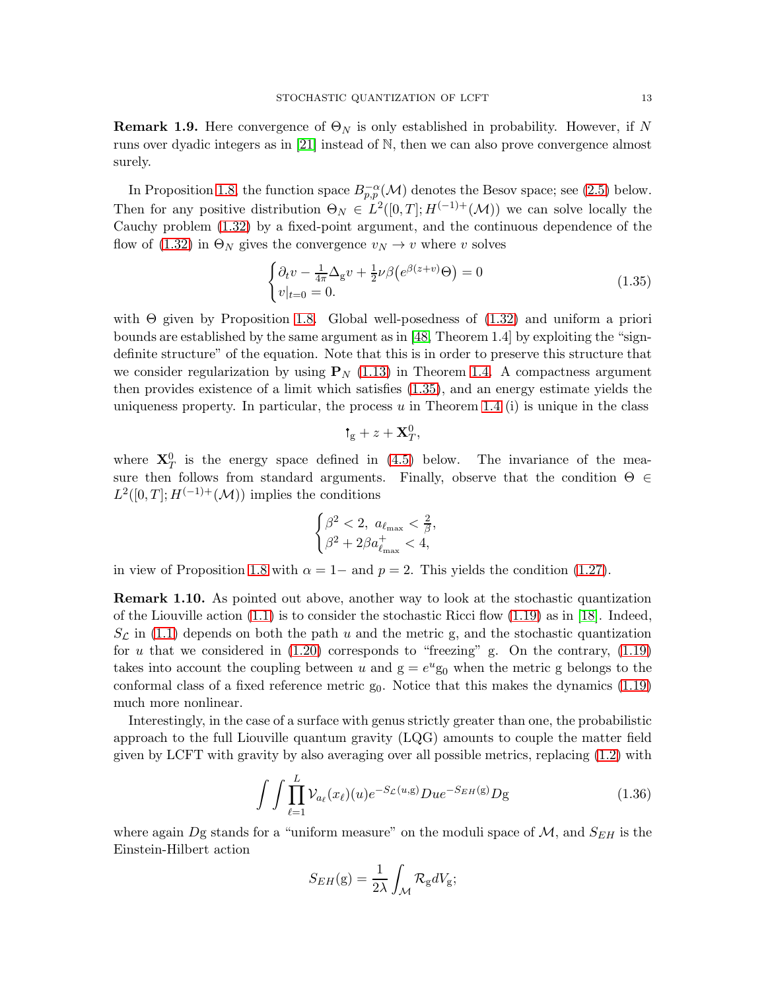**Remark 1.9.** Here convergence of  $\Theta_N$  is only established in probability. However, if N runs over dyadic integers as in [\[21\]](#page-75-4) instead of N, then we can also prove convergence almost surely.

In Proposition [1.8,](#page-11-0) the function space  $B_{p,p}^{-\alpha}(\mathcal{M})$  denotes the Besov space; see [\(2.5\)](#page-15-0) below. Then for any positive distribution  $\Theta_N \in L^2([0,T]; H^{(-1)+}(\mathcal{M}))$  we can solve locally the Cauchy problem [\(1.32\)](#page-11-5) by a fixed-point argument, and the continuous dependence of the flow of [\(1.32\)](#page-11-5) in  $\Theta_N$  gives the convergence  $v_N \to v$  where v solves

$$
\begin{cases} \partial_t v - \frac{1}{4\pi} \Delta_g v + \frac{1}{2} \nu \beta \left( e^{\beta(z+v)} \Theta \right) = 0 \\ v|_{t=0} = 0. \end{cases}
$$
\n(1.35)

with  $\Theta$  given by Proposition [1.8.](#page-11-0) Global well-posedness of  $(1.32)$  and uniform a priori bounds are established by the same argument as in [\[48,](#page-76-10) Theorem 1.4] by exploiting the "signdefinite structure" of the equation. Note that this is in order to preserve this structure that we consider regularization by using  $P_N$  [\(1.13\)](#page-4-6) in Theorem [1.4.](#page-8-0) A compactness argument then provides existence of a limit which satisfies [\(1.35\)](#page-12-1), and an energy estimate yields the uniqueness property. In particular, the process  $u$  in Theorem [1.4](#page-8-0) (i) is unique in the class

<span id="page-12-1"></span>
$$
\mathbf{1}_{g} + z + \mathbf{X}_{T}^{0},
$$

where  $X_T^0$  is the energy space defined in [\(4.5\)](#page-64-3) below. The invariance of the measure then follows from standard arguments. Finally, observe that the condition  $\Theta \in$  $L^2([0,T];H^{(-1)+}(\mathcal{M}))$  implies the conditions

$$
\begin{cases} \beta^2 < 2, \ a_{\ell_{\max}} < \frac{2}{\beta}, \\ \beta^2 + 2\beta a_{\ell_{\max}}^+ < 4, \end{cases}
$$

in view of Proposition [1.8](#page-11-0) with  $\alpha = 1-$  and  $p = 2$ . This yields the condition [\(1.27\)](#page-8-2).

<span id="page-12-0"></span>Remark 1.10. As pointed out above, another way to look at the stochastic quantization of the Liouville action  $(1.1)$  is to consider the stochastic Ricci flow  $(1.19)$  as in [\[18\]](#page-75-20). Indeed,  $S<sub>C</sub>$  in [\(1.1\)](#page-1-3) depends on both the path u and the metric g, and the stochastic quantization for  $u$  that we considered in  $(1.20)$  corresponds to "freezing" g. On the contrary,  $(1.19)$ takes into account the coupling between u and  $g = e^u g_0$  when the metric g belongs to the conformal class of a fixed reference metric  $g_0$ . Notice that this makes the dynamics [\(1.19\)](#page-7-4) much more nonlinear.

Interestingly, in the case of a surface with genus strictly greater than one, the probabilistic approach to the full Liouville quantum gravity (LQG) amounts to couple the matter field given by LCFT with gravity by also averaging over all possible metrics, replacing [\(1.2\)](#page-1-2) with

$$
\int \int \prod_{\ell=1}^{L} \mathcal{V}_{a_{\ell}}(x_{\ell})(u) e^{-S_{\mathcal{L}}(u,g)} D u e^{-S_{EH}(\mathbf{g})} D \mathbf{g} \tag{1.36}
$$

where again Dg stands for a "uniform measure" on the moduli space of  $M$ , and  $S_{EH}$  is the Einstein-Hilbert action

<span id="page-12-2"></span>
$$
S_{EH}(\mathbf{g}) = \frac{1}{2\lambda} \int_{\mathcal{M}} \mathcal{R}_{\mathbf{g}} dV_{\mathbf{g}};
$$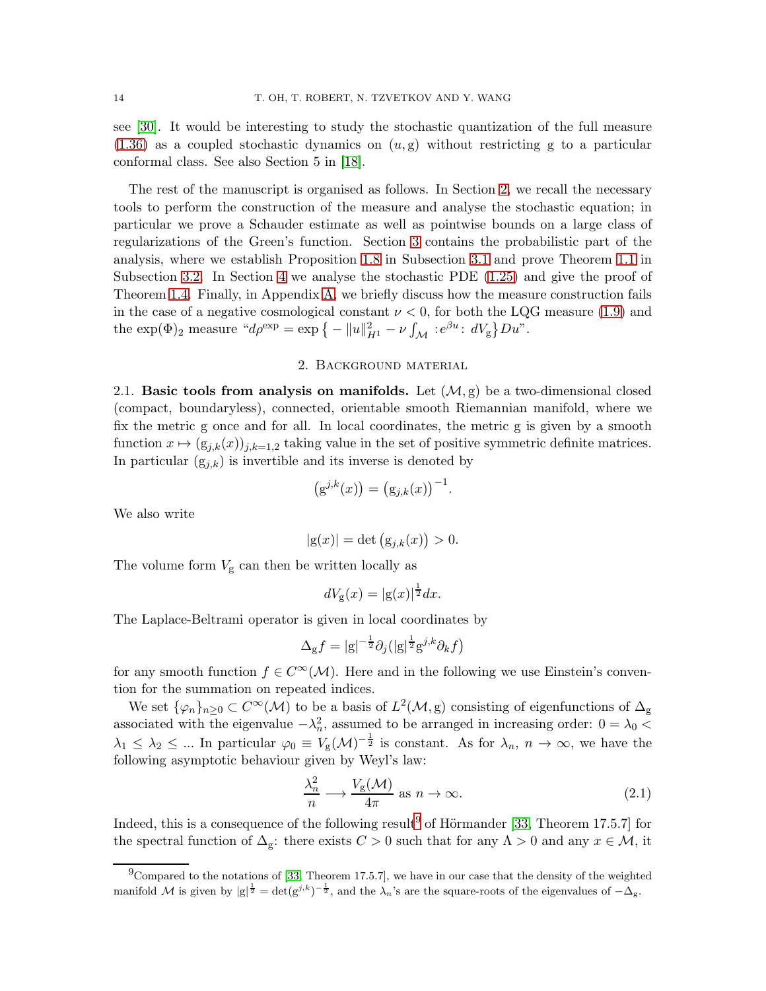see [\[30\]](#page-75-8). It would be interesting to study the stochastic quantization of the full measure  $(1.36)$  as a coupled stochastic dynamics on  $(u, g)$  without restricting g to a particular conformal class. See also Section 5 in [\[18\]](#page-75-20).

The rest of the manuscript is organised as follows. In Section [2,](#page-13-0) we recall the necessary tools to perform the construction of the measure and analyse the stochastic equation; in particular we prove a Schauder estimate as well as pointwise bounds on a large class of regularizations of the Green's function. Section [3](#page-41-0) contains the probabilistic part of the analysis, where we establish Proposition [1.8](#page-11-0) in Subsection [3.1](#page-41-1) and prove Theorem [1.1](#page-4-7) in Subsection [3.2.](#page-53-0) In Section [4](#page-64-0) we analyse the stochastic PDE [\(1.25\)](#page-8-1) and give the proof of Theorem [1.4.](#page-8-0) Finally, in Appendix [A,](#page-72-0) we briefly discuss how the measure construction fails in the case of a negative cosmological constant  $\nu < 0$ , for both the LQG measure [\(1.9\)](#page-3-2) and the  $\exp(\Phi)_2$  measure " $d\rho^{\exp} = \exp\{-\|u\|_{H^1}^2 - \nu \int_M :e^{\beta u}: dV_g\}Du$ ".

## 2. Background material

<span id="page-13-1"></span><span id="page-13-0"></span>2.1. Basic tools from analysis on manifolds. Let  $(\mathcal{M}, g)$  be a two-dimensional closed (compact, boundaryless), connected, orientable smooth Riemannian manifold, where we fix the metric g once and for all. In local coordinates, the metric g is given by a smooth function  $x \mapsto (g_{j,k}(x))_{j,k=1,2}$  taking value in the set of positive symmetric definite matrices. In particular  $(g_{j,k})$  is invertible and its inverse is denoted by

$$
(g^{j,k}(x)) = (g_{j,k}(x))^{-1}.
$$

We also write

$$
|g(x)| = \det (g_{j,k}(x)) > 0.
$$

The volume form  $V<sub>g</sub>$  can then be written locally as

$$
dV_{\mathbf{g}}(x) = |\mathbf{g}(x)|^{\frac{1}{2}} dx.
$$

The Laplace-Beltrami operator is given in local coordinates by

$$
\Delta_{\rm g} f = |{\rm g}|^{-\frac{1}{2}} \partial_j (|{\rm g}|^{\frac{1}{2}} {\rm g}^{j,k} \partial_k f)
$$

for any smooth function  $f \in C^{\infty}(\mathcal{M})$ . Here and in the following we use Einstein's convention for the summation on repeated indices.

We set  $\{\varphi_n\}_{n\geq 0} \subset C^{\infty}(\mathcal{M})$  to be a basis of  $L^2(\mathcal{M}, g)$  consisting of eigenfunctions of  $\Delta_g$ associated with the eigenvalue  $-\lambda_n^2$ , assumed to be arranged in increasing order:  $0 = \lambda_0 <$  $\lambda_1 \leq \lambda_2 \leq \dots$  In particular  $\varphi_0 \equiv V_g(\mathcal{M})^{-\frac{1}{2}}$  is constant. As for  $\lambda_n$ ,  $n \to \infty$ , we have the following asymptotic behaviour given by Weyl's law:

<span id="page-13-2"></span>
$$
\frac{\lambda_n^2}{n} \longrightarrow \frac{V_g(\mathcal{M})}{4\pi} \text{ as } n \to \infty. \tag{2.1}
$$

Indeed, this is a consequence of the following result<sup>[9](#page-13-3)</sup> of Hörmander [\[33,](#page-75-23) Theorem 17.5.7] for the spectral function of  $\Delta_g$ : there exists  $C > 0$  such that for any  $\Lambda > 0$  and any  $x \in \mathcal{M}$ , it

<span id="page-13-3"></span><sup>9</sup>Compared to the notations of [\[33,](#page-75-23) Theorem 17.5.7], we have in our case that the density of the weighted manifold M is given by  $|g|^{\frac{1}{2}} = det(g^{j,k})^{-\frac{1}{2}}$ , and the  $\lambda_n$ 's are the square-roots of the eigenvalues of  $-\Delta_g$ .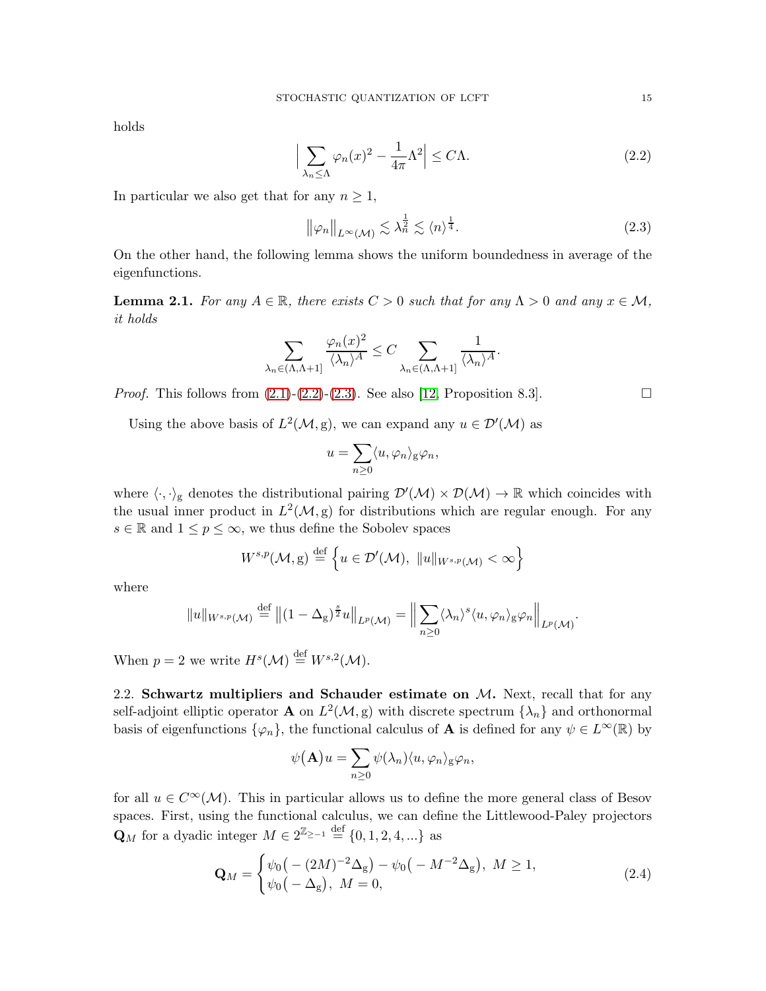holds

$$
\left|\sum_{\lambda_n \le \Lambda} \varphi_n(x)^2 - \frac{1}{4\pi} \Lambda^2\right| \le C\Lambda. \tag{2.2}
$$

In particular we also get that for any  $n \geq 1$ ,

$$
\|\varphi_n\|_{L^{\infty}(\mathcal{M})} \lesssim \lambda_n^{\frac{1}{2}} \lesssim \langle n \rangle^{\frac{1}{4}}.
$$
 (2.3)

On the other hand, the following lemma shows the uniform boundedness in average of the eigenfunctions.

**Lemma 2.1.** *For any*  $A \in \mathbb{R}$ *, there exists*  $C > 0$  *such that for any*  $\Lambda > 0$  *and any*  $x \in \mathcal{M}$ *, it holds*

$$
\sum_{\lambda_n \in (\Lambda, \Lambda+1]} \frac{\varphi_n(x)^2}{\langle \lambda_n \rangle^A} \le C \sum_{\lambda_n \in (\Lambda, \Lambda+1]} \frac{1}{\langle \lambda_n \rangle^A}.
$$

*Proof.* This follows from  $(2.1)-(2.2)-(2.3)$  $(2.1)-(2.2)-(2.3)$  $(2.1)-(2.2)-(2.3)$  $(2.1)-(2.2)-(2.3)$ . See also [\[12,](#page-74-5) Proposition 8.3].

Using the above basis of  $L^2(\mathcal{M}, g)$ , we can expand any  $u \in \mathcal{D}'(\mathcal{M})$  as

$$
u=\sum_{n\geq 0}\langle u,\varphi_n\rangle_{\mathbf{g}}\varphi_n,
$$

where  $\langle \cdot, \cdot \rangle_{g}$  denotes the distributional pairing  $\mathcal{D}'(\mathcal{M}) \times \mathcal{D}(\mathcal{M}) \to \mathbb{R}$  which coincides with the usual inner product in  $L^2(\mathcal{M}, g)$  for distributions which are regular enough. For any  $s \in \mathbb{R}$  and  $1 \leq p \leq \infty$ , we thus define the Sobolev spaces

$$
W^{s,p}(\mathcal{M},\mathbf{g}) \stackrel{\text{def}}{=} \left\{ u \in \mathcal{D}'(\mathcal{M}), \ \|u\|_{W^{s,p}(\mathcal{M})} < \infty \right\}
$$

where

$$
||u||_{W^{s,p}(\mathcal{M})} \stackrel{\text{def}}{=} ||(1-\Delta_g)^{\frac{s}{2}}u||_{L^p(\mathcal{M})} = \Big\|\sum_{n\geq 0} \langle \lambda_n \rangle^s \langle u, \varphi_n \rangle_{g} \varphi_n \Big\|_{L^p(\mathcal{M})}.
$$

When  $p = 2$  we write  $H^s(\mathcal{M}) \stackrel{\text{def}}{=} W^{s,2}(\mathcal{M}).$ 

<span id="page-14-0"></span>2.2. Schwartz multipliers and Schauder estimate on  $M$ . Next, recall that for any self-adjoint elliptic operator **A** on  $L^2(\mathcal{M}, g)$  with discrete spectrum  $\{\lambda_n\}$  and orthonormal basis of eigenfunctions  $\{\varphi_n\}$ , the functional calculus of **A** is defined for any  $\psi \in L^{\infty}(\mathbb{R})$  by

<span id="page-14-3"></span>
$$
\psi(\mathbf{A})u = \sum_{n\geq 0} \psi(\lambda_n) \langle u, \varphi_n \rangle_{\mathcal{B}} \varphi_n,
$$

for all  $u \in C^{\infty}(\mathcal{M})$ . This in particular allows us to define the more general class of Besov spaces. First, using the functional calculus, we can define the Littlewood-Paley projectors  $\mathbf{Q}_M$  for a dyadic integer  $M \in 2^{\mathbb{Z}_{\geq -1}} \stackrel{\text{def}}{=} \{0, 1, 2, 4, ...\}$  as

$$
\mathbf{Q}_M = \begin{cases} \psi_0 \big( - (2M)^{-2} \Delta_g \big) - \psi_0 \big( - M^{-2} \Delta_g \big), & M \ge 1, \\ \psi_0 \big( -\Delta_g \big), & M = 0, \end{cases} \tag{2.4}
$$

<span id="page-14-2"></span><span id="page-14-1"></span>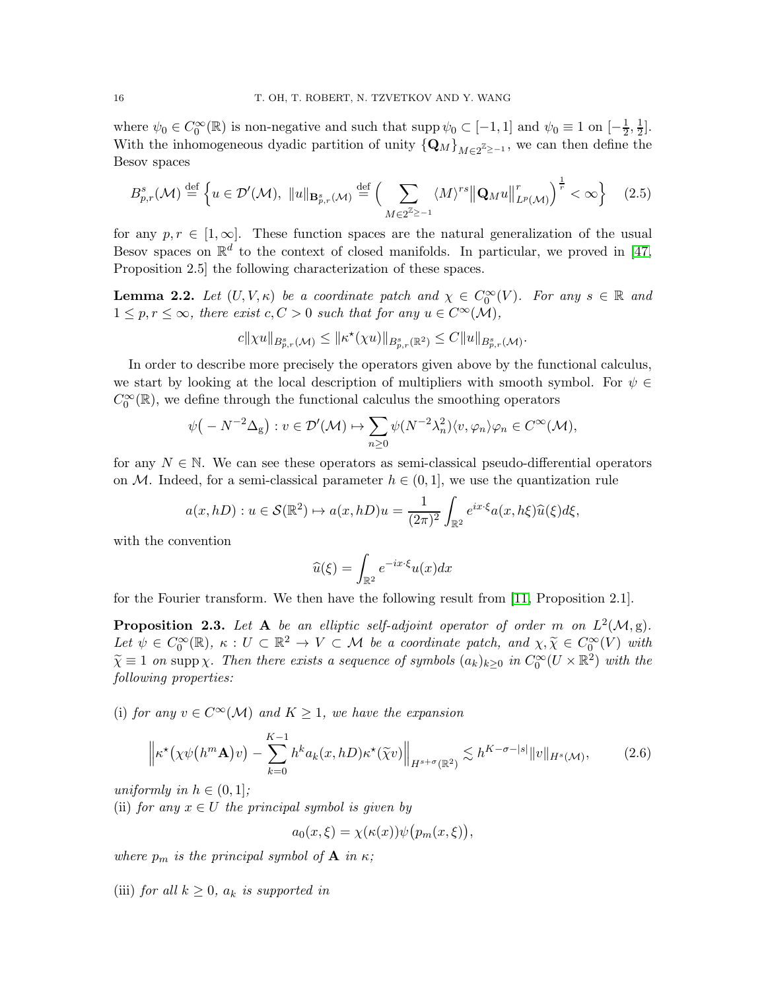where  $\psi_0 \in C_0^{\infty}(\mathbb{R})$  is non-negative and such that supp  $\psi_0 \subset [-1,1]$  and  $\psi_0 \equiv 1$  on  $[-\frac{1}{2}]$  $\frac{1}{2}, \frac{1}{2}$  $\frac{1}{2}$ . With the inhomogeneous dyadic partition of unity  ${\{\mathbf Q}_M\}_{M\in2^{\mathbb{Z}_{\ge-1}}}$ , we can then define the Besov spaces

$$
B_{p,r}^s(\mathcal{M}) \stackrel{\text{def}}{=} \left\{ u \in \mathcal{D}'(\mathcal{M}), \ \|u\|_{\mathbf{B}_{p,r}^s(\mathcal{M})} \stackrel{\text{def}}{=} \Big( \sum_{M \in 2^{\mathbb{Z}} \ge -1} \langle M \rangle^{rs} \big\| \mathbf{Q}_M u \big\|_{L^p(\mathcal{M})}^r \Big)^{\frac{1}{r}} < \infty \right\} \tag{2.5}
$$

for any  $p, r \in [1, \infty]$ . These function spaces are the natural generalization of the usual Besov spaces on  $\mathbb{R}^d$  to the context of closed manifolds. In particular, we proved in [\[47,](#page-76-8) Proposition 2.5] the following characterization of these spaces.

**Lemma 2.2.** Let  $(U, V, \kappa)$  be a coordinate patch and  $\chi \in C_0^{\infty}(V)$ . For any  $s \in \mathbb{R}$  and  $1 \leq p, r \leq \infty$ , there exist  $c, C > 0$  such that for any  $u \in C^{\infty}(\mathcal{M})$ ,

$$
c||\chi u||_{B_{p,r}^s(\mathcal{M})} \leq ||\kappa^{\star}(\chi u)||_{B_{p,r}^s(\mathbb{R}^2)} \leq C||u||_{B_{p,r}^s(\mathcal{M})}
$$

<span id="page-15-0"></span>.

In order to describe more precisely the operators given above by the functional calculus, we start by looking at the local description of multipliers with smooth symbol. For  $\psi \in$  $C_0^\infty(\mathbb{R}),$  we define through the functional calculus the smoothing operators

$$
\psi(-N^{-2}\Delta_{g}): v \in \mathcal{D}'(\mathcal{M}) \mapsto \sum_{n\geq 0} \psi(N^{-2}\lambda_{n}^{2})\langle v, \varphi_{n} \rangle \varphi_{n} \in C^{\infty}(\mathcal{M}),
$$

for any  $N \in \mathbb{N}$ . We can see these operators as semi-classical pseudo-differential operators on M. Indeed, for a semi-classical parameter  $h \in (0, 1]$ , we use the quantization rule

$$
a(x,hD): u \in \mathcal{S}(\mathbb{R}^2) \mapsto a(x,hD)u = \frac{1}{(2\pi)^2} \int_{\mathbb{R}^2} e^{ix\cdot\xi} a(x,h\xi) \widehat{u}(\xi) d\xi,
$$

with the convention

$$
\widehat{u}(\xi) = \int_{\mathbb{R}^2} e^{-ix\cdot\xi} u(x) dx
$$

for the Fourier transform. We then have the following result from [\[11,](#page-74-6) Proposition 2.1].

<span id="page-15-2"></span>**Proposition 2.3.** Let **A** be an elliptic self-adjoint operator of order m on  $L^2(\mathcal{M}, g)$ . Let  $\psi \in C_0^{\infty}(\mathbb{R})$ ,  $\kappa : U \subset \mathbb{R}^2 \to V \subset \mathcal{M}$  *be a coordinate patch, and*  $\chi, \widetilde{\chi} \in C_0^{\infty}(V)$  *with*  $\widetilde{\chi} \equiv 1$  *on* supp $\chi$ . Then there exists a sequence of symbols  $(a_k)_{k\geq 0}$  in  $C_0^{\infty}(U \times \mathbb{R}^2)$  with the *following properties:*

(i) *for any*  $v \in C^{\infty}(\mathcal{M})$  *and*  $K \geq 1$ *, we have the expansion* 

$$
\left\| \kappa^{\star} \left( \chi \psi \big( h^m \mathbf{A} \big) v \right) - \sum_{k=0}^{K-1} h^k a_k(x, hD) \kappa^{\star}(\widetilde{\chi} v) \right\|_{H^{s+\sigma}(\mathbb{R}^2)} \lesssim h^{K-\sigma-|s|} \|v\|_{H^s(\mathcal{M})},\tag{2.6}
$$

*uniformly in*  $h \in (0, 1]$ *;* 

(ii) *for any* x ∈ U *the principal symbol is given by*

<span id="page-15-1"></span>
$$
a_0(x,\xi) = \chi(\kappa(x))\psi(p_m(x,\xi)),
$$

*where*  $p_m$  *is the principal symbol of* **A** *in*  $\kappa$ *;* 

(iii) *for all*  $k \geq 0$ *, a<sub>k</sub> is supported in*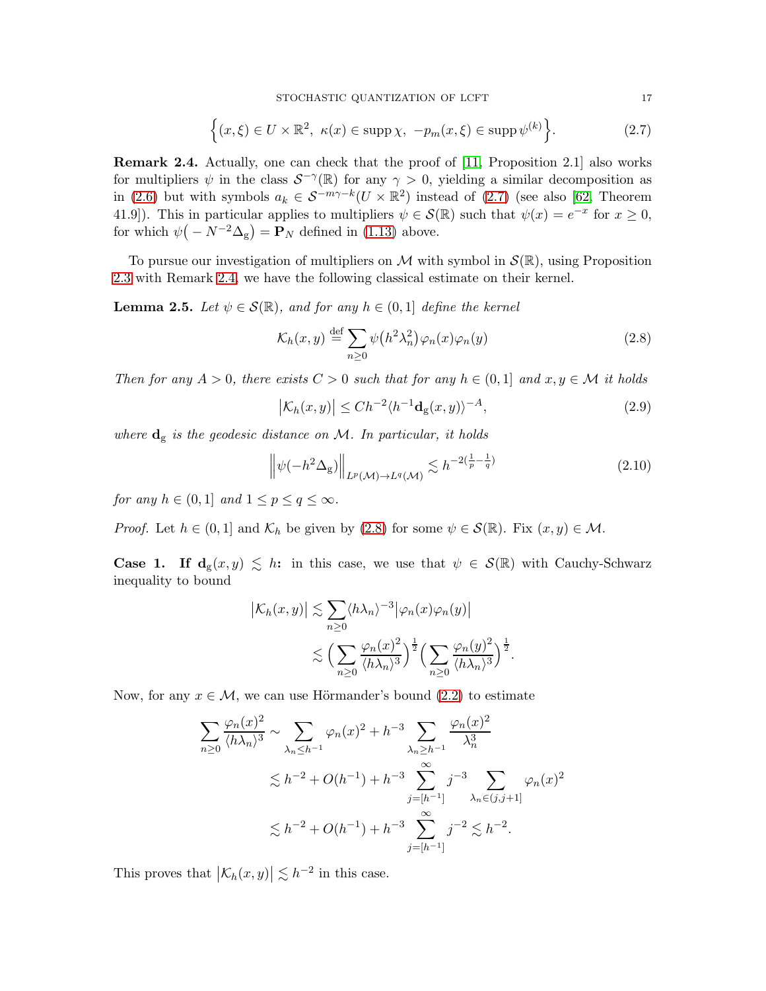$$
\left\{(x,\xi)\in U\times\mathbb{R}^2,\ \kappa(x)\in\text{supp}\,\chi,\ -p_m(x,\xi)\in\text{supp}\,\psi^{(k)}\right\}.\tag{2.7}
$$

<span id="page-16-1"></span>Remark 2.4. Actually, one can check that the proof of [\[11,](#page-74-6) Proposition 2.1] also works for multipliers  $\psi$  in the class  $S^{-\gamma}(\mathbb{R})$  for any  $\gamma > 0$ , yielding a similar decomposition as in [\(2.6\)](#page-15-1) but with symbols  $a_k \in \mathcal{S}^{-m\gamma-k}(U \times \mathbb{R}^2)$  instead of [\(2.7\)](#page-16-0) (see also [\[62,](#page-76-14) Theorem 41.9]). This in particular applies to multipliers  $\psi \in \mathcal{S}(\mathbb{R})$  such that  $\psi(x) = e^{-x}$  for  $x \ge 0$ , for which  $\psi(-N^{-2}\Delta_{g}) = \mathbf{P}_{N}$  defined in [\(1.13\)](#page-4-6) above.

To pursue our investigation of multipliers on  $M$  with symbol in  $\mathcal{S}(\mathbb{R})$ , using Proposition [2.3](#page-15-2) with Remark [2.4,](#page-16-1) we have the following classical estimate on their kernel.

<span id="page-16-5"></span>**Lemma 2.5.** Let  $\psi \in \mathcal{S}(\mathbb{R})$ , and for any  $h \in (0,1]$  define the kernel

$$
\mathcal{K}_h(x,y) \stackrel{\text{def}}{=} \sum_{n \ge 0} \psi\big(h^2 \lambda_n^2\big) \varphi_n(x) \varphi_n(y) \tag{2.8}
$$

*Then for any*  $A > 0$ , there exists  $C > 0$  such that for any  $h \in (0, 1]$  and  $x, y \in M$  it holds

<span id="page-16-4"></span>
$$
\left|\mathcal{K}_h(x,y)\right| \le Ch^{-2}\langle h^{-1}\mathbf{d}_{\mathbf{g}}(x,y)\rangle^{-A},\tag{2.9}
$$

*where* d<sup>g</sup> *is the geodesic distance on* M*. In particular, it holds*

$$
\left\|\psi(-h^2\Delta_g)\right\|_{L^p(\mathcal{M})\to L^q(\mathcal{M})} \lesssim h^{-2\left(\frac{1}{p}-\frac{1}{q}\right)}\tag{2.10}
$$

*for any*  $h \in (0,1]$  *and*  $1 \leq p \leq q \leq \infty$ *.* 

*Proof.* Let  $h \in (0,1]$  and  $\mathcal{K}_h$  be given by  $(2.8)$  for some  $\psi \in \mathcal{S}(\mathbb{R})$ . Fix  $(x, y) \in \mathcal{M}$ .

**Case 1.** If  $d_g(x, y) \leq h$ : in this case, we use that  $\psi \in \mathcal{S}(\mathbb{R})$  with Cauchy-Schwarz inequality to bound

$$
\begin{split} \left| \mathcal{K}_h(x,y) \right| &\lesssim \sum_{n\geq 0} \langle h\lambda_n\rangle^{-3} \left| \varphi_n(x)\varphi_n(y) \right| \\ &\lesssim \Big( \sum_{n\geq 0} \frac{\varphi_n(x)^2}{\langle h\lambda_n\rangle^3} \Big)^{\frac{1}{2}} \Big( \sum_{n\geq 0} \frac{\varphi_n(y)^2}{\langle h\lambda_n\rangle^3} \Big)^{\frac{1}{2}}. \end{split}
$$

Now, for any  $x \in \mathcal{M}$ , we can use Hörmander's bound [\(2.2\)](#page-14-1) to estimate

$$
\sum_{n\geq 0} \frac{\varphi_n(x)^2}{\langle h \lambda_n \rangle^3} \sim \sum_{\lambda_n \leq h^{-1}} \varphi_n(x)^2 + h^{-3} \sum_{\lambda_n \geq h^{-1}} \frac{\varphi_n(x)^2}{\lambda_n^3}
$$
  

$$
\lesssim h^{-2} + O(h^{-1}) + h^{-3} \sum_{j=[h^{-1}]}^{\infty} j^{-3} \sum_{\lambda_n \in (j,j+1]} \varphi_n(x)^2
$$
  

$$
\lesssim h^{-2} + O(h^{-1}) + h^{-3} \sum_{j=[h^{-1}]}^{\infty} j^{-2} \lesssim h^{-2}.
$$

This proves that  $\left|\mathcal{K}_h(x,y)\right| \lesssim h^{-2}$  in this case.

<span id="page-16-3"></span><span id="page-16-2"></span><span id="page-16-0"></span>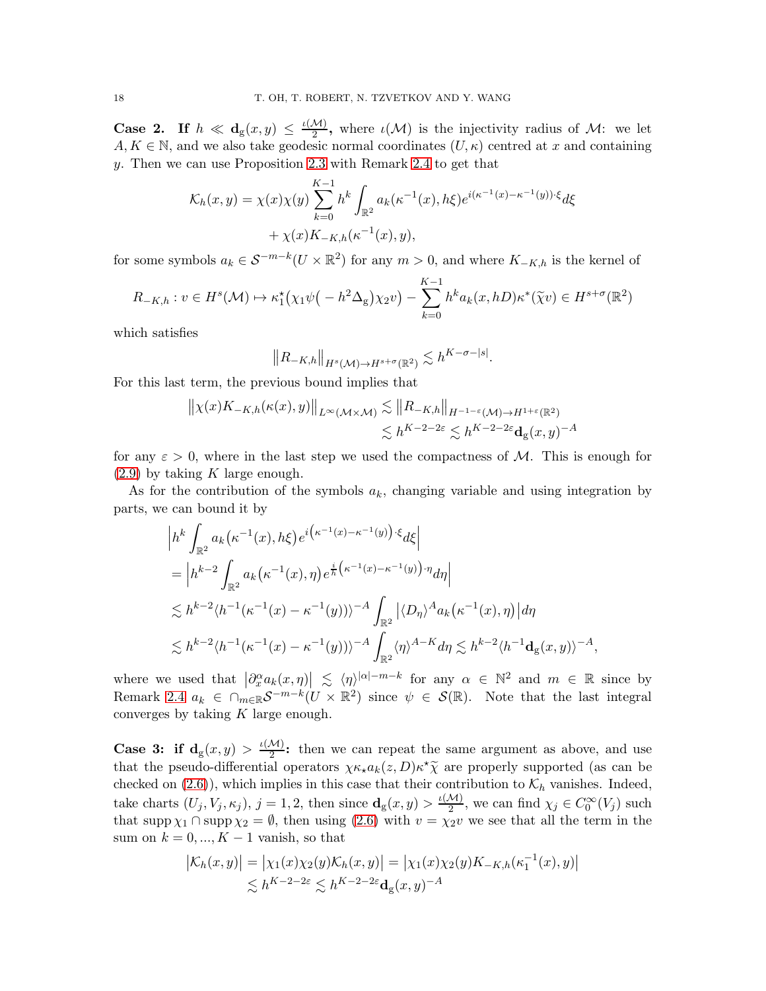**Case 2.** If  $h \ll d_g(x, y) \leq \frac{\iota(M)}{2}$ , where  $\iota(M)$  is the injectivity radius of M: we let  $A, K \in \mathbb{N}$ , and we also take geodesic normal coordinates  $(U, \kappa)$  centred at x and containing y. Then we can use Proposition [2.3](#page-15-2) with Remark [2.4](#page-16-1) to get that

$$
\mathcal{K}_h(x, y) = \chi(x)\chi(y)\sum_{k=0}^{K-1} h^k \int_{\mathbb{R}^2} a_k(\kappa^{-1}(x), h\xi)e^{i(\kappa^{-1}(x) - \kappa^{-1}(y))\cdot\xi}d\xi
$$
  
 
$$
+ \chi(x)K_{-K,h}(\kappa^{-1}(x), y),
$$

for some symbols  $a_k \in \mathcal{S}^{-m-k}(U \times \mathbb{R}^2)$  for any  $m > 0$ , and where  $K_{-K,h}$  is the kernel of

$$
R_{-K,h}: v \in H^s(\mathcal{M}) \mapsto \kappa_1^{\star}(\chi_1 \psi(-h^2 \Delta_g)\chi_2 v) - \sum_{k=0}^{K-1} h^k a_k(x,hD) \kappa^{\star}(\tilde{\chi} v) \in H^{s+\sigma}(\mathbb{R}^2)
$$

which satisfies

$$
||R_{-K,h}||_{H^s(\mathcal{M})\to H^{s+\sigma}(\mathbb{R}^2)} \lesssim h^{K-\sigma-|s|}.
$$

For this last term, the previous bound implies that

$$
\|\chi(x)K_{-K,h}(\kappa(x),y)\|_{L^{\infty}(\mathcal{M}\times\mathcal{M})} \lesssim \|R_{-K,h}\|_{H^{-1-\varepsilon}(\mathcal{M})\to H^{1+\varepsilon}(\mathbb{R}^2)} \lesssim h^{K-2-2\varepsilon} \lesssim h^{K-2-2\varepsilon} \mathbf{d}_{\mathbf{g}}(x,y)^{-A}
$$

for any  $\varepsilon > 0$ , where in the last step we used the compactness of M. This is enough for  $(2.9)$  by taking K large enough.

As for the contribution of the symbols  $a_k$ , changing variable and using integration by parts, we can bound it by

$$
\begin{split}\n&\left|h^{k}\int_{\mathbb{R}^{2}}a_{k}(\kappa^{-1}(x),h\xi)e^{i(\kappa^{-1}(x)-\kappa^{-1}(y))\cdot\xi}d\xi\right| \\
&= \left|h^{k-2}\int_{\mathbb{R}^{2}}a_{k}(\kappa^{-1}(x),\eta)e^{\frac{i}{h}(\kappa^{-1}(x)-\kappa^{-1}(y))\cdot\eta}d\eta\right| \\
&\lesssim h^{k-2}\langle h^{-1}(\kappa^{-1}(x)-\kappa^{-1}(y))\rangle^{-A}\int_{\mathbb{R}^{2}}|\langle D_{\eta}\rangle^{A}a_{k}(\kappa^{-1}(x),\eta)|d\eta \\
&\lesssim h^{k-2}\langle h^{-1}(\kappa^{-1}(x)-\kappa^{-1}(y))\rangle^{-A}\int_{\mathbb{R}^{2}}\langle\eta\rangle^{A-K}d\eta\lesssim h^{k-2}\langle h^{-1}\mathbf{d}_{g}(x,y)\rangle^{-A},\n\end{split}
$$

where we used that  $|\partial_x^{\alpha} a_k(x,\eta)| \leq \langle \eta \rangle^{|\alpha|-m-k}$  for any  $\alpha \in \mathbb{N}^2$  and  $m \in \mathbb{R}$  since by Remark [2.4](#page-16-1)  $a_k \in \bigcap_{m \in \mathbb{R}} \mathcal{S}^{-m-k}(U \times \mathbb{R}^2)$  since  $\psi \in \mathcal{S}(\mathbb{R})$ . Note that the last integral converges by taking  $K$  large enough.

**Case 3: if**  $d_g(x,y) > \frac{\iota(\mathcal{M})}{2}$ : then we can repeat the same argument as above, and use that the pseudo-differential operators  $\chi \kappa_{\star} a_k(z, D) \kappa^{\star} \widetilde{\chi}$  are properly supported (as can be checked on [\(2.6\)](#page-15-1)), which implies in this case that their contribution to  $\mathcal{K}_h$  vanishes. Indeed, take charts  $(U_j, V_j, \kappa_j)$ ,  $j = 1, 2$ , then since  $\mathbf{d}_{g}(x, y) > \frac{\iota(\mathcal{M})}{2}$ , we can find  $\chi_j \in C_0^{\infty}(V_j)$  such that supp  $\chi_1 \cap \text{supp}\,\chi_2 = \emptyset$ , then using [\(2.6\)](#page-15-1) with  $v = \chi_2 v$  we see that all the term in the sum on  $k = 0, ..., K - 1$  vanish, so that

$$
\begin{aligned} \left| \mathcal{K}_h(x,y) \right| &= \left| \chi_1(x)\chi_2(y)\mathcal{K}_h(x,y) \right| = \left| \chi_1(x)\chi_2(y)K_{-K,h}(\kappa_1^{-1}(x),y) \right| \\ &\lesssim h^{K-2-2\varepsilon} \lesssim h^{K-2-2\varepsilon} \mathbf{d}_{\mathrm{g}}(x,y)^{-A} \end{aligned}
$$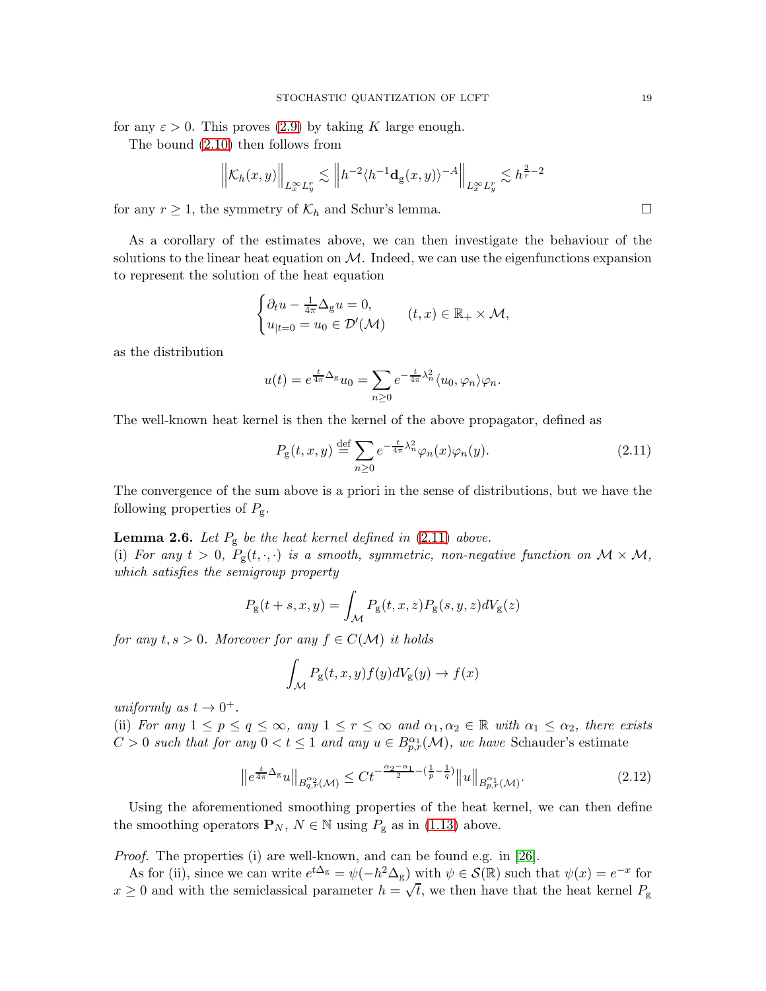for any  $\varepsilon > 0$ . This proves [\(2.9\)](#page-16-3) by taking K large enough.

The bound [\(2.10\)](#page-16-4) then follows from

$$
\left\|\mathcal{K}_h(x,y)\right\|_{L^\infty_x L^r_y} \lesssim \left\|h^{-2}\langle h^{-1}\mathbf{d}_{\mathrm{g}}(x,y)\rangle^{-A}\right\|_{L^\infty_x L^r_y} \lesssim h^{\frac{2}{r}-2}
$$

for any  $r \geq 1$ , the symmetry of  $\mathcal{K}_h$  and Schur's lemma.

As a corollary of the estimates above, we can then investigate the behaviour of the solutions to the linear heat equation on  $M$ . Indeed, we can use the eigenfunctions expansion to represent the solution of the heat equation

$$
\begin{cases} \partial_t u - \frac{1}{4\pi} \Delta_g u = 0, \\ u_{|t=0} = u_0 \in \mathcal{D}'(\mathcal{M}) \end{cases} \quad (t,x) \in \mathbb{R}_+ \times \mathcal{M},
$$

as the distribution

$$
u(t) = e^{\frac{t}{4\pi}\Delta_{\mathcal{S}}}u_0 = \sum_{n\geq 0} e^{-\frac{t}{4\pi}\lambda_n^2} \langle u_0, \varphi_n \rangle \varphi_n.
$$

The well-known heat kernel is then the kernel of the above propagator, defined as

<span id="page-18-0"></span>
$$
P_{\mathbf{g}}(t,x,y) \stackrel{\text{def}}{=} \sum_{n\geq 0} e^{-\frac{t}{4\pi}\lambda_n^2} \varphi_n(x)\varphi_n(y). \tag{2.11}
$$

The convergence of the sum above is a priori in the sense of distributions, but we have the following properties of  $P_{\rm g}$ .

## <span id="page-18-1"></span>**Lemma 2.6.** Let  $P_g$  be the heat kernel defined in  $(2.11)$  above.

(i) For any  $t > 0$ ,  $P_g(t, \cdot, \cdot)$  *is a smooth, symmetric, non-negative function on*  $M \times M$ , *which satisfies the semigroup property*

$$
P_{\rm g}(t+s,x,y) = \int_{\mathcal{M}} P_{\rm g}(t,x,z) P_{\rm g}(s,y,z) dV_{\rm g}(z)
$$

*for any*  $t, s > 0$ *. Moreover for any*  $f \in C(\mathcal{M})$  *it holds* 

$$
\int_{\mathcal{M}} P_{\rm g}(t, x, y) f(y) dV_{\rm g}(y) \to f(x)
$$

*uniformly as*  $t \to 0^+$ .

(ii) *For any*  $1 \leq p \leq q \leq \infty$ , any  $1 \leq r \leq \infty$  and  $\alpha_1, \alpha_2 \in \mathbb{R}$  with  $\alpha_1 \leq \alpha_2$ , there exists  $C > 0$  such that for any  $0 < t \leq 1$  and any  $u \in B^{\alpha_1}_{p,r}(\mathcal{M})$ , we have Schauder's estimate

$$
\left\|e^{\frac{t}{4\pi}\Delta_{\mathcal{S}}u}\right\|_{B_{q,r}^{\alpha_2}(\mathcal{M})} \leq Ct^{-\frac{\alpha_2-\alpha_1}{2}-\left(\frac{1}{p}-\frac{1}{q}\right)}\|u\|_{B_{p,r}^{\alpha_1}(\mathcal{M})}.\tag{2.12}
$$

Using the aforementioned smoothing properties of the heat kernel, we can then define the smoothing operators  $\mathbf{P}_N$ ,  $N \in \mathbb{N}$  using  $P_g$  as in [\(1.13\)](#page-4-6) above.

*Proof.* The properties (i) are well-known, and can be found e.g. in [\[26\]](#page-75-24).

As for (ii), since we can write  $e^{t\Delta_g} = \psi(-h^2 \Delta_g)$  with  $\psi \in \mathcal{S}(\mathbb{R})$  such that  $\psi(x) = e^{-x}$  for  $x \geq 0$  and with the semiclassical parameter  $h = \sqrt{t}$ , we then have that the heat kernel  $P_{\rm g}$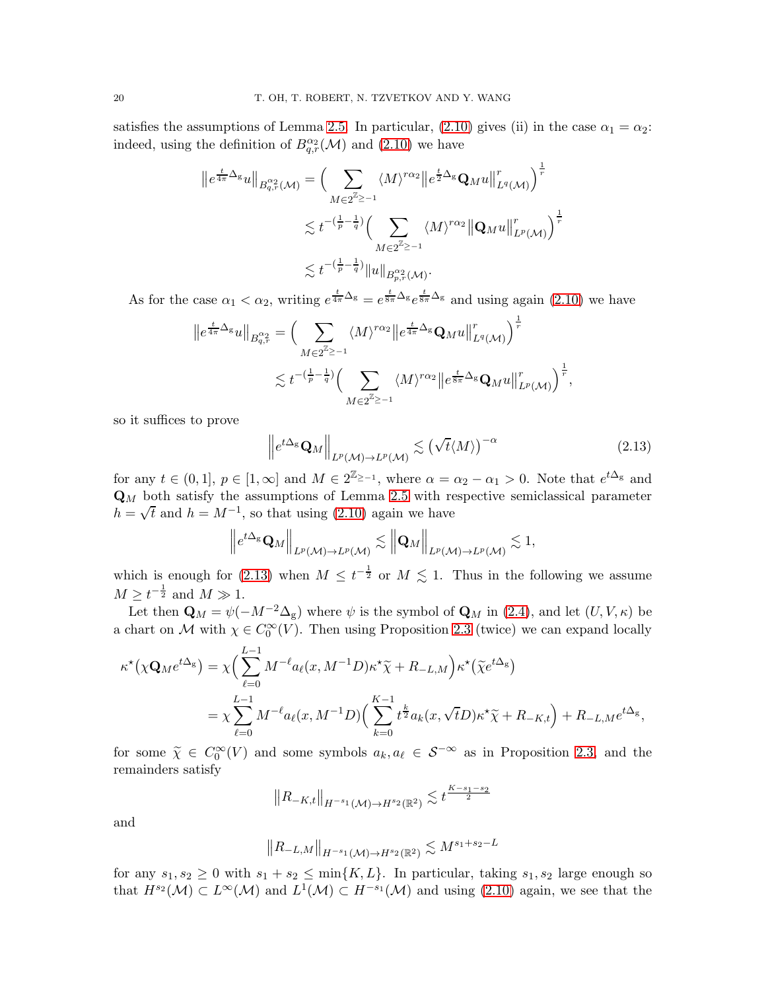satisfies the assumptions of Lemma [2.5.](#page-16-5) In particular, [\(2.10\)](#page-16-4) gives (ii) in the case  $\alpha_1 = \alpha_2$ : indeed, using the definition of  $B_{q,r}^{\alpha_2}(\mathcal{M})$  and  $(2.10)$  we have

$$
||e^{\frac{t}{4\pi}\Delta_{g}}u||_{B_{q,r}^{\alpha_{2}}(\mathcal{M})} = \Big(\sum_{M\in2^{\mathbb{Z}_{\geq -1}}} \langle M\rangle^{r\alpha_{2}}||e^{\frac{t}{2}\Delta_{g}}\mathbf{Q}_{M}u||_{L^{q}(\mathcal{M})}^{r}\Big)^{\frac{1}{r}}
$$
  

$$
\lesssim t^{-(\frac{1}{p}-\frac{1}{q})}\Big(\sum_{M\in2^{\mathbb{Z}_{\geq -1}}} \langle M\rangle^{r\alpha_{2}}||\mathbf{Q}_{M}u||_{L^{p}(\mathcal{M})}^{r}\Big)^{\frac{1}{r}}
$$
  

$$
\lesssim t^{-(\frac{1}{p}-\frac{1}{q})}||u||_{B_{p,r}^{\alpha_{2}}(\mathcal{M})}.
$$

As for the case  $\alpha_1 < \alpha_2$ , writing  $e^{\frac{t}{4\pi}\Delta_g} = e^{\frac{t}{8\pi}\Delta_g} e^{\frac{t}{8\pi}\Delta_g}$  and using again [\(2.10\)](#page-16-4) we have

$$
||e^{\frac{t}{4\pi}\Delta_{\mathcal{E}}}u||_{B^{\alpha_2}_{q,r}} = \left(\sum_{M\in 2^{\mathbb{Z}_{\geq -1}}} \langle M\rangle^{r\alpha_2} ||e^{\frac{t}{4\pi}\Delta_{\mathcal{E}}} \mathbf{Q}_M u||_{L^q(\mathcal{M})}^r\right)^{\frac{1}{r}}
$$
  

$$
\lesssim t^{-(\frac{1}{p}-\frac{1}{q})} \left(\sum_{M\in 2^{\mathbb{Z}_{\geq -1}}} \langle M\rangle^{r\alpha_2} ||e^{\frac{t}{8\pi}\Delta_{\mathcal{E}}} \mathbf{Q}_M u||_{L^p(\mathcal{M})}^r\right)^{\frac{1}{r}},
$$

so it suffices to prove

<span id="page-19-0"></span>
$$
\left\| e^{t\Delta_{\mathcal{E}}}\mathbf{Q}_{M} \right\|_{L^{p}(\mathcal{M}) \to L^{p}(\mathcal{M})} \lesssim \left( \sqrt{t} \langle M \rangle \right)^{-\alpha} \tag{2.13}
$$

for any  $t \in (0,1], p \in [1,\infty]$  and  $M \in 2^{\mathbb{Z}_{\geq -1}}$ , where  $\alpha = \alpha_2 - \alpha_1 > 0$ . Note that  $e^{t\Delta_{\mathbb{S}}}$  and  $\mathbf{Q}_M$  both satisfy the assumptions of Lemma [2.5](#page-16-5) with respective semiclassical parameter  $h = \sqrt{t}$  and  $h = M^{-1}$ , so that using [\(2.10\)](#page-16-4) again we have

$$
\left\|e^{t\Delta_\mathbb{E}}\mathbf{Q}_M\right\|_{L^p(\mathcal{M})\to L^p(\mathcal{M})}\lesssim \left\|\mathbf{Q}_M\right\|_{L^p(\mathcal{M})\to L^p(\mathcal{M})}\lesssim 1,
$$

which is enough for [\(2.13\)](#page-19-0) when  $M \leq t^{-\frac{1}{2}}$  or  $M \lesssim 1$ . Thus in the following we assume  $M \geq t^{-\frac{1}{2}}$  and  $M \gg 1$ .

Let then  $\mathbf{Q}_M = \psi(-M^{-2}\Delta_g)$  where  $\psi$  is the symbol of  $\mathbf{Q}_M$  in [\(2.4\)](#page-14-3), and let  $(U, V, \kappa)$  be a chart on M with  $\chi \in C_0^{\infty}(V)$ . Then using Proposition [2.3](#page-15-2) (twice) we can expand locally

$$
\kappa^{\star}(\chi \mathbf{Q}_{M} e^{t\Delta_{g}}) = \chi \Big( \sum_{\ell=0}^{L-1} M^{-\ell} a_{\ell}(x, M^{-1}D) \kappa^{\star} \widetilde{\chi} + R_{-L,M} \Big) \kappa^{\star}(\widetilde{\chi} e^{t\Delta_{g}})
$$
  
=  $\chi \sum_{\ell=0}^{L-1} M^{-\ell} a_{\ell}(x, M^{-1}D) \Big( \sum_{k=0}^{K-1} t^{\frac{k}{2}} a_{k}(x, \sqrt{t}D) \kappa^{\star} \widetilde{\chi} + R_{-K,t} \Big) + R_{-L,M} e^{t\Delta_{g}},$ 

for some  $\tilde{\chi} \in C_0^{\infty}(V)$  and some symbols  $a_k, a_\ell \in S^{-\infty}$  as in Proposition [2.3,](#page-15-2) and the remainders satisfy

$$
||R_{-K,t}||_{H^{-s_1}(\mathcal{M})\to H^{s_2}(\mathbb{R}^2)} \lesssim t^{\frac{K-s_1-s_2}{2}}
$$

and

$$
||R_{-L,M}||_{H^{-s_1}(\mathcal{M})\rightarrow H^{s_2}(\mathbb{R}^2)}\lesssim M^{s_1+s_2-L}
$$

for any  $s_1, s_2 \geq 0$  with  $s_1 + s_2 \leq \min\{K, L\}$ . In particular, taking  $s_1, s_2$  large enough so that  $H^{s_2}(\mathcal{M}) \subset L^{\infty}(\mathcal{M})$  and  $L^1(\mathcal{M}) \subset H^{-s_1}(\mathcal{M})$  and using [\(2.10\)](#page-16-4) again, we see that the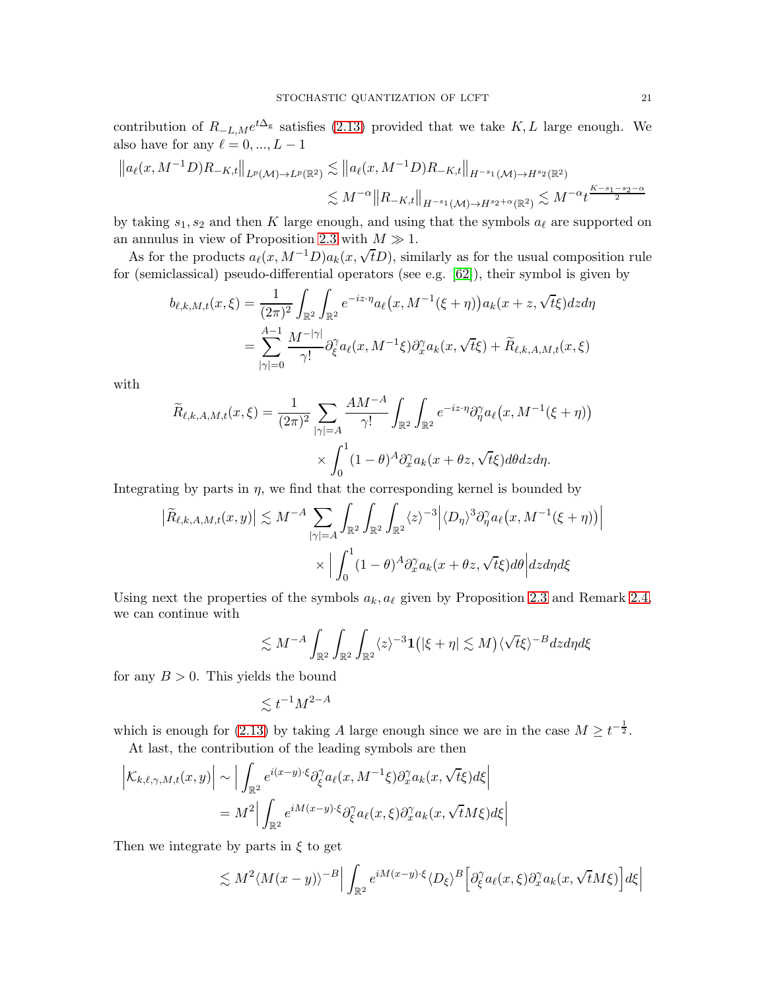contribution of  $R_{-L,M}e^{t\Delta_g}$  satisfies [\(2.13\)](#page-19-0) provided that we take K, L large enough. We also have for any  $\ell = 0, ..., L - 1$ 

$$
||a_{\ell}(x, M^{-1}D)R_{-K,t}||_{L^{p}(\mathcal{M})\to L^{p}(\mathbb{R}^{2})} \lesssim ||a_{\ell}(x, M^{-1}D)R_{-K,t}||_{H^{-s_{1}}(\mathcal{M})\to H^{s_{2}}(\mathbb{R}^{2})}
$$
  

$$
\lesssim M^{-\alpha}||R_{-K,t}||_{H^{-s_{1}}(\mathcal{M})\to H^{s_{2}+\alpha}(\mathbb{R}^{2})} \lesssim M^{-\alpha}t^{\frac{K-s_{1}-s_{2}-\alpha}{2}}
$$

by taking  $s_1, s_2$  and then K large enough, and using that the symbols  $a_\ell$  are supported on an annulus in view of Proposition [2.3](#page-15-2) with  $M \gg 1$ .

As for the products  $a_{\ell}(x, M^{-1}D)a_{k}(x, \sqrt{t}D)$ , similarly as for the usual composition rule for (semiclassical) pseudo-differential operators (see e.g. [\[62\]](#page-76-14)), their symbol is given by

$$
b_{\ell,k,M,t}(x,\xi) = \frac{1}{(2\pi)^2} \int_{\mathbb{R}^2} \int_{\mathbb{R}^2} e^{-iz \cdot \eta} a_{\ell}(x, M^{-1}(\xi + \eta)) a_k(x + z, \sqrt{t}\xi) dz d\eta
$$
  
= 
$$
\sum_{|\gamma|=0}^{A-1} \frac{M^{-|\gamma|}}{\gamma!} \partial_{\xi}^{\gamma} a_{\ell}(x, M^{-1}\xi) \partial_{x}^{\gamma} a_k(x, \sqrt{t}\xi) + \widetilde{R}_{\ell,k,A,M,t}(x,\xi)
$$

with

$$
\widetilde{R}_{\ell,k,A,M,t}(x,\xi) = \frac{1}{(2\pi)^2} \sum_{|\gamma|=A} \frac{AM^{-A}}{\gamma!} \int_{\mathbb{R}^2} \int_{\mathbb{R}^2} e^{-iz \cdot \eta} \partial_{\eta}^{\gamma} a_{\ell}(x, M^{-1}(\xi + \eta)) \times \int_0^1 (1 - \theta)^A \partial_x^{\gamma} a_k(x + \theta z, \sqrt{t}\xi) d\theta dz d\eta.
$$

Integrating by parts in  $\eta$ , we find that the corresponding kernel is bounded by

$$
\left| \widetilde{R}_{\ell,k,A,M,t}(x,y) \right| \lesssim M^{-A} \sum_{|\gamma|=A} \int_{\mathbb{R}^2} \int_{\mathbb{R}^2} \int_{\mathbb{R}^2} \langle z \rangle^{-3} \left| \langle D_{\eta} \rangle^3 \partial_{\eta}^{\gamma} a_{\ell}(x, M^{-1}(\xi + \eta)) \right|
$$

$$
\times \left| \int_0^1 (1 - \theta)^A \partial_x^{\gamma} a_k(x + \theta z, \sqrt{t} \xi) d\theta \right| dz d\eta d\xi
$$

Using next the properties of the symbols  $a_k, a_\ell$  given by Proposition [2.3](#page-15-2) and Remark [2.4,](#page-16-1) we can continue with

$$
\lesssim M^{-A} \int_{\mathbb{R}^2} \int_{\mathbb{R}^2} \int_{\mathbb{R}^2} \langle z \rangle^{-3} \mathbf{1} \big( |\xi + \eta| \lesssim M \big) \langle \sqrt{t} \xi \rangle^{-B} dz d\eta d\xi
$$

for any  $B > 0$ . This yields the bound

$$
\lesssim t^{-1}M^{2-A}
$$

which is enough for [\(2.13\)](#page-19-0) by taking A large enough since we are in the case  $M \geq t^{-\frac{1}{2}}$ .

At last, the contribution of the leading symbols are then

$$
\left| \mathcal{K}_{k,\ell,\gamma,M,t}(x,y) \right| \sim \Big| \int_{\mathbb{R}^2} e^{i(x-y)\cdot\xi} \partial_\xi^\gamma a_\ell(x,M^{-1}\xi) \partial_x^\gamma a_k(x,\sqrt{t}\xi) d\xi \Big|
$$
  
=  $M^2 \Big| \int_{\mathbb{R}^2} e^{iM(x-y)\cdot\xi} \partial_\xi^\gamma a_\ell(x,\xi) \partial_x^\gamma a_k(x,\sqrt{t}M\xi) d\xi \Big|$ 

Then we integrate by parts in  $\xi$  to get

$$
\lesssim M^2 \langle M(x-y) \rangle^{-B} \Big| \int_{\mathbb{R}^2} e^{iM(x-y)\cdot\xi} \langle D_{\xi} \rangle^{B} \Big[ \partial_{\xi}^{\gamma} a_{\ell}(x,\xi) \partial_x^{\gamma} a_{k}(x,\sqrt{t}M\xi) \Big] d\xi \Big|
$$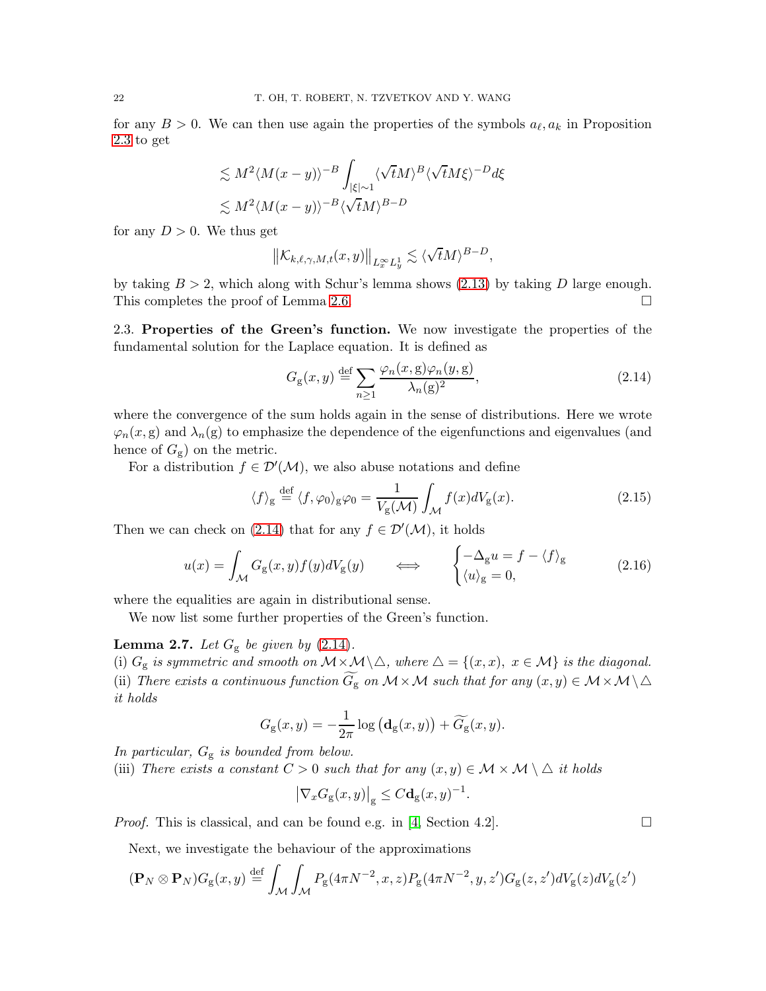for any  $B > 0$ . We can then use again the properties of the symbols  $a_{\ell}, a_k$  in Proposition [2.3](#page-15-2) to get

$$
\lesssim M^2 \langle M(x-y) \rangle^{-B} \int_{|\xi| \sim 1} \langle \sqrt{t} M \rangle^B \langle \sqrt{t} M \xi \rangle^{-D} d\xi
$$
  

$$
\lesssim M^2 \langle M(x-y) \rangle^{-B} \langle \sqrt{t} M \rangle^{B-D}
$$

for any  $D > 0$ . We thus get

$$
\left\|\mathcal{K}_{k,\ell,\gamma,M,t}(x,y)\right\|_{L^\infty_x L^1_y} \lesssim \langle \sqrt{t}M \rangle^{B-D},
$$

by taking  $B > 2$ , which along with Schur's lemma shows [\(2.13\)](#page-19-0) by taking D large enough. This completes the proof of Lemma [2.6.](#page-18-1)

<span id="page-21-0"></span>2.3. Properties of the Green's function. We now investigate the properties of the fundamental solution for the Laplace equation. It is defined as

<span id="page-21-3"></span><span id="page-21-1"></span>
$$
G_{\mathbf{g}}(x,y) \stackrel{\text{def}}{=} \sum_{n\geq 1} \frac{\varphi_n(x,\mathbf{g})\varphi_n(y,\mathbf{g})}{\lambda_n(\mathbf{g})^2},\tag{2.14}
$$

where the convergence of the sum holds again in the sense of distributions. Here we wrote  $\varphi_n(x, g)$  and  $\lambda_n(g)$  to emphasize the dependence of the eigenfunctions and eigenvalues (and hence of  $G_{\rm g}$  on the metric.

For a distribution  $f \in \mathcal{D}'(\mathcal{M})$ , we also abuse notations and define

<span id="page-21-4"></span>
$$
\langle f \rangle_{\rm g} \stackrel{\text{def}}{=} \langle f, \varphi_0 \rangle_{\rm g} \varphi_0 = \frac{1}{V_{\rm g}(\mathcal{M})} \int_{\mathcal{M}} f(x) dV_{\rm g}(x). \tag{2.15}
$$

Then we can check on [\(2.14\)](#page-21-1) that for any  $f \in \mathcal{D}'(\mathcal{M})$ , it holds

$$
u(x) = \int_{\mathcal{M}} G_{\rm g}(x, y) f(y) dV_{\rm g}(y) \qquad \Longleftrightarrow \qquad \begin{cases} -\Delta_{\rm g} u = f - \langle f \rangle_{\rm g} \\ \langle u \rangle_{\rm g} = 0, \end{cases} \tag{2.16}
$$

where the equalities are again in distributional sense.

We now list some further properties of the Green's function.

<span id="page-21-2"></span>**Lemma 2.7.** *Let*  $G_g$  *be given by* [\(2.14\)](#page-21-1).

(i)  $G_g$  *is symmetric and smooth on*  $M \times M \setminus \Delta$ *, where*  $\Delta = \{(x, x), x \in M\}$  *is the diagonal.* (ii) *There exists a continuous function*  $\widetilde{G_g}$  *on*  $M \times M$  *such that for any*  $(x, y) \in M \times M \setminus \Delta$ *it holds*

$$
G_{\rm g}(x,y) = -\frac{1}{2\pi} \log \left( \mathbf{d}_{\rm g}(x,y) \right) + \widetilde{G}_{\rm g}(x,y).
$$

*In particular,* G<sup>g</sup> *is bounded from below.*

(iii) *There exists a constant*  $C > 0$  *such that for any*  $(x, y) \in M \times M \setminus \Delta$  *it holds* 

$$
\left|\nabla_x G_{\mathbf{g}}(x,y)\right|_{\mathbf{g}} \leq C \mathbf{d}_{\mathbf{g}}(x,y)^{-1}.
$$

*Proof.* This is classical, and can be found e.g. in [\[4,](#page-74-7) Section 4.2].

Next, we investigate the behaviour of the approximations

$$
(\mathbf{P}_N \otimes \mathbf{P}_N) G_{\mathrm{g}}(x, y) \stackrel{\text{def}}{=} \int_{\mathcal{M}} \int_{\mathcal{M}} P_{\mathrm{g}}(4\pi N^{-2}, x, z) P_{\mathrm{g}}(4\pi N^{-2}, y, z') G_{\mathrm{g}}(z, z') dV_{\mathrm{g}}(z) dV_{\mathrm{g}}(z')
$$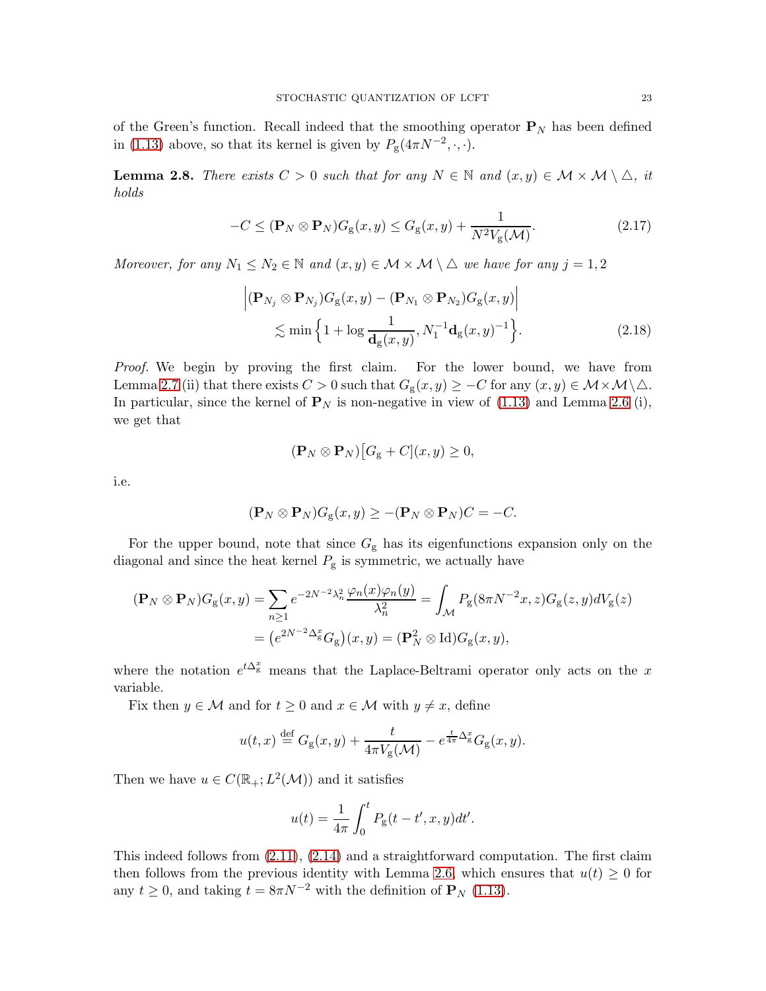of the Green's function. Recall indeed that the smoothing operator  $P_N$  has been defined in [\(1.13\)](#page-4-6) above, so that its kernel is given by  $P_{\rm g}(4\pi N^{-2}, \cdot, \cdot)$ .

<span id="page-22-2"></span>**Lemma 2.8.** *There exists*  $C > 0$  *such that for any*  $N \in \mathbb{N}$  *and*  $(x, y) \in \mathcal{M} \times \mathcal{M} \setminus \Delta$ *, it holds*

$$
-C \le (\mathbf{P}_N \otimes \mathbf{P}_N)G_{\mathbf{g}}(x, y) \le G_{\mathbf{g}}(x, y) + \frac{1}{N^2 V_{\mathbf{g}}(\mathcal{M})}.
$$
\n(2.17)

*Moreover, for any*  $N_1 \leq N_2 \in \mathbb{N}$  and  $(x, y) \in \mathcal{M} \times \mathcal{M} \setminus \Delta$  *we have for any*  $j = 1, 2$ 

<span id="page-22-1"></span>
$$
\left| (\mathbf{P}_{N_j} \otimes \mathbf{P}_{N_j}) G_{\mathbf{g}}(x, y) - (\mathbf{P}_{N_1} \otimes \mathbf{P}_{N_2}) G_{\mathbf{g}}(x, y) \right|
$$
  
\$\lesssim\$ min  $\left\{ 1 + \log \frac{1}{\mathbf{d}_{\mathbf{g}}(x, y)}, N_1^{-1} \mathbf{d}_{\mathbf{g}}(x, y)^{-1} \right\}.$  (2.18)

*Proof.* We begin by proving the first claim. For the lower bound, we have from Lemma [2.7](#page-21-2) (ii) that there exists  $C > 0$  such that  $G_g(x, y) \geq -C$  for any  $(x, y) \in \mathcal{M} \times \mathcal{M} \backslash \Delta$ . In particular, since the kernel of  $P_N$  is non-negative in view of [\(1.13\)](#page-4-6) and Lemma [2.6](#page-18-1) (i), we get that

<span id="page-22-0"></span>
$$
(\mathbf{P}_N \otimes \mathbf{P}_N)[G_{\mathrm{g}} + C](x, y) \ge 0,
$$

i.e.

$$
(\mathbf{P}_N \otimes \mathbf{P}_N)G_{\mathbf{g}}(x,y) \ge -(\mathbf{P}_N \otimes \mathbf{P}_N)C = -C.
$$

For the upper bound, note that since  $G<sub>g</sub>$  has its eigenfunctions expansion only on the diagonal and since the heat kernel  $P_{\rm g}$  is symmetric, we actually have

$$
(\mathbf{P}_N \otimes \mathbf{P}_N) G_{\mathbf{g}}(x, y) = \sum_{n \ge 1} e^{-2N^{-2} \lambda_n^2} \frac{\varphi_n(x) \varphi_n(y)}{\lambda_n^2} = \int_{\mathcal{M}} P_{\mathbf{g}}(8\pi N^{-2} x, z) G_{\mathbf{g}}(z, y) dV_{\mathbf{g}}(z)
$$

$$
= (e^{2N^{-2} \Delta_{\mathbf{g}}^x} G_{\mathbf{g}})(x, y) = (\mathbf{P}_N^2 \otimes \mathrm{Id}) G_{\mathbf{g}}(x, y),
$$

where the notation  $e^{t\Delta_{\rm g}^x}$  means that the Laplace-Beltrami operator only acts on the x variable.

Fix then  $y \in \mathcal{M}$  and for  $t \geq 0$  and  $x \in \mathcal{M}$  with  $y \neq x$ , define

$$
u(t,x) \stackrel{\text{def}}{=} G_{g}(x,y) + \frac{t}{4\pi V_{g}(\mathcal{M})} - e^{\frac{t}{4\pi}\Delta_{g}^{x}} G_{g}(x,y).
$$

Then we have  $u \in C(\mathbb{R}_+; L^2(\mathcal{M}))$  and it satisfies

$$
u(t) = \frac{1}{4\pi} \int_0^t P_g(t - t', x, y) dt'.
$$

This indeed follows from [\(2.11\)](#page-18-0), [\(2.14\)](#page-21-1) and a straightforward computation. The first claim then follows from the previous identity with Lemma [2.6,](#page-18-1) which ensures that  $u(t) \geq 0$  for any  $t \geq 0$ , and taking  $t = 8\pi N^{-2}$  with the definition of  $\mathbf{P}_N$  [\(1.13\)](#page-4-6).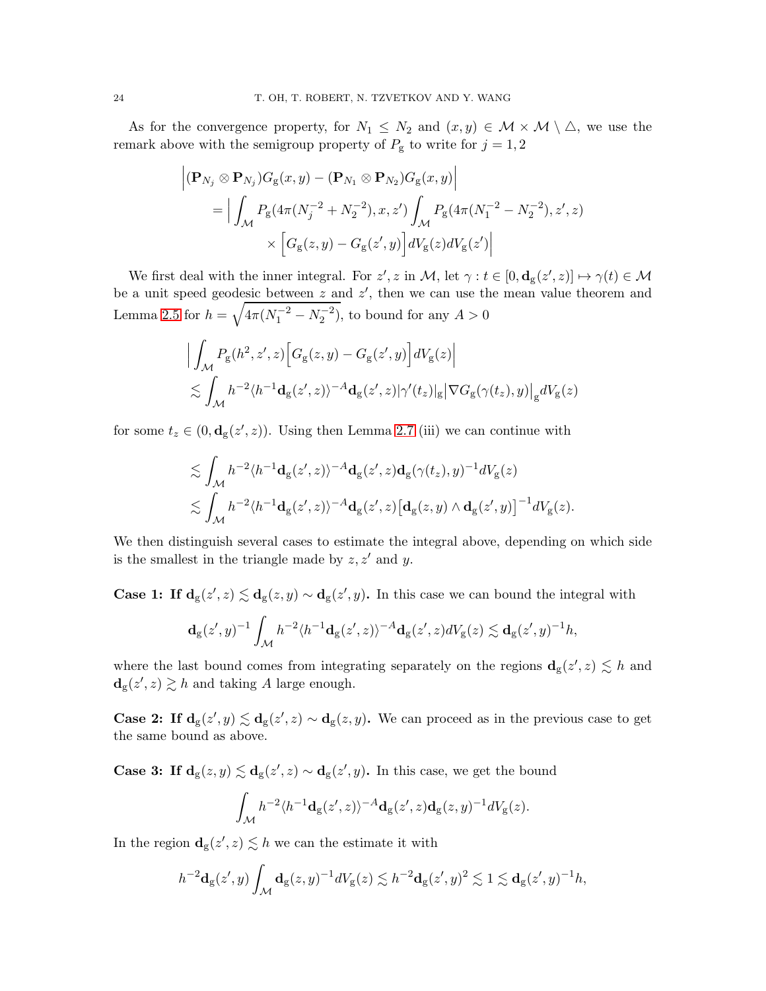As for the convergence property, for  $N_1 \leq N_2$  and  $(x, y) \in \mathcal{M} \times \mathcal{M} \setminus \Delta$ , we use the remark above with the semigroup property of  $P_{\rm g}$  to write for  $j=1,2$ 

$$
\begin{aligned} \left| (\mathbf{P}_{N_j} \otimes \mathbf{P}_{N_j}) G_{\mathbf{g}}(x, y) - (\mathbf{P}_{N_1} \otimes \mathbf{P}_{N_2}) G_{\mathbf{g}}(x, y) \right| \\ &= \Big| \int_{\mathcal{M}} P_{\mathbf{g}}(4\pi (N_j^{-2} + N_2^{-2}), x, z') \int_{\mathcal{M}} P_{\mathbf{g}}(4\pi (N_1^{-2} - N_2^{-2}), z', z) \\ &\times \Big[ G_{\mathbf{g}}(z, y) - G_{\mathbf{g}}(z', y) \Big] dV_{\mathbf{g}}(z) dV_{\mathbf{g}}(z') \Big| \end{aligned}
$$

We first deal with the inner integral. For  $z', z$  in M, let  $\gamma : t \in [0, \mathbf{d}_{g}(z', z)] \mapsto \gamma(t) \in \mathcal{M}$ be a unit speed geodesic between  $z$  and  $z'$ , then we can use the mean value theorem and Lemma [2.5](#page-16-5) for  $h = \sqrt{4\pi (N_1^{-2} - N_2^{-2})}$ , to bound for any  $A > 0$ 

$$
\left| \int_{\mathcal{M}} P_{\mathbf{g}}(h^2, z', z) \left[ G_{\mathbf{g}}(z, y) - G_{\mathbf{g}}(z', y) \right] dV_{\mathbf{g}}(z) \right|
$$
  
 
$$
\lesssim \int_{\mathcal{M}} h^{-2} \langle h^{-1} \mathbf{d}_{\mathbf{g}}(z', z) \rangle^{-A} \mathbf{d}_{\mathbf{g}}(z', z) |\gamma'(t_z)|_{\mathbf{g}} \left| \nabla G_{\mathbf{g}}(\gamma(t_z), y) \right|_{\mathbf{g}} dV_{\mathbf{g}}(z)
$$

for some  $t_z \in (0, \mathbf{d_g}(z', z))$ . Using then Lemma [2.7](#page-21-2) (iii) we can continue with

$$
\lesssim \int_{\mathcal{M}} h^{-2} \langle h^{-1} \mathbf{d}_{g}(z', z) \rangle^{-A} \mathbf{d}_{g}(z', z) \mathbf{d}_{g}(\gamma(t_z), y)^{-1} dV_{g}(z)
$$
  

$$
\lesssim \int_{\mathcal{M}} h^{-2} \langle h^{-1} \mathbf{d}_{g}(z', z) \rangle^{-A} \mathbf{d}_{g}(z', z) \big[ \mathbf{d}_{g}(z, y) \wedge \mathbf{d}_{g}(z', y) \big]^{-1} dV_{g}(z).
$$

We then distinguish several cases to estimate the integral above, depending on which side is the smallest in the triangle made by  $z, z'$  and  $y$ .

**Case 1:** If  $d_g(z', z) \lesssim d_g(z, y) \sim d_g(z', y)$ . In this case we can bound the integral with

$$
\mathbf{d}_{g}(z',y)^{-1} \int_{\mathcal{M}} h^{-2} \langle h^{-1} \mathbf{d}_{g}(z',z) \rangle^{-A} \mathbf{d}_{g}(z',z) dV_{g}(z) \lesssim \mathbf{d}_{g}(z',y)^{-1} h,
$$

where the last bound comes from integrating separately on the regions  $\mathbf{d}_{g}(z', z) \lesssim h$  and  $\mathbf{d}_{g}(z', z) \gtrsim h$  and taking A large enough.

**Case 2:** If  $d_g(z', y) \leq d_g(z', z) \sim d_g(z, y)$ . We can proceed as in the previous case to get the same bound as above.

**Case 3:** If  $d_g(z, y) \lesssim d_g(z', z) \sim d_g(z', y)$ . In this case, we get the bound

$$
\int_{\mathcal{M}} h^{-2} \langle h^{-1} \mathbf{d}_{g}(z', z) \rangle^{-A} \mathbf{d}_{g}(z', z) \mathbf{d}_{g}(z, y)^{-1} dV_{g}(z).
$$

In the region  $\mathbf{d}_{g}(z', z) \lesssim h$  we can the estimate it with

$$
h^{-2}\mathbf{d}_{g}(z',y)\int_{\mathcal{M}}\mathbf{d}_{g}(z,y)^{-1}dV_{g}(z)\lesssim h^{-2}\mathbf{d}_{g}(z',y)^{2}\lesssim 1\lesssim \mathbf{d}_{g}(z',y)^{-1}h,
$$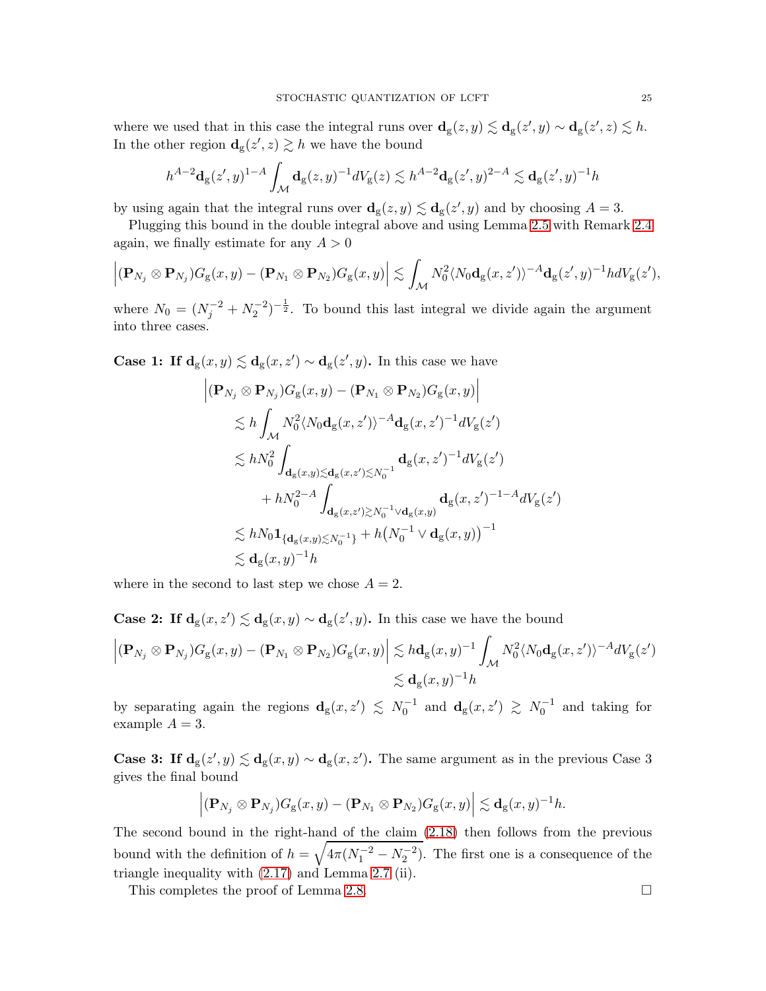where we used that in this case the integral runs over  $\mathbf{d}_{g}(z, y) \lesssim \mathbf{d}_{g}(z', y) \sim \mathbf{d}_{g}(z', z) \lesssim h$ . In the other region  $\mathbf{d}_{g}(z',z) \gtrsim h$  we have the bound

$$
h^{A-2} {\bf d}_{g}(z',y)^{1-A} \int_{\mathcal{M}} {\bf d}_{g}(z,y)^{-1} dV_{g}(z) \lesssim h^{A-2} {\bf d}_{g}(z',y)^{2-A} \lesssim {\bf d}_{g}(z',y)^{-1} h
$$

by using again that the integral runs over  $\mathbf{d}_{g}(z, y) \lesssim \mathbf{d}_{g}(z', y)$  and by choosing  $A = 3$ .

Plugging this bound in the double integral above and using Lemma [2.5](#page-16-5) with Remark [2.4](#page-16-1) again, we finally estimate for any  $A > 0$ 

$$
\left| (\mathbf{P}_{N_j} \otimes \mathbf{P}_{N_j}) G_{\mathrm{g}}(x,y) - (\mathbf{P}_{N_1} \otimes \mathbf{P}_{N_2}) G_{\mathrm{g}}(x,y) \right| \lesssim \int_{\mathcal{M}} N_0^2 \langle N_0 \mathbf{d}_{\mathrm{g}}(x,z') \rangle^{-A} \mathbf{d}_{\mathrm{g}}(z',y)^{-1} h dV_{\mathrm{g}}(z'),
$$

where  $N_0 = (N_j^{-2} + N_2^{-2})^{-\frac{1}{2}}$ . To bound this last integral we divide again the argument into three cases.

**Case 1:** If  $d_g(x, y) \lesssim d_g(x, z') \sim d_g(z', y)$ . In this case we have

$$
\begin{aligned}\n&\left| (\mathbf{P}_{N_j} \otimes \mathbf{P}_{N_j}) G_{\mathbf{g}}(x, y) - (\mathbf{P}_{N_1} \otimes \mathbf{P}_{N_2}) G_{\mathbf{g}}(x, y) \right| \\
&\lesssim h \int_{\mathcal{M}} N_0^2 \langle N_0 \mathbf{d}_{\mathbf{g}}(x, z') \rangle^{-A} \mathbf{d}_{\mathbf{g}}(x, z')^{-1} dV_{\mathbf{g}}(z') \\
&\lesssim h N_0^2 \int_{\mathbf{d}_{\mathbf{g}}(x, y) \lesssim \mathbf{d}_{\mathbf{g}}(x, z') \lesssim N_0^{-1}} \mathbf{d}_{\mathbf{g}}(x, z')^{-1} dV_{\mathbf{g}}(z') \\
&\quad + h N_0^{2-A} \int_{\mathbf{d}_{\mathbf{g}}(x, z') \gtrsim N_0^{-1} \vee \mathbf{d}_{\mathbf{g}}(x, y)} \mathbf{d}_{\mathbf{g}}(x, z')^{-1-A} dV_{\mathbf{g}}(z') \\
&\lesssim h N_0 \mathbf{1}_{\{\mathbf{d}_{\mathbf{g}}(x, y) \lesssim N_0^{-1}\}} + h \left(N_0^{-1} \vee \mathbf{d}_{\mathbf{g}}(x, y)\right)^{-1} \\
&\lesssim \mathbf{d}_{\mathbf{g}}(x, y)^{-1} h\n\end{aligned}
$$

where in the second to last step we chose  $A = 2$ .

**Case 2:** If  $d_g(x, z') \lesssim d_g(x, y) \sim d_g(z', y)$ . In this case we have the bound

$$
\left| (\mathbf{P}_{N_j} \otimes \mathbf{P}_{N_j}) G_{\mathbf{g}}(x, y) - (\mathbf{P}_{N_1} \otimes \mathbf{P}_{N_2}) G_{\mathbf{g}}(x, y) \right| \lesssim h \mathbf{d}_{\mathbf{g}}(x, y)^{-1} \int_{\mathcal{M}} N_0^2 \langle N_0 \mathbf{d}_{\mathbf{g}}(x, z') \rangle^{-A} dV_{\mathbf{g}}(z')
$$
  

$$
\lesssim \mathbf{d}_{\mathbf{g}}(x, y)^{-1} h
$$

by separating again the regions  $d_g(x, z') \leq N_0^{-1}$  and  $d_g(x, z') \geq N_0^{-1}$  and taking for example  $A = 3$ .

**Case 3:** If  $d_g(z', y) \lesssim d_g(x, y) \sim d_g(x, z')$ . The same argument as in the previous Case 3 gives the final bound

$$
\left| (\mathbf{P}_{N_j} \otimes \mathbf{P}_{N_j}) G_{\mathbf{g}}(x,y) - (\mathbf{P}_{N_1} \otimes \mathbf{P}_{N_2}) G_{\mathbf{g}}(x,y) \right| \lesssim \mathbf{d}_{\mathbf{g}}(x,y)^{-1} h.
$$

The second bound in the right-hand of the claim [\(2.18\)](#page-22-0) then follows from the previous bound with the definition of  $h = \sqrt{4\pi (N_1^{-2} - N_2^{-2})}$ . The first one is a consequence of the triangle inequality with [\(2.17\)](#page-22-1) and Lemma [2.7](#page-21-2) (ii).

This completes the proof of Lemma [2.8.](#page-22-2)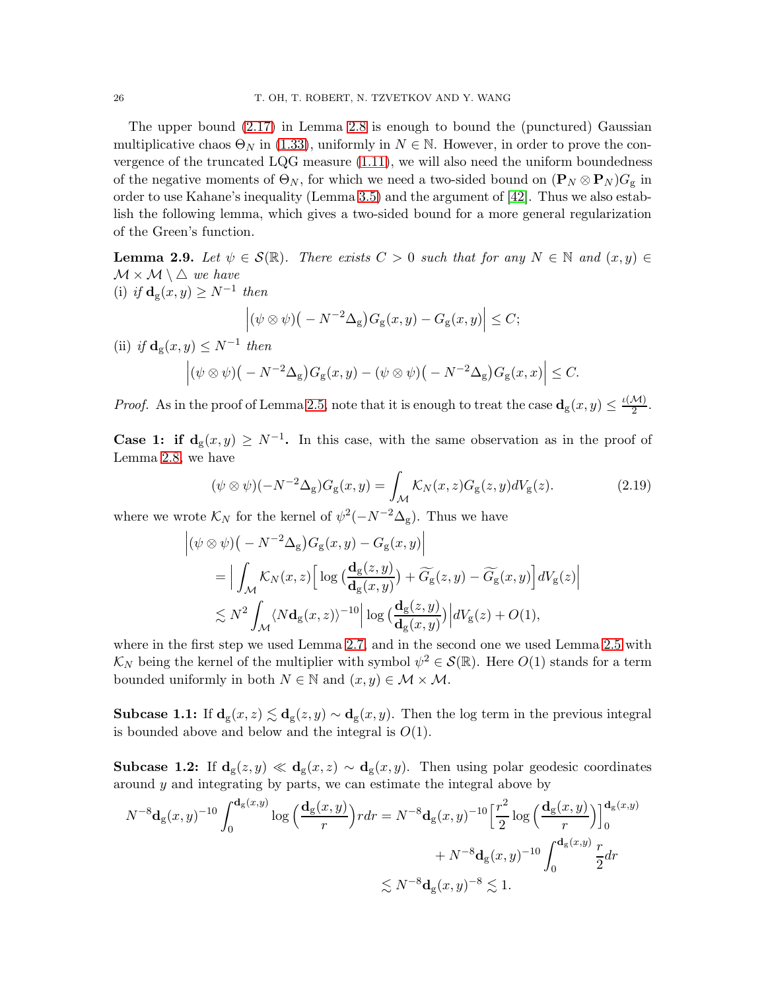The upper bound [\(2.17\)](#page-22-1) in Lemma [2.8](#page-22-2) is enough to bound the (punctured) Gaussian multiplicative chaos  $\Theta_N$  in [\(1.33\)](#page-11-6), uniformly in  $N \in \mathbb{N}$ . However, in order to prove the convergence of the truncated LQG measure  $(1.11)$ , we will also need the uniform boundedness of the negative moments of  $\Theta_N$ , for which we need a two-sided bound on  $(\mathbf{P}_N \otimes \mathbf{P}_N)G_g$  in order to use Kahane's inequality (Lemma [3.5\)](#page-53-2) and the argument of [\[42\]](#page-76-15). Thus we also establish the following lemma, which gives a two-sided bound for a more general regularization of the Green's function.

<span id="page-25-0"></span>**Lemma 2.9.** *Let*  $\psi \in \mathcal{S}(\mathbb{R})$ *. There exists*  $C > 0$  *such that for any*  $N \in \mathbb{N}$  *and*  $(x, y) \in$  $\mathcal{M} \times \mathcal{M} \setminus \triangle$  *we have* (i) *if*  $\mathbf{d}_g(x, y) \ge N^{-1}$  *then* 

$$
\left| (\psi \otimes \psi) \right( -N^{-2} \Delta_{g}) G_{g}(x, y) - G_{g}(x, y) \right| \leq C;
$$

(ii) *if*  $\mathbf{d}_g(x, y) \leq N^{-1}$  *then*  $\left| (\psi \otimes \psi)(-N^{-2}\Delta_{g})G_{g}(x,y) - (\psi \otimes \psi)(-N^{-2}\Delta_{g})G_{g}(x,x) \right| \leq C.$ 

*Proof.* As in the proof of Lemma [2.5,](#page-16-5) note that it is enough to treat the case  $\mathbf{d}_{g}(x, y) \leq \frac{\iota(\mathcal{M})}{2}$ .

**Case 1: if**  $d_g(x,y) \geq N^{-1}$ . In this case, with the same observation as in the proof of Lemma [2.8,](#page-22-2) we have

<span id="page-25-1"></span>
$$
(\psi \otimes \psi)(-N^{-2}\Delta_{\mathbf{g}})G_{\mathbf{g}}(x,y) = \int_{\mathcal{M}} \mathcal{K}_N(x,z)G_{\mathbf{g}}(z,y)dV_{\mathbf{g}}(z).
$$
 (2.19)

where we wrote  $\mathcal{K}_N$  for the kernel of  $\psi^2(-N^{-2}\Delta_g)$ . Thus we have

$$
\begin{split} \left| (\psi \otimes \psi) \big( - N^{-2} \Delta_{\mathbf{g}} \big) G_{\mathbf{g}}(x, y) - G_{\mathbf{g}}(x, y) \right| \\ &= \Big| \int_{\mathcal{M}} \mathcal{K}_N(x, z) \Big[ \log \big( \frac{\mathbf{d}_{\mathbf{g}}(z, y)}{\mathbf{d}_{\mathbf{g}}(x, y)} \big) + \widetilde{G}_{\mathbf{g}}(z, y) - \widetilde{G}_{\mathbf{g}}(x, y) \Big] dV_{\mathbf{g}}(z) \Big| \\ &\lesssim N^2 \int_{\mathcal{M}} \langle N \mathbf{d}_{\mathbf{g}}(x, z) \rangle^{-10} \Big| \log \big( \frac{\mathbf{d}_{\mathbf{g}}(z, y)}{\mathbf{d}_{\mathbf{g}}(x, y)} \big) \Big| dV_{\mathbf{g}}(z) + O(1), \end{split}
$$

where in the first step we used Lemma [2.7,](#page-21-2) and in the second one we used Lemma [2.5](#page-16-5) with  $\mathcal{K}_N$  being the kernel of the multiplier with symbol  $\psi^2 \in \mathcal{S}(\mathbb{R})$ . Here  $O(1)$  stands for a term bounded uniformly in both  $N \in \mathbb{N}$  and  $(x, y) \in \mathcal{M} \times \mathcal{M}$ .

Subcase 1.1: If  $d_g(x, z)$   $\lesssim$   $d_g(z, y)$  ∼  $d_g(x, y)$ . Then the log term in the previous integral is bounded above and below and the integral is  $O(1)$ .

Subcase 1.2: If  $d_g(z, y) \ll d_g(x, z) \sim d_g(x, y)$ . Then using polar geodesic coordinates around  $y$  and integrating by parts, we can estimate the integral above by

$$
N^{-8} \mathbf{d}_{g}(x, y)^{-10} \int_{0}^{\mathbf{d}_{g}(x, y)} \log \Big( \frac{\mathbf{d}_{g}(x, y)}{r} \Big) r dr = N^{-8} \mathbf{d}_{g}(x, y)^{-10} \Big[ \frac{r^{2}}{2} \log \Big( \frac{\mathbf{d}_{g}(x, y)}{r} \Big) \Big]_{0}^{\mathbf{d}_{g}(x, y)} + N^{-8} \mathbf{d}_{g}(x, y)^{-10} \int_{0}^{\mathbf{d}_{g}(x, y)} \frac{r}{2} dr
$$
  

$$
\lesssim N^{-8} \mathbf{d}_{g}(x, y)^{-8} \lesssim 1.
$$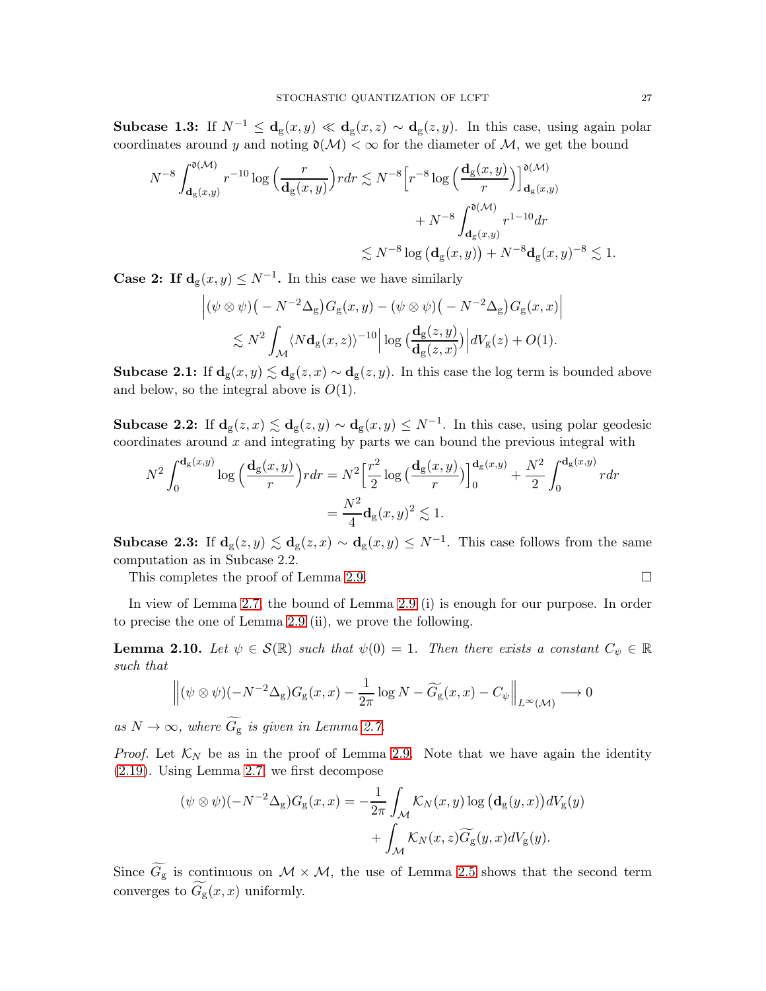**Subcase 1.3:** If  $N^{-1} \leq d_g(x, y) \ll d_g(x, z) \sim d_g(z, y)$ . In this case, using again polar coordinates around y and noting  $\mathfrak{d}(\mathcal{M}) < \infty$  for the diameter of  $\mathcal{M}$ , we get the bound

$$
N^{-8} \int_{\mathbf{d}_{g}(x,y)}^{\mathfrak{d}(\mathcal{M})} r^{-10} \log \Big( \frac{r}{\mathbf{d}_{g}(x,y)} \Big) r dr \lesssim N^{-8} \Big[ r^{-8} \log \Big( \frac{\mathbf{d}_{g}(x,y)}{r} \Big) \Big]_{\mathbf{d}_{g}(x,y)}^{\mathfrak{d}(\mathcal{M})} + N^{-8} \int_{\mathbf{d}_{g}(x,y)}^{\mathfrak{d}(\mathcal{M})} r^{1-10} dr
$$
  

$$
\lesssim N^{-8} \log \Big( \mathbf{d}_{g}(x,y) \Big) + N^{-8} \mathbf{d}_{g}(x,y)^{-8} \lesssim 1.
$$

**Case 2:** If  $d_g(x, y) \leq N^{-1}$ . In this case we have similarly

$$
\left| (\psi \otimes \psi)(-N^{-2}\Delta_{g})G_{g}(x,y) - (\psi \otimes \psi)(-N^{-2}\Delta_{g})G_{g}(x,x) \right|
$$
  
\$\lesssim N^{2}\int\_{\mathcal{M}}\langle N\mathbf{d}\_{g}(x,z)\rangle^{-10}\Big|\log\big(\frac{\mathbf{d}\_{g}(z,y)}{\mathbf{d}\_{g}(z,x)}\big)\Big| dV\_{g}(z) + O(1).

Subcase 2.1: If  $d_g(x, y) ≤ d_g(z, x) ∼ d_g(z, y)$ . In this case the log term is bounded above and below, so the integral above is  $O(1)$ .

**Subcase 2.2:** If  $d_g(z, x) \lesssim d_g(z, y) \sim d_g(x, y) \leq N^{-1}$ . In this case, using polar geodesic  $\alpha$  coordinates around x and integrating by parts we can bound the previous integral with

$$
N^{2} \int_{0}^{\mathbf{d}_{g}(x,y)} \log \left( \frac{\mathbf{d}_{g}(x,y)}{r} \right) r dr = N^{2} \left[ \frac{r^{2}}{2} \log \left( \frac{\mathbf{d}_{g}(x,y)}{r} \right) \right]_{0}^{\mathbf{d}_{g}(x,y)} + \frac{N^{2}}{2} \int_{0}^{\mathbf{d}_{g}(x,y)} r dr
$$

$$
= \frac{N^{2}}{4} \mathbf{d}_{g}(x,y)^{2} \lesssim 1.
$$

**Subcase 2.3:** If  $d_g(z, y) \lesssim d_g(z, x) \sim d_g(x, y) \leq N^{-1}$ . This case follows from the same computation as in Subcase 2.2.

This completes the proof of Lemma [2.9.](#page-25-0)  $\Box$ 

In view of Lemma [2.7,](#page-21-2) the bound of Lemma [2.9](#page-25-0) (i) is enough for our purpose. In order to precise the one of Lemma [2.9](#page-25-0) (ii), we prove the following.

<span id="page-26-0"></span>**Lemma 2.10.** *Let*  $\psi \in \mathcal{S}(\mathbb{R})$  *such that*  $\psi(0) = 1$ *. Then there exists a constant*  $C_{\psi} \in \mathbb{R}$ *such that*

$$
\left\| (\psi \otimes \psi)(-N^{-2}\Delta_{g})G_{g}(x,x) - \frac{1}{2\pi} \log N - \widetilde{G}_{g}(x,x) - C_{\psi} \right\|_{L^{\infty}(\mathcal{M})} \longrightarrow 0
$$

 $as N \to \infty$ , where  $\widetilde{G}_{g}$  *is given in Lemma [2.7.](#page-21-2)* 

*Proof.* Let  $K_N$  be as in the proof of Lemma [2.9.](#page-25-0) Note that we have again the identity [\(2.19\)](#page-25-1). Using Lemma [2.7,](#page-21-2) we first decompose

$$
(\psi \otimes \psi)(-N^{-2}\Delta_{g})G_{g}(x,x) = -\frac{1}{2\pi} \int_{\mathcal{M}} \mathcal{K}_{N}(x,y) \log (\mathbf{d}_{g}(y,x))dV_{g}(y) + \int_{\mathcal{M}} \mathcal{K}_{N}(x,z)\widetilde{G}_{g}(y,x)dV_{g}(y).
$$

Since  $\widetilde{G}_{g}$  is continuous on  $\mathcal{M} \times \mathcal{M}$ , the use of Lemma [2.5](#page-16-5) shows that the second term converges to  $G_g(x, x)$  uniformly.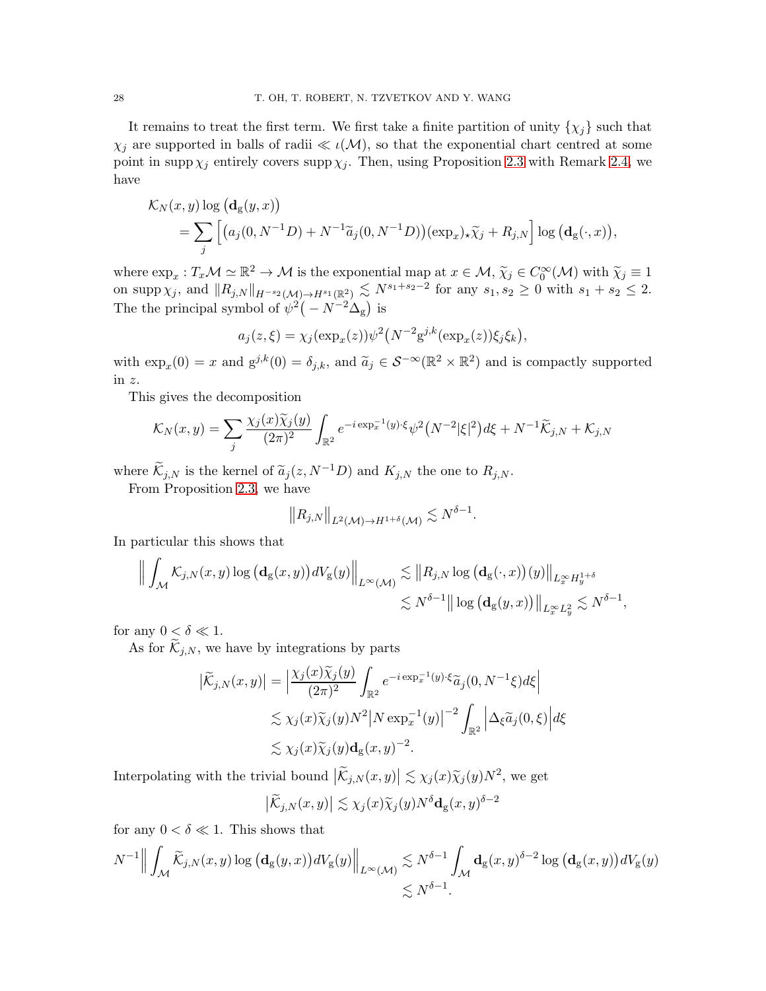It remains to treat the first term. We first take a finite partition of unity  $\{\chi_i\}$  such that  $\chi_i$  are supported in balls of radii «  $\iota(\mathcal{M})$ , so that the exponential chart centred at some point in supp $\chi_j$  entirely covers supp $\chi_j$ . Then, using Proposition [2.3](#page-15-2) with Remark [2.4,](#page-16-1) we have

$$
\mathcal{K}_N(x,y) \log \left( \mathbf{d}_{g}(y,x) \right) \n= \sum_j \left[ \left( a_j(0,N^{-1}D) + N^{-1}\tilde{a}_j(0,N^{-1}D) \right) (\exp_x)_*\tilde{\chi}_j + R_{j,N} \right] \log \left( \mathbf{d}_{g}(\cdot,x) \right),
$$

where  $\exp_x : T_x \mathcal{M} \simeq \mathbb{R}^2 \to \mathcal{M}$  is the exponential map at  $x \in \mathcal{M}$ ,  $\widetilde{\chi}_j \in C_0^{\infty}(\mathcal{M})$  with  $\widetilde{\chi}_j \equiv 1$ on supp  $\chi_j$ , and  $||R_{j,N}||_{H^{-s_2}(\mathcal{M})\to H^{s_1}(\mathbb{R}^2)} \lesssim N^{s_1+s_2-2}$  for any  $s_1, s_2 \geq 0$  with  $s_1 + s_2 \leq 2$ . The the principal symbol of  $\psi^2(-N^{-2}\Delta_g)$  is

$$
a_j(z,\xi) = \chi_j(\exp_x(z))\psi^2\big(N^{-2}g^{j,k}(\exp_x(z))\xi_j\xi_k\big),
$$

with  $\exp_x(0) = x$  and  $g^{j,k}(0) = \delta_{j,k}$ , and  $\tilde{a}_j \in \mathcal{S}^{-\infty}(\mathbb{R}^2 \times \mathbb{R}^2)$  and is compactly supported in z.

This gives the decomposition

$$
\mathcal{K}_N(x,y) = \sum_j \frac{\chi_j(x)\widetilde{\chi}_j(y)}{(2\pi)^2} \int_{\mathbb{R}^2} e^{-i \exp_x^{-1}(y) \cdot \xi} \psi^2(N^{-2}|\xi|^2) d\xi + N^{-1} \widetilde{\mathcal{K}}_{j,N} + \mathcal{K}_{j,N}
$$

where  $\widetilde{\mathcal{K}}_{j,N}$  is the kernel of  $\widetilde{a}_j(z, N^{-1}D)$  and  $K_{j,N}$  the one to  $R_{j,N}$ .

From Proposition [2.3,](#page-15-2) we have

$$
||R_{j,N}||_{L^2(\mathcal{M})\to H^{1+\delta}(\mathcal{M})}\lesssim N^{\delta-1}.
$$

In particular this shows that

$$
\left\| \int_{\mathcal{M}} \mathcal{K}_{j,N}(x,y) \log \left( \mathbf{d}_{g}(x,y) \right) dV_{g}(y) \right\|_{L^{\infty}(\mathcal{M})} \lesssim \left\| R_{j,N} \log \left( \mathbf{d}_{g}(\cdot,x) \right) (y) \right\|_{L^{\infty}_{x} H^{1+\delta}_{y}} \leq N^{\delta-1} \left\| \log \left( \mathbf{d}_{g}(y,x) \right) \right\|_{L^{\infty}_{x} L^{2}_{y}} \lesssim N^{\delta-1},
$$

for any  $0 < \delta \ll 1$ .

As for  $\widetilde{\mathcal{K}}_{i,N}$ , we have by integrations by parts

$$
\begin{aligned} \left| \widetilde{\mathcal{K}}_{j,N}(x,y) \right| &= \left| \frac{\chi_j(x)\widetilde{\chi}_j(y)}{(2\pi)^2} \int_{\mathbb{R}^2} e^{-i\exp_x^{-1}(y)\cdot\xi} \widetilde{a}_j(0,N^{-1}\xi) d\xi \right| \\ &\lesssim \chi_j(x)\widetilde{\chi}_j(y)N^2 \left| N\exp_x^{-1}(y) \right|^{-2} \int_{\mathbb{R}^2} \left| \Delta_\xi \widetilde{a}_j(0,\xi) \right| d\xi \\ &\lesssim \chi_j(x)\widetilde{\chi}_j(y) \mathbf{d}_{\mathbb{g}}(x,y)^{-2} . \end{aligned}
$$

Interpolating with the trivial bound  $|\widetilde{K}_{j,N}(x,y)| \lesssim \chi_j(x)\widetilde{\chi}_j(y)N^2$ , we get

$$
\left|\widetilde{\mathcal{K}}_{j,N}(x,y)\right| \lesssim \chi_j(x)\widetilde{\chi}_j(y)N^{\delta}\mathbf{d}_{g}(x,y)^{\delta-2}
$$

for any  $0 < \delta \ll 1$ . This shows that

$$
N^{-1}\Big\|\int_{\mathcal{M}}\widetilde{\mathcal{K}}_{j,N}(x,y)\log\big(\mathbf{d}_{g}(y,x)\big)dV_{g}(y)\Big\|_{L^{\infty}(\mathcal{M})}\lesssim N^{\delta-1}\int_{\mathcal{M}}\mathbf{d}_{g}(x,y)^{\delta-2}\log\big(\mathbf{d}_{g}(x,y)\big)dV_{g}(y)\Big\|\lesssim N^{\delta-1}.
$$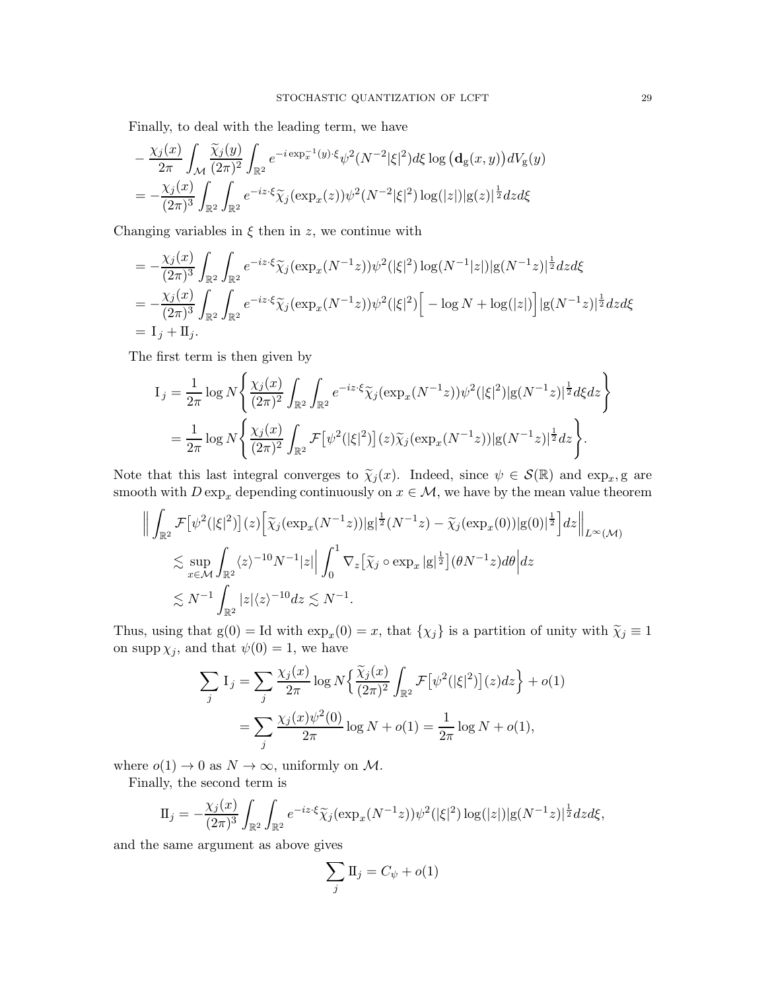Finally, to deal with the leading term, we have

$$
- \frac{\chi_j(x)}{2\pi} \int_{\mathcal{M}} \frac{\tilde{\chi}_j(y)}{(2\pi)^2} \int_{\mathbb{R}^2} e^{-i \exp_x^{-1}(y) \cdot \xi} \psi^2(N^{-2}|\xi|^2) d\xi \log \left( \mathbf{d}_g(x, y) \right) dV_g(y)
$$
  
= 
$$
- \frac{\chi_j(x)}{(2\pi)^3} \int_{\mathbb{R}^2} \int_{\mathbb{R}^2} e^{-iz \cdot \xi} \tilde{\chi}_j(\exp_x(z)) \psi^2(N^{-2}|\xi|^2) \log(|z|) |g(z)|^{\frac{1}{2}} dz d\xi
$$

Changing variables in  $\xi$  then in z, we continue with

$$
= -\frac{\chi_j(x)}{(2\pi)^3} \int_{\mathbb{R}^2} \int_{\mathbb{R}^2} e^{-iz\cdot\xi} \widetilde{\chi}_j(\exp_x(N^{-1}z)) \psi^2(|\xi|^2) \log(N^{-1}|z|) |g(N^{-1}z)|^{\frac{1}{2}} dz d\xi
$$
  
=  $-\frac{\chi_j(x)}{(2\pi)^3} \int_{\mathbb{R}^2} \int_{\mathbb{R}^2} e^{-iz\cdot\xi} \widetilde{\chi}_j(\exp_x(N^{-1}z)) \psi^2(|\xi|^2) \Big[ -\log N + \log(|z|) \Big] |g(N^{-1}z)|^{\frac{1}{2}} dz d\xi$   
=  $I_j + II_j$ .

The first term is then given by

$$
I_j = \frac{1}{2\pi} \log N \left\{ \frac{\chi_j(x)}{(2\pi)^2} \int_{\mathbb{R}^2} \int_{\mathbb{R}^2} e^{-iz \cdot \xi} \widetilde{\chi}_j(\exp_x(N^{-1}z)) \psi^2(|\xi|^2) |g(N^{-1}z)|^{\frac{1}{2}} d\xi dz \right\}
$$
  
= 
$$
\frac{1}{2\pi} \log N \left\{ \frac{\chi_j(x)}{(2\pi)^2} \int_{\mathbb{R}^2} \mathcal{F}[\psi^2(|\xi|^2)](z) \widetilde{\chi}_j(\exp_x(N^{-1}z)) |g(N^{-1}z)|^{\frac{1}{2}} dz \right\}.
$$

Note that this last integral converges to  $\tilde{\chi}_j(x)$ . Indeed, since  $\psi \in \mathcal{S}(\mathbb{R})$  and  $\exp_x$ , g are smooth with  $D \exp_x$  depending continuously on  $x \in \mathcal{M}$ , we have by the mean value theorem

$$
\begin{split}\n&\Big\|\int_{\mathbb{R}^2} \mathcal{F}[\psi^2(|\xi|^2)](z) \Big[\widetilde{\chi}_j(\exp_x(N^{-1}z))|g|^{\frac{1}{2}}(N^{-1}z) - \widetilde{\chi}_j(\exp_x(0))|g(0)|^{\frac{1}{2}}\Big]dz\Big\|_{L^{\infty}(\mathcal{M})} \\
&\lesssim \sup_{x \in \mathcal{M}} \int_{\mathbb{R}^2} \langle z \rangle^{-10} N^{-1}|z| \Big|\int_0^1 \nabla_z [\widetilde{\chi}_j \circ \exp_x |g|^{\frac{1}{2}}] (\theta N^{-1}z) d\theta \Big| dz \\
&\lesssim N^{-1} \int_{\mathbb{R}^2} |z| \langle z \rangle^{-10} dz \lesssim N^{-1}.\n\end{split}
$$

Thus, using that  $g(0) = Id$  with  $\exp_x(0) = x$ , that  $\{\chi_j\}$  is a partition of unity with  $\tilde{\chi}_j \equiv 1$ on supp  $\chi_j$ , and that  $\psi(0) = 1$ , we have

$$
\sum_{j} \mathbf{I}_{j} = \sum_{j} \frac{\chi_{j}(x)}{2\pi} \log N \left\{ \frac{\widetilde{\chi}_{j}(x)}{(2\pi)^{2}} \int_{\mathbb{R}^{2}} \mathcal{F}[\psi^{2}(|\xi|^{2})](z) dz \right\} + o(1)
$$

$$
= \sum_{j} \frac{\chi_{j}(x)\psi^{2}(0)}{2\pi} \log N + o(1) = \frac{1}{2\pi} \log N + o(1),
$$

where  $o(1) \to 0$  as  $N \to \infty$ , uniformly on M.

Finally, the second term is

$$
\Pi_j = -\frac{\chi_j(x)}{(2\pi)^3} \int_{\mathbb{R}^2} \int_{\mathbb{R}^2} e^{-iz\cdot\xi} \widetilde{\chi}_j(\exp_x(N^{-1}z)) \psi^2(|\xi|^2) \log(|z|) |g(N^{-1}z)|^{\frac{1}{2}} dz d\xi,
$$

and the same argument as above gives

$$
\sum_j \Pi_j = C_{\psi} + o(1)
$$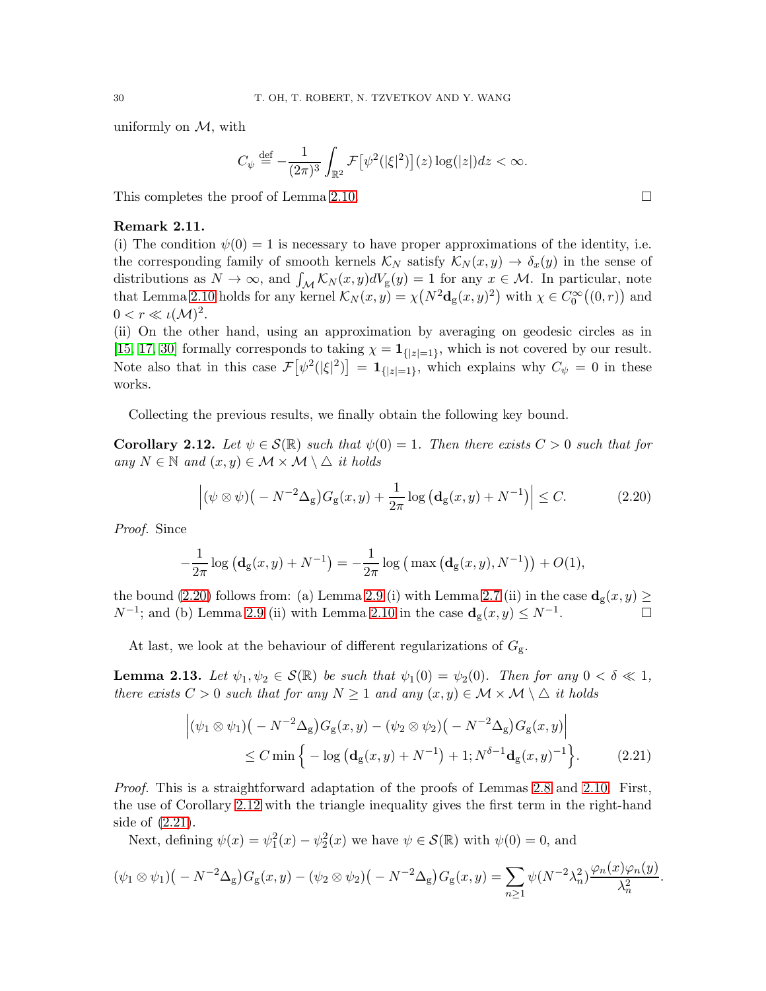uniformly on  $\mathcal{M}$ , with

$$
C_{\psi} \stackrel{\text{def}}{=} -\frac{1}{(2\pi)^3} \int_{\mathbb{R}^2} \mathcal{F}[\psi^2(|\xi|^2)](z) \log(|z|) dz < \infty.
$$

This completes the proof of Lemma [2.10.](#page-26-0)

#### <span id="page-29-0"></span>Remark 2.11.

(i) The condition  $\psi(0) = 1$  is necessary to have proper approximations of the identity, i.e. the corresponding family of smooth kernels  $\mathcal{K}_N$  satisfy  $\mathcal{K}_N(x, y) \to \delta_x(y)$  in the sense of distributions as  $N \to \infty$ , and  $\int_{\mathcal{M}} \mathcal{K}_N(x, y) dV_g(y) = 1$  for any  $x \in \mathcal{M}$ . In particular, note that Lemma [2.10](#page-26-0) holds for any kernel  $\mathcal{K}_N(x, y) = \chi(N^2 \mathbf{d}_{g}(x, y)^2)$  with  $\chi \in C_0^{\infty}((0, r))$  and  $0 < r \ll \iota(\mathcal{M})^2$ .

(ii) On the other hand, using an approximation by averaging on geodesic circles as in [\[15,](#page-75-5) [17,](#page-75-6) [30\]](#page-75-8) formally corresponds to taking  $\chi = \mathbf{1}_{\{|z|=1\}}$ , which is not covered by our result. Note also that in this case  $\mathcal{F}[\psi^2(|\xi|^2)] = \mathbf{1}_{\{|z|=1\}}$ , which explains why  $C_{\psi} = 0$  in these works.

Collecting the previous results, we finally obtain the following key bound.

<span id="page-29-2"></span>**Corollary 2.12.** Let  $\psi \in \mathcal{S}(\mathbb{R})$  *such that*  $\psi(0) = 1$ *. Then there exists*  $C > 0$  *such that for any*  $N \in \mathbb{N}$  *and*  $(x, y) \in \mathcal{M} \times \mathcal{M} \setminus \Delta$  *it holds* 

$$
\left| (\psi \otimes \psi) \right( - N^{-2} \Delta_{\mathbf{g}}) G_{\mathbf{g}}(x, y) + \frac{1}{2\pi} \log \left( \mathbf{d}_{\mathbf{g}}(x, y) + N^{-1} \right) \right| \leq C. \tag{2.20}
$$

*Proof.* Since

$$
-\frac{1}{2\pi}\log\left(\mathbf{d}_{g}(x,y)+N^{-1}\right)=-\frac{1}{2\pi}\log\left(\max\left(\mathbf{d}_{g}(x,y),N^{-1}\right)\right)+O(1),
$$

the bound [\(2.20\)](#page-29-1) follows from: (a) Lemma [2.9](#page-25-0) (i) with Lemma [2.7](#page-21-2) (ii) in the case  $\mathbf{d}_g(x, y) \ge N^{-1}$ , and (b) Lemma 2.9 (ii) with Lemma 2.10 in the case  $\mathbf{d}_g(x, y) \le N^{-1}$  $N^{-1}$ ; and (b) Lemma [2.9](#page-25-0) (ii) with Lemma [2.10](#page-26-0) in the case  $\mathbf{d}_{g}(x, y) \leq N^{-1}$ . — Первый профессиональный стандарт и профессиональный стандарт и профессиональный стандарт и профессиональны<br>В сервисов с профессиональный стандарт и профессиональный стандарт и профессиональный стандарт и профессиональ

At last, we look at the behaviour of different regularizations of  $G<sub>g</sub>$ .

<span id="page-29-4"></span>**Lemma 2.13.** Let  $\psi_1, \psi_2 \in \mathcal{S}(\mathbb{R})$  be such that  $\psi_1(0) = \psi_2(0)$ . Then for any  $0 < \delta \ll 1$ , *there exists*  $C > 0$  *such that for any*  $N \ge 1$  *and any*  $(x, y) \in \mathcal{M} \times \mathcal{M} \setminus \Delta$  *it holds* 

$$
\left| (\psi_1 \otimes \psi_1) \right| - N^{-2} \Delta_g) G_g(x, y) - (\psi_2 \otimes \psi_2) \left( - N^{-2} \Delta_g \right) G_g(x, y) \Big|
$$
  
 
$$
\leq C \min \left\{ -\log \left( \mathbf{d}_g(x, y) + N^{-1} \right) + 1; N^{\delta - 1} \mathbf{d}_g(x, y)^{-1} \right\}. \tag{2.21}
$$

*Proof.* This is a straightforward adaptation of the proofs of Lemmas [2.8](#page-22-2) and [2.10.](#page-26-0) First, the use of Corollary [2.12](#page-29-2) with the triangle inequality gives the first term in the right-hand side of [\(2.21\)](#page-29-3).

Next, defining  $\psi(x) = \psi_1^2(x) - \psi_2^2(x)$  we have  $\psi \in \mathcal{S}(\mathbb{R})$  with  $\psi(0) = 0$ , and

$$
(\psi_1 \otimes \psi_1)(-N^{-2}\Delta_g)G_g(x,y) - (\psi_2 \otimes \psi_2)(-N^{-2}\Delta_g)G_g(x,y) = \sum_{n \ge 1} \psi(N^{-2}\lambda_n^2) \frac{\varphi_n(x)\varphi_n(y)}{\lambda_n^2}
$$

<span id="page-29-1"></span>

<span id="page-29-3"></span>.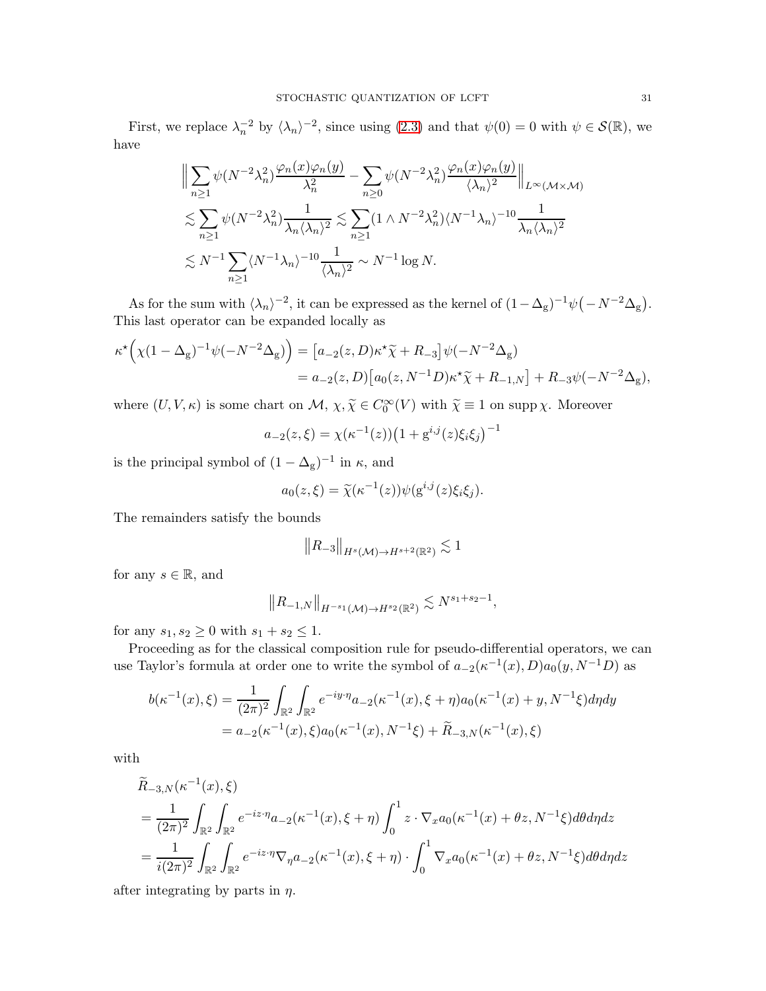First, we replace  $\lambda_n^{-2}$  by  $\langle \lambda_n \rangle^{-2}$ , since using [\(2.3\)](#page-14-2) and that  $\psi(0) = 0$  with  $\psi \in \mathcal{S}(\mathbb{R})$ , we have

$$
\begin{split}\n&\left\|\sum_{n\geq 1}\psi(N^{-2}\lambda_n^2)\frac{\varphi_n(x)\varphi_n(y)}{\lambda_n^2} - \sum_{n\geq 0}\psi(N^{-2}\lambda_n^2)\frac{\varphi_n(x)\varphi_n(y)}{\langle\lambda_n\rangle^2}\right\|_{L^\infty(\mathcal{M}\times\mathcal{M})} \\
&\lesssim \sum_{n\geq 1}\psi(N^{-2}\lambda_n^2)\frac{1}{\lambda_n\langle\lambda_n\rangle^2} \lesssim \sum_{n\geq 1}(1\wedge N^{-2}\lambda_n^2)\langle N^{-1}\lambda_n\rangle^{-10}\frac{1}{\lambda_n\langle\lambda_n\rangle^2} \\
&\lesssim N^{-1}\sum_{n\geq 1}\langle N^{-1}\lambda_n\rangle^{-10}\frac{1}{\langle\lambda_n\rangle^2} \sim N^{-1}\log N.\n\end{split}
$$

As for the sum with  $\langle \lambda_n \rangle^{-2}$ , it can be expressed as the kernel of  $(1 - \Delta_g)^{-1} \psi(-N^{-2} \Delta_g)$ . This last operator can be expanded locally as

$$
\kappa^{\star} (\chi (1 - \Delta_{g})^{-1} \psi(-N^{-2} \Delta_{g})) = [a_{-2}(z, D)\kappa^{\star} \tilde{\chi} + R_{-3}] \psi(-N^{-2} \Delta_{g})
$$
  
=  $a_{-2}(z, D) [a_{0}(z, N^{-1} D)\kappa^{\star} \tilde{\chi} + R_{-1,N}] + R_{-3} \psi(-N^{-2} \Delta_{g}),$ 

where  $(U, V, \kappa)$  is some chart on  $\mathcal{M}, \chi, \tilde{\chi} \in C_0^{\infty}(V)$  with  $\tilde{\chi} \equiv 1$  on supp  $\chi$ . Moreover

$$
a_{-2}(z,\xi) = \chi(\kappa^{-1}(z)) \bigl(1 + g^{i,j}(z)\xi_i\xi_j\bigr)^{-1}
$$

is the principal symbol of  $(1 - \Delta_g)^{-1}$  in  $\kappa$ , and

$$
a_0(z,\xi) = \widetilde{\chi}(\kappa^{-1}(z))\psi(\mathrm{g}^{i,j}(z)\xi_i\xi_j).
$$

The remainders satisfy the bounds

$$
\big\|R_{-3}\big\|_{H^s(\mathcal{M})\to H^{s+2}(\mathbb{R}^2)}\lesssim 1
$$

for any  $s \in \mathbb{R}$ , and

$$
||R_{-1,N}||_{H^{-s_1}(\mathcal{M}) \to H^{s_2}(\mathbb{R}^2)} \lesssim N^{s_1+s_2-1},
$$

for any  $s_1, s_2 \ge 0$  with  $s_1 + s_2 \le 1$ .

Proceeding as for the classical composition rule for pseudo-differential operators, we can use Taylor's formula at order one to write the symbol of  $a_{-2}(\kappa^{-1}(x), D)a_0(y, N^{-1}D)$  as

$$
b(\kappa^{-1}(x), \xi) = \frac{1}{(2\pi)^2} \int_{\mathbb{R}^2} \int_{\mathbb{R}^2} e^{-iy \cdot \eta} a_{-2}(\kappa^{-1}(x), \xi + \eta) a_0(\kappa^{-1}(x) + y, N^{-1}\xi) d\eta dy
$$
  
=  $a_{-2}(\kappa^{-1}(x), \xi) a_0(\kappa^{-1}(x), N^{-1}\xi) + \widetilde{R}_{-3, N}(\kappa^{-1}(x), \xi)$ 

with

$$
\tilde{R}_{-3,N}(\kappa^{-1}(x),\xi)
$$
\n
$$
= \frac{1}{(2\pi)^2} \int_{\mathbb{R}^2} \int_{\mathbb{R}^2} e^{-iz \cdot \eta} a_{-2}(\kappa^{-1}(x), \xi + \eta) \int_0^1 z \cdot \nabla_x a_0(\kappa^{-1}(x) + \theta z, N^{-1}\xi) d\theta d\eta dz
$$
\n
$$
= \frac{1}{i(2\pi)^2} \int_{\mathbb{R}^2} \int_{\mathbb{R}^2} e^{-iz \cdot \eta} \nabla_\eta a_{-2}(\kappa^{-1}(x), \xi + \eta) \cdot \int_0^1 \nabla_x a_0(\kappa^{-1}(x) + \theta z, N^{-1}\xi) d\theta d\eta dz
$$

after integrating by parts in  $\eta$ .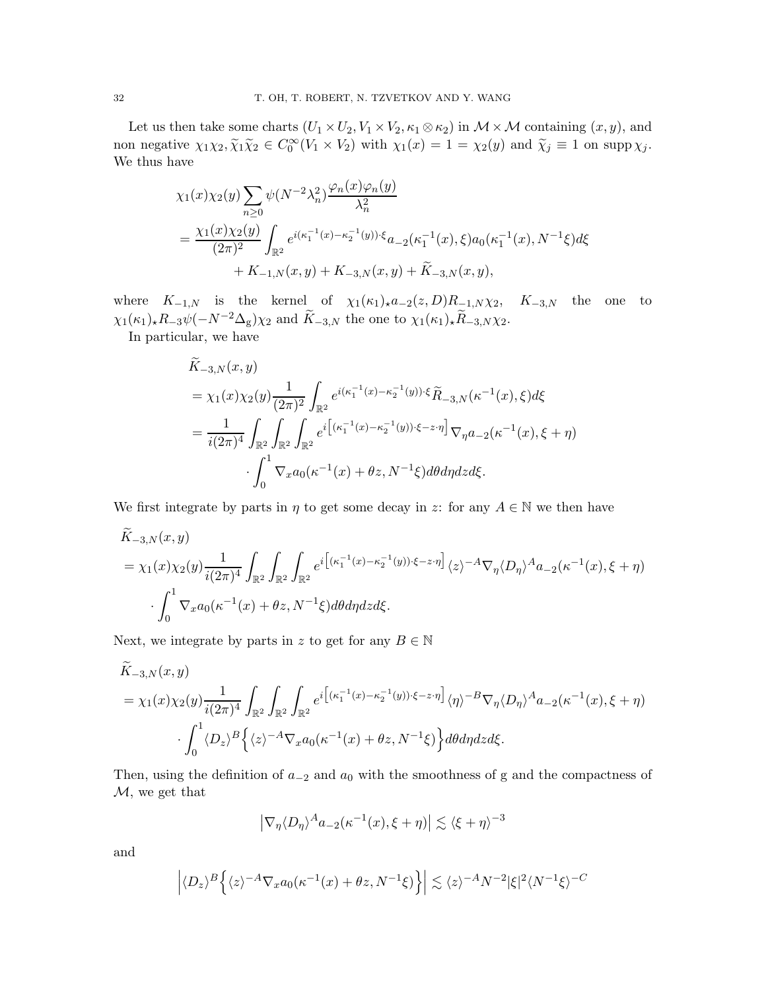Let us then take some charts  $(U_1 \times U_2, V_1 \times V_2, \kappa_1 \otimes \kappa_2)$  in  $\mathcal{M} \times \mathcal{M}$  containing  $(x, y)$ , and non negative  $\chi_1 \chi_2, \widetilde{\chi}_1 \widetilde{\chi}_2 \in C_0^{\infty}(V_1 \times V_2)$  with  $\chi_1(x) = 1 = \chi_2(y)$  and  $\widetilde{\chi}_j \equiv 1$  on supp $\chi_j$ . We thus have

$$
\chi_1(x)\chi_2(y) \sum_{n\geq 0} \psi(N^{-2}\lambda_n^2) \frac{\varphi_n(x)\varphi_n(y)}{\lambda_n^2}
$$
  
= 
$$
\frac{\chi_1(x)\chi_2(y)}{(2\pi)^2} \int_{\mathbb{R}^2} e^{i(\kappa_1^{-1}(x) - \kappa_2^{-1}(y))\cdot\xi} a_{-2}(\kappa_1^{-1}(x), \xi) a_0(\kappa_1^{-1}(x), N^{-1}\xi) d\xi
$$
  
+ 
$$
K_{-1,N}(x, y) + K_{-3,N}(x, y) + \widetilde{K}_{-3,N}(x, y),
$$

where  $K_{-1,N}$  is the kernel of  $\chi_1(\kappa_1)_\star a_{-2}(z,D)R_{-1,N}\chi_2$ ,  $K_{-3,N}$  the one to  $\chi_1(\kappa_1)_\star R_{-3}\psi(-N^{-2}\Delta_g)\chi_2$  and  $\widetilde{K}_{-3,N}$  the one to  $\chi_1(\kappa_1)_\star \widetilde{R}_{-3,N}\chi_2$ .

In particular, we have

$$
K_{-3,N}(x,y)
$$
  
=  $\chi_1(x)\chi_2(y)\frac{1}{(2\pi)^2}\int_{\mathbb{R}^2}e^{i(\kappa_1^{-1}(x)-\kappa_2^{-1}(y))\cdot\xi}\tilde{R}_{-3,N}(\kappa^{-1}(x),\xi)d\xi$   
=  $\frac{1}{i(2\pi)^4}\int_{\mathbb{R}^2}\int_{\mathbb{R}^2}e^{i[(\kappa_1^{-1}(x)-\kappa_2^{-1}(y))\cdot\xi-z\cdot\eta]} \nabla_\eta a_{-2}(\kappa^{-1}(x),\xi+\eta)$   
 $\cdot\int_0^1 \nabla_x a_0(\kappa^{-1}(x)+\theta z, N^{-1}\xi)d\theta d\eta dzd\xi.$ 

We first integrate by parts in  $\eta$  to get some decay in z: for any  $A \in \mathbb{N}$  we then have

$$
\tilde{K}_{-3,N}(x,y) = \chi_1(x)\chi_2(y)\frac{1}{i(2\pi)^4} \int_{\mathbb{R}^2} \int_{\mathbb{R}^2} \int_{\mathbb{R}^2} e^{i\left[ (\kappa_1^{-1}(x) - \kappa_2^{-1}(y)) \cdot \xi - z \cdot \eta \right]} \langle z \rangle^{-A} \nabla_{\eta} \langle D_{\eta} \rangle^A a_{-2}(\kappa^{-1}(x), \xi + \eta) \cdot \int_0^1 \nabla_x a_0(\kappa^{-1}(x) + \theta z, N^{-1}\xi) d\theta d\eta dz d\xi.
$$

Next, we integrate by parts in z to get for any  $B \in \mathbb{N}$ 

$$
\widetilde{K}_{-3,N}(x,y)
$$
\n
$$
= \chi_1(x)\chi_2(y)\frac{1}{i(2\pi)^4} \int_{\mathbb{R}^2} \int_{\mathbb{R}^2} \int_{\mathbb{R}^2} e^{i\left[ (\kappa_1^{-1}(x) - \kappa_2^{-1}(y)) \cdot \xi - z \cdot \eta \right]} \langle \eta \rangle^{-B} \nabla_{\eta} \langle D_{\eta} \rangle^{A} a_{-2}(\kappa^{-1}(x), \xi + \eta)
$$
\n
$$
\cdot \int_0^1 \langle D_z \rangle^B \left\{ \langle z \rangle^{-A} \nabla_x a_0(\kappa^{-1}(x) + \theta z, N^{-1}\xi) \right\} d\theta d\eta dz d\xi.
$$

Then, using the definition of  $a_{-2}$  and  $a_0$  with the smoothness of g and the compactness of  $M$ , we get that

$$
\left|\nabla_{\eta} \langle D_{\eta} \rangle^{A} a_{-2}(\kappa^{-1}(x), \xi + \eta) \right| \lesssim \langle \xi + \eta \rangle^{-3}
$$

and

$$
\left| \langle D_z \rangle^B \Big\{ \langle z \rangle^{-A} \nabla_x a_0(\kappa^{-1}(x) + \theta z, N^{-1} \xi) \Big\} \right| \lesssim \langle z \rangle^{-A} N^{-2} |\xi|^2 \langle N^{-1} \xi \rangle^{-C}
$$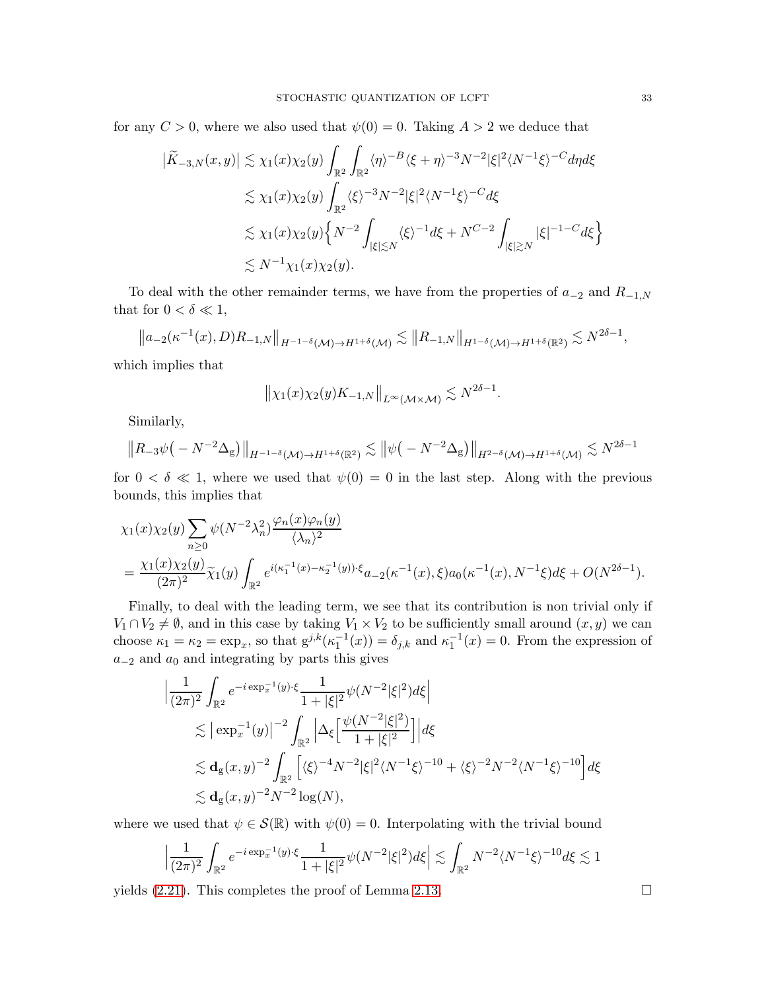for any  $C > 0$ , where we also used that  $\psi(0) = 0$ . Taking  $A > 2$  we deduce that

$$
\begin{split} \left| \widetilde{K}_{-3,N}(x,y) \right| &\lesssim \chi_1(x)\chi_2(y) \int_{\mathbb{R}^2} \int_{\mathbb{R}^2} \langle \eta \rangle^{-B} \langle \xi + \eta \rangle^{-3} N^{-2} |\xi|^2 \langle N^{-1}\xi \rangle^{-C} d\eta d\xi \\ &\lesssim \chi_1(x)\chi_2(y) \int_{\mathbb{R}^2} \langle \xi \rangle^{-3} N^{-2} |\xi|^2 \langle N^{-1}\xi \rangle^{-C} d\xi \\ &\lesssim \chi_1(x)\chi_2(y) \Big\{ N^{-2} \int_{|\xi| \lesssim N} \langle \xi \rangle^{-1} d\xi + N^{C-2} \int_{|\xi| \gtrsim N} |\xi|^{-1-C} d\xi \Big\} \\ &\lesssim N^{-1} \chi_1(x)\chi_2(y). \end{split}
$$

To deal with the other remainder terms, we have from the properties of  $a_{-2}$  and  $R_{-1,N}$ that for  $0 < \delta \ll 1$ ,

$$
||a_{-2}(\kappa^{-1}(x),D)R_{-1,N}||_{H^{-1-\delta}(\mathcal{M})\rightarrow H^{1+\delta}(\mathcal{M})}\lesssim ||R_{-1,N}||_{H^{1-\delta}(\mathcal{M})\rightarrow H^{1+\delta}(\mathbb{R}^2)}\lesssim N^{2\delta-1},
$$

which implies that

$$
\|\chi_1(x)\chi_2(y)K_{-1,N}\|_{L^\infty(\mathcal{M}\times\mathcal{M})}\lesssim N^{2\delta-1}.
$$

Similarly,

$$
||R_{-3}\psi(-N^{-2}\Delta_{g})||_{H^{-1-\delta}(\mathcal{M})\to H^{1+\delta}(\mathbb{R}^2)} \lesssim ||\psi(-N^{-2}\Delta_{g})||_{H^{2-\delta}(\mathcal{M})\to H^{1+\delta}(\mathcal{M})} \lesssim N^{2\delta-1}
$$

for  $0 < \delta \ll 1$ , where we used that  $\psi(0) = 0$  in the last step. Along with the previous bounds, this implies that

$$
\chi_1(x)\chi_2(y) \sum_{n\geq 0} \psi(N^{-2}\lambda_n^2) \frac{\varphi_n(x)\varphi_n(y)}{\langle \lambda_n \rangle^2}
$$
  
= 
$$
\frac{\chi_1(x)\chi_2(y)}{(2\pi)^2} \widetilde{\chi}_1(y) \int_{\mathbb{R}^2} e^{i(\kappa_1^{-1}(x) - \kappa_2^{-1}(y)) \cdot \xi} a_{-2}(\kappa^{-1}(x), \xi) a_0(\kappa^{-1}(x), N^{-1}\xi) d\xi + O(N^{2\delta - 1}).
$$

Finally, to deal with the leading term, we see that its contribution is non trivial only if  $V_1 \cap V_2 \neq \emptyset$ , and in this case by taking  $V_1 \times V_2$  to be sufficiently small around  $(x, y)$  we can choose  $\kappa_1 = \kappa_2 = \exp_x$ , so that  $g^{j,k}(\kappa_1^{-1}(x)) = \delta_{j,k}$  and  $\kappa_1^{-1}(x) = 0$ . From the expression of  $a_{-2}$  and  $a_0$  and integrating by parts this gives

$$
\begin{split}\n&\Big|\frac{1}{(2\pi)^2}\int_{\mathbb{R}^2}e^{-i\exp_x^{-1}(y)\cdot\xi}\frac{1}{1+|\xi|^2}\psi(N^{-2}|\xi|^2)d\xi\Big| \\
&\lesssim |\exp_x^{-1}(y)|^{-2}\int_{\mathbb{R}^2}\Big|\Delta_{\xi}\Big[\frac{\psi(N^{-2}|\xi|^2)}{1+|\xi|^2}\Big]\Big|d\xi \\
&\lesssim \mathbf{d}_{\mathbb{g}}(x,y)^{-2}\int_{\mathbb{R}^2}\Big[\langle\xi\rangle^{-4}N^{-2}|\xi|^2\langle N^{-1}\xi\rangle^{-10}+\langle\xi\rangle^{-2}N^{-2}\langle N^{-1}\xi\rangle^{-10}\Big]d\xi \\
&\lesssim \mathbf{d}_{\mathbb{g}}(x,y)^{-2}N^{-2}\log(N),\n\end{split}
$$

where we used that  $\psi \in \mathcal{S}(\mathbb{R})$  with  $\psi(0) = 0$ . Interpolating with the trivial bound

$$
\left|\frac{1}{(2\pi)^2} \int_{\mathbb{R}^2} e^{-i\exp_x^{-1}(y)\cdot\xi} \frac{1}{1+|\xi|^2} \psi(N^{-2}|\xi|^2) d\xi\right| \lesssim \int_{\mathbb{R}^2} N^{-2} \langle N^{-1}\xi \rangle^{-10} d\xi \lesssim 1
$$

yields  $(2.21)$ . This completes the proof of Lemma [2.13.](#page-29-4)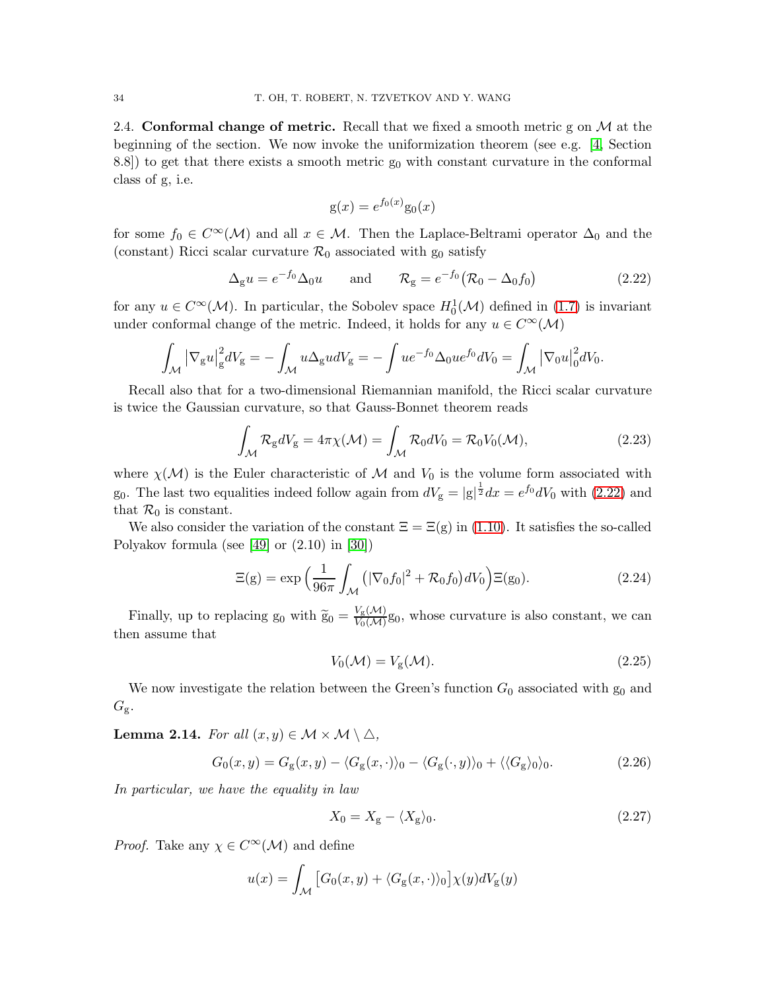<span id="page-33-0"></span>2.4. Conformal change of metric. Recall that we fixed a smooth metric g on  $\mathcal M$  at the beginning of the section. We now invoke the uniformization theorem (see e.g. [\[4,](#page-74-7) Section 8.8) to get that there exists a smooth metric  $g_0$  with constant curvature in the conformal class of g, i.e.

<span id="page-33-2"></span>
$$
g(x) = e^{f_0(x)}g_0(x)
$$

for some  $f_0 \in C^{\infty}(\mathcal{M})$  and all  $x \in \mathcal{M}$ . Then the Laplace-Beltrami operator  $\Delta_0$  and the (constant) Ricci scalar curvature  $\mathcal{R}_0$  associated with  $g_0$  satisfy

$$
\Delta_{\mathbf{g}} u = e^{-f_0} \Delta_0 u \quad \text{and} \quad \mathcal{R}_{\mathbf{g}} = e^{-f_0} \left( \mathcal{R}_0 - \Delta_0 f_0 \right) \tag{2.22}
$$

for any  $u \in C^{\infty}(\mathcal{M})$ . In particular, the Sobolev space  $H_0^1(\mathcal{M})$  defined in [\(1.7\)](#page-3-4) is invariant under conformal change of the metric. Indeed, it holds for any  $u \in C^{\infty}(\mathcal{M})$ 

$$
\int_{\mathcal{M}} \left| \nabla_{g} u \right|_{g}^{2} dV_{g} = -\int_{\mathcal{M}} u \Delta_{g} u dV_{g} = -\int u e^{-f_{0}} \Delta_{0} u e^{f_{0}} dV_{0} = \int_{\mathcal{M}} \left| \nabla_{0} u \right|_{0}^{2} dV_{0}.
$$

Recall also that for a two-dimensional Riemannian manifold, the Ricci scalar curvature is twice the Gaussian curvature, so that Gauss-Bonnet theorem reads

$$
\int_{\mathcal{M}} \mathcal{R}_{g} dV_{g} = 4\pi \chi(\mathcal{M}) = \int_{\mathcal{M}} \mathcal{R}_{0} dV_{0} = \mathcal{R}_{0} V_{0}(\mathcal{M}), \qquad (2.23)
$$

where  $\chi(\mathcal{M})$  is the Euler characteristic of M and  $V_0$  is the volume form associated with g<sub>0</sub>. The last two equalities indeed follow again from  $dV_g = |g|^{\frac{1}{2}} dx = e^{f_0} dV_0$  with [\(2.22\)](#page-33-2) and that  $\mathcal{R}_0$  is constant.

We also consider the variation of the constant  $\Xi = \Xi(g)$  in [\(1.10\)](#page-3-5). It satisfies the so-called Polyakov formula (see [\[49\]](#page-76-5) or (2.10) in [\[30\]](#page-75-8))

$$
\Xi(g) = \exp\left(\frac{1}{96\pi} \int_{\mathcal{M}} \left( |\nabla_0 f_0|^2 + \mathcal{R}_0 f_0 \right) dV_0 \right) \Xi(g_0).
$$
 (2.24)

Finally, up to replacing  $g_0$  with  $\widetilde{g}_0 = \frac{V_g(\mathcal{M})}{V_0(\mathcal{M})}$  $\frac{V_{\text{g}}(\mathcal{M})}{V_0(\mathcal{M})}$  g<sub>0</sub>, whose curvature is also constant, we can then assume that

<span id="page-33-3"></span><span id="page-33-1"></span>
$$
V_0(\mathcal{M}) = V_{\rm g}(\mathcal{M}).\tag{2.25}
$$

We now investigate the relation between the Green's function  $G_0$  associated with  $g_0$  and  $G_{\rm g}$ .

<span id="page-33-6"></span>**Lemma 2.14.** *For all*  $(x, y) \in \mathcal{M} \times \mathcal{M} \setminus \triangle$ ,

$$
G_0(x,y) = G_{\rm g}(x,y) - \langle G_{\rm g}(x,\cdot)\rangle_0 - \langle G_{\rm g}(\cdot,y)\rangle_0 + \langle \langle G_{\rm g}\rangle_0\rangle_0.
$$
 (2.26)

*In particular, we have the equality in law*

<span id="page-33-5"></span><span id="page-33-4"></span>
$$
X_0 = X_g - \langle X_g \rangle_0. \tag{2.27}
$$

*Proof.* Take any  $\chi \in C^{\infty}(\mathcal{M})$  and define

$$
u(x) = \int_{\mathcal{M}} \left[ G_0(x, y) + \langle G_{\rm g}(x, \cdot) \rangle_0 \right] \chi(y) dV_{\rm g}(y)
$$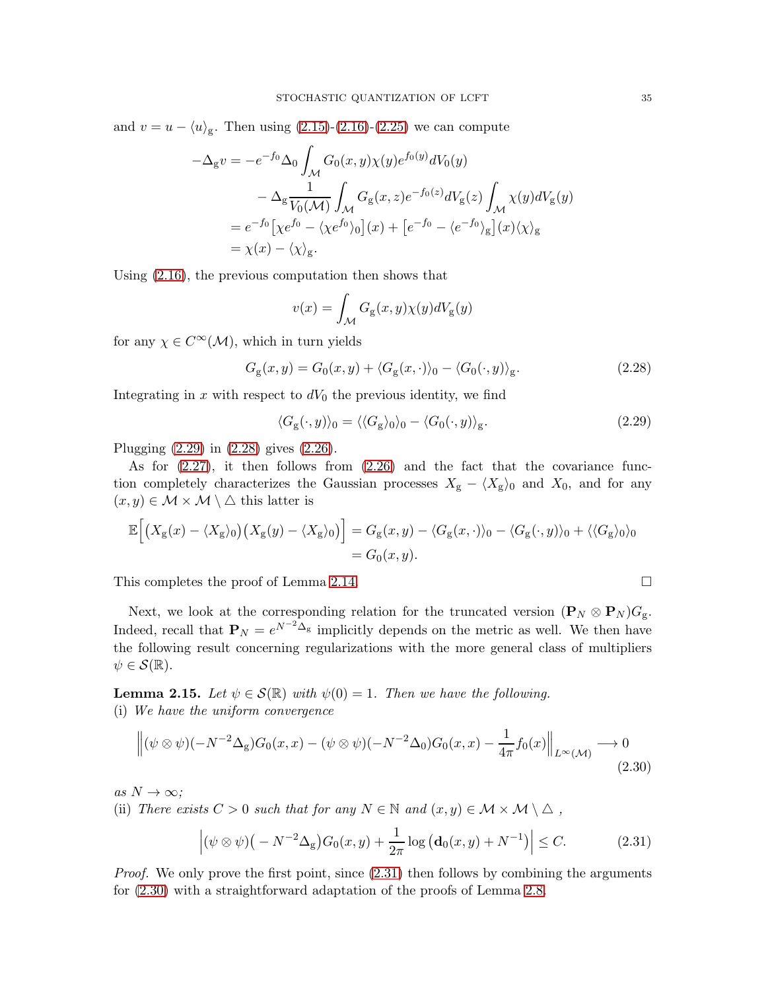and  $v = u - \langle u \rangle_{\mathbf{g}}$ . Then using [\(2.15\)](#page-21-3)-[\(2.16\)](#page-21-4)-[\(2.25\)](#page-33-3) we can compute

$$
-\Delta_{g}v = -e^{-f_{0}}\Delta_{0} \int_{\mathcal{M}} G_{0}(x, y)\chi(y)e^{f_{0}(y)}dV_{0}(y)
$$
  

$$
-\Delta_{g}\frac{1}{V_{0}(\mathcal{M})}\int_{\mathcal{M}} G_{g}(x, z)e^{-f_{0}(z)}dV_{g}(z)\int_{\mathcal{M}}\chi(y)dV_{g}(y)
$$
  

$$
= e^{-f_{0}}\left[\chi e^{f_{0}} - \langle \chi e^{f_{0}} \rangle_{0}\right](x) + \left[e^{-f_{0}} - \langle e^{-f_{0}} \rangle_{g}\right](x)\langle \chi \rangle_{g}
$$
  

$$
= \chi(x) - \langle \chi \rangle_{g}.
$$

Using [\(2.16\)](#page-21-4), the previous computation then shows that

<span id="page-34-1"></span>
$$
v(x) = \int_{\mathcal{M}} G_{\rm g}(x, y) \chi(y) dV_{\rm g}(y)
$$

for any  $\chi \in C^{\infty}(\mathcal{M})$ , which in turn yields

$$
G_{\mathbf{g}}(x,y) = G_0(x,y) + \langle G_{\mathbf{g}}(x,\cdot) \rangle_0 - \langle G_0(\cdot,y) \rangle_{\mathbf{g}}.
$$
\n(2.28)

Integrating in  $x$  with respect to  $dV_0$  the previous identity, we find

<span id="page-34-0"></span>
$$
\langle G_{\rm g}(\cdot, y) \rangle_0 = \langle G_{\rm g} \rangle_0 \rangle_0 - \langle G_0(\cdot, y) \rangle_{\rm g}.
$$
 (2.29)

Plugging [\(2.29\)](#page-34-0) in [\(2.28\)](#page-34-1) gives [\(2.26\)](#page-33-4).

As for  $(2.27)$ , it then follows from  $(2.26)$  and the fact that the covariance function completely characterizes the Gaussian processes  $X_g - \langle X_g \rangle_0$  and  $X_0$ , and for any  $(x, y) \in \mathcal{M} \times \mathcal{M} \setminus \triangle$  this latter is

$$
\mathbb{E}\Big[\big(X_{\mathrm{g}}(x) - \langle X_{\mathrm{g}}\rangle_0\big)\big(X_{\mathrm{g}}(y) - \langle X_{\mathrm{g}}\rangle_0\big)\Big] = G_{\mathrm{g}}(x,y) - \langle G_{\mathrm{g}}(x,\cdot)\rangle_0 - \langle G_{\mathrm{g}}(\cdot,y)\rangle_0 + \langle\langle G_{\mathrm{g}}\rangle_0\rangle_0
$$
  
=  $G_0(x,y)$ .

This completes the proof of Lemma [2.14.](#page-33-6)

Next, we look at the corresponding relation for the truncated version  $(\mathbf{P}_N \otimes \mathbf{P}_N)G_{\text{g}}$ . Indeed, recall that  $\mathbf{P}_N = e^{N^{-2}\Delta_g}$  implicitly depends on the metric as well. We then have the following result concerning regularizations with the more general class of multipliers  $\psi \in \mathcal{S}(\mathbb{R}).$ 

**Lemma 2.15.** *Let*  $\psi \in \mathcal{S}(\mathbb{R})$  *with*  $\psi(0) = 1$ *. Then we have the following.* (i) *We have the uniform convergence*

$$
\left\| (\psi \otimes \psi)(-N^{-2}\Delta_{g})G_{0}(x,x) - (\psi \otimes \psi)(-N^{-2}\Delta_{0})G_{0}(x,x) - \frac{1}{4\pi}f_{0}(x) \right\|_{L^{\infty}(\mathcal{M})} \longrightarrow 0
$$
\n(2.30)

 $as\ N \to \infty$ ; (ii) *There exists*  $C > 0$  *such that for any*  $N \in \mathbb{N}$  *and*  $(x, y) \in \mathcal{M} \times \mathcal{M} \setminus \Delta$ ,

<span id="page-34-3"></span><span id="page-34-2"></span>
$$
\left| (\psi \otimes \psi) \right( - N^{-2} \Delta_{g} ) G_{0}(x, y) + \frac{1}{2\pi} \log \left( \mathbf{d}_{0}(x, y) + N^{-1} \right) \right| \leq C. \tag{2.31}
$$

*Proof.* We only prove the first point, since  $(2.31)$  then follows by combining the arguments for [\(2.30\)](#page-34-3) with a straightforward adaptation of the proofs of Lemma [2.8.](#page-22-2)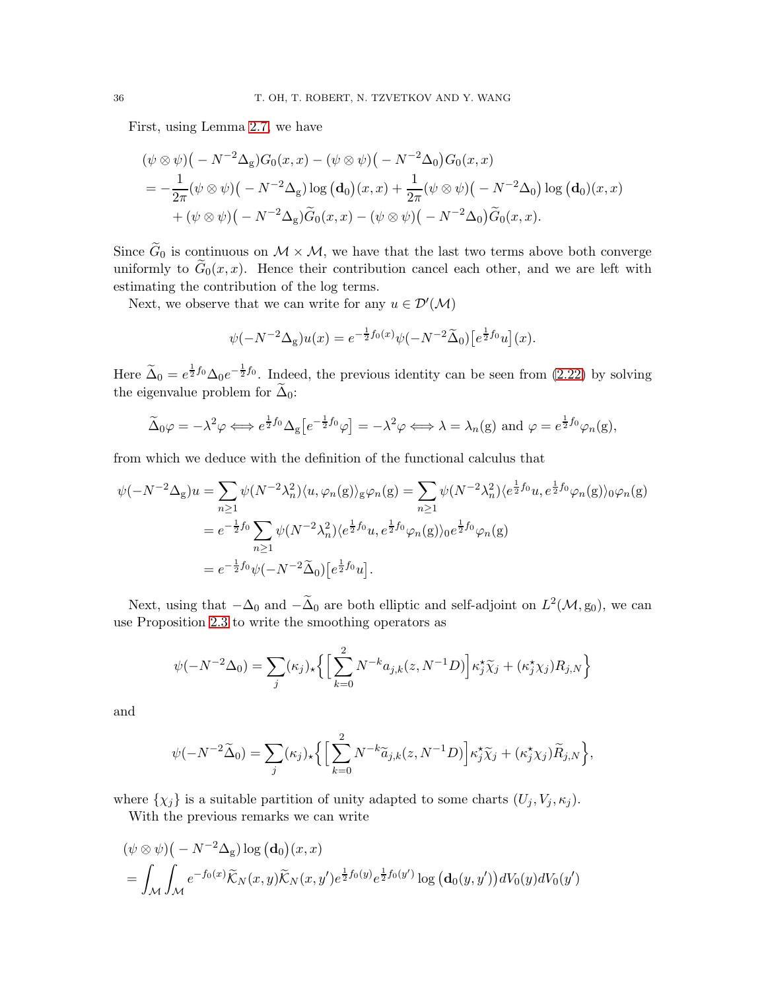First, using Lemma [2.7,](#page-21-2) we have

$$
(\psi \otimes \psi)(-N^{-2}\Delta_{g})G_{0}(x,x) - (\psi \otimes \psi)(-N^{-2}\Delta_{0})G_{0}(x,x)
$$
  
=  $-\frac{1}{2\pi}(\psi \otimes \psi)(-N^{-2}\Delta_{g})\log(\mathbf{d}_{0})(x,x) + \frac{1}{2\pi}(\psi \otimes \psi)(-N^{-2}\Delta_{0})\log(\mathbf{d}_{0})(x,x)$   
+  $(\psi \otimes \psi)(-N^{-2}\Delta_{g})\widetilde{G}_{0}(x,x) - (\psi \otimes \psi)(-N^{-2}\Delta_{0})\widetilde{G}_{0}(x,x).$ 

Since  $\widetilde{G}_0$  is continuous on  $\mathcal{M} \times \mathcal{M}$ , we have that the last two terms above both converge uniformly to  $\tilde{G}_0(x, x)$ . Hence their contribution cancel each other, and we are left with estimating the contribution of the log terms.

Next, we observe that we can write for any  $u \in \mathcal{D}'(\mathcal{M})$ 

$$
\psi(-N^{-2}\Delta_{g})u(x) = e^{-\frac{1}{2}f_0(x)}\psi(-N^{-2}\widetilde{\Delta}_0)[e^{\frac{1}{2}f_0}u](x).
$$

Here  $\tilde{\Delta}_0 = e^{\frac{1}{2}f_0}\Delta_0e^{-\frac{1}{2}f_0}$ . Indeed, the previous identity can be seen from [\(2.22\)](#page-33-2) by solving the eigenvalue problem for  $\tilde{\Delta}_0$ :

$$
\widetilde{\Delta}_0 \varphi = -\lambda^2 \varphi \Longleftrightarrow e^{\frac{1}{2}f_0} \Delta_g \left[ e^{-\frac{1}{2}f_0} \varphi \right] = -\lambda^2 \varphi \Longleftrightarrow \lambda = \lambda_n(g) \text{ and } \varphi = e^{\frac{1}{2}f_0} \varphi_n(g),
$$

from which we deduce with the definition of the functional calculus that

$$
\psi(-N^{-2}\Delta_{g})u = \sum_{n\geq 1} \psi(N^{-2}\lambda_{n}^{2})\langle u, \varphi_{n}(\mathbf{g})\rangle_{g}\varphi_{n}(\mathbf{g}) = \sum_{n\geq 1} \psi(N^{-2}\lambda_{n}^{2})\langle e^{\frac{1}{2}f_{0}}u, e^{\frac{1}{2}f_{0}}\varphi_{n}(\mathbf{g})\rangle_{0}\varphi_{n}(\mathbf{g})
$$
  
\n
$$
= e^{-\frac{1}{2}f_{0}} \sum_{n\geq 1} \psi(N^{-2}\lambda_{n}^{2})\langle e^{\frac{1}{2}f_{0}}u, e^{\frac{1}{2}f_{0}}\varphi_{n}(\mathbf{g})\rangle_{0}e^{\frac{1}{2}f_{0}}\varphi_{n}(\mathbf{g})
$$
  
\n
$$
= e^{-\frac{1}{2}f_{0}}\psi(-N^{-2}\tilde{\Delta}_{0})\left[e^{\frac{1}{2}f_{0}}u\right].
$$

Next, using that  $-\Delta_0$  and  $-\tilde{\Delta}_0$  are both elliptic and self-adjoint on  $L^2(\mathcal{M}, g_0)$ , we can use Proposition [2.3](#page-15-2) to write the smoothing operators as

$$
\psi(-N^{-2}\Delta_0) = \sum_j (\kappa_j)_* \left\{ \left[ \sum_{k=0}^2 N^{-k} a_{j,k}(z, N^{-1}D) \right] \kappa_j^* \widetilde{\chi}_j + (\kappa_j^* \chi_j) R_{j,N} \right\}
$$

and

$$
\psi(-N^{-2}\widetilde{\Delta}_0) = \sum_j (\kappa_j)_* \Big\{ \Big[ \sum_{k=0}^2 N^{-k} \widetilde{a}_{j,k}(z, N^{-1}D) \Big] \kappa_j^* \widetilde{\chi}_j + (\kappa_j^* \chi_j) \widetilde{R}_{j,N} \Big\},
$$

where  $\{\chi_j\}$  is a suitable partition of unity adapted to some charts  $(U_j, V_j, \kappa_j)$ .

With the previous remarks we can write

$$
(\psi \otimes \psi) \big( - N^{-2} \Delta_{g} \big) \log \big( \mathbf{d}_{0} \big) (x, x)
$$
  
= 
$$
\int_{\mathcal{M}} \int_{\mathcal{M}} e^{-f_{0}(x)} \widetilde{\mathcal{K}}_{N}(x, y) \widetilde{\mathcal{K}}_{N}(x, y') e^{\frac{1}{2} f_{0}(y)} e^{\frac{1}{2} f_{0}(y')} \log \big( \mathbf{d}_{0}(y, y') \big) dV_{0}(y) dV_{0}(y')
$$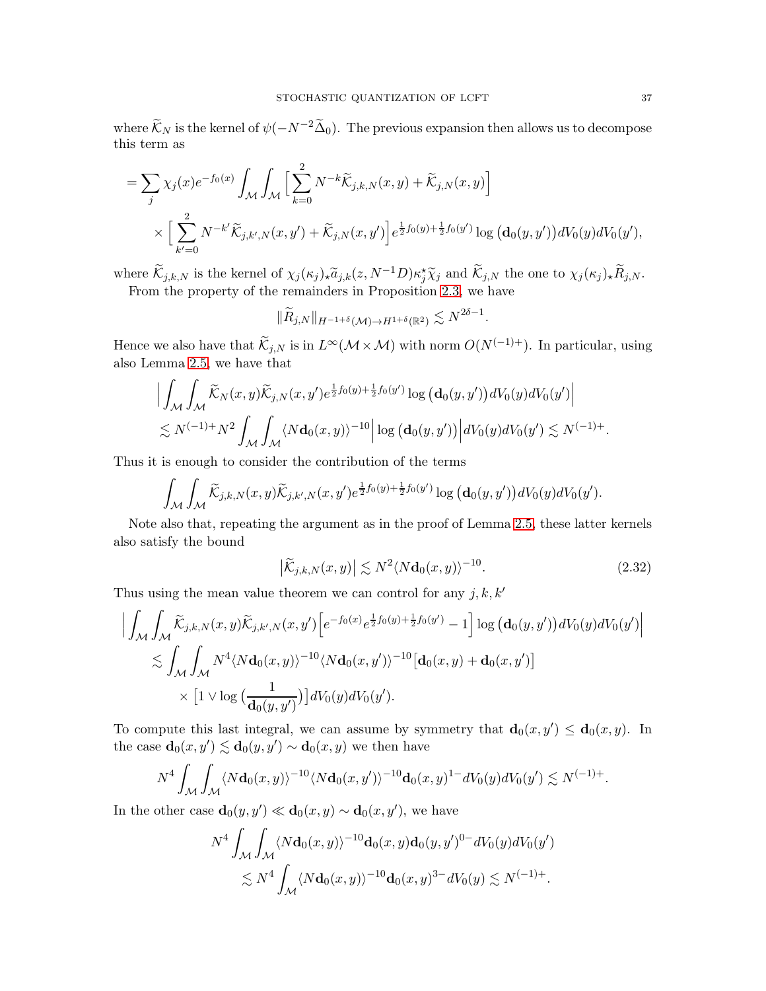where  $\widetilde{\mathcal{K}}_N$  is the kernel of  $\psi(-N^{-2}\widetilde{\Delta}_0)$ . The previous expansion then allows us to decompose this term as

$$
= \sum_{j} \chi_{j}(x) e^{-f_{0}(x)} \int_{\mathcal{M}} \int_{\mathcal{M}} \left[ \sum_{k=0}^{2} N^{-k} \widetilde{\mathcal{K}}_{j,k,N}(x, y) + \widetilde{\mathcal{K}}_{j,N}(x, y) \right]
$$
  
 
$$
\times \left[ \sum_{k'=0}^{2} N^{-k'} \widetilde{\mathcal{K}}_{j,k',N}(x, y') + \widetilde{\mathcal{K}}_{j,N}(x, y') \right] e^{\frac{1}{2} f_{0}(y) + \frac{1}{2} f_{0}(y')} \log (d_{0}(y, y')) dV_{0}(y) dV_{0}(y'),
$$

where  $\widetilde{\mathcal{K}}_{j,k,N}$  is the kernel of  $\chi_j(\kappa_j)_*\widetilde{a}_{j,k}(z,N^{-1}D)\kappa_j^*\widetilde{\chi}_j$  and  $\widetilde{\mathcal{K}}_{j,N}$  the one to  $\chi_j(\kappa_j)_*\widetilde{R}_{j,N}$ . From the property of the remainders in Proposition [2.3,](#page-15-0) we have

$$
\|\widetilde{R}_{j,N}\|_{H^{-1+\delta}(\mathcal{M})\to H^{1+\delta}(\mathbb{R}^2)}\lesssim N^{2\delta-1}.
$$

Hence we also have that  $\widetilde{\mathcal{K}}_{j,N}$  is in  $L^{\infty}(\mathcal{M}\times\mathcal{M})$  with norm  $O(N^{(-1)+})$ . In particular, using also Lemma [2.5,](#page-16-0) we have that

$$
\Big| \int_{\mathcal{M}} \int_{\mathcal{M}} \widetilde{\mathcal{K}}_N(x, y) \widetilde{\mathcal{K}}_{j,N}(x, y') e^{\frac{1}{2} f_0(y) + \frac{1}{2} f_0(y')} \log \big( \mathbf{d}_0(y, y') \big) dV_0(y) dV_0(y') \Big|
$$
  
 
$$
\lesssim N^{(-1)+} N^2 \int_{\mathcal{M}} \int_{\mathcal{M}} \langle N \mathbf{d}_0(x, y) \rangle^{-10} \Big| \log \big( \mathbf{d}_0(y, y') \big) \Big| dV_0(y) dV_0(y') \lesssim N^{(-1)+}.
$$

Thus it is enough to consider the contribution of the terms

$$
\int_{\mathcal{M}} \int_{\mathcal{M}} \widetilde{\mathcal{K}}_{j,k,N}(x,y) \widetilde{\mathcal{K}}_{j,k',N}(x,y') e^{\frac{1}{2}f_0(y)+\frac{1}{2}f_0(y')}\log (\mathbf{d}_0(y,y')) dV_0(y) dV_0(y').
$$

Note also that, repeating the argument as in the proof of Lemma [2.5,](#page-16-0) these latter kernels also satisfy the bound

<span id="page-36-0"></span>
$$
\left|\widetilde{\mathcal{K}}_{j,k,N}(x,y)\right| \lesssim N^2 \langle N\mathbf{d}_0(x,y)\rangle^{-10}.\tag{2.32}
$$

Thus using the mean value theorem we can control for any  $j, k, k'$ 

$$
\Big| \int_{\mathcal{M}} \int_{\mathcal{M}} \widetilde{\mathcal{K}}_{j,k,N}(x,y) \widetilde{\mathcal{K}}_{j,k',N}(x,y') \Big[ e^{-f_0(x)} e^{\frac{1}{2}f_0(y) + \frac{1}{2}f_0(y')} - 1 \Big] \log \big( \mathbf{d}_0(y,y') \big) dV_0(y) dV_0(y') \Big|
$$
  
\$\lesssim \int\_{\mathcal{M}} \int\_{\mathcal{M}} N^4 \langle N \mathbf{d}\_0(x,y) \rangle^{-10} \langle N \mathbf{d}\_0(x,y') \rangle^{-10} \big[ \mathbf{d}\_0(x,y) + \mathbf{d}\_0(x,y') \big] \times \big[ 1 \vee \log \big( \frac{1}{\mathbf{d}\_0(y,y')} \big) \big] dV\_0(y) dV\_0(y').

To compute this last integral, we can assume by symmetry that  $\mathbf{d}_0(x, y') \leq \mathbf{d}_0(x, y)$ . In the case  $\mathbf{d}_0(x, y') \lesssim \mathbf{d}_0(y, y') \sim \mathbf{d}_0(x, y)$  we then have

$$
N^4 \int_{\mathcal{M}} \int_{\mathcal{M}} \langle N \mathbf{d}_0(x, y) \rangle^{-10} \langle N \mathbf{d}_0(x, y') \rangle^{-10} \mathbf{d}_0(x, y)^{1-} dV_0(y) dV_0(y') \lesssim N^{(-1)+}.
$$

In the other case  $\mathbf{d}_0(y, y') \ll \mathbf{d}_0(x, y) \sim \mathbf{d}_0(x, y')$ , we have

$$
N^4 \int_{\mathcal{M}} \int_{\mathcal{M}} \langle N \mathbf{d}_0(x, y) \rangle^{-10} \mathbf{d}_0(x, y) \mathbf{d}_0(y, y')^{0-} dV_0(y) dV_0(y') \leq N^4 \int_{\mathcal{M}} \langle N \mathbf{d}_0(x, y) \rangle^{-10} \mathbf{d}_0(x, y)^{3-} dV_0(y) \lesssim N^{(-1)+}.
$$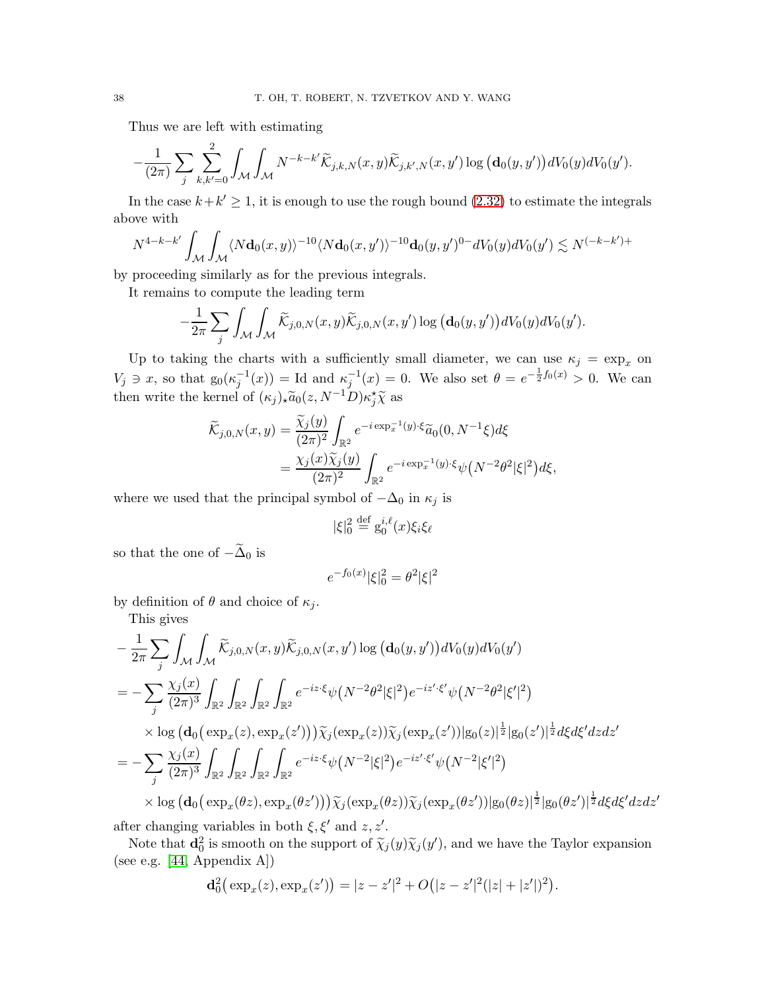Thus we are left with estimating

$$
-\frac{1}{(2\pi)}\sum_{j}\sum_{k,k'=0}^{2}\int_{\mathcal{M}}\int_{\mathcal{M}}N^{-k-k'}\widetilde{\mathcal{K}}_{j,k,N}(x,y)\widetilde{\mathcal{K}}_{j,k',N}(x,y')\log(\mathbf{d}_0(y,y'))dV_0(y)dV_0(y').
$$

In the case  $k + k' \geq 1$ , it is enough to use the rough bound  $(2.32)$  to estimate the integrals above with

$$
N^{4-k-k'}\int_{\mathcal{M}}\int_{\mathcal{M}}\langle N\mathbf{d}_0(x,y)\rangle^{-10}\langle N\mathbf{d}_0(x,y')\rangle^{-10}\mathbf{d}_0(y,y')^{0-}dV_0(y)dV_0(y')\lesssim N^{(-k-k')+}
$$

by proceeding similarly as for the previous integrals.

It remains to compute the leading term

$$
-\frac{1}{2\pi}\sum_{j}\int_{\mathcal{M}}\int_{\mathcal{M}}\widetilde{\mathcal{K}}_{j,0,N}(x,y)\widetilde{\mathcal{K}}_{j,0,N}(x,y')\log(\mathbf{d}_0(y,y'))dV_0(y)dV_0(y').
$$

Up to taking the charts with a sufficiently small diameter, we can use  $\kappa_j = \exp_x$  on  $V_j \ni x$ , so that  $g_0(\kappa_j^{-1}(x)) =$  Id and  $\kappa_j^{-1}(x) = 0$ . We also set  $\theta = e^{-\frac{1}{2}f_0(x)} > 0$ . We can then write the kernel of  $(\kappa_j)_\star \widetilde{a}_0(z, N^{-1}D) \kappa_j^* \widetilde{\chi}$  as

$$
\widetilde{\mathcal{K}}_{j,0,N}(x,y) = \frac{\widetilde{\chi}_j(y)}{(2\pi)^2} \int_{\mathbb{R}^2} e^{-i\exp_x^{-1}(y)\cdot\xi} \widetilde{a}_0(0,N^{-1}\xi) d\xi
$$
  
= 
$$
\frac{\chi_j(x)\widetilde{\chi}_j(y)}{(2\pi)^2} \int_{\mathbb{R}^2} e^{-i\exp_x^{-1}(y)\cdot\xi} \psi(N^{-2}\theta^2|\xi|^2) d\xi,
$$

where we used that the principal symbol of  $-\Delta_0$  in  $\kappa_j$  is

$$
|\xi|_0^2 \stackrel{\text{def}}{=} g_0^{i,\ell}(x)\xi_i\xi_\ell
$$

so that the one of  $-\widetilde{\Delta}_0$  is

$$
e^{-f_0(x)}|\xi|^2_0 = \theta^2|\xi|^2
$$

by definition of  $\theta$  and choice of  $\kappa_j$ .

This gives

$$
-\frac{1}{2\pi} \sum_{j} \int_{\mathcal{M}} \int_{\mathcal{M}} \widetilde{\mathcal{K}}_{j,0,N}(x,y) \widetilde{\mathcal{K}}_{j,0,N}(x,y') \log ( \mathbf{d}_{0}(y,y')) dV_{0}(y) dV_{0}(y')
$$
  
\n
$$
= -\sum_{j} \frac{\chi_{j}(x)}{(2\pi)^{3}} \int_{\mathbb{R}^{2}} \int_{\mathbb{R}^{2}} \int_{\mathbb{R}^{2}} \int_{\mathbb{R}^{2}} e^{-iz \cdot \xi} \psi \left(N^{-2} \theta^{2} |\xi|^{2}\right) e^{-iz' \cdot \xi'} \psi \left(N^{-2} \theta^{2} |\xi'|^{2}\right)
$$
  
\n
$$
\times \log (\mathbf{d}_{0}(\exp_{x}(z), \exp_{x}(z')))\widetilde{\chi}_{j}(\exp_{x}(z))\widetilde{\chi}_{j}(\exp_{x}(z')) |g_{0}(z)|^{\frac{1}{2}} |g_{0}(z')|^{\frac{1}{2}} d\xi d\xi' dz dz'
$$
  
\n
$$
= -\sum_{j} \frac{\chi_{j}(x)}{(2\pi)^{3}} \int_{\mathbb{R}^{2}} \int_{\mathbb{R}^{2}} \int_{\mathbb{R}^{2}} \int_{\mathbb{R}^{2}} e^{-iz \cdot \xi} \psi \left(N^{-2} |\xi|^{2}\right) e^{-iz' \cdot \xi'} \psi \left(N^{-2} |\xi'|^{2}\right)
$$
  
\n
$$
\times \log (\mathbf{d}_{0}(\exp_{x}(\theta z), \exp_{x}(\theta z')))\widetilde{\chi}_{j}(\exp_{x}(\theta z))\widetilde{\chi}_{j}(\exp_{x}(\theta z')) |g_{0}(\theta z)|^{\frac{1}{2}} |g_{0}(\theta z')|^{\frac{1}{2}} d\xi d\xi' dz dz'
$$

after changing variables in both  $\xi, \xi'$  and  $z, z'$ .

Note that  $\mathbf{d}_0^2$  is smooth on the support of  $\tilde{\chi}_j(y)\tilde{\chi}_j(y')$ , and we have the Taylor expansion (see e.g. [\[44,](#page-76-0) Appendix A])

$$
\mathbf{d}_0^2(\exp_x(z), \exp_x(z')) = |z - z'|^2 + O(|z - z'|^2(|z| + |z'|)^2).
$$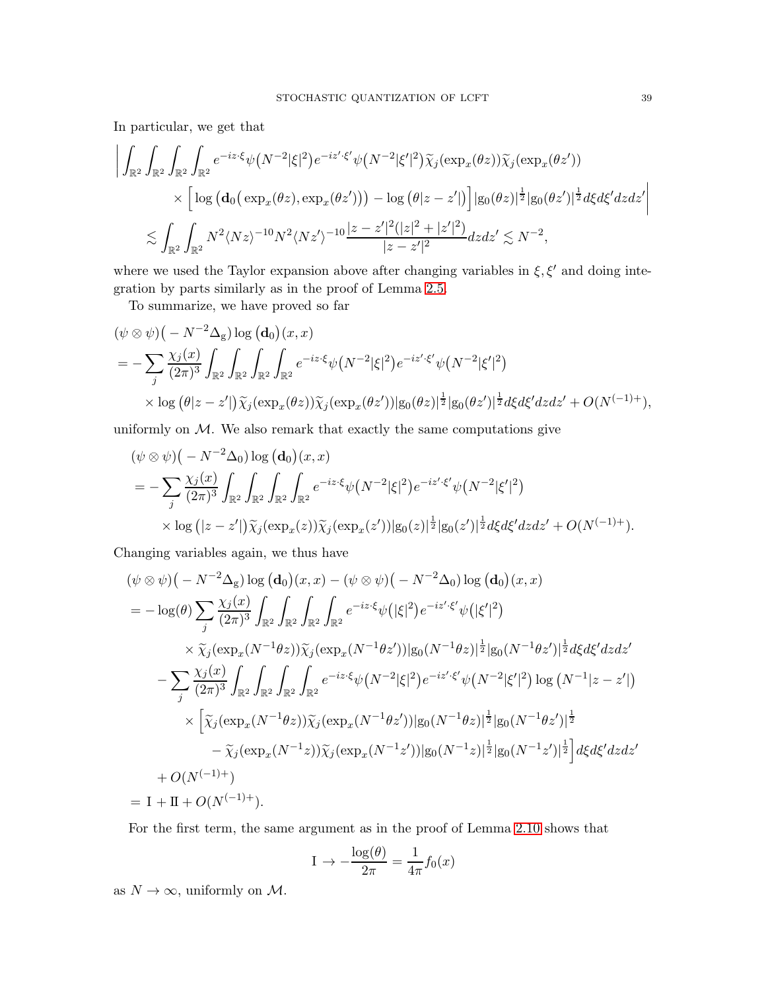In particular, we get that

$$
\left| \int_{\mathbb{R}^2} \int_{\mathbb{R}^2} \int_{\mathbb{R}^2} \int_{\mathbb{R}^2} e^{-iz\cdot\xi} \psi(N^{-2}|\xi|^2) e^{-iz'\cdot\xi'} \psi(N^{-2}|\xi'|^2) \widetilde{\chi}_j(\exp_x(\theta z)) \widetilde{\chi}_j(\exp_x(\theta z')) \times \left[ \log \left( \mathbf{d}_0 \left( \exp_x(\theta z), \exp_x(\theta z') \right) \right) - \log \left( \theta |z - z'| \right) \right] \left| g_0(\theta z) \right|^{\frac{1}{2}} \left| g_0(\theta z') \right|^{\frac{1}{2}} d\xi d\xi' dz dz' \right| \n\lesssim \int_{\mathbb{R}^2} \int_{\mathbb{R}^2} N^2 \langle N z \rangle^{-10} N^2 \langle N z' \rangle^{-10} \frac{|z - z'|^2 (|z|^2 + |z'|^2)}{|z - z'|^2} dz dz' \lesssim N^{-2},
$$

where we used the Taylor expansion above after changing variables in  $\xi, \xi'$  and doing integration by parts similarly as in the proof of Lemma [2.5.](#page-16-0)

To summarize, we have proved so far

$$
\begin{split} & (\psi \otimes \psi) \big( - N^{-2} \Delta_{g} \big) \log \big( \mathbf{d}_{0} \big) (x, x) \\ & = - \sum_{j} \frac{\chi_{j}(x)}{(2\pi)^{3}} \int_{\mathbb{R}^{2}} \int_{\mathbb{R}^{2}} \int_{\mathbb{R}^{2}} \int_{\mathbb{R}^{2}} e^{-iz \cdot \xi} \psi \big( N^{-2} |\xi|^{2} \big) e^{-iz' \cdot \xi'} \psi \big( N^{-2} |\xi'|^{2} \big) \\ & \times \log \big( \theta |z - z'| \big) \widetilde{\chi}_{j} \big( \exp_{x}(\theta z) \big) \widetilde{\chi}_{j} \big( \exp_{x}(\theta z') \big) |g_{0}(\theta z)|^{\frac{1}{2}} |g_{0}(\theta z')|^{\frac{1}{2}} d\xi d\xi' dz dz' + O(N^{(-1)+}), \end{split}
$$

uniformly on  $M$ . We also remark that exactly the same computations give

$$
\begin{split} & (\psi \otimes \psi) \big( -N^{-2} \Delta_0 \big) \log \big( \mathbf{d}_0 \big) (x, x) \\ & = -\sum_j \frac{\chi_j(x)}{(2\pi)^3} \int_{\mathbb{R}^2} \int_{\mathbb{R}^2} \int_{\mathbb{R}^2} \int_{\mathbb{R}^2} e^{-iz \cdot \xi} \psi \big( N^{-2} |\xi|^2 \big) e^{-iz' \cdot \xi'} \psi \big( N^{-2} |\xi'|^2 \big) \\ & \times \log \big( |z - z'| \big) \widetilde{\chi}_j(\exp_x(z)) \widetilde{\chi}_j(\exp_x(z')) |g_0(z)|^{\frac{1}{2}} |g_0(z')|^{\frac{1}{2}} d\xi d\xi' dz dz' + O(N^{(-1)+}). \end{split}
$$

Changing variables again, we thus have

$$
(\psi \otimes \psi) \left( -N^{-2} \Delta_{g} \right) \log \left( \mathbf{d}_{0} \right) (x, x) - (\psi \otimes \psi) \left( -N^{-2} \Delta_{0} \right) \log \left( \mathbf{d}_{0} \right) (x, x)
$$
  
\n
$$
= -\log(\theta) \sum_{j} \frac{\chi_{j}(x)}{(2\pi)^{3}} \int_{\mathbb{R}^{2}} \int_{\mathbb{R}^{2}} \int_{\mathbb{R}^{2}} \int_{\mathbb{R}^{2}} e^{-iz \cdot \xi} \psi(|\xi|^{2}) e^{-iz' \cdot \xi'} \psi(|\xi'|^{2})
$$
  
\n
$$
\times \tilde{\chi}_{j}(\exp_{x}(N^{-1}\theta z)) \tilde{\chi}_{j}(\exp_{x}(N^{-1}\theta z')) |g_{0}(N^{-1}\theta z)|^{\frac{1}{2}} |g_{0}(N^{-1}\theta z')|^{\frac{1}{2}} d\xi d\xi' dz dz'
$$
  
\n
$$
- \sum_{j} \frac{\chi_{j}(x)}{(2\pi)^{3}} \int_{\mathbb{R}^{2}} \int_{\mathbb{R}^{2}} \int_{\mathbb{R}^{2}} \int_{\mathbb{R}^{2}} e^{-iz \cdot \xi} \psi(N^{-2}|\xi|^{2}) e^{-iz' \cdot \xi'} \psi(N^{-2}|\xi'|^{2}) \log (N^{-1}|z - z'|)
$$
  
\n
$$
\times \left[ \tilde{\chi}_{j}(\exp_{x}(N^{-1}\theta z)) \tilde{\chi}_{j}(\exp_{x}(N^{-1}\theta z')) |g_{0}(N^{-1}\theta z)|^{\frac{1}{2}} |g_{0}(N^{-1}\theta z')|^{\frac{1}{2}} - \tilde{\chi}_{j}(\exp_{x}(N^{-1}z)) \tilde{\chi}_{j}(\exp_{x}(N^{-1}z')) |g_{0}(N^{-1}z)|^{\frac{1}{2}} |g_{0}(N^{-1}z')|^{\frac{1}{2}} \right] d\xi d\xi' dz dz'
$$
  
\n
$$
+ O(N^{(-1)+})
$$
  
\n
$$
= I + II + O(N^{(-1)+}).
$$

For the first term, the same argument as in the proof of Lemma [2.10](#page-26-0) shows that

$$
I \to -\frac{\log(\theta)}{2\pi} = \frac{1}{4\pi} f_0(x)
$$

as  $N \to \infty$ , uniformly on M.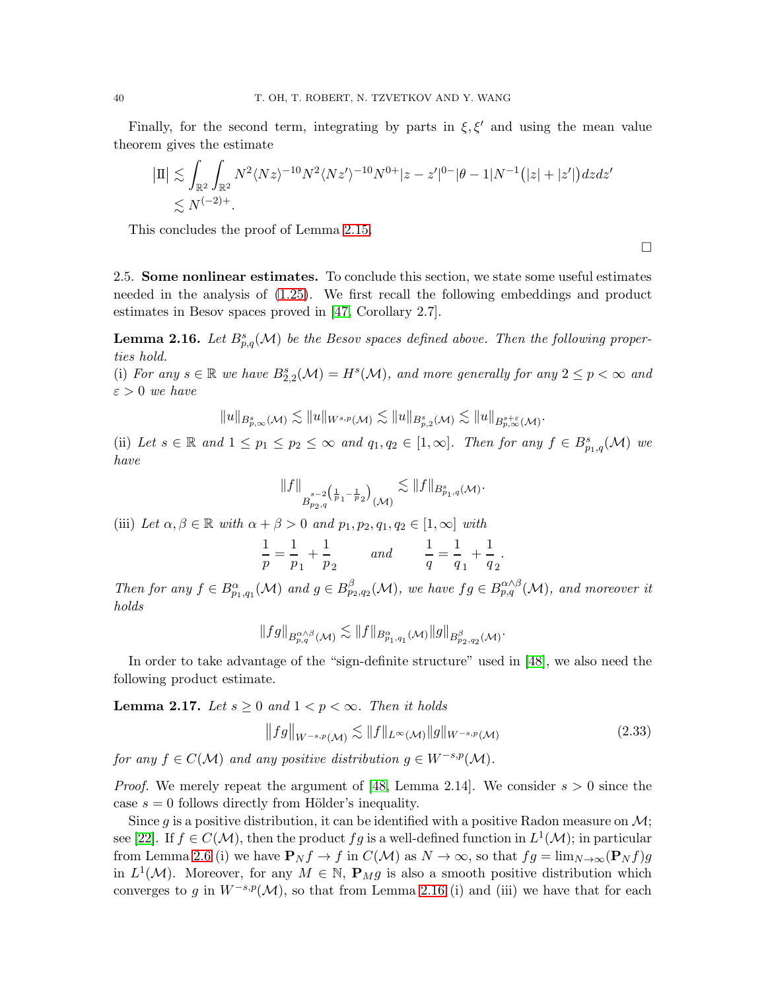Finally, for the second term, integrating by parts in  $\xi, \xi'$  and using the mean value theorem gives the estimate

$$
\begin{aligned} \big|\Pi\big|&\lesssim \int_{\mathbb{R}^2}\int_{\mathbb{R}^2}N^2\langle Nz\rangle^{-10}N^2\langle Nz'\rangle^{-10}N^{0+}|z-z'|^{0-}|\theta-1|N^{-1}\big(|z|+|z'|\big)dzdz'\\ &\lesssim N^{(-2)+}.\end{aligned}
$$

This concludes the proof of Lemma [2.15.](#page-34-0)

2.5. Some nonlinear estimates. To conclude this section, we state some useful estimates needed in the analysis of [\(1.25\)](#page-8-0). We first recall the following embeddings and product estimates in Besov spaces proved in [\[47,](#page-76-1) Corollary 2.7].

 $\Box$ 

<span id="page-39-0"></span>**Lemma 2.16.** Let  $B_{p,q}^s(\mathcal{M})$  be the Besov spaces defined above. Then the following proper*ties hold.*

(i) For any  $s \in \mathbb{R}$  we have  $B_{2,2}^s(\mathcal{M}) = H^s(\mathcal{M})$ , and more generally for any  $2 \le p < \infty$  and ε > 0 *we have*

$$
||u||_{B_{p,\infty}^s(\mathcal{M})}\lesssim ||u||_{W^{s,p}(\mathcal{M})}\lesssim ||u||_{B_{p,2}^s(\mathcal{M})}\lesssim ||u||_{B_{p,\infty}^{s+\varepsilon}(\mathcal{M})}.
$$

(ii) Let  $s \in \mathbb{R}$  and  $1 \leq p_1 \leq p_2 \leq \infty$  and  $q_1, q_2 \in [1, \infty]$ . Then for any  $f \in B^s_{p_1,q}(\mathcal{M})$  we *have*

$$
||f||_{B^{s-2}_{p_2,q}\left(\frac{1}{p_1}-\frac{1}{p_2}\right)(\mathcal{M})} \lesssim ||f||_{B^{s}_{p_1,q}(\mathcal{M})}.
$$

(iii) Let  $\alpha, \beta \in \mathbb{R}$  *with*  $\alpha + \beta > 0$  *and*  $p_1, p_2, q_1, q_2 \in [1, \infty]$  *with* 

$$
\frac{1}{p} = \frac{1}{p_1} + \frac{1}{p_2} \hspace{1cm} and \hspace{1cm} \frac{1}{q} = \frac{1}{q_1} + \frac{1}{q_2}.
$$

*Then for any*  $f \in B^{\alpha}_{p_1,q_1}(\mathcal{M})$  *and*  $g \in B^{\beta}_{p_2,q_2}(\mathcal{M})$ *, we have*  $fg \in B^{\alpha \wedge \beta}_{p,q}(\mathcal{M})$ *, and moreover it holds*

$$
||fg||_{B^{\alpha\wedge\beta}_{p,q}(\mathcal{M})}\lesssim ||f||_{B^{\alpha}_{p_1,q_1}(\mathcal{M})}||g||_{B^{\beta}_{p_2,q_2}(\mathcal{M})}.
$$

In order to take advantage of the "sign-definite structure" used in [\[48\]](#page-76-2), we also need the following product estimate.

<span id="page-39-2"></span>**Lemma 2.17.** *Let*  $s \geq 0$  *and*  $1 < p < \infty$ *. Then it holds* 

<span id="page-39-1"></span>
$$
||fg||_{W^{-s,p}(\mathcal{M})} \lesssim ||f||_{L^{\infty}(\mathcal{M})} ||g||_{W^{-s,p}(\mathcal{M})}
$$
\n(2.33)

*for any*  $f \in C(\mathcal{M})$  *and any positive distribution*  $g \in W^{-s,p}(\mathcal{M})$ *.* 

*Proof.* We merely repeat the argument of [\[48,](#page-76-2) Lemma 2.14]. We consider  $s > 0$  since the case  $s = 0$  follows directly from Hölder's inequality.

Since g is a positive distribution, it can be identified with a positive Radon measure on  $\mathcal{M}$ ; see [\[22\]](#page-75-0). If  $f \in C(\mathcal{M})$ , then the product  $fg$  is a well-defined function in  $L^1(\mathcal{M})$ ; in particular from Lemma [2.6](#page-18-0) (i) we have  $P_N f \to f$  in  $C(\mathcal{M})$  as  $N \to \infty$ , so that  $fg = \lim_{N \to \infty} (P_N f)g$ in  $L^1(\mathcal{M})$ . Moreover, for any  $M \in \mathbb{N}$ ,  $\mathbf{P}_M g$  is also a smooth positive distribution which converges to g in  $W^{-s,p}(\mathcal{M})$ , so that from Lemma [2.16](#page-39-0) (i) and (iii) we have that for each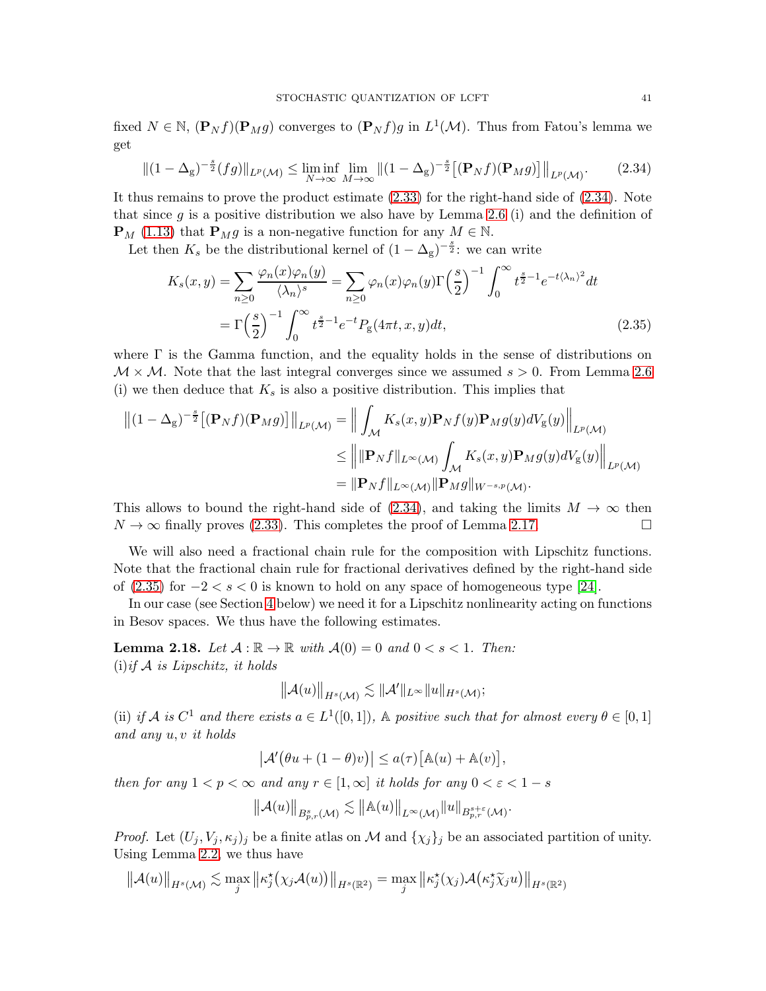fixed  $N \in \mathbb{N}$ ,  $(\mathbf{P}_N f)(\mathbf{P}_M g)$  converges to  $(\mathbf{P}_N f)g$  in  $L^1(\mathcal{M})$ . Thus from Fatou's lemma we get

$$
\|(1-\Delta_g)^{-\frac{s}{2}}(fg)\|_{L^p(\mathcal{M})}\leq \liminf_{N\to\infty}\lim_{M\to\infty}\|(1-\Delta_g)^{-\frac{s}{2}}\big[(\mathbf{P}_Nf)(\mathbf{P}_Mg)\big]\|_{L^p(\mathcal{M})}.\tag{2.34}
$$

It thus remains to prove the product estimate [\(2.33\)](#page-39-1) for the right-hand side of [\(2.34\)](#page-40-0). Note that since g is a positive distribution we also have by Lemma [2.6](#page-18-0) (i) and the definition of  $\mathbf{P}_M$  [\(1.13\)](#page-4-0) that  $\mathbf{P}_M g$  is a non-negative function for any  $M \in \mathbb{N}$ .

Let then  $K_s$  be the distributional kernel of  $(1 - \Delta_g)^{-\frac{s}{2}}$ : we can write

<span id="page-40-1"></span><span id="page-40-0"></span>
$$
K_s(x,y) = \sum_{n\geq 0} \frac{\varphi_n(x)\varphi_n(y)}{\langle \lambda_n \rangle^s} = \sum_{n\geq 0} \varphi_n(x)\varphi_n(y)\Gamma\left(\frac{s}{2}\right)^{-1} \int_0^\infty t^{\frac{s}{2}-1} e^{-t\langle \lambda_n \rangle^2} dt
$$

$$
= \Gamma\left(\frac{s}{2}\right)^{-1} \int_0^\infty t^{\frac{s}{2}-1} e^{-t} P_g(4\pi t, x, y) dt,
$$
(2.35)

where  $\Gamma$  is the Gamma function, and the equality holds in the sense of distributions on  $M \times M$ . Note that the last integral converges since we assumed  $s > 0$ . From Lemma [2.6](#page-18-0) (i) we then deduce that  $K_s$  is also a positive distribution. This implies that

$$
\begin{aligned} \left\| (1 - \Delta_{\mathbf{g}})^{-\frac{s}{2}} \left[ (\mathbf{P}_N f)(\mathbf{P}_M g) \right] \right\|_{L^p(\mathcal{M})} &= \left\| \int_{\mathcal{M}} K_s(x, y) \mathbf{P}_N f(y) \mathbf{P}_M g(y) dV_{\mathbf{g}}(y) \right\|_{L^p(\mathcal{M})} \\ &\le \left\| \|\mathbf{P}_N f\|_{L^\infty(\mathcal{M})} \int_{\mathcal{M}} K_s(x, y) \mathbf{P}_M g(y) dV_{\mathbf{g}}(y) \right\|_{L^p(\mathcal{M})} \\ &= \|\mathbf{P}_N f\|_{L^\infty(\mathcal{M})} \|\mathbf{P}_M g\|_{W^{-s,p}(\mathcal{M})} .\end{aligned}
$$

This allows to bound the right-hand side of [\(2.34\)](#page-40-0), and taking the limits  $M \to \infty$  then  $N \to \infty$  finally proves (2.33). This completes the proof of Lemma 2.17.  $N \to \infty$  finally proves [\(2.33\)](#page-39-1). This completes the proof of Lemma [2.17.](#page-39-2)

We will also need a fractional chain rule for the composition with Lipschitz functions. Note that the fractional chain rule for fractional derivatives defined by the right-hand side of  $(2.35)$  for  $-2 < s < 0$  is known to hold on any space of homogeneous type [\[24\]](#page-75-1).

In our case (see Section [4](#page-64-0) below) we need it for a Lipschitz nonlinearity acting on functions in Besov spaces. We thus have the following estimates.

<span id="page-40-2"></span>**Lemma 2.18.** Let  $A : \mathbb{R} \to \mathbb{R}$  with  $A(0) = 0$  and  $0 < s < 1$ . Then: (i)*if* A *is Lipschitz, it holds*

$$
\big\|\mathcal{A}(u)\big\|_{H^s(\mathcal{M})}\lesssim \|\mathcal{A}'\|_{L^\infty}\|u\|_{H^s(\mathcal{M})};
$$

(ii) *if* A *is*  $C^1$  *and there exists*  $a \in L^1([0,1])$ *,* A *positive such that for almost every*  $\theta \in [0,1]$ *and any* u, v *it holds*

$$
\left|\mathcal{A}'\big(\theta u+(1-\theta)v\big)\right|\leq a(\tau)\big[\mathbb{A}(u)+\mathbb{A}(v)\big],
$$

*then for any*  $1 < p < \infty$  *and any*  $r \in [1, \infty]$  *it holds for any*  $0 < \varepsilon < 1 - s$ 

$$
||\mathcal{A}(u)||_{B^{s}_{p,r}(\mathcal{M})} \lesssim ||\mathbb{A}(u)||_{L^{\infty}(\mathcal{M})} ||u||_{B^{s+\varepsilon}_{p,r}(\mathcal{M})}.
$$

*Proof.* Let  $(U_j, V_j, \kappa_j)_j$  be a finite atlas on M and  $\{\chi_j\}_j$  be an associated partition of unity. Using Lemma [2.2,](#page-15-1) we thus have

$$
||\mathcal{A}(u)||_{H^s(\mathcal{M})} \lesssim \max_j ||\kappa_j^{\star}(\chi_j \mathcal{A}(u))||_{H^s(\mathbb{R}^2)} = \max_j ||\kappa_j^{\star}(\chi_j) \mathcal{A}(\kappa_j^{\star} \widetilde{\chi}_j u)||_{H^s(\mathbb{R}^2)}
$$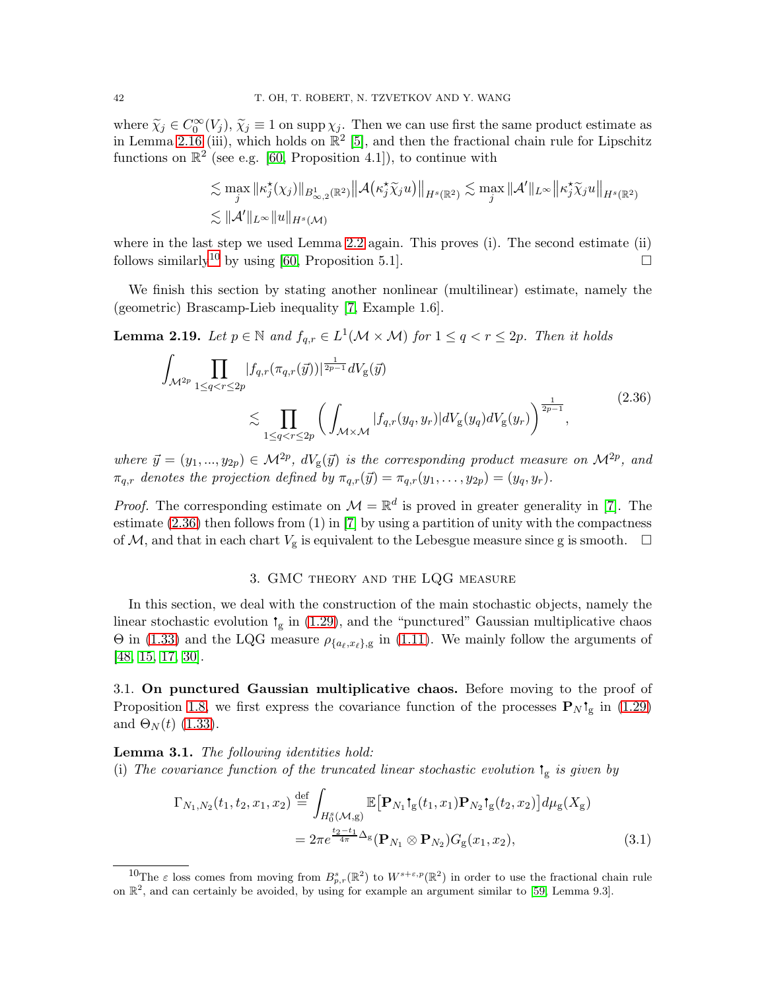where  $\tilde{\chi}_j \in C_0^{\infty}(V_j)$ ,  $\tilde{\chi}_j \equiv 1$  on supp $\chi_j$ . Then we can use first the same product estimate as in Lemma [2.16](#page-39-0) (iii), which holds on  $\mathbb{R}^2$  [\[5\]](#page-74-0), and then the fractional chain rule for Lipschitz functions on  $\mathbb{R}^2$  (see e.g. [\[60,](#page-76-3) Proposition 4.1]), to continue with

$$
\lesssim \max_j \|\kappa_j^{\star}(\chi_j)\|_{B^1_{\infty,2}(\mathbb{R}^2)} \|\mathcal{A}(\kappa_j^{\star}\widetilde{\chi}_ju)\|_{H^s(\mathbb{R}^2)} \lesssim \max_j \|\mathcal{A}'\|_{L^{\infty}} \|\kappa_j^{\star}\widetilde{\chi}_ju\|_{H^s(\mathbb{R}^2)}
$$
  

$$
\lesssim \|\mathcal{A}'\|_{L^{\infty}} \|u\|_{H^s(\mathcal{M})}
$$

where in the last step we used Lemma [2.2](#page-15-1) again. This proves (i). The second estimate (ii) follows similarly<sup>[10](#page-41-0)</sup> by using [\[60,](#page-76-3) Proposition 5.1].

We finish this section by stating another nonlinear (multilinear) estimate, namely the (geometric) Brascamp-Lieb inequality [\[7,](#page-74-1) Example 1.6].

<span id="page-41-4"></span>**Lemma 2.19.** *Let*  $p \in \mathbb{N}$  *and*  $f_{q,r} \in L^1(\mathcal{M} \times \mathcal{M})$  *for*  $1 \leq q < r \leq 2p$ *. Then it holds* 

$$
\int_{\mathcal{M}^{2p}} \prod_{1 \le q < r \le 2p} |f_{q,r}(\pi_{q,r}(\vec{y}))|^{\frac{1}{2p-1}} dV_g(\vec{y})
$$
\n
$$
\lesssim \prod_{1 \le q < r \le 2p} \left( \int_{\mathcal{M} \times \mathcal{M}} |f_{q,r}(y_q, y_r)| dV_g(y_q) dV_g(y_r) \right)^{\frac{1}{2p-1}},\tag{2.36}
$$

 $where \ \vec{y} = (y_1, ..., y_{2p}) \in \mathcal{M}^{2p}, dV_g(\vec{y})$  *is the corresponding product measure on*  $\mathcal{M}^{2p}$ *, and*  $\pi_{q,r}$  denotes the projection defined by  $\pi_{q,r}(\vec{y}) = \pi_{q,r}(y_1, \ldots, y_{2p}) = (y_q, y_r)$ .

*Proof.* The corresponding estimate on  $\mathcal{M} = \mathbb{R}^d$  is proved in greater generality in [\[7\]](#page-74-1). The estimate [\(2.36\)](#page-41-1) then follows from (1) in [\[7\]](#page-74-1) by using a partition of unity with the compactness of M, and that in each chart  $V_g$  is equivalent to the Lebesgue measure since g is smooth.  $\Box$ 

## <span id="page-41-2"></span><span id="page-41-1"></span>3. GMC theory and the LQG measure

In this section, we deal with the construction of the main stochastic objects, namely the linear stochastic evolution  $\mathbf{I}_{g}$  in [\(1.29\)](#page-10-0), and the "punctured" Gaussian multiplicative chaos  $\Theta$  in [\(1.33\)](#page-11-0) and the LQG measure  $\rho_{\{a_\ell, x_\ell\}, g}$  in [\(1.11\)](#page-4-1). We mainly follow the arguments of [\[48,](#page-76-2) [15,](#page-75-2) [17,](#page-75-3) [30\]](#page-75-4).

3.1. On punctured Gaussian multiplicative chaos. Before moving to the proof of Proposition [1.8,](#page-11-1) we first express the covariance function of the processes  $P_N I_g$  in [\(1.29\)](#page-10-0) and  $\Theta_N(t)$  [\(1.33\)](#page-11-0).

<span id="page-41-3"></span>Lemma 3.1. *The following identities hold:* (i) The covariance function of the truncated linear stochastic evolution  $\mathbf{I}_{g}$  is given by

$$
\Gamma_{N_1,N_2}(t_1, t_2, x_1, x_2) \stackrel{\text{def}}{=} \int_{H_0^s(\mathcal{M}, g)} \mathbb{E}[\mathbf{P}_{N_1} \mathbf{1}_g(t_1, x_1) \mathbf{P}_{N_2} \mathbf{1}_g(t_2, x_2)] d\mu_g(X_g)
$$
  

$$
= 2\pi e^{\frac{t_2 - t_1}{4\pi} \Delta_g} (\mathbf{P}_{N_1} \otimes \mathbf{P}_{N_2}) G_g(x_1, x_2), \tag{3.1}
$$

<span id="page-41-0"></span><sup>&</sup>lt;sup>10</sup>The  $\varepsilon$  loss comes from moving from  $B_{p,r}^s(\mathbb{R}^2)$  to  $W^{s+\varepsilon,p}(\mathbb{R}^2)$  in order to use the fractional chain rule on  $\mathbb{R}^2$ , and can certainly be avoided, by using for example an argument similar to [\[59,](#page-76-4) Lemma 9.3].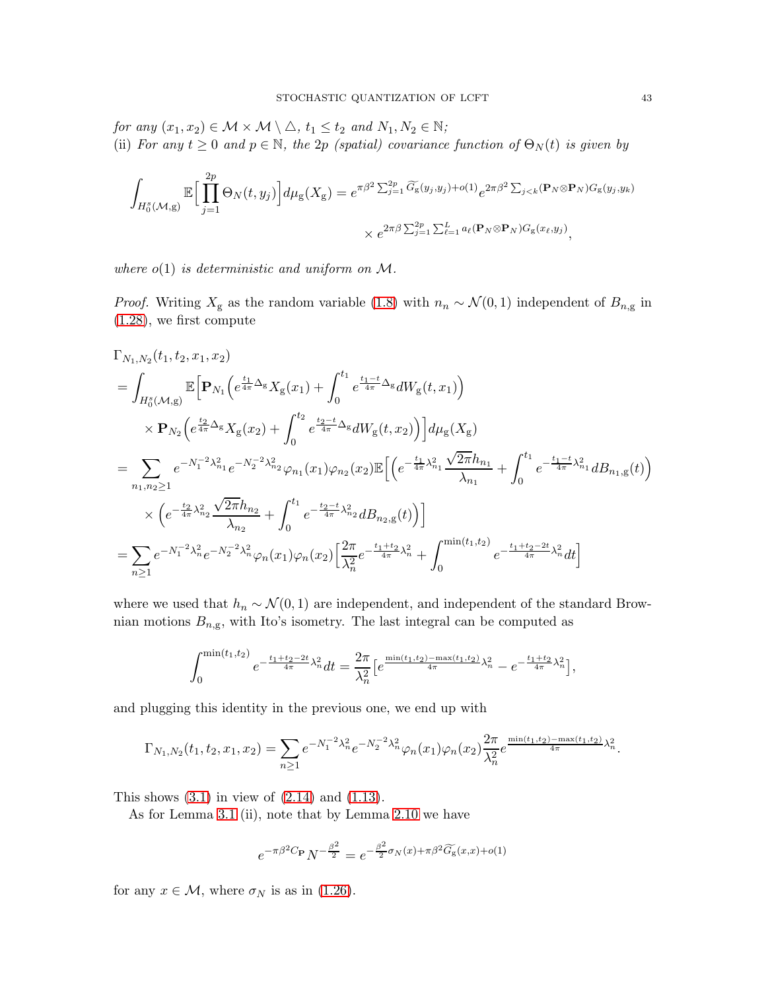*for any*  $(x_1, x_2) \in M \times M \setminus \triangle$ ,  $t_1 \le t_2$  *and*  $N_1, N_2 \in \mathbb{N}$ ; (ii) *For any*  $t \geq 0$  *and*  $p \in \mathbb{N}$ *, the* 2p *(spatial) covariance function of*  $\Theta_N(t)$  *is given by* 

$$
\int_{H_0^s(\mathcal{M},g)} \mathbb{E}\Big[\prod_{j=1}^{2p} \Theta_N(t,y_j)\Big] d\mu_g(X_g) = e^{\pi \beta^2 \sum_{j=1}^{2p} \widetilde{G}_g(y_j,y_j) + o(1)} e^{2\pi \beta^2 \sum_{j < k} (\mathbf{P}_N \otimes \mathbf{P}_N) G_g(y_j,y_k)} \times e^{2\pi \beta \sum_{j=1}^{2p} \sum_{\ell=1}^L a_\ell (\mathbf{P}_N \otimes \mathbf{P}_N) G_g(x_\ell,y_j)},
$$

*where* o(1) *is deterministic and uniform on* M*.*

*Proof.* Writing  $X_g$  as the random variable [\(1.8\)](#page-3-0) with  $n_n \sim \mathcal{N}(0, 1)$  independent of  $B_{n,g}$  in [\(1.28\)](#page-10-1), we first compute

$$
\Gamma_{N_1,N_2}(t_1, t_2, x_1, x_2)
$$
\n
$$
= \int_{H_0^s(\mathcal{M}, g)} \mathbb{E}\Big[\mathbf{P}_{N_1}\Big(e^{\frac{t_1}{4\pi}\Delta_g} X_g(x_1) + \int_0^{t_1} e^{\frac{t_1-t}{4\pi}\Delta_g} dW_g(t, x_1)\Big)
$$
\n
$$
\times \mathbf{P}_{N_2}\Big(e^{\frac{t_2}{4\pi}\Delta_g} X_g(x_2) + \int_0^{t_2} e^{\frac{t_2-t}{4\pi}\Delta_g} dW_g(t, x_2)\Big)\Big] d\mu_g(X_g)
$$
\n
$$
= \sum_{n_1, n_2 \ge 1} e^{-N_1^{-2}\lambda_{n_1}^2} e^{-N_2^{-2}\lambda_{n_2}^2} \varphi_{n_1}(x_1) \varphi_{n_2}(x_2) \mathbb{E}\Big[\Big(e^{-\frac{t_1}{4\pi}\lambda_{n_1}^2} \frac{\sqrt{2\pi}h_{n_1}}{\lambda_{n_1}} + \int_0^{t_1} e^{-\frac{t_1-t}{4\pi}\lambda_{n_1}^2} dB_{n_1,g}(t)\Big)
$$
\n
$$
\times \Big(e^{-\frac{t_2}{4\pi}\lambda_{n_2}^2} \frac{\sqrt{2\pi}h_{n_2}}{\lambda_{n_2}} + \int_0^{t_1} e^{-\frac{t_2-t}{4\pi}\lambda_{n_2}^2} dB_{n_2,g}(t)\Big)\Big]
$$
\n
$$
= \sum_{n \ge 1} e^{-N_1^{-2}\lambda_n^2} e^{-N_2^{-2}\lambda_n^2} \varphi_n(x_1) \varphi_n(x_2) \Big[\frac{2\pi}{\lambda_n^2} e^{-\frac{t_1+t_2}{4\pi}\lambda_n^2} + \int_0^{\min(t_1, t_2)} e^{-\frac{t_1+t_2-2t}{4\pi}\lambda_n^2} d\mu\Big]
$$

where we used that  $h_n \sim \mathcal{N}(0, 1)$  are independent, and independent of the standard Brownian motions  $B_{n,g}$ , with Ito's isometry. The last integral can be computed as

$$
\int_0^{\min(t_1,t_2)} e^{-\frac{t_1+t_2-2t}{4\pi}\lambda_n^2} dt = \frac{2\pi}{\lambda_n^2} \left[e^{\frac{\min(t_1,t_2)-\max(t_1,t_2)}{4\pi}\lambda_n^2} - e^{-\frac{t_1+t_2}{4\pi}\lambda_n^2}\right],
$$

and plugging this identity in the previous one, we end up with

$$
\Gamma_{N_1,N_2}(t_1,t_2,x_1,x_2) = \sum_{n\geq 1} e^{-N_1^{-2}\lambda_n^2} e^{-N_2^{-2}\lambda_n^2} \varphi_n(x_1) \varphi_n(x_2) \frac{2\pi}{\lambda_n^2} e^{\frac{\min(t_1,t_2) - \max(t_1,t_2)}{4\pi}\lambda_n^2}.
$$

This shows  $(3.1)$  in view of  $(2.14)$  and  $(1.13)$ .

As for Lemma [3.1](#page-41-3) (ii), note that by Lemma [2.10](#page-26-0) we have

$$
e^{-\pi\beta^2 C_{\mathbf{P}}} N^{-\frac{\beta^2}{2}} = e^{-\frac{\beta^2}{2}\sigma_N(x) + \pi\beta^2 \widetilde{G}_{\mathbf{g}}(x,x) + o(1)}
$$

for any  $x \in \mathcal{M}$ , where  $\sigma_N$  is as in [\(1.26\)](#page-8-1).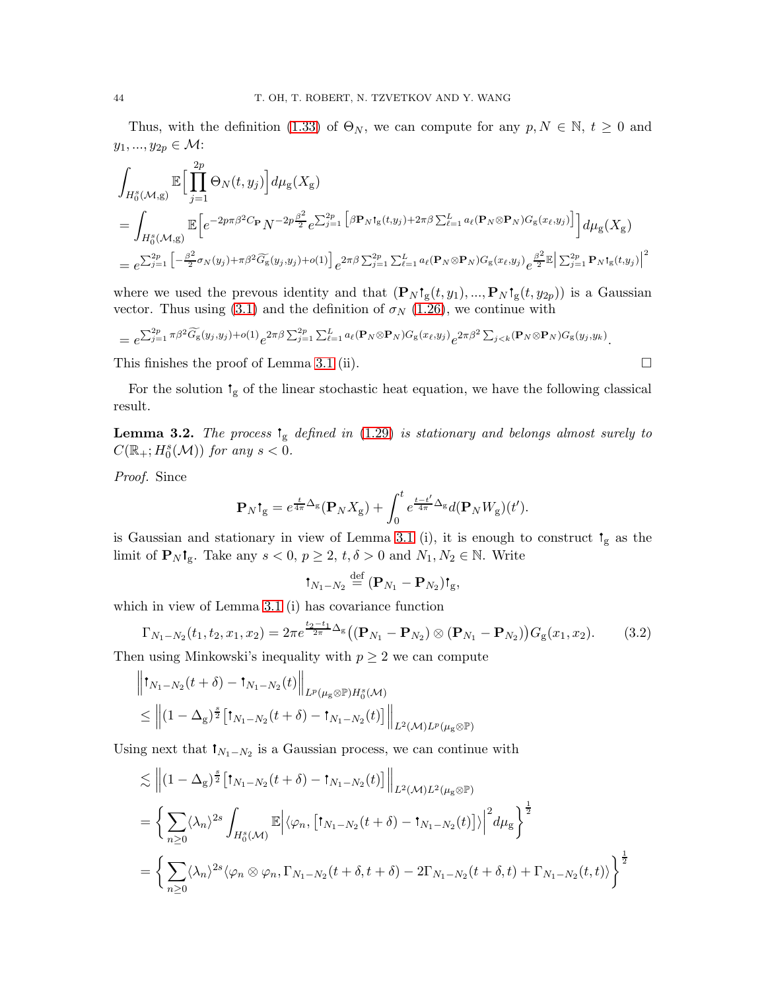Thus, with the definition [\(1.33\)](#page-11-0) of  $\Theta_N$ , we can compute for any  $p, N \in \mathbb{N}$ ,  $t \geq 0$  and  $y_1, ..., y_{2p} \in \mathcal{M}$ :

$$
\begin{split} &\int_{H_0^s(\mathcal{M},\mathrm{g})}\mathbb{E}\Big[\prod_{j=1}^{2p}\Theta_N(t,y_j)\Big]d\mu_{\mathrm{g}}(X_{\mathrm{g}})\\ &=\int_{H_0^s(\mathcal{M},\mathrm{g})}\mathbb{E}\Big[e^{-2p\pi\beta^2C_{\mathbf{P}}}N^{-2p\frac{\beta^2}{2}}e^{\sum_{j=1}^{2p}\big[\beta\mathbf{P}_N\mathbf{1}_{\mathrm{g}}(t,y_j)+2\pi\beta\sum_{\ell=1}^La_{\ell}(\mathbf{P}_N\otimes\mathbf{P}_N)G_{\mathrm{g}}(x_{\ell},y_j)\big]}\Big]d\mu_{\mathrm{g}}(X_{\mathrm{g}})\\ &=e^{\sum_{j=1}^{2p}\big[-\frac{\beta^2}{2}\sigma_N(y_j)+\pi\beta^2\widetilde{G}_{\mathrm{g}}(y_j,y_j)+o(1)\big]}e^{2\pi\beta\sum_{j=1}^{2p}\sum_{\ell=1}^L a_{\ell}(\mathbf{P}_N\otimes\mathbf{P}_N)G_{\mathrm{g}}(x_{\ell},y_j)}e^{\frac{\beta^2}{2}\mathbb{E}\big|\sum_{j=1}^{2p}\mathbf{P}_N\mathbf{1}_{\mathrm{g}}(t,y_j)\big|^2} \end{split}
$$

where we used the prevous identity and that  $(\mathbf{P}_N \mathbf{1}_{g}(t, y_1), ..., \mathbf{P}_N \mathbf{1}_{g}(t, y_{2p}))$  is a Gaussian vector. Thus using [\(3.1\)](#page-41-2) and the definition of  $\sigma_N$  [\(1.26\)](#page-8-1), we continue with

$$
= e^{\sum_{j=1}^{2p} \pi \beta^2 \widetilde{G}_{g}(y_j, y_j) + o(1)} e^{2\pi \beta \sum_{j=1}^{2p} \sum_{\ell=1}^{L} a_{\ell} (\mathbf{P}_N \otimes \mathbf{P}_N) G_g(x_{\ell}, y_j)} e^{2\pi \beta^2 \sum_{j < k} (\mathbf{P}_N \otimes \mathbf{P}_N) G_g(y_j, y_k)}.
$$

This finishes the proof of Lemma [3.1](#page-41-3) (ii).  $\Box$ 

For the solution  $\mathbf{I}_{g}$  of the linear stochastic heat equation, we have the following classical result.

<span id="page-43-1"></span>**Lemma 3.2.** *The process*  $I_g$  *defined in* [\(1.29\)](#page-10-0) *is stationary and belongs almost surely to*  $C(\mathbb{R}_+; H_0^s(\mathcal{M}))$  *for any*  $s < 0$ *.* 

*Proof.* Since

$$
\mathbf{P}_N \mathbf{1}_g = e^{\frac{t}{4\pi} \Delta_g} (\mathbf{P}_N X_g) + \int_0^t e^{\frac{t-t'}{4\pi} \Delta_g} d(\mathbf{P}_N W_g)(t').
$$

is Gaussian and stationary in view of Lemma [3.1](#page-41-3) (i), it is enough to construct  $\mathbf{I}_g$  as the limit of  $\mathbf{P}_N \mathbf{t}_g$ . Take any  $s < 0$ ,  $p \geq 2$ ,  $t, \delta > 0$  and  $N_1, N_2 \in \mathbb{N}$ . Write

<span id="page-43-0"></span>
$$
\mathbf{1}_{N_1-N_2} \stackrel{\text{def}}{=} (\mathbf{P}_{N_1}-\mathbf{P}_{N_2})\mathbf{1}_g,
$$

which in view of Lemma [3.1](#page-41-3) (i) has covariance function

$$
\Gamma_{N_1-N_2}(t_1, t_2, x_1, x_2) = 2\pi e^{\frac{t_2-t_1}{2\pi} \Delta_g} \left( (\mathbf{P}_{N_1} - \mathbf{P}_{N_2}) \otimes (\mathbf{P}_{N_1} - \mathbf{P}_{N_2}) \right) G_g(x_1, x_2).
$$
 (3.2)

Then using Minkowski's inequality with  $p \geq 2$  we can compute

$$
\left\| \mathbf{1}_{N_1 - N_2}(t + \delta) - \mathbf{1}_{N_1 - N_2}(t) \right\|_{L^p(\mu_{\mathcal{B}} \otimes \mathbb{P}) H_0^s(\mathcal{M})}
$$
  
\$\leq\$ 
$$
\left\| (1 - \Delta_{\mathcal{B}})^{\frac{s}{2}} \left[ \mathbf{1}_{N_1 - N_2}(t + \delta) - \mathbf{1}_{N_1 - N_2}(t) \right] \right\|_{L^2(\mathcal{M}) L^p(\mu_{\mathcal{B}} \otimes \mathbb{P})}
$$

Using next that  $\mathbf{1}_{N_1-N_2}$  is a Gaussian process, we can continue with

$$
\lesssim \left\| (1 - \Delta_g)^{\frac{s}{2}} \left[ \mathbf{1}_{N_1 - N_2}(t + \delta) - \mathbf{1}_{N_1 - N_2}(t) \right] \right\|_{L^2(\mathcal{M}) L^2(\mu_g \otimes \mathbb{P})}
$$
  
\n
$$
= \left\{ \sum_{n \geq 0} \langle \lambda_n \rangle^{2s} \int_{H_0^s(\mathcal{M})} \mathbb{E} \left| \langle \varphi_n, \left[ \mathbf{1}_{N_1 - N_2}(t + \delta) - \mathbf{1}_{N_1 - N_2}(t) \right] \rangle \right|^2 d\mu_g \right\}^{\frac{1}{2}}
$$
  
\n
$$
= \left\{ \sum_{n \geq 0} \langle \lambda_n \rangle^{2s} \langle \varphi_n \otimes \varphi_n, \Gamma_{N_1 - N_2}(t + \delta, t + \delta) - 2\Gamma_{N_1 - N_2}(t + \delta, t) + \Gamma_{N_1 - N_2}(t, t) \rangle \right\}^{\frac{1}{2}}
$$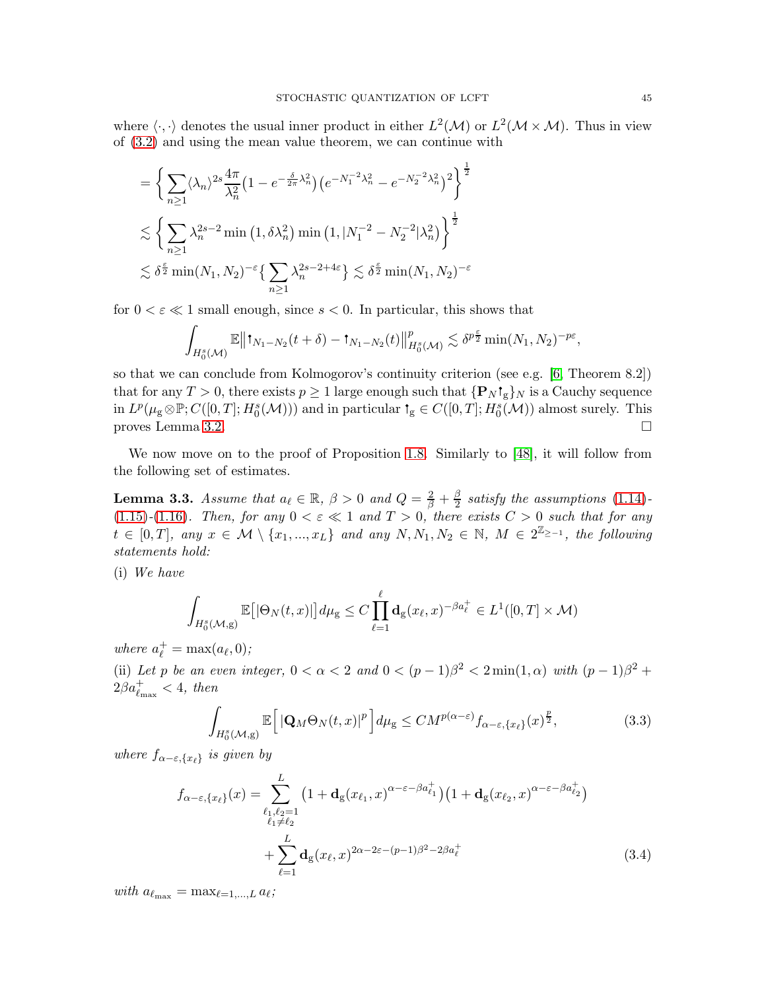where  $\langle \cdot, \cdot \rangle$  denotes the usual inner product in either  $L^2(\mathcal{M})$  or  $L^2(\mathcal{M} \times \mathcal{M})$ . Thus in view of [\(3.2\)](#page-43-0) and using the mean value theorem, we can continue with

$$
= \left\{ \sum_{n\geq 1} \langle \lambda_n \rangle^{2s} \frac{4\pi}{\lambda_n^2} \left( 1 - e^{-\frac{\delta}{2\pi} \lambda_n^2} \right) \left( e^{-N_1^{-2} \lambda_n^2} - e^{-N_2^{-2} \lambda_n^2} \right)^2 \right\}^{\frac{1}{2}}
$$
  

$$
\lesssim \left\{ \sum_{n\geq 1} \lambda_n^{2s-2} \min \left( 1, \delta \lambda_n^2 \right) \min \left( 1, |N_1^{-2} - N_2^{-2}| \lambda_n^2 \right) \right\}^{\frac{1}{2}}
$$
  

$$
\lesssim \delta^{\frac{\varepsilon}{2}} \min(N_1, N_2)^{-\varepsilon} \left\{ \sum_{n\geq 1} \lambda_n^{2s-2+4\varepsilon} \right\} \lesssim \delta^{\frac{\varepsilon}{2}} \min(N_1, N_2)^{-\varepsilon}
$$

for  $0 < \varepsilon \ll 1$  small enough, since  $s < 0$ . In particular, this shows that

$$
\int_{H_0^s(\mathcal{M})} \mathbb{E} \big\| \mathbf{1}_{N_1 - N_2}(t + \delta) - \mathbf{1}_{N_1 - N_2}(t) \big\|_{H_0^s(\mathcal{M})}^p \lesssim \delta^{p\frac{\varepsilon}{2}} \min(N_1, N_2)^{-p\varepsilon},
$$

so that we can conclude from Kolmogorov's continuity criterion (see e.g. [\[6,](#page-74-2) Theorem 8.2]) that for any  $T > 0$ , there exists  $p \ge 1$  large enough such that  $\{P_N \uparrow_g\}_N$  is a Cauchy sequence in  $L^p(\mu_\mathcal{B} \otimes \mathbb{P}; C([0,T]; H_0^s(\mathcal{M})))$  and in particular  $\mathbf{I}_{\mathcal{B}} \in C([0,T]; H_0^s(\mathcal{M}))$  almost surely. This proves Lemma [3.2.](#page-43-1)

We now move on to the proof of Proposition [1.8.](#page-11-1) Similarly to [\[48\]](#page-76-2), it will follow from the following set of estimates.

<span id="page-44-0"></span>**Lemma 3.3.** *Assume that*  $a_{\ell} \in \mathbb{R}$ ,  $\beta > 0$  *and*  $Q = \frac{2}{\beta} + \frac{\beta}{2}$  $\frac{\beta}{2}$  satisfy the assumptions  $(1.14)$ -[\(1.15\)](#page-4-3)*-*[\(1.16\)](#page-4-4)*.* Then, for any  $0 < \varepsilon \ll 1$  and  $T > 0$ , there exists  $C > 0$  such that for any  $t \in [0,T],$  any  $x \in \mathcal{M} \setminus \{x_1,...,x_L\}$  and any  $N, N_1, N_2 \in \mathbb{N}, M \in 2^{\mathbb{Z}_{\ge -1}},$  the following *statements hold:*

(i) *We have*

$$
\int_{H_0^s(\mathcal{M},g)} \mathbb{E}\big[|\Theta_N(t,x)|\big] d\mu_g \le C \prod_{\ell=1}^\ell \mathbf{d}_g(x_\ell,x)^{-\beta a_\ell^+} \in L^1([0,T] \times \mathcal{M})
$$

*where*  $a_{\ell}^{+} = \max(a_{\ell}, 0)$ *;* 

(ii) Let p be an even integer,  $0 < \alpha < 2$  and  $0 < (p-1)\beta^2 < 2 \min(1,\alpha)$  with  $(p-1)\beta^2 +$  $2\beta a_{\ell_{\max}}^+ < 4$ , then

<span id="page-44-1"></span>
$$
\int_{H_0^s(\mathcal{M},g)} \mathbb{E}\Big[ \left| \mathbf{Q}_M \Theta_N(t,x) \right|^p \Big] d\mu_g \leq CM^{p(\alpha-\varepsilon)} f_{\alpha-\varepsilon,\{x_\ell\}}(x)^{\frac{p}{2}},\tag{3.3}
$$

*where*  $f_{\alpha-\varepsilon,\{x_\ell\}}$  *is given by* 

$$
f_{\alpha-\varepsilon,\{x_{\ell}\}}(x) = \sum_{\substack{\ell_1,\ell_2=1\\ \ell_1 \neq \ell_2}}^{L} \left(1 + \mathbf{d}_{g}(x_{\ell_1},x)^{\alpha-\varepsilon-\beta a_{\ell_1}^+}\right) \left(1 + \mathbf{d}_{g}(x_{\ell_2},x)^{\alpha-\varepsilon-\beta a_{\ell_2}^+}\right) + \sum_{\ell=1}^{L} \mathbf{d}_{g}(x_{\ell},x)^{2\alpha-2\varepsilon-(p-1)\beta^2-2\beta a_{\ell}^+}
$$
(3.4)

 $with a_{\ell_{\text{max}}} = \max_{\ell=1,\dots,L} a_{\ell};$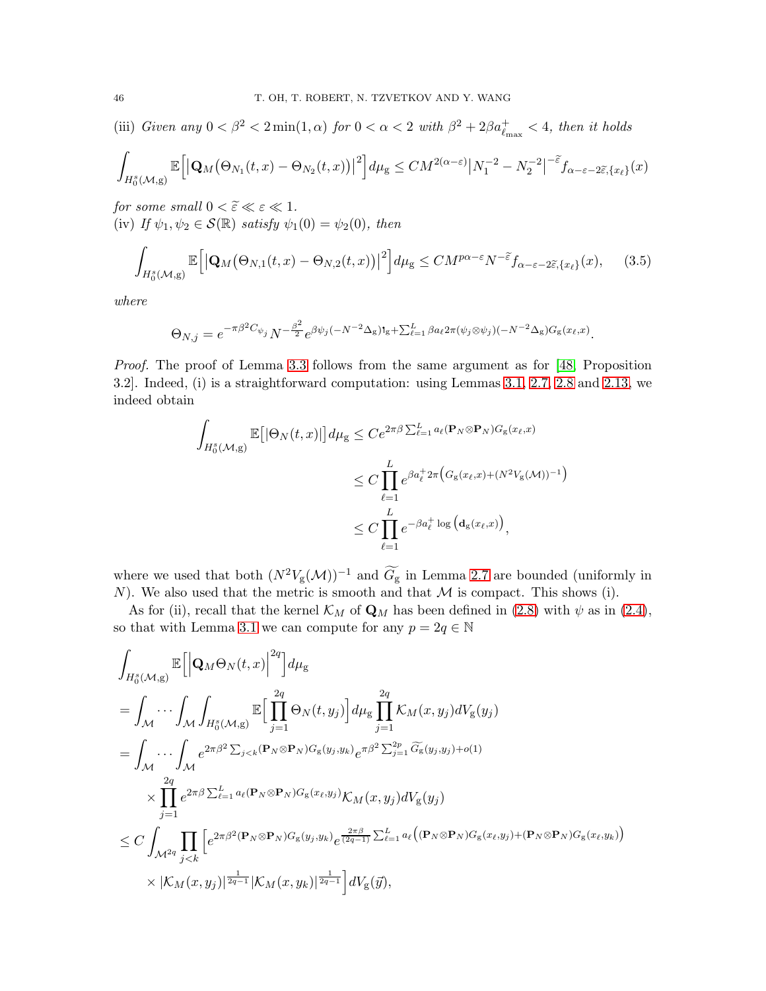(iii) *Given any*  $0 < \beta^2 < 2 \min(1, \alpha)$  *for*  $0 < \alpha < 2$  *with*  $\beta^2 + 2\beta a_{\ell_{\max}}^+ < 4$ *, then it holds* 

$$
\int_{H_0^s(\mathcal{M},g)} \mathbb{E}\Big[\big|\mathbf{Q}_M\big(\Theta_{N_1}(t,x)-\Theta_{N_2}(t,x)\big)\big|^2\Big]d\mu_g \leq CM^{2(\alpha-\varepsilon)}\big|N_1^{-2}-N_2^{-2}\big|^{-\widetilde{\varepsilon}}f_{\alpha-\varepsilon-2\widetilde{\varepsilon},\{x_\ell\}}(x)
$$

*for some small*  $0 < \tilde{\varepsilon} \ll \varepsilon \ll 1$ *.* (iv) *If*  $\psi_1, \psi_2 \in \mathcal{S}(\mathbb{R})$  *satisfy*  $\psi_1(0) = \psi_2(0)$ *, then* 

$$
\int_{H_0^s(\mathcal{M},g)} \mathbb{E}\Big[\big|\mathbf{Q}_M\big(\Theta_{N,1}(t,x)-\Theta_{N,2}(t,x)\big)\big|^2\Big]d\mu_g \leq CM^{p\alpha-\varepsilon}N^{-\tilde{\varepsilon}}f_{\alpha-\varepsilon-2\tilde{\varepsilon},\{x_\ell\}}(x),\qquad(3.5)
$$

*where*

<span id="page-45-0"></span>
$$
\Theta_{N,j} = e^{-\pi\beta^2 C_{\psi_j}} N^{-\frac{\beta^2}{2}} e^{\beta \psi_j (-N^{-2} \Delta_g) t_g + \sum_{\ell=1}^L \beta a_\ell 2\pi (\psi_j \otimes \psi_j)(-N^{-2} \Delta_g) G_g(x_\ell, x)}.
$$

*Proof.* The proof of Lemma [3.3](#page-44-0) follows from the same argument as for [\[48,](#page-76-2) Proposition 3.2]. Indeed, (i) is a straightforward computation: using Lemmas [3.1,](#page-41-3) [2.7,](#page-21-1) [2.8](#page-22-0) and [2.13,](#page-29-0) we indeed obtain

$$
\int_{H_0^s(\mathcal{M}, g)} \mathbb{E}\left[|\Theta_N(t, x)|\right] d\mu_g \leq C e^{2\pi \beta \sum_{\ell=1}^L a_\ell(\mathbf{P}_N \otimes \mathbf{P}_N) G_g(x_\ell, x)}
$$
\n
$$
\leq C \prod_{\ell=1}^L e^{\beta a_\ell^+ 2\pi \left(G_g(x_\ell, x) + (N^2 V_g(\mathcal{M}))^{-1}\right)}
$$
\n
$$
\leq C \prod_{\ell=1}^L e^{-\beta a_\ell^+ \log \left(d_g(x_\ell, x)\right)},
$$

where we used that both  $(N^2V_g(\mathcal{M}))^{-1}$  and  $\widetilde{G}_g$  in Lemma [2.7](#page-21-1) are bounded (uniformly in  $N$ ). We also used that the metric is smooth and that  $M$  is compact. This shows (i).

As for (ii), recall that the kernel  $\mathcal{K}_M$  of  $\mathbf{Q}_M$  has been defined in [\(2.8\)](#page-16-1) with  $\psi$  as in [\(2.4\)](#page-14-0), so that with Lemma [3.1](#page-41-3) we can compute for any  $p = 2q \in \mathbb{N}$ 

$$
\int_{H_0^s(\mathcal{M},g)} \mathbb{E}\left[\left|\mathbf{Q}_M\Theta_N(t,x)\right|^{2q}\right] d\mu_g
$$
\n  
\n
$$
= \int_{\mathcal{M}} \cdots \int_{\mathcal{M}} \int_{H_0^s(\mathcal{M},g)} \mathbb{E}\left[\prod_{j=1}^{2q} \Theta_N(t,y_j)\right] d\mu_g \prod_{j=1}^{2q} \mathcal{K}_M(x,y_j) dV_g(y_j)
$$
\n  
\n
$$
= \int_{\mathcal{M}} \cdots \int_{\mathcal{M}} e^{2\pi\beta^2 \sum_{j < k} (\mathbf{P}_N \otimes \mathbf{P}_N) G_g(y_j, y_k)} e^{\pi\beta^2 \sum_{j=1}^{2p} \widetilde{G}_g(y_j, y_j) + o(1)}
$$
\n  
\n
$$
\times \prod_{j=1}^{2q} e^{2\pi\beta \sum_{\ell=1}^L a_\ell (\mathbf{P}_N \otimes \mathbf{P}_N) G_g(x_\ell, y_j)} \mathcal{K}_M(x, y_j) dV_g(y_j)
$$
\n  
\n
$$
\leq C \int_{\mathcal{M}^{2q}} \prod_{j < k} \left[e^{2\pi\beta^2 (\mathbf{P}_N \otimes \mathbf{P}_N) G_g(y_j, y_k)} e^{\frac{2\pi\beta}{(2q-1)} \sum_{\ell=1}^L a_\ell \left( (\mathbf{P}_N \otimes \mathbf{P}_N) G_g(x_\ell, y_j) + (\mathbf{P}_N \otimes \mathbf{P}_N) G_g(x_\ell, y_k) \right)} \right]
$$
\n  
\n
$$
\times |\mathcal{K}_M(x, y_j)|^{\frac{1}{2q-1}} |\mathcal{K}_M(x, y_k)|^{\frac{1}{2q-1}} dV_g(\vec{y}),
$$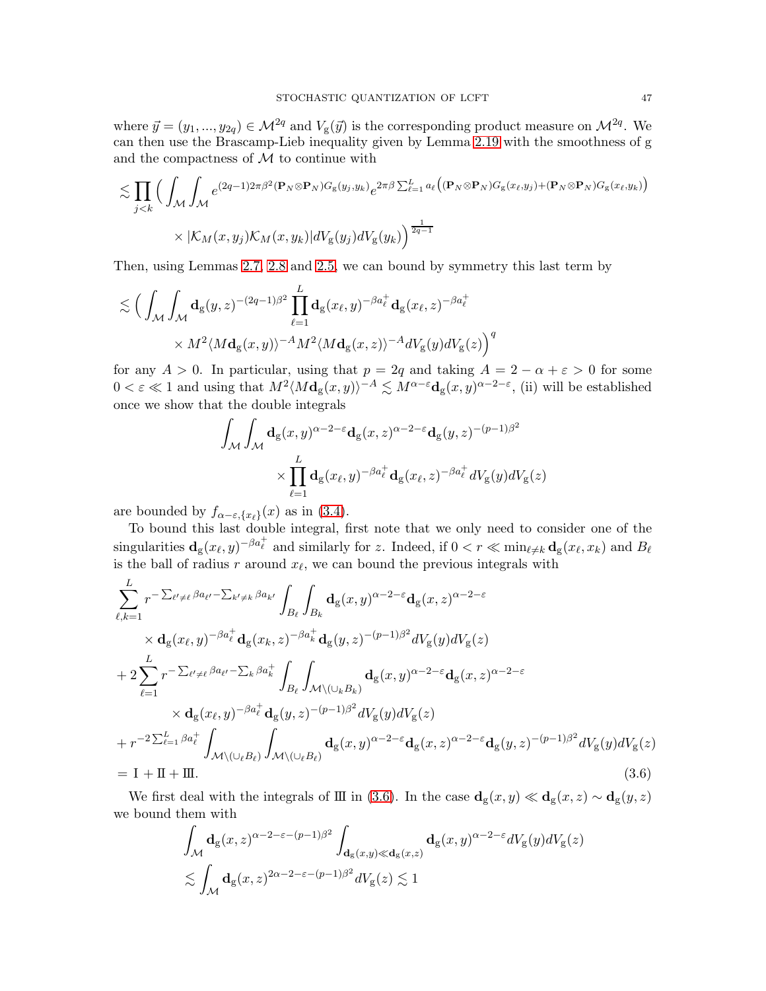where  $\vec{y} = (y_1, ..., y_{2q}) \in M^{2q}$  and  $V_g(\vec{y})$  is the corresponding product measure on  $M^{2q}$ . We can then use the Brascamp-Lieb inequality given by Lemma [2.19](#page-41-4) with the smoothness of g and the compactness of  $M$  to continue with

$$
\lesssim \prod_{j < k} \Big( \int_{\mathcal{M}} \int_{\mathcal{M}} e^{(2q-1)2\pi\beta^2 (\mathbf{P}_N \otimes \mathbf{P}_N) G_{\mathbf{g}}(y_j, y_k)} e^{2\pi\beta \sum_{\ell=1}^L a_\ell \big( (\mathbf{P}_N \otimes \mathbf{P}_N) G_{\mathbf{g}}(x_\ell, y_j) + (\mathbf{P}_N \otimes \mathbf{P}_N) G_{\mathbf{g}}(x_\ell, y_k) \big)} \times | \mathcal{K}_M(x, y_j) \mathcal{K}_M(x, y_k) | dV_{\mathbf{g}}(y_j) dV_{\mathbf{g}}(y_k) \Big)^{\frac{1}{2q-1}}
$$

Then, using Lemmas [2.7,](#page-21-1) [2.8](#page-22-0) and [2.5,](#page-16-0) we can bound by symmetry this last term by

$$
\lesssim \Big(\int_{\mathcal{M}}\int_{\mathcal{M}} d_g(y,z)^{-(2q-1)\beta^2} \prod_{\ell=1}^L d_g(x_\ell,y)^{-\beta a_\ell^+} d_g(x_\ell,z)^{-\beta a_\ell^+} \times M^2 \langle M d_g(x,y) \rangle^{-A} M^2 \langle M d_g(x,z) \rangle^{-A} dV_g(y) dV_g(z)\Big)^{q}
$$

for any  $A > 0$ . In particular, using that  $p = 2q$  and taking  $A = 2 - \alpha + \varepsilon > 0$  for some  $0 < \varepsilon \ll 1$  and using that  $M^2 \langle M\mathbf{d}_{g}(x,y)\rangle^{-A} \lesssim M^{\alpha-\varepsilon} \mathbf{d}_{g}(x,y)^{\alpha-2-\varepsilon}$ , (ii) will be established once we show that the double integrals

$$
\int_{\mathcal{M}} \int_{\mathcal{M}} d_g(x, y)^{\alpha - 2 - \varepsilon} d_g(x, z)^{\alpha - 2 - \varepsilon} d_g(y, z)^{-(p-1)\beta^2}
$$
\n
$$
\times \prod_{\ell=1}^L d_g(x_\ell, y)^{-\beta a_\ell^+} d_g(x_\ell, z)^{-\beta a_\ell^+} dV_g(y) dV_g(z)
$$

are bounded by  $f_{\alpha-\varepsilon,\{x_\ell\}}(x)$  as in [\(3.4\)](#page-44-1).

To bound this last double integral, first note that we only need to consider one of the singularities  $\mathbf{d}_{g}(x_{\ell}, y)^{-\beta a_{\ell}^{+}}$  and similarly for z. Indeed, if  $0 < r \ll \min_{\ell \neq k} \mathbf{d}_{g}(x_{\ell}, x_{k})$  and  $B_{\ell}$ is the ball of radius r around  $x_{\ell}$ , we can bound the previous integrals with

$$
\sum_{\ell,k=1}^{L} r^{-\sum_{\ell'\neq\ell} \beta a_{\ell'} - \sum_{k'\neq k} \beta a_{k'}} \int_{B_{\ell}} \int_{B_{k}} d_{g}(x,y)^{\alpha-2-\epsilon} d_{g}(x,z)^{\alpha-2-\epsilon} \times d_{g}(x_{\ell},y)^{-\beta a_{\ell}^{+}} d_{g}(x_{k},z)^{-\beta a_{k}^{+}} d_{g}(y,z)^{-(p-1)\beta^{2}} dV_{g}(y) dV_{g}(z) \n+ 2 \sum_{\ell=1}^{L} r^{-\sum_{\ell'\neq\ell} \beta a_{\ell'} - \sum_{k} \beta a_{k}^{+}} \int_{B_{\ell}} \int_{\mathcal{M}\setminus(\cup_{k}B_{k})} d_{g}(x,y)^{\alpha-2-\epsilon} d_{g}(x,z)^{\alpha-2-\epsilon} \times d_{g}(x_{\ell},y)^{-\beta a_{\ell}^{+}} d_{g}(y,z)^{-(p-1)\beta^{2}} dV_{g}(y) dV_{g}(z) \n+ r^{-2\sum_{\ell=1}^{L} \beta a_{\ell}^{+}} \int_{\mathcal{M}\setminus(\cup_{\ell}B_{\ell})} \int_{\mathcal{M}\setminus(\cup_{\ell}B_{\ell})} d_{g}(x,y)^{\alpha-2-\epsilon} d_{g}(x,z)^{\alpha-2-\epsilon} d_{g}(y,z)^{-(p-1)\beta^{2}} dV_{g}(y) dV_{g}(z) \n= I + II + III.
$$
\n(3.6)

We first deal with the integrals of III in [\(3.6\)](#page-46-0). In the case  $\mathbf{d}_{g}(x, y) \ll \mathbf{d}_{g}(x, z) \sim \mathbf{d}_{g}(y, z)$ we bound them with

<span id="page-46-0"></span>
$$
\int_{\mathcal{M}} \mathbf{d}_{g}(x, z)^{\alpha - 2 - \varepsilon - (p-1)\beta^2} \int_{\mathbf{d}_{g}(x, y) \ll \mathbf{d}_{g}(x, z)} \mathbf{d}_{g}(x, y)^{\alpha - 2 - \varepsilon} dV_{g}(y) dV_{g}(z)
$$
  

$$
\lesssim \int_{\mathcal{M}} \mathbf{d}_{g}(x, z)^{2\alpha - 2 - \varepsilon - (p-1)\beta^2} dV_{g}(z) \lesssim 1
$$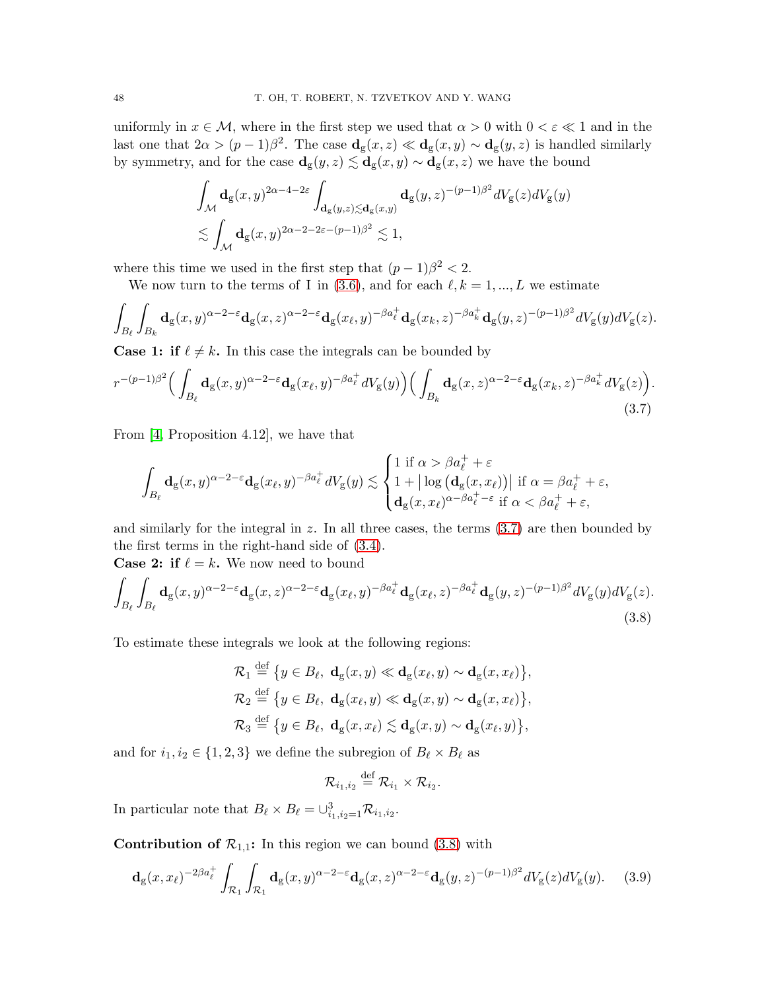uniformly in  $x \in \mathcal{M}$ , where in the first step we used that  $\alpha > 0$  with  $0 < \varepsilon \ll 1$  and in the last one that  $2\alpha > (p-1)\beta^2$ . The case  $\mathbf{d}_g(x, z) \ll \mathbf{d}_g(x, y) \sim \mathbf{d}_g(y, z)$  is handled similarly by symmetry, and for the case  $\mathbf{d}_g(y, z) \lesssim \mathbf{d}_g(x, y) \sim \mathbf{d}_g(x, z)$  we have the bound

$$
\begin{aligned} & \int_{\mathcal{M}} \mathbf{d}_{\mathrm{g}}(x,y)^{2\alpha-4-2\varepsilon} \int_{\mathbf{d}_{\mathrm{g}}(y,z) \lesssim \mathbf{d}_{\mathrm{g}}(x,y)} \mathbf{d}_{\mathrm{g}}(y,z)^{-(p-1)\beta^2} dV_{\mathrm{g}}(z) dV_{\mathrm{g}}(y) \\ & \lesssim \int_{\mathcal{M}} \mathbf{d}_{\mathrm{g}}(x,y)^{2\alpha-2-2\varepsilon-(p-1)\beta^2} \lesssim 1, \end{aligned}
$$

where this time we used in the first step that  $(p-1)\beta^2 < 2$ .

We now turn to the terms of I in [\(3.6\)](#page-46-0), and for each  $\ell, k = 1, ..., L$  we estimate

$$
\int_{B_{\ell}}\int_{B_{k}}\mathbf{d}_{g}(x,y)^{\alpha-2-\varepsilon}\mathbf{d}_{g}(x,z)^{\alpha-2-\varepsilon}\mathbf{d}_{g}(x_{\ell},y)^{-\beta a_{\ell}^{+}}\mathbf{d}_{g}(x_{k},z)^{-\beta a_{k}^{+}}\mathbf{d}_{g}(y,z)^{-(p-1)\beta^{2}}dV_{g}(y)dV_{g}(z).
$$

**Case 1: if**  $\ell \neq k$ . In this case the integrals can be bounded by

$$
r^{-(p-1)\beta^2} \Big( \int_{B_\ell} \mathbf{d}_{g}(x,y)^{\alpha-2-\varepsilon} \mathbf{d}_{g}(x_\ell,y)^{-\beta a_\ell^+} dV_g(y) \Big) \Big( \int_{B_k} \mathbf{d}_{g}(x,z)^{\alpha-2-\varepsilon} \mathbf{d}_{g}(x_k,z)^{-\beta a_k^+} dV_g(z) \Big). \tag{3.7}
$$

From [\[4,](#page-74-3) Proposition 4.12], we have that

$$
\int_{B_{\ell}} \mathbf{d}_{g}(x, y)^{\alpha - 2 - \varepsilon} \mathbf{d}_{g}(x_{\ell}, y)^{-\beta a_{\ell}^{+}} dV_{g}(y) \lesssim \begin{cases} 1 \text{ if } \alpha > \beta a_{\ell}^{+} + \varepsilon \\ 1 + \left| \log \left( \mathbf{d}_{g}(x, x_{\ell}) \right) \right| \text{ if } \alpha = \beta a_{\ell}^{+} + \varepsilon, \\ \mathbf{d}_{g}(x, x_{\ell})^{\alpha - \beta a_{\ell}^{+} - \varepsilon} \text{ if } \alpha < \beta a_{\ell}^{+} + \varepsilon, \end{cases}
$$

and similarly for the integral in  $z$ . In all three cases, the terms  $(3.7)$  are then bounded by the first terms in the right-hand side of [\(3.4\)](#page-44-1).

**Case 2: if**  $\ell = k$ . We now need to bound

$$
\int_{B_{\ell}} \int_{B_{\ell}} \mathbf{d}_{g}(x, y)^{\alpha - 2 - \varepsilon} \mathbf{d}_{g}(x, z)^{\alpha - 2 - \varepsilon} \mathbf{d}_{g}(x_{\ell}, y)^{-\beta a_{\ell}^{+}} \mathbf{d}_{g}(x_{\ell}, z)^{-\beta a_{\ell}^{+}} \mathbf{d}_{g}(y, z)^{-(p-1)\beta^{2}} dV_{g}(y) dV_{g}(z).
$$
\n(3.8)

To estimate these integrals we look at the following regions:

<span id="page-47-0"></span>
$$
\mathcal{R}_1 \stackrel{\text{def}}{=} \{ y \in B_\ell, \ \mathbf{d}_g(x, y) \ll \mathbf{d}_g(x_\ell, y) \sim \mathbf{d}_g(x, x_\ell) \},
$$
  

$$
\mathcal{R}_2 \stackrel{\text{def}}{=} \{ y \in B_\ell, \ \mathbf{d}_g(x_\ell, y) \ll \mathbf{d}_g(x, y) \sim \mathbf{d}_g(x, x_\ell) \},
$$
  

$$
\mathcal{R}_3 \stackrel{\text{def}}{=} \{ y \in B_\ell, \ \mathbf{d}_g(x, x_\ell) \lesssim \mathbf{d}_g(x, y) \sim \mathbf{d}_g(x_\ell, y) \},
$$

and for  $i_1, i_2 \in \{1, 2, 3\}$  we define the subregion of  $B_\ell \times B_\ell$  as

<span id="page-47-2"></span><span id="page-47-1"></span>
$$
\mathcal{R}_{i_1,i_2} \stackrel{\text{def}}{=} \mathcal{R}_{i_1} \times \mathcal{R}_{i_2}.
$$

In particular note that  $B_{\ell} \times B_{\ell} = \bigcup_{i=1}^{3} \mathcal{R}_{i_1, i_2-1}$ .

**Contribution of**  $\mathcal{R}_{1,1}$ **:** In this region we can bound [\(3.8\)](#page-47-1) with

$$
\mathbf{d}_{g}(x,x_{\ell})^{-2\beta a_{\ell}^{+}} \int_{\mathcal{R}_{1}} \int_{\mathcal{R}_{1}} \mathbf{d}_{g}(x,y)^{\alpha-2-\varepsilon} \mathbf{d}_{g}(x,z)^{\alpha-2-\varepsilon} \mathbf{d}_{g}(y,z)^{-(p-1)\beta^{2}} dV_{g}(z) dV_{g}(y).
$$
 (3.9)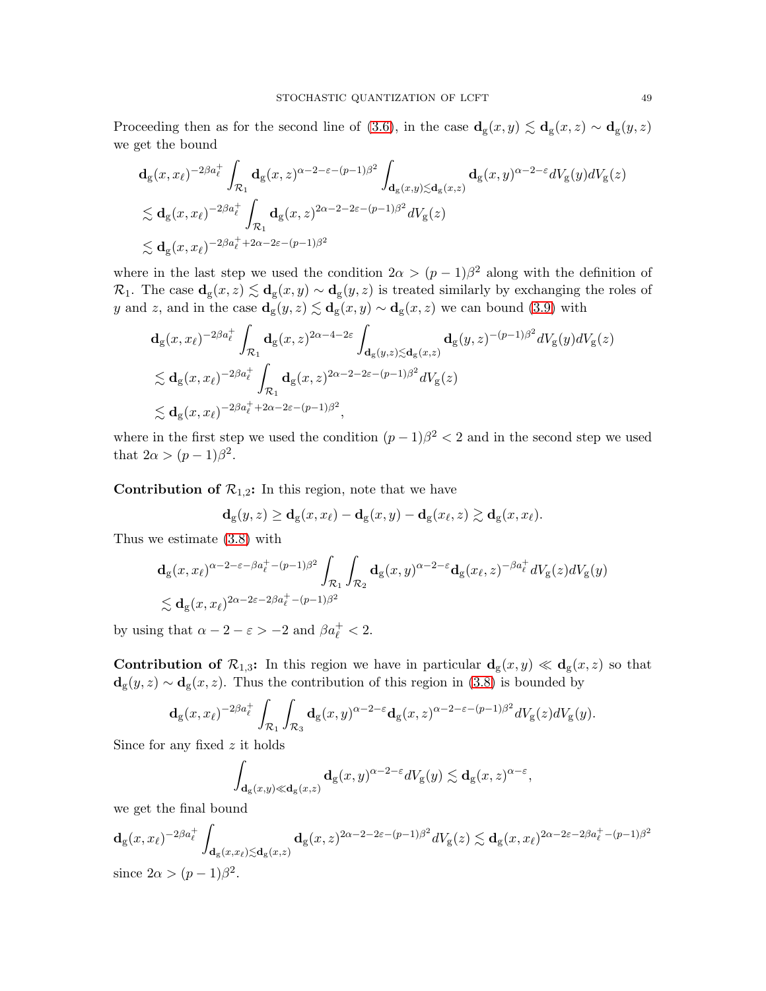Proceeding then as for the second line of [\(3.6\)](#page-46-0), in the case  $\mathbf{d}_g(x, y) \lesssim \mathbf{d}_g(x, z) \sim \mathbf{d}_g(y, z)$ we get the bound

$$
\begin{aligned} &\mathbf{d}_{\mathrm{g}}(x,x_{\ell})^{-2\beta a_{\ell}^{+}}\int_{\mathcal{R}_{1}}\mathbf{d}_{\mathrm{g}}(x,z)^{\alpha-2-\varepsilon-(p-1)\beta^{2}}\int_{\mathbf{d}_{\mathrm{g}}(x,y)\lesssim\mathbf{d}_{\mathrm{g}}(x,y)}\mathbf{d}_{\mathrm{g}}(x,y)^{\alpha-2-\varepsilon}dV_{\mathrm{g}}(y)dV_{\mathrm{g}}(z)\\ &\lesssim\mathbf{d}_{\mathrm{g}}(x,x_{\ell})^{-2\beta a_{\ell}^{+}}\int_{\mathcal{R}_{1}}\mathbf{d}_{\mathrm{g}}(x,z)^{2\alpha-2-2\varepsilon-(p-1)\beta^{2}}dV_{\mathrm{g}}(z)\\ &\lesssim\mathbf{d}_{\mathrm{g}}(x,x_{\ell})^{-2\beta a_{\ell}^{+}+2\alpha-2\varepsilon-(p-1)\beta^{2}}\end{aligned}
$$

where in the last step we used the condition  $2\alpha > (p-1)\beta^2$  along with the definition of R<sub>1</sub>. The case  $\mathbf{d}_g(x, z) \lesssim \mathbf{d}_g(x, y) \sim \mathbf{d}_g(y, z)$  is treated similarly by exchanging the roles of y and z, and in the case  $\mathbf{d}_g(y, z) \lesssim \mathbf{d}_g(x, y) \sim \mathbf{d}_g(x, z)$  we can bound [\(3.9\)](#page-47-2) with

$$
\mathbf{d}_{g}(x,x_{\ell})^{-2\beta a_{\ell}^{+}} \int_{\mathcal{R}_{1}} \mathbf{d}_{g}(x,z)^{2\alpha-4-2\varepsilon} \int_{\mathbf{d}_{g}(y,z)\lesssim \mathbf{d}_{g}(x,z)} \mathbf{d}_{g}(y,z)^{-(p-1)\beta^{2}} dV_{g}(y) dV_{g}(z)
$$
  
\n
$$
\lesssim \mathbf{d}_{g}(x,x_{\ell})^{-2\beta a_{\ell}^{+}} \int_{\mathcal{R}_{1}} \mathbf{d}_{g}(x,z)^{2\alpha-2-2\varepsilon-(p-1)\beta^{2}} dV_{g}(z)
$$
  
\n
$$
\lesssim \mathbf{d}_{g}(x,x_{\ell})^{-2\beta a_{\ell}^{+}} + 2\alpha - 2\varepsilon - (p-1)\beta^{2},
$$

where in the first step we used the condition  $(p-1)\beta^2 < 2$  and in the second step we used that  $2\alpha > (p-1)\beta^2$ .

**Contribution of**  $\mathcal{R}_{1,2}$ : In this region, note that we have

$$
\mathbf{d}_{g}(y,z) \geq \mathbf{d}_{g}(x,x_{\ell}) - \mathbf{d}_{g}(x,y) - \mathbf{d}_{g}(x_{\ell},z) \gtrsim \mathbf{d}_{g}(x,x_{\ell}).
$$

Thus we estimate [\(3.8\)](#page-47-1) with

$$
\begin{aligned} &\mathbf{d}_\mathbf{g}(x,x_\ell)^{\alpha-2-\varepsilon-\beta a_\ell^+-(p-1)\beta^2}\int_{\mathcal{R}_1}\int_{\mathcal{R}_2}\mathbf{d}_\mathbf{g}(x,y)^{\alpha-2-\varepsilon}\mathbf{d}_\mathbf{g}(x_\ell,z)^{-\beta a_\ell^+}dV_\mathbf{g}(z)dV_\mathbf{g}(y)\\ &\lesssim \mathbf{d}_\mathbf{g}(x,x_\ell)^{2\alpha-2\varepsilon-2\beta a_\ell^+-(p-1)\beta^2} \end{aligned}
$$

by using that  $\alpha - 2 - \varepsilon > -2$  and  $\beta a_{\ell}^{+} < 2$ .

**Contribution of**  $\mathcal{R}_{1,3}$ : In this region we have in particular  $d_g(x,y) \ll d_g(x,z)$  so that  $\mathbf{d}_g(y, z) \sim \mathbf{d}_g(z, z)$ . Thus the contribution of this region in [\(3.8\)](#page-47-1) is bounded by

$$
\mathbf{d}_{g}(x,x_{\ell})^{-2\beta a_{\ell}^{+}} \int_{\mathcal{R}_{1}} \int_{\mathcal{R}_{3}} \mathbf{d}_{g}(x,y)^{\alpha-2-\varepsilon} \mathbf{d}_{g}(x,z)^{\alpha-2-\varepsilon-(p-1)\beta^{2}} dV_{g}(z) dV_{g}(y).
$$

Since for any fixed  $z$  it holds

$$
\int_{\mathbf{d}_{g}(x,y)\ll \mathbf{d}_{g}(x,z)} \mathbf{d}_{g}(x,y)^{\alpha-2-\varepsilon} dV_{g}(y) \lesssim \mathbf{d}_{g}(x,z)^{\alpha-\varepsilon},
$$

we get the final bound

$$
\mathbf{d}_{g}(x,x_{\ell})^{-2\beta a_{\ell}^{+}} \int_{\mathbf{d}_{g}(x,x_{\ell}) \lesssim \mathbf{d}_{g}(x,z)} \mathbf{d}_{g}(x,z)^{2\alpha-2-2\varepsilon-(p-1)\beta^{2}} dV_{g}(z) \lesssim \mathbf{d}_{g}(x,x_{\ell})^{2\alpha-2\varepsilon-2\beta a_{\ell}^{+}-(p-1)\beta^{2}}
$$
  
since  $2\alpha > (p-1)\beta^{2}$ .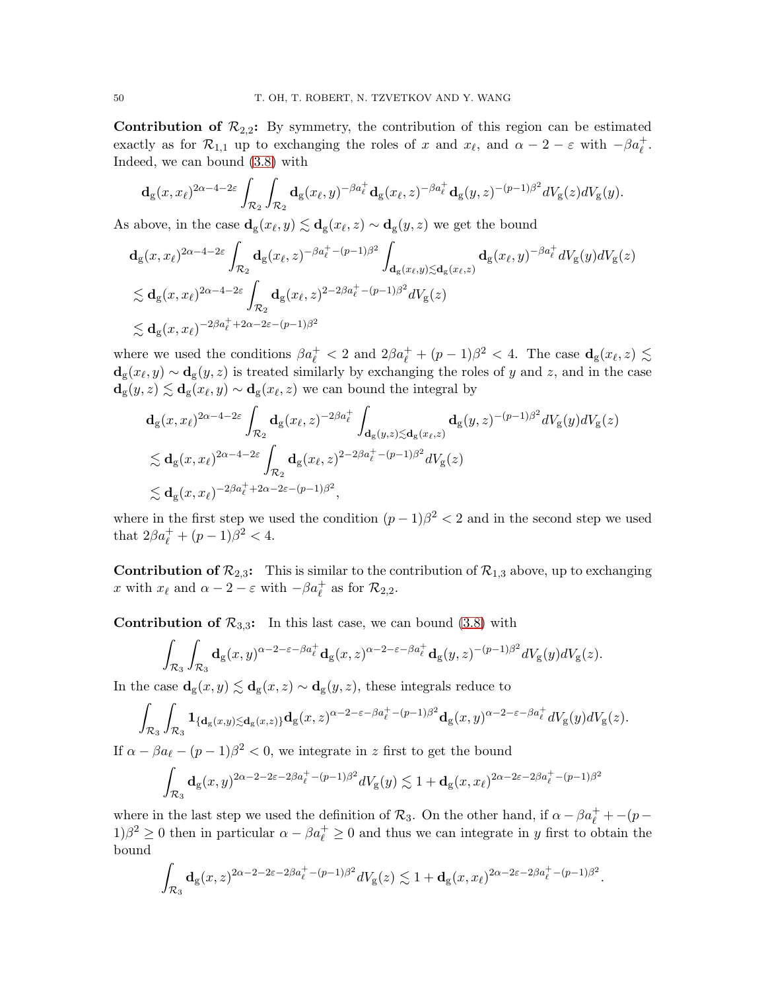**Contribution of**  $\mathcal{R}_{2,2}$ **:** By symmetry, the contribution of this region can be estimated exactly as for  $\mathcal{R}_{1,1}$  up to exchanging the roles of x and  $x_{\ell}$ , and  $\alpha - 2 - \varepsilon$  with  $-\beta a_{\ell}^+$ . Indeed, we can bound [\(3.8\)](#page-47-1) with

$$
\mathbf{d}_{g}(x,x_{\ell})^{2\alpha-4-2\varepsilon}\int_{\mathcal{R}_2}\int_{\mathcal{R}_2}\mathbf{d}_{g}(x_{\ell},y)^{-\beta a_{\ell}^{+}}\mathbf{d}_{g}(x_{\ell},z)^{-\beta a_{\ell}^{+}}\mathbf{d}_{g}(y,z)^{-(p-1)\beta^{2}}dV_{g}(z)dV_{g}(y).
$$

As above, in the case  $\mathbf{d}_{g}(x_{\ell},y) \lesssim \mathbf{d}_{g}(x_{\ell},z) \sim \mathbf{d}_{g}(y,z)$  we get the bound

$$
\mathbf{d}_{g}(x, x_{\ell})^{2\alpha - 4 - 2\varepsilon} \int_{\mathcal{R}_2} \mathbf{d}_{g}(x_{\ell}, z)^{-\beta a_{\ell}^{+} - (p-1)\beta^{2}} \int_{\mathbf{d}_{g}(x_{\ell}, y) \lesssim \mathbf{d}_{g}(x_{\ell}, y)} \mathbf{d}_{g}(x_{\ell}, y)^{-\beta a_{\ell}^{+}} dV_{g}(y) dV_{g}(z)
$$
  
\n
$$
\lesssim \mathbf{d}_{g}(x, x_{\ell})^{2\alpha - 4 - 2\varepsilon} \int_{\mathcal{R}_2} \mathbf{d}_{g}(x_{\ell}, z)^{2 - 2\beta a_{\ell}^{+} - (p-1)\beta^{2}} dV_{g}(z)
$$
  
\n
$$
\lesssim \mathbf{d}_{g}(x, x_{\ell})^{-2\beta a_{\ell}^{+} + 2\alpha - 2\varepsilon - (p-1)\beta^{2}}
$$

where we used the conditions  $\beta a_{\ell}^+ < 2$  and  $2\beta a_{\ell}^+ + (p-1)\beta^2 < 4$ . The case  $\mathbf{d}_{g}(x_{\ell}, z) \lesssim$  $\mathbf{d}_{g}(x_{\ell}, y) \sim \mathbf{d}_{g}(y, z)$  is treated similarly by exchanging the roles of y and z, and in the case  $\mathbf{d}_{g}(y, z) \lesssim \mathbf{d}_{g}(x_{\ell}, y) \sim \mathbf{d}_{g}(x_{\ell}, z)$  we can bound the integral by

$$
\begin{aligned} &\mathbf{d}_{\mathrm{g}}(x,x_{\ell})^{2\alpha-4-2\varepsilon}\int_{\mathcal{R}_2}\mathbf{d}_{\mathrm{g}}(x_{\ell},z)^{-2\beta a^+_{\ell}}\int_{\mathbf{d}_{\mathrm{g}}(y,z)\lesssim\mathbf{d}_{\mathrm{g}}(x_{\ell},z)}\mathbf{d}_{\mathrm{g}}(y,z)^{-(p-1)\beta^2}dV_{\mathrm{g}}(y)dV_{\mathrm{g}}(z)\\ &\lesssim \mathbf{d}_{\mathrm{g}}(x,x_{\ell})^{2\alpha-4-2\varepsilon}\int_{\mathcal{R}_2}\mathbf{d}_{\mathrm{g}}(x_{\ell},z)^{2-2\beta a^+_{\ell}-(p-1)\beta^2}dV_{\mathrm{g}}(z)\\ &\lesssim \mathbf{d}_{\mathrm{g}}(x,x_{\ell})^{-2\beta a^+_{\ell}+2\alpha-2\varepsilon-(p-1)\beta^2}, \end{aligned}
$$

where in the first step we used the condition  $(p-1)\beta^2 < 2$  and in the second step we used that  $2\beta a_{\ell}^{+} + (p-1)\beta^{2} < 4$ .

**Contribution of**  $\mathcal{R}_{2,3}$ : This is similar to the contribution of  $\mathcal{R}_{1,3}$  above, up to exchanging x with  $x_{\ell}$  and  $\alpha - 2 - \varepsilon$  with  $-\beta a_{\ell}^{+}$  as for  $\mathcal{R}_{2,2}$ .

**Contribution of**  $\mathcal{R}_{3,3}$ **:** In this last case, we can bound [\(3.8\)](#page-47-1) with

$$
\int_{\mathcal{R}_3} \int_{\mathcal{R}_3} \mathbf{d}_g(x,y)^{\alpha-2-\varepsilon-\beta a_\ell^+} \mathbf{d}_g(x,z)^{\alpha-2-\varepsilon-\beta a_\ell^+} \mathbf{d}_g(y,z)^{-(p-1)\beta^2} dV_g(y) dV_g(z).
$$

In the case  $\mathbf{d}_g(x, y) \lesssim \mathbf{d}_g(x, z) \sim \mathbf{d}_g(y, z)$ , these integrals reduce to

$$
\int_{\mathcal{R}_3}\int_{\mathcal{R}_3}{\bf 1}_{\{{\bf d}_g(x,y)\lesssim {\bf d}_g(x,z)\}}{\bf d}_g(x,z)^{\alpha-2-\varepsilon-\beta a_\ell^+-(p-1)\beta^2}{\bf d}_g(x,y)^{\alpha-2-\varepsilon-\beta a_\ell^+}dV_g(y)dV_g(z).
$$

If  $\alpha - \beta a_{\ell} - (p-1)\beta^2 < 0$ , we integrate in z first to get the bound

$$
\int_{\mathcal{R}_3} \mathbf{d}_g(x,y)^{2\alpha-2-2\varepsilon-2\beta a_\ell^+ - (p-1)\beta^2} dV_g(y) \lesssim 1 + \mathbf{d}_g(x,x_\ell)^{2\alpha-2\varepsilon-2\beta a_\ell^+ - (p-1)\beta^2}
$$

where in the last step we used the definition of  $\mathcal{R}_3$ . On the other hand, if  $\alpha - \beta a_\ell^+ + -(p - \beta)$  $1/\beta^2 \ge 0$  then in particular  $\alpha - \beta a_\ell^+ \ge 0$  and thus we can integrate in y first to obtain the bound

$$
\int_{\mathcal{R}_3} \mathbf{d}_g(x,z)^{2\alpha-2-2\varepsilon-2\beta a_\ell^+-(p-1)\beta^2} dV_g(z) \lesssim 1 + \mathbf{d}_g(x,x_\ell)^{2\alpha-2\varepsilon-2\beta a_\ell^+-(p-1)\beta^2}.
$$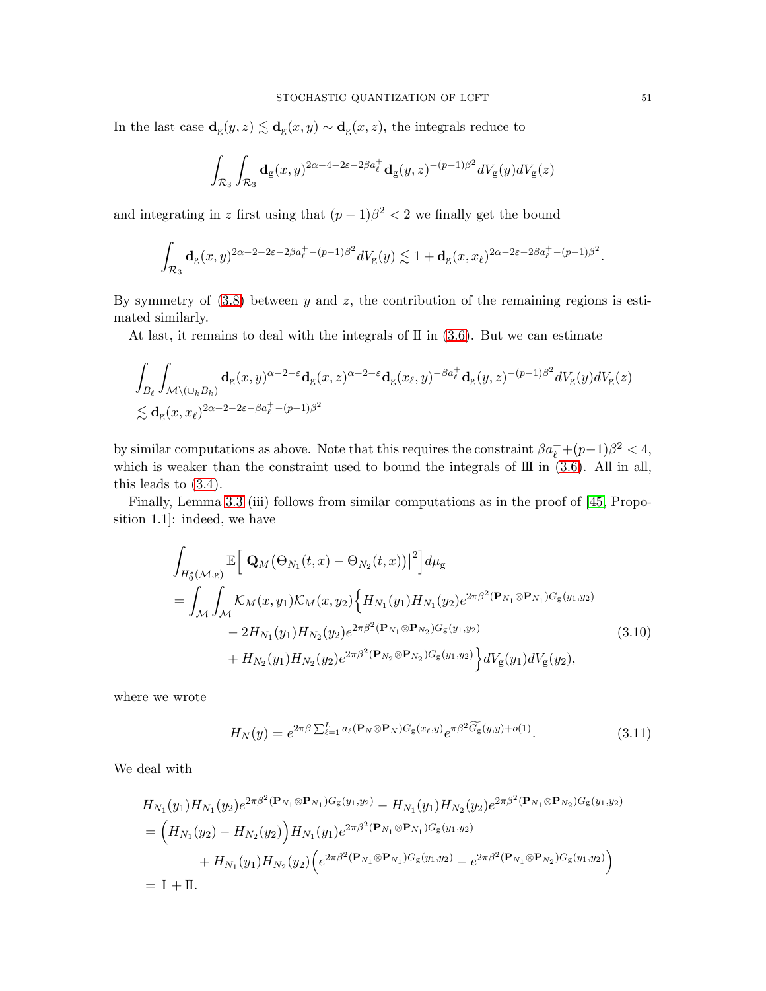In the last case  $\mathbf{d}_{g}(y, z) \lesssim \mathbf{d}_{g}(x, y) \sim \mathbf{d}_{g}(x, z)$ , the integrals reduce to

$$
\int_{\mathcal{R}_3}\int_{\mathcal{R}_3} \mathbf{d}_g(x,y)^{2\alpha-4-2\varepsilon-2\beta a_\ell^+}\mathbf{d}_g(y,z)^{-(p-1)\beta^2}dV_g(y)dV_g(z)
$$

and integrating in z first using that  $(p-1)\beta^2 < 2$  we finally get the bound

$$
\int_{\mathcal{R}_3} \mathbf{d}_g(x,y)^{2\alpha-2-2\varepsilon-2\beta a_\ell^+-(p-1)\beta^2} dV_g(y) \lesssim 1 + \mathbf{d}_g(x,x_\ell)^{2\alpha-2\varepsilon-2\beta a_\ell^+-(p-1)\beta^2}.
$$

By symmetry of  $(3.8)$  between y and z, the contribution of the remaining regions is estimated similarly.

At last, it remains to deal with the integrals of  $\overline{II}$  in [\(3.6\)](#page-46-0). But we can estimate

$$
\int_{B_{\ell}} \int_{\mathcal{M} \setminus (\cup_{k} B_{k})} \mathbf{d}_{g}(x, y)^{\alpha - 2 - \varepsilon} \mathbf{d}_{g}(x, z)^{\alpha - 2 - \varepsilon} \mathbf{d}_{g}(x_{\ell}, y)^{-\beta a_{\ell}^{+}} \mathbf{d}_{g}(y, z)^{-(p-1)\beta^{2}} dV_{g}(y) dV_{g}(z) \n\lesssim \mathbf{d}_{g}(x, x_{\ell})^{2\alpha - 2 - 2\varepsilon - \beta a_{\ell}^{+} - (p-1)\beta^{2}}
$$

by similar computations as above. Note that this requires the constraint  $\beta a_{\ell}^+ + (p-1)\beta^2 < 4$ , which is weaker than the constraint used to bound the integrals of  $III$  in [\(3.6\)](#page-46-0). All in all, this leads to [\(3.4\)](#page-44-1).

Finally, Lemma [3.3](#page-44-0) (iii) follows from similar computations as in the proof of [\[45,](#page-76-5) Proposition 1.1]: indeed, we have

$$
\int_{H_0^s(\mathcal{M},g)} \mathbb{E}\Big[ \Big| \mathbf{Q}_M\big(\Theta_{N_1}(t,x) - \Theta_{N_2}(t,x)\big)\Big|^2 \Big] d\mu_g
$$
\n
$$
= \int_{\mathcal{M}} \int_{\mathcal{M}} \mathcal{K}_M(x,y_1) \mathcal{K}_M(x,y_2) \Big\{ H_{N_1}(y_1) H_{N_1}(y_2) e^{2\pi \beta^2 (\mathbf{P}_{N_1} \otimes \mathbf{P}_{N_1}) G_g(y_1,y_2)} - 2H_{N_1}(y_1) H_{N_2}(y_2) e^{2\pi \beta^2 (\mathbf{P}_{N_1} \otimes \mathbf{P}_{N_2}) G_g(y_1,y_2)} + H_{N_2}(y_1) H_{N_2}(y_2) e^{2\pi \beta^2 (\mathbf{P}_{N_2} \otimes \mathbf{P}_{N_2}) G_g(y_1,y_2)} \Big\} dV_g(y_1) dV_g(y_2), \tag{3.10}
$$

where we wrote

<span id="page-50-1"></span><span id="page-50-0"></span>
$$
H_N(y) = e^{2\pi\beta \sum_{\ell=1}^L a_\ell (\mathbf{P}_N \otimes \mathbf{P}_N) G_{\mathbf{g}}(x_\ell, y)} e^{\pi\beta^2 \widetilde{G}_{\mathbf{g}}(y, y) + o(1)}.
$$
\n(3.11)

We deal with

$$
H_{N_1}(y_1)H_{N_1}(y_2)e^{2\pi\beta^2(\mathbf{P}_{N_1}\otimes\mathbf{P}_{N_1})G_{g}(y_1,y_2)} - H_{N_1}(y_1)H_{N_2}(y_2)e^{2\pi\beta^2(\mathbf{P}_{N_1}\otimes\mathbf{P}_{N_2})G_{g}(y_1,y_2)}
$$
  
=  $(H_{N_1}(y_2) - H_{N_2}(y_2))H_{N_1}(y_1)e^{2\pi\beta^2(\mathbf{P}_{N_1}\otimes\mathbf{P}_{N_1})G_{g}(y_1,y_2)} + H_{N_1}(y_1)H_{N_2}(y_2)\left(e^{2\pi\beta^2(\mathbf{P}_{N_1}\otimes\mathbf{P}_{N_1})G_{g}(y_1,y_2)} - e^{2\pi\beta^2(\mathbf{P}_{N_1}\otimes\mathbf{P}_{N_2})G_{g}(y_1,y_2)}\right)$   
= I + II.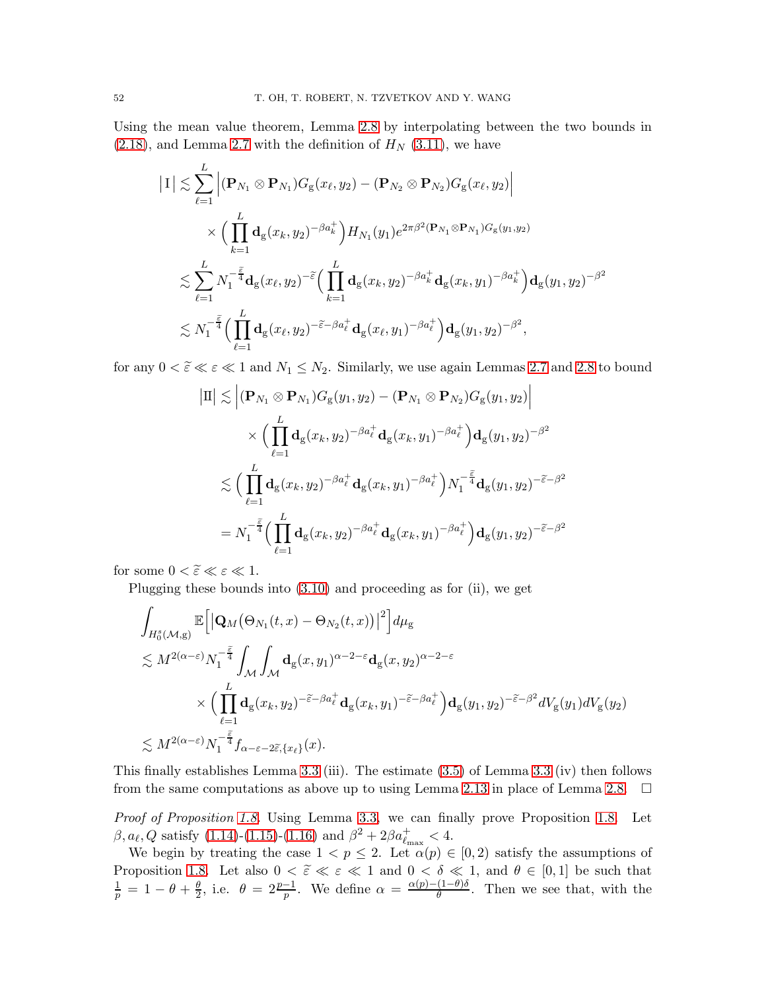Using the mean value theorem, Lemma [2.8](#page-22-0) by interpolating between the two bounds in  $(2.18)$ , and Lemma [2.7](#page-21-1) with the definition of  $H_N$   $(3.11)$ , we have

$$
\begin{split}\n\left| 1 \right| &\lesssim \sum_{\ell=1}^{L} \left| (\mathbf{P}_{N_1} \otimes \mathbf{P}_{N_1}) G_{\mathbf{g}}(x_{\ell}, y_2) - (\mathbf{P}_{N_2} \otimes \mathbf{P}_{N_2}) G_{\mathbf{g}}(x_{\ell}, y_2) \right| \\
&\quad \times \Big( \prod_{k=1}^{L} \mathbf{d}_{\mathbf{g}}(x_k, y_2)^{-\beta a_k^+} \Big) H_{N_1}(y_1) e^{2\pi \beta^2 (\mathbf{P}_{N_1} \otimes \mathbf{P}_{N_1}) G_{\mathbf{g}}(y_1, y_2)} \\
&\lesssim \sum_{\ell=1}^{L} N_1^{-\frac{\tilde{\varepsilon}}{4}} \mathbf{d}_{\mathbf{g}}(x_{\ell}, y_2)^{-\tilde{\varepsilon}} \Big( \prod_{k=1}^{L} \mathbf{d}_{\mathbf{g}}(x_k, y_2)^{-\beta a_k^+} \mathbf{d}_{\mathbf{g}}(x_k, y_1)^{-\beta a_k^+} \Big) \mathbf{d}_{\mathbf{g}}(y_1, y_2)^{-\beta^2} \\
&\lesssim N_1^{-\frac{\tilde{\varepsilon}}{4}} \Big( \prod_{\ell=1}^{L} \mathbf{d}_{\mathbf{g}}(x_{\ell}, y_2)^{-\tilde{\varepsilon} - \beta a_\ell^+} \mathbf{d}_{\mathbf{g}}(x_{\ell}, y_1)^{-\beta a_\ell^+} \Big) \mathbf{d}_{\mathbf{g}}(y_1, y_2)^{-\beta^2},\n\end{split}
$$

for any  $0 < \tilde{\varepsilon} \ll \varepsilon \ll 1$  and  $N_1 \leq N_2$ . Similarly, we use again Lemmas [2.7](#page-21-1) and [2.8](#page-22-0) to bound

$$
\begin{split} \left| \mathrm{II} \right| \lesssim & \left| (\mathbf{P}_{N_1} \otimes \mathbf{P}_{N_1}) G_{\mathrm{g}}(y_1, y_2) - (\mathbf{P}_{N_1} \otimes \mathbf{P}_{N_2}) G_{\mathrm{g}}(y_1, y_2) \right| \\ & \times \Big( \prod_{\ell=1}^L \mathbf{d}_{\mathrm{g}}(x_k, y_2)^{-\beta a_\ell^+} \mathbf{d}_{\mathrm{g}}(x_k, y_1)^{-\beta a_\ell^+} \Big) \mathbf{d}_{\mathrm{g}}(y_1, y_2)^{-\beta^2} \\ & \lesssim \Big( \prod_{\ell=1}^L \mathbf{d}_{\mathrm{g}}(x_k, y_2)^{-\beta a_\ell^+} \mathbf{d}_{\mathrm{g}}(x_k, y_1)^{-\beta a_\ell^+} \Big) N_1^{-\frac{\tilde{\epsilon}}{4}} \mathbf{d}_{\mathrm{g}}(y_1, y_2)^{-\tilde{\epsilon} - \beta^2} \\ & = N_1^{-\frac{\tilde{\epsilon}}{4}} \Big( \prod_{\ell=1}^L \mathbf{d}_{\mathrm{g}}(x_k, y_2)^{-\beta a_\ell^+} \mathbf{d}_{\mathrm{g}}(x_k, y_1)^{-\beta a_\ell^+} \Big) \mathbf{d}_{\mathrm{g}}(y_1, y_2)^{-\tilde{\epsilon} - \beta^2} \end{split}
$$

for some  $0 < \widetilde{\varepsilon} \ll \varepsilon \ll 1$ .

Plugging these bounds into [\(3.10\)](#page-50-1) and proceeding as for (ii), we get

$$
\int_{H_0^s(\mathcal{M},g)} \mathbb{E}\Big[ \big| \mathbf{Q}_M\big(\Theta_{N_1}(t,x) - \Theta_{N_2}(t,x)\big) \big|^2 \Big] d\mu_g
$$
\n
$$
\lesssim M^{2(\alpha-\varepsilon)} N_1^{-\frac{\tilde{\varepsilon}}{4}} \int_{\mathcal{M}} \int_{\mathcal{M}} d_g(x,y_1)^{\alpha-2-\varepsilon} d_g(x,y_2)^{\alpha-2-\varepsilon}
$$
\n
$$
\times \Big( \prod_{\ell=1}^L d_g(x_k,y_2)^{-\tilde{\varepsilon}-\beta a_\ell^+} d_g(x_k,y_1)^{-\tilde{\varepsilon}-\beta a_\ell^+} \Big) d_g(y_1,y_2)^{-\tilde{\varepsilon}-\beta^2} dV_g(y_1) dV_g(y_2)
$$
\n
$$
\lesssim M^{2(\alpha-\varepsilon)} N_1^{-\frac{\tilde{\varepsilon}}{4}} f_{\alpha-\varepsilon-2\tilde{\varepsilon},\{x_\ell\}}(x).
$$

This finally establishes Lemma [3.3](#page-44-0) (iii). The estimate [\(3.5\)](#page-45-0) of Lemma [3.3](#page-44-0) (iv) then follows from the same computations as above up to using Lemma [2.13](#page-29-0) in place of Lemma [2.8.](#page-22-0)  $\Box$ 

*Proof of Proposition [1.8.](#page-11-1)* Using Lemma [3.3,](#page-44-0) we can finally prove Proposition [1.8.](#page-11-1) Let  $\beta, a_{\ell}, Q$  satisfy [\(1.14\)](#page-4-2)-[\(1.15\)](#page-4-3)-[\(1.16\)](#page-4-4) and  $\beta^2 + 2\beta a_{\ell_{\text{max}}}^+ < 4$ .

We begin by treating the case  $1 < p \le 2$ . Let  $\alpha(p) \in [0, 2)$  satisfy the assumptions of Proposition [1.8.](#page-11-1) Let also  $0 < \tilde{\varepsilon} \ll \varepsilon \ll 1$  and  $0 < \delta \ll 1$ , and  $\theta \in [0,1]$  be such that  $\frac{1}{p} = 1 - \theta + \frac{\theta}{2}$  $\frac{\theta}{2}$ , i.e.  $\theta = 2\frac{p-1}{p}$ . We define  $\alpha = \frac{\alpha(p)-(1-\theta)\delta}{\theta}$ . Then we see that, with the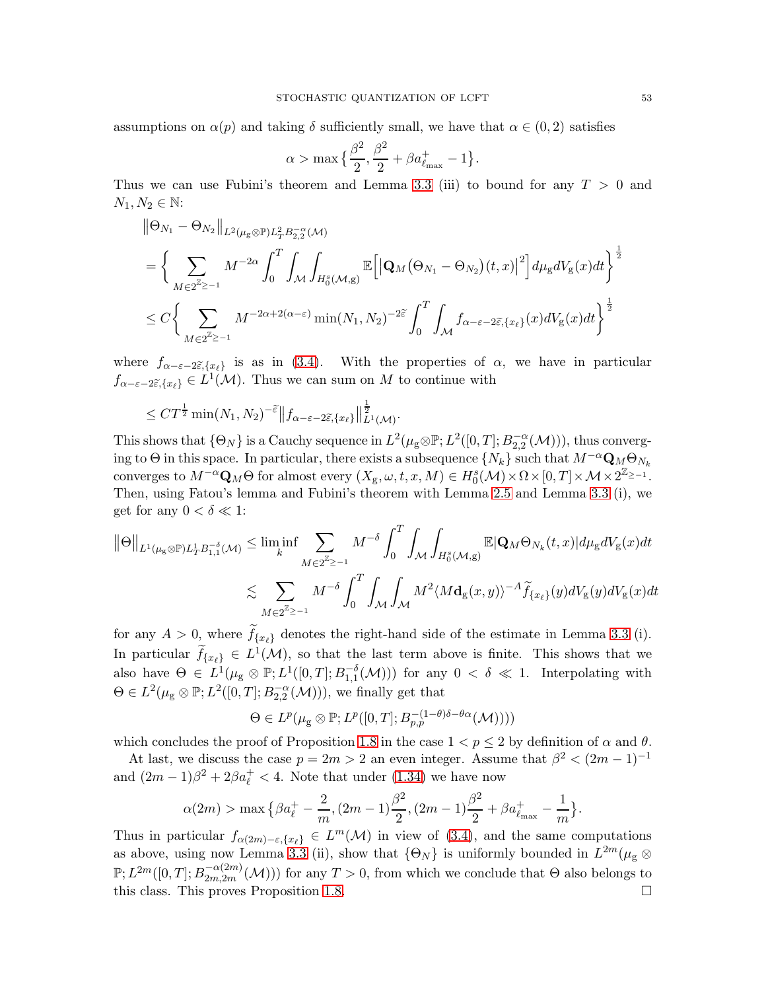assumptions on  $\alpha(p)$  and taking  $\delta$  sufficiently small, we have that  $\alpha \in (0,2)$  satisfies

$$
\alpha > \max \big\{\frac{\beta^2}{2}, \frac{\beta^2}{2} + \beta a_{\ell_{\max}}^+ - 1 \big\}.
$$

Thus we can use Fubini's theorem and Lemma [3.3](#page-44-0) (iii) to bound for any  $T > 0$  and  $N_1, N_2 \in \mathbb{N}$ :

$$
\|\Theta_{N_1} - \Theta_{N_2}\|_{L^2(\mu_{g}\otimes\mathbb{P})L_T^2B_{2,2}^{-\alpha}(\mathcal{M})}
$$
\n
$$
= \left\{\sum_{M\in2^{\mathbb{Z}}\geq -1} M^{-2\alpha} \int_0^T \int_{\mathcal{M}} \int_{H_0^s(\mathcal{M},g)} \mathbb{E}\Big[\big|\mathbf{Q}_M\big(\Theta_{N_1} - \Theta_{N_2}\big)(t,x)\big|^2\Big] d\mu_{g} dV_{g}(x) dt\right\}^{\frac{1}{2}}
$$
\n
$$
\leq C \left\{\sum_{M\in2^{\mathbb{Z}}\geq -1} M^{-2\alpha+2(\alpha-\varepsilon)} \min(N_1, N_2)^{-2\tilde{\varepsilon}} \int_0^T \int_{\mathcal{M}} f_{\alpha-\varepsilon-2\tilde{\varepsilon},\{x_{\ell}\}}(x) dV_{g}(x) dt\right\}^{\frac{1}{2}}
$$

where  $f_{\alpha-\varepsilon-2\tilde{\varepsilon},\{x_\ell\}}$  is as in [\(3.4\)](#page-44-1). With the properties of  $\alpha$ , we have in particular  $f_{\alpha-\varepsilon-2\varepsilon,\{x_\ell\}} \in L^1(\mathcal{M})$ . Thus we can sum on M to continue with

$$
\leq CT^{\frac{1}{2}}\min(N_1,N_2)^{-\widetilde{\varepsilon}}\big\|f_{\alpha-\varepsilon-2\widetilde{\varepsilon},\{x_\ell\}}\big\|_{L^1(\mathcal{M})}^{\frac{1}{2}}.
$$

This shows that  $\{\Theta_N\}$  is a Cauchy sequence in  $L^2(\mu_{\rm g}\otimes\mathbb{P};L^2([0,T];B_{2,2}^{-\alpha}(\mathcal{M}))),$  thus converging to Θ in this space. In particular, there exists a subsequence  $\{N_k\}$  such that  $M^{-\alpha} \mathbf{Q}_M \Theta_{N_k}$ converges to  $M^{-\alpha} \mathbf{Q}_M \Theta$  for almost every  $(X_g, \omega, t, x, M) \in H_0^s(\mathcal{M}) \times \Omega \times [0, T] \times \mathcal{M} \times 2^{\mathbb{Z}_{\geq -1}}$ . Then, using Fatou's lemma and Fubini's theorem with Lemma [2.5](#page-16-0) and Lemma [3.3](#page-44-0) (i), we get for any  $0 < \delta \ll 1$ :

$$
\|\Theta\|_{L^1(\mu_{\mathbf{g}}\otimes\mathbb{P})L^1_TB^{-\delta}_{1,1}(\mathcal{M})}\leq \liminf_k \sum_{M\in 2^{\mathbb{Z}}\geq -1} M^{-\delta}\int_0^T\int_{\mathcal{M}}\int_{H^s_0(\mathcal{M},\mathbf{g})}\mathbb{E}|\mathbf{Q}_M\Theta_{N_k}(t,x)|d\mu_{\mathbf{g}}dV_{\mathbf{g}}(x)dt
$$
  

$$
\lesssim \sum_{M\in 2^{\mathbb{Z}}\geq -1} M^{-\delta}\int_0^T\int_{\mathcal{M}}\int_{\mathcal{M}}M^2\langle M\mathbf{d}_{\mathbf{g}}(x,y)\rangle^{-A}\widetilde{f}_{\{x_\ell\}}(y)dV_{\mathbf{g}}(y)dV_{\mathbf{g}}(x)dt
$$

for any  $A > 0$ , where  $f_{\{x_\ell\}}$  denotes the right-hand side of the estimate in Lemma [3.3](#page-44-0) (i). In particular  $\tilde{f}_{\{x_\ell\}} \in L^1(\mathcal{M})$ , so that the last term above is finite. This shows that we also have  $\Theta \in L^1(\mu_{\mathbf{g}} \otimes \mathbb{P}; L^1([0,T]; B_{1,1}^{-\delta}(\mathcal{M})))$  for any  $0 < \delta \ll 1$ . Interpolating with  $\Theta \in L^2(\mu_{\rm g} \otimes \mathbb{P}; L^2([0,T];B_{2,2}^{-\alpha}(\mathcal{M}))),$  we finally get that

$$
\Theta \in L^p(\mu_\mathbf{g} \otimes \mathbb{P}; L^p([0,T];B_{p,p}^{-(1-\theta)\delta-\theta\alpha}(\mathcal{M}))))
$$

which concludes the proof of Proposition [1.8](#page-11-1) in the case  $1 < p \le 2$  by definition of  $\alpha$  and  $\theta$ .

At last, we discuss the case  $p = 2m > 2$  an even integer. Assume that  $\beta^2 < (2m - 1)^{-1}$ and  $(2m-1)\beta^2 + 2\beta a_\ell^+ < 4$ . Note that under [\(1.34\)](#page-11-2) we have now

$$
\alpha(2m) > \max \Big\{ \beta a_\ell^+ - \frac{2}{m}, (2m-1)\frac{\beta^2}{2}, (2m-1)\frac{\beta^2}{2} + \beta a_{\ell_{\max}}^+ - \frac{1}{m} \Big\}.
$$

Thus in particular  $f_{\alpha(2m)-\varepsilon,\{x_\ell\}} \in L^m(\mathcal{M})$  in view of [\(3.4\)](#page-44-1), and the same computations as above, using now Lemma [3.3](#page-44-0) (ii), show that  $\{\Theta_N\}$  is uniformly bounded in  $L^{2m}(\mu_{\rm g} \otimes$  $\mathbb{P}; L^{2m}([0,T]; B^{-\alpha(2m)}_{2m,2m}(\mathcal{M})))$  for any  $T>0$ , from which we conclude that  $\Theta$  also belongs to this class. This proves Proposition [1.8.](#page-11-1)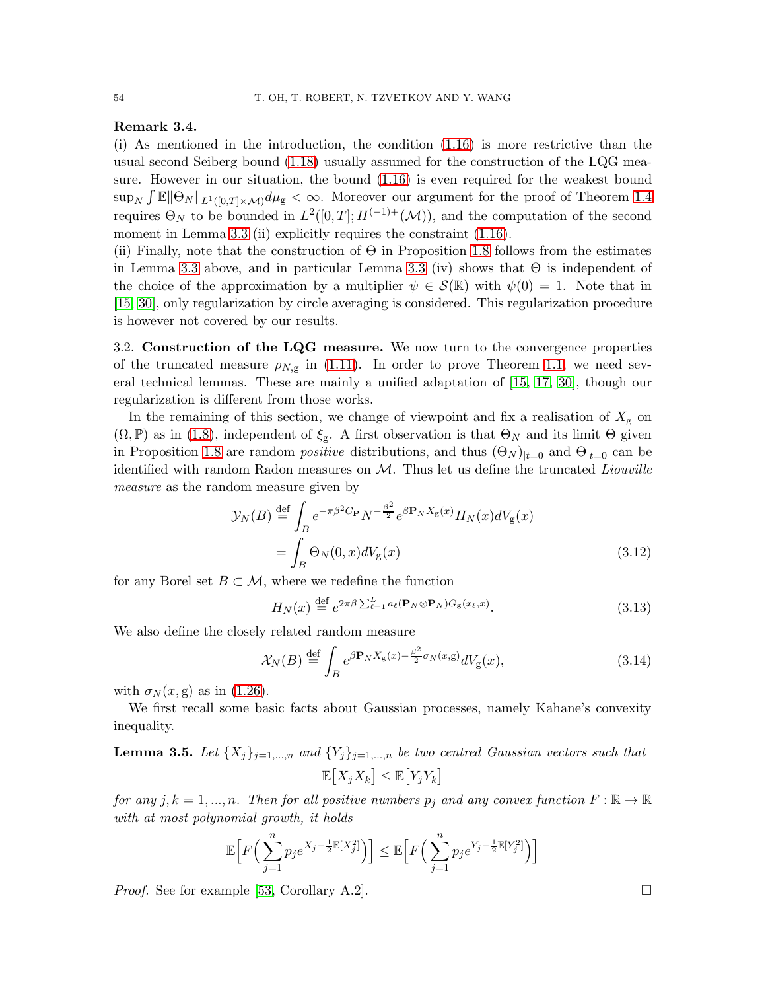## Remark 3.4.

(i) As mentioned in the introduction, the condition [\(1.16\)](#page-4-4) is more restrictive than the usual second Seiberg bound [\(1.18\)](#page-5-0) usually assumed for the construction of the LQG measure. However in our situation, the bound [\(1.16\)](#page-4-4) is even required for the weakest bound  $\sup_N \int \mathbb{E} ||\Theta_N||_{L^1([0,T]\times \mathcal{M})} d\mu_{g} < \infty$ . Moreover our argument for the proof of Theorem [1.4](#page-8-2) requires  $\Theta_N$  to be bounded in  $L^2([0,T]; H^{(-1)+}(\mathcal{M}))$ , and the computation of the second moment in Lemma [3.3](#page-44-0) (ii) explicitly requires the constraint  $(1.16)$ .

(ii) Finally, note that the construction of  $\Theta$  in Proposition [1.8](#page-11-1) follows from the estimates in Lemma [3.3](#page-44-0) above, and in particular Lemma 3.3 (iv) shows that  $\Theta$  is independent of the choice of the approximation by a multiplier  $\psi \in \mathcal{S}(\mathbb{R})$  with  $\psi(0) = 1$ . Note that in [\[15,](#page-75-2) [30\]](#page-75-4), only regularization by circle averaging is considered. This regularization procedure is however not covered by our results.

3.2. Construction of the LQG measure. We now turn to the convergence properties of the truncated measure  $\rho_{N,g}$  in [\(1.11\)](#page-4-1). In order to prove Theorem [1.1,](#page-4-5) we need several technical lemmas. These are mainly a unified adaptation of [\[15,](#page-75-2) [17,](#page-75-3) [30\]](#page-75-4), though our regularization is different from those works.

In the remaining of this section, we change of viewpoint and fix a realisation of  $X_g$  on  $(\Omega, \mathbb{P})$  as in [\(1.8\)](#page-3-0), independent of  $\xi_{g}$ . A first observation is that  $\Theta_N$  and its limit  $\Theta$  given in Proposition [1.8](#page-11-1) are random *positive* distributions, and thus  $(\Theta_N)_{|t=0}$  and  $\Theta_{|t=0}$  can be identified with random Radon measures on M. Thus let us define the truncated *Liouville measure* as the random measure given by

$$
\mathcal{Y}_N(B) \stackrel{\text{def}}{=} \int_B e^{-\pi \beta^2 C_{\mathbf{P}}} N^{-\frac{\beta^2}{2}} e^{\beta \mathbf{P}_N X_{\mathbf{g}}(x)} H_N(x) dV_{\mathbf{g}}(x)
$$

$$
= \int_B \Theta_N(0, x) dV_{\mathbf{g}}(x) \tag{3.12}
$$

for any Borel set  $B \subset \mathcal{M}$ , where we redefine the function

$$
H_N(x) \stackrel{\text{def}}{=} e^{2\pi\beta \sum_{\ell=1}^L a_\ell (\mathbf{P}_N \otimes \mathbf{P}_N) G_{\mathbf{g}}(x_\ell, x)}.
$$
(3.13)

We also define the closely related random measure

$$
\mathcal{X}_N(B) \stackrel{\text{def}}{=} \int_B e^{\beta \mathbf{P}_N X_{\mathbf{g}}(x) - \frac{\beta^2}{2} \sigma_N(x, \mathbf{g})} dV_{\mathbf{g}}(x),\tag{3.14}
$$

with  $\sigma_N(x, g)$  as in [\(1.26\)](#page-8-1).

We first recall some basic facts about Gaussian processes, namely Kahane's convexity inequality.

<span id="page-53-1"></span>**Lemma 3.5.** Let  $\{X_j\}_{j=1,\ldots,n}$  and  $\{Y_j\}_{j=1,\ldots,n}$  be two centred Gaussian vectors such that  $\mathbb{E}\big[X_j X_k\big] \leq \mathbb{E}\big[Y_j Y_k\big]$ 

*for any*  $j, k = 1, ..., n$ *. Then for all positive numbers*  $p_j$  *and any convex function*  $F : \mathbb{R} \to \mathbb{R}$ *with at most polynomial growth, it holds*

$$
\mathbb{E}\Big[F\Big(\sum_{j=1}^n p_j e^{X_j - \frac{1}{2}\mathbb{E}[X_j^2]}\Big)\Big] \leq \mathbb{E}\Big[F\Big(\sum_{j=1}^n p_j e^{Y_j - \frac{1}{2}\mathbb{E}[Y_j^2]}\Big)\Big]
$$

*Proof.* See for example [\[53,](#page-76-6) Corollary A.2]. □

<span id="page-53-3"></span><span id="page-53-2"></span><span id="page-53-0"></span>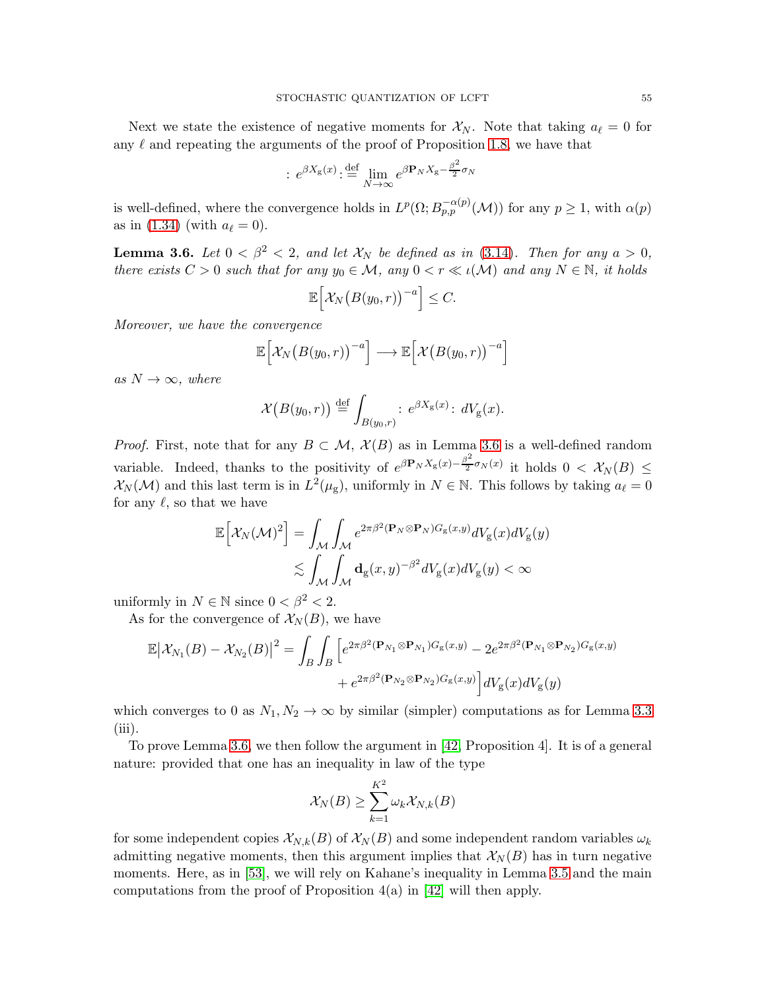Next we state the existence of negative moments for  $\mathcal{X}_N$ . Note that taking  $a_\ell = 0$  for any  $\ell$  and repeating the arguments of the proof of Proposition [1.8,](#page-11-1) we have that

$$
: e^{\beta X_{\rm g}(x)} : \stackrel{\text{def}}{=} \lim_{N \to \infty} e^{\beta \mathbf{P}_N X_{\rm g} - \frac{\beta^2}{2} \sigma_N}
$$

is well-defined, where the convergence holds in  $L^p(\Omega; B_{p,p}^{-\alpha(p)}(\mathcal{M}))$  for any  $p \geq 1$ , with  $\alpha(p)$ as in [\(1.34\)](#page-11-2) (with  $a_{\ell}=0$ ).

<span id="page-54-0"></span>**Lemma 3.6.** Let  $0 < \beta^2 < 2$ , and let  $\mathcal{X}_N$  be defined as in [\(3.14\)](#page-53-0). Then for any  $a > 0$ , *there exists*  $C > 0$  *such that for any*  $y_0 \in M$ *, any*  $0 < r \ll \iota(M)$  *and any*  $N \in \mathbb{N}$ *, it holds* 

$$
\mathbb{E}\Big[\mathcal{X}_N\big(B(y_0,r)\big)^{-a}\Big]\leq C.
$$

*Moreover, we have the convergence*

$$
\mathbb{E}\Big[\mathcal{X}_N\big(B(y_0,r)\big)^{-a}\Big]\longrightarrow \mathbb{E}\Big[\mathcal{X}\big(B(y_0,r)\big)^{-a}\Big]
$$

 $as N \rightarrow \infty$ *, where* 

$$
\mathcal{X}\big(B(y_0,r)\big) \stackrel{\text{def}}{=} \int_{B(y_0,r)} : e^{\beta X_{\mathbf{g}}(x)} : dV_{\mathbf{g}}(x).
$$

*Proof.* First, note that for any  $B \subset \mathcal{M}$ ,  $\mathcal{X}(B)$  as in Lemma [3.6](#page-54-0) is a well-defined random variable. Indeed, thanks to the positivity of  $e^{\beta \mathbf{P}_N X_{\rm g}(x) - \frac{\beta^2}{2}}$  $\frac{1}{2} \sigma_N(x)$  it holds  $0 < \mathcal{X}_N(B) \leq$  $\mathcal{X}_N(\mathcal{M})$  and this last term is in  $L^2(\mu_{\rm g})$ , uniformly in  $N \in \mathbb{N}$ . This follows by taking  $a_\ell = 0$ for any  $\ell$ , so that we have

$$
\mathbb{E}\left[\mathcal{X}_N(\mathcal{M})^2\right] = \int_{\mathcal{M}} \int_{\mathcal{M}} e^{2\pi\beta^2 (\mathbf{P}_N \otimes \mathbf{P}_N) G_{\mathbf{g}}(x,y)} dV_{\mathbf{g}}(x) dV_{\mathbf{g}}(y)
$$

$$
\lesssim \int_{\mathcal{M}} \int_{\mathcal{M}} \mathbf{d}_{\mathbf{g}}(x,y)^{-\beta^2} dV_{\mathbf{g}}(x) dV_{\mathbf{g}}(y) < \infty
$$

uniformly in  $N \in \mathbb{N}$  since  $0 < \beta^2 < 2$ .

As for the convergence of  $\mathcal{X}_N(B)$ , we have

$$
\mathbb{E}|\mathcal{X}_{N_1}(B) - \mathcal{X}_{N_2}(B)|^2 = \int_B \int_B \left[ e^{2\pi\beta^2 (\mathbf{P}_{N_1} \otimes \mathbf{P}_{N_1}) G_{\rm g}(x,y)} - 2e^{2\pi\beta^2 (\mathbf{P}_{N_1} \otimes \mathbf{P}_{N_2}) G_{\rm g}(x,y)} + e^{2\pi\beta^2 (\mathbf{P}_{N_2} \otimes \mathbf{P}_{N_2}) G_{\rm g}(x,y)} \right] dV_{\rm g}(x) dV_{\rm g}(y)
$$

which converges to 0 as  $N_1, N_2 \to \infty$  by similar (simpler) computations as for Lemma [3.3](#page-44-0)  $(iii)$ .

To prove Lemma [3.6,](#page-54-0) we then follow the argument in [\[42,](#page-76-7) Proposition 4]. It is of a general nature: provided that one has an inequality in law of the type

$$
\mathcal{X}_N(B) \ge \sum_{k=1}^{K^2} \omega_k \mathcal{X}_{N,k}(B)
$$

for some independent copies  $\mathcal{X}_{N,k}(B)$  of  $\mathcal{X}_N(B)$  and some independent random variables  $\omega_k$ admitting negative moments, then this argument implies that  $\mathcal{X}_{N}(B)$  has in turn negative moments. Here, as in [\[53\]](#page-76-6), we will rely on Kahane's inequality in Lemma [3.5](#page-53-1) and the main computations from the proof of Proposition  $4(a)$  in [\[42\]](#page-76-7) will then apply.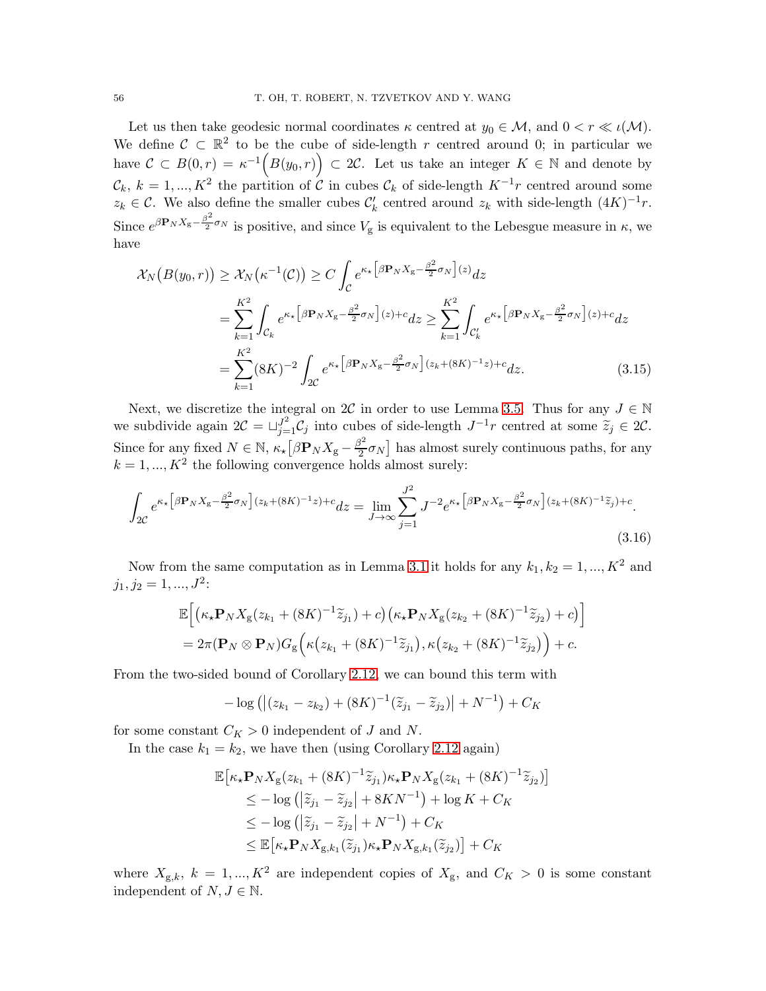Let us then take geodesic normal coordinates  $\kappa$  centred at  $y_0 \in \mathcal{M}$ , and  $0 < r \ll \iota(\mathcal{M})$ . We define  $C \subset \mathbb{R}^2$  to be the cube of side-length r centred around 0; in particular we have  $\mathcal{C} \subset B(0,r) = \kappa^{-1}(\overline{B(y_0,r)}) \subset 2\mathcal{C}$ . Let us take an integer  $K \in \mathbb{N}$  and denote by  $\mathcal{C}_k$ ,  $k = 1, ..., K^2$  the partition of C in cubes  $\mathcal{C}_k$  of side-length  $K^{-1}r$  centred around some  $z_k \in \mathcal{C}$ . We also define the smaller cubes  $\mathcal{C}'_k$  centred around  $z_k$  with side-length  $(4K)^{-1}r$ . Since  $e^{\beta \mathbf{P}_N X_{\text{g}} - \frac{\beta^2}{2}}$  $\frac{1}{2} \sigma_N$  is positive, and since  $V_g$  is equivalent to the Lebesgue measure in  $\kappa$ , we have

<span id="page-55-0"></span>
$$
\mathcal{X}_{N}\left(B(y_{0},r)\right) \geq \mathcal{X}_{N}\left(\kappa^{-1}(\mathcal{C})\right) \geq C \int_{\mathcal{C}} e^{\kappa_{\star}\left[\beta \mathbf{P}_{N} X_{\mathbf{g}} - \frac{\beta^{2}}{2} \sigma_{N}\right](z)} dz
$$
\n
$$
= \sum_{k=1}^{K^{2}} \int_{\mathcal{C}_{k}} e^{\kappa_{\star}\left[\beta \mathbf{P}_{N} X_{\mathbf{g}} - \frac{\beta^{2}}{2} \sigma_{N}\right](z) + c} dz \geq \sum_{k=1}^{K^{2}} \int_{\mathcal{C}_{k}'} e^{\kappa_{\star}\left[\beta \mathbf{P}_{N} X_{\mathbf{g}} - \frac{\beta^{2}}{2} \sigma_{N}\right](z) + c} dz
$$
\n
$$
= \sum_{k=1}^{K^{2}} (8K)^{-2} \int_{2\mathcal{C}} e^{\kappa_{\star}\left[\beta \mathbf{P}_{N} X_{\mathbf{g}} - \frac{\beta^{2}}{2} \sigma_{N}\right](z_{k} + (8K)^{-1} z) + c} dz. \tag{3.15}
$$

Next, we discretize the integral on  $2\mathcal{C}$  in order to use Lemma [3.5.](#page-53-1) Thus for any  $J \in \mathbb{N}$ we subdivide again  $2\mathcal{C} = \bigcup_{j=1}^{J^2} \mathcal{C}_j$  into cubes of side-length  $J^{-1}r$  centred at some  $\widetilde{z}_j \in 2\mathcal{C}$ . Since for any fixed  $N \in \mathbb{N}$ ,  $\kappa_{\star} \left[ \beta \mathbf{P}_N X_{\mathrm{g}} - \frac{\beta^2}{2} \right]$  $\left[\frac{\partial^2}{\partial x^2}\sigma_N\right]$  has almost surely continuous paths, for any  $k = 1, ..., K^2$  the following convergence holds almost surely:

$$
\int_{2C} e^{\kappa_{\star} \left[ \beta \mathbf{P}_{N} X_{\mathbf{g}} - \frac{\beta^{2}}{2} \sigma_{N} \right] (z_{k} + (8K)^{-1} z) + c} dz = \lim_{J \to \infty} \sum_{j=1}^{J^{2}} J^{-2} e^{\kappa_{\star} \left[ \beta \mathbf{P}_{N} X_{\mathbf{g}} - \frac{\beta^{2}}{2} \sigma_{N} \right] (z_{k} + (8K)^{-1} \tilde{z}_{j}) + c}.
$$
\n(3.16)

Now from the same computation as in Lemma [3.1](#page-41-3) it holds for any  $k_1, k_2 = 1, ..., K^2$  and  $j_1, j_2 = 1, ..., J^2$ :

$$
\mathbb{E}\Big[(\kappa_{\star}\mathbf{P}_{N}X_{\mathrm{g}}(z_{k_{1}}+(8K)^{-1}\widetilde{z}_{j_{1}})+c)(\kappa_{\star}\mathbf{P}_{N}X_{\mathrm{g}}(z_{k_{2}}+(8K)^{-1}\widetilde{z}_{j_{2}})+c)\Big]
$$
  
=  $2\pi(\mathbf{P}_{N}\otimes\mathbf{P}_{N})G_{\mathrm{g}}\Big(\kappa(z_{k_{1}}+(8K)^{-1}\widetilde{z}_{j_{1}}),\kappa(z_{k_{2}}+(8K)^{-1}\widetilde{z}_{j_{2}})\Big)+c.$ 

From the two-sided bound of Corollary [2.12,](#page-29-1) we can bound this term with

<span id="page-55-1"></span>
$$
-\log (|(z_{k_1}-z_{k_2})+(8K)^{-1}(\widetilde{z}_{j_1}-\widetilde{z}_{j_2})|+N^{-1})+C_K
$$

for some constant  $C_K > 0$  independent of J and N.

In the case  $k_1 = k_2$ , we have then (using Corollary [2.12](#page-29-1) again)

$$
\mathbb{E}\left[\kappa_{\star}\mathbf{P}_{N}X_{\mathrm{g}}(z_{k_{1}}+(8K)^{-1}\widetilde{z}_{j_{1}})\kappa_{\star}\mathbf{P}_{N}X_{\mathrm{g}}(z_{k_{1}}+(8K)^{-1}\widetilde{z}_{j_{2}})\right]
$$
\n
$$
\leq -\log\left(|\widetilde{z}_{j_{1}}-\widetilde{z}_{j_{2}}|+8KN^{-1}\right)+\log K+C_{K}
$$
\n
$$
\leq -\log\left(|\widetilde{z}_{j_{1}}-\widetilde{z}_{j_{2}}|+N^{-1}\right)+C_{K}
$$
\n
$$
\leq \mathbb{E}\left[\kappa_{\star}\mathbf{P}_{N}X_{\mathrm{g},k_{1}}(\widetilde{z}_{j_{1}})\kappa_{\star}\mathbf{P}_{N}X_{\mathrm{g},k_{1}}(\widetilde{z}_{j_{2}})\right]+C_{K}
$$

where  $X_{g,k}$ ,  $k = 1, ..., K^2$  are independent copies of  $X_g$ , and  $C_K > 0$  is some constant independent of  $N, J \in \mathbb{N}$ .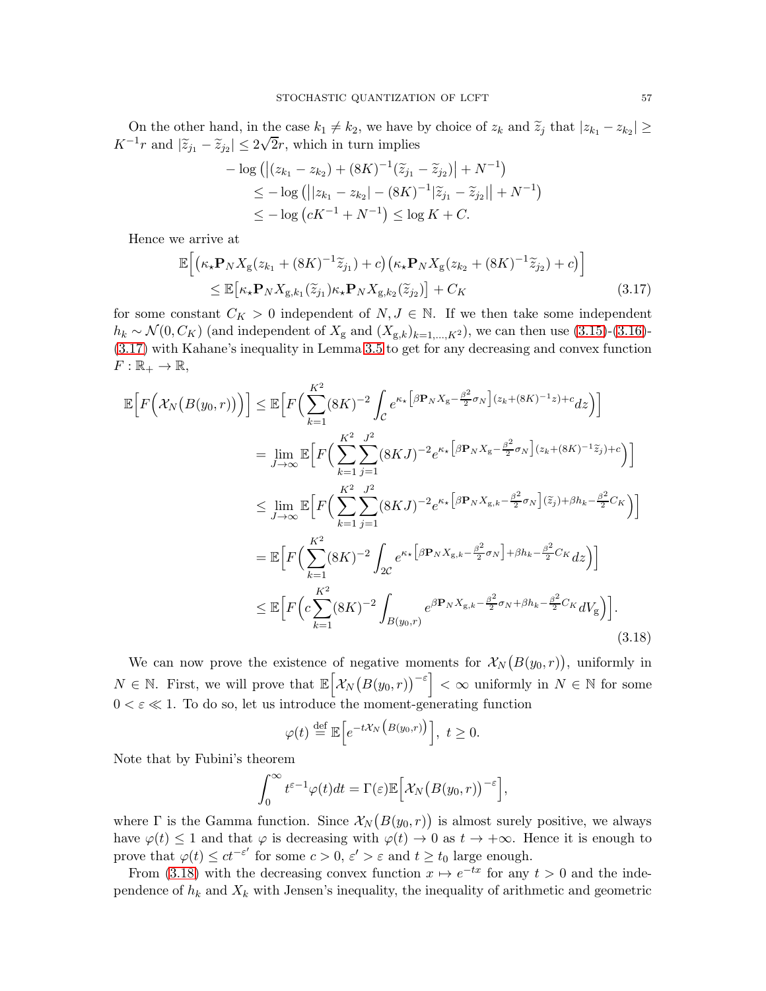On the other hand, in the case  $k_1 \neq k_2$ , we have by choice of  $z_k$  and  $\tilde{z}_j$  that  $|z_{k_1} - z_{k_2}| \ge$  $K^{-1}r$  and  $|\tilde{z}_{j_1} - \tilde{z}_{j_2}| \leq 2\sqrt{2}r$ , which in turn implies

<span id="page-56-0"></span>
$$
- \log (|(z_{k_1} - z_{k_2}) + (8K)^{-1}(\widetilde{z}_{j_1} - \widetilde{z}_{j_2})| + N^{-1})
$$
  
\n
$$
\leq - \log (||z_{k_1} - z_{k_2}| - (8K)^{-1}|\widetilde{z}_{j_1} - \widetilde{z}_{j_2}|| + N^{-1})
$$
  
\n
$$
\leq - \log (cK^{-1} + N^{-1}) \leq \log K + C.
$$

Hence we arrive at

$$
\mathbb{E}\Big[\big(\kappa_{\star}\mathbf{P}_{N}X_{\mathrm{g}}(z_{k_{1}}+(8K)^{-1}\widetilde{z}_{j_{1}})+c\big)\big(\kappa_{\star}\mathbf{P}_{N}X_{\mathrm{g}}(z_{k_{2}}+(8K)^{-1}\widetilde{z}_{j_{2}})+c\big)\Big] \leq \mathbb{E}\big[\kappa_{\star}\mathbf{P}_{N}X_{\mathrm{g},k_{1}}(\widetilde{z}_{j_{1}})\kappa_{\star}\mathbf{P}_{N}X_{\mathrm{g},k_{2}}(\widetilde{z}_{j_{2}})\big]+C_{K}
$$
\n(3.17)

for some constant  $C_K > 0$  independent of  $N, J \in \mathbb{N}$ . If we then take some independent  $h_k \sim \mathcal{N}(0, C_K)$  (and independent of  $X_g$  and  $(X_{g,k})_{k=1,\dots,K^2}$ ), we can then use [\(3.15\)](#page-55-0)-[\(3.16\)](#page-55-1)-[\(3.17\)](#page-56-0) with Kahane's inequality in Lemma [3.5](#page-53-1) to get for any decreasing and convex function  $F:\mathbb{R}_+\to\mathbb{R},$ 

$$
\mathbb{E}\Big[F\Big(\mathcal{X}_{N}\big(B(y_{0},r)\big)\Big)\Big] \leq \mathbb{E}\Big[F\Big(\sum_{k=1}^{K^{2}}(8K)^{-2}\int_{\mathcal{C}}e^{\kappa_{\star}\big[\beta\mathbf{P}_{N}X_{g}-\frac{\beta^{2}}{2}\sigma_{N}\big](z_{k}+(8K)^{-1}z)+c}dz\Big)\Big]
$$
\n
$$
= \lim_{J\to\infty}\mathbb{E}\Big[F\Big(\sum_{k=1}^{K^{2}}\sum_{j=1}^{J^{2}}(8KJ)^{-2}e^{\kappa_{\star}\big[\beta\mathbf{P}_{N}X_{g}-\frac{\beta^{2}}{2}\sigma_{N}\big](z_{k}+(8K)^{-1}\tilde{z}_{j})+c}\Big)\Big]
$$
\n
$$
\leq \lim_{J\to\infty}\mathbb{E}\Big[F\Big(\sum_{k=1}^{K^{2}}\sum_{j=1}^{J^{2}}(8KJ)^{-2}e^{\kappa_{\star}\big[\beta\mathbf{P}_{N}X_{g,k}-\frac{\beta^{2}}{2}\sigma_{N}\big](\tilde{z}_{j})+\beta h_{k}-\frac{\beta^{2}}{2}C_{K}}\Big)\Big]
$$
\n
$$
= \mathbb{E}\Big[F\Big(\sum_{k=1}^{K^{2}}(8K)^{-2}\int_{2\mathcal{C}}e^{\kappa_{\star}\big[\beta\mathbf{P}_{N}X_{g,k}-\frac{\beta^{2}}{2}\sigma_{N}\big] +\beta h_{k}-\frac{\beta^{2}}{2}C_{K}}dz\Big)\Big]
$$
\n
$$
\leq \mathbb{E}\Big[F\Big(c\sum_{k=1}^{K^{2}}(8K)^{-2}\int_{B(y_{0},r)}e^{\beta\mathbf{P}_{N}X_{g,k}-\frac{\beta^{2}}{2}\sigma_{N}+\beta h_{k}-\frac{\beta^{2}}{2}C_{K}}dV_{g}\Big)\Big].
$$
\n(3.18)

We can now prove the existence of negative moments for  $\mathcal{X}_N(B(y_0,r))$ , uniformly in  $N \in \mathbb{N}$ . First, we will prove that  $\mathbb{E}\Big[$  $\mathcal{X}_N(B(y_0,r))^{-\varepsilon}\Big] < \infty$  uniformly in  $N \in \mathbb{N}$  for some  $0 < \varepsilon \ll 1$ . To do so, let us introduce the moment-generating function

<span id="page-56-1"></span>
$$
\varphi(t) \stackrel{\text{def}}{=} \mathbb{E}\Big[e^{-t\mathcal{X}_N\big(B(y_0,r)\big)}\Big], \ t \ge 0.
$$

Note that by Fubini's theorem

$$
\int_0^\infty t^{\varepsilon-1}\varphi(t)dt = \Gamma(\varepsilon)\mathbb{E}\Big[\mathcal{X}_N\big(B(y_0,r)\big)^{-\varepsilon}\Big],
$$

where  $\Gamma$  is the Gamma function. Since  $\mathcal{X}_N(B(y_0,r))$  is almost surely positive, we always have  $\varphi(t) \leq 1$  and that  $\varphi$  is decreasing with  $\varphi(t) \to 0$  as  $t \to +\infty$ . Hence it is enough to prove that  $\varphi(t) \le ct^{-\varepsilon'}$  for some  $c > 0$ ,  $\varepsilon' > \varepsilon$  and  $t \ge t_0$  large enough.

From [\(3.18\)](#page-56-1) with the decreasing convex function  $x \mapsto e^{-tx}$  for any  $t > 0$  and the independence of  $h_k$  and  $X_k$  with Jensen's inequality, the inequality of arithmetic and geometric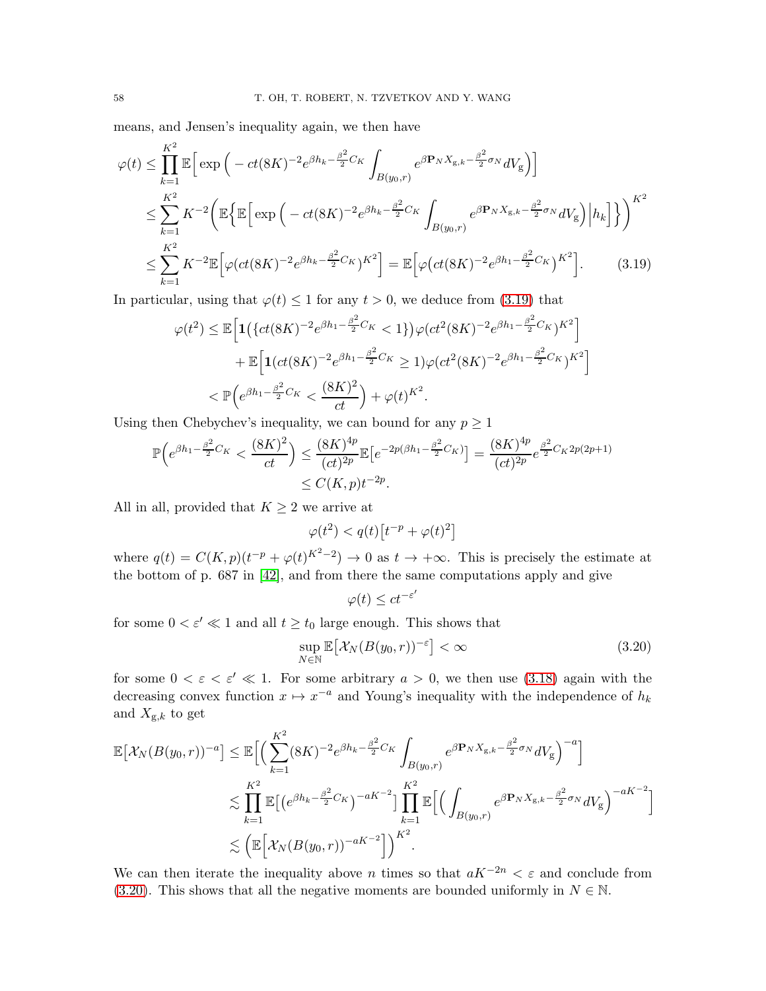means, and Jensen's inequality again, we then have

$$
\varphi(t) \leq \prod_{k=1}^{K^2} \mathbb{E} \Big[ \exp \Big( -ct(8K)^{-2} e^{\beta h_k - \frac{\beta^2}{2} C_K} \int_{B(y_0, r)} e^{\beta \mathbf{P}_N X_{\mathbf{g}, k} - \frac{\beta^2}{2} \sigma_N} dV_{\mathbf{g}} \Big) \Big]
$$
  

$$
\leq \sum_{k=1}^{K^2} K^{-2} \Big( \mathbb{E} \Big\{ \mathbb{E} \Big[ \exp \Big( -ct(8K)^{-2} e^{\beta h_k - \frac{\beta^2}{2} C_K} \int_{B(y_0, r)} e^{\beta \mathbf{P}_N X_{\mathbf{g}, k} - \frac{\beta^2}{2} \sigma_N} dV_{\mathbf{g}} \Big) \Big| h_k \Big] \Big\} \Bigg)^{K^2}
$$
  

$$
\leq \sum_{k=1}^{K^2} K^{-2} \mathbb{E} \Big[ \varphi(ct(8K)^{-2} e^{\beta h_k - \frac{\beta^2}{2} C_K} )^{K^2} \Big] = \mathbb{E} \Big[ \varphi(ct(8K)^{-2} e^{\beta h_1 - \frac{\beta^2}{2} C_K} )^{K^2} \Big]. \tag{3.19}
$$

In particular, using that  $\varphi(t) \leq 1$  for any  $t > 0$ , we deduce from [\(3.19\)](#page-57-0) that

$$
\varphi(t^2) \leq \mathbb{E}\Big[\mathbf{1}\big(\{ct(8K)^{-2}e^{\beta h_1 - \frac{\beta^2}{2}C_K} < 1\}\big)\varphi(ct^2(8K)^{-2}e^{\beta h_1 - \frac{\beta^2}{2}C_K} + \mathbb{E}\Big[\mathbf{1}(ct(8K)^{-2}e^{\beta h_1 - \frac{\beta^2}{2}C_K} \geq 1)\varphi(ct^2(8K)^{-2}e^{\beta h_1 - \frac{\beta^2}{2}C_K} + \mathbb{E}\Big[\mathbf{1}(ct(8K)^{-2}e^{\beta h_1 - \frac{\beta^2}{2}C_K} < \frac{(8K)^2}{ct}\Big) + \varphi(t)^{K^2}.
$$

Using then Chebychev's inequality, we can bound for any  $p \geq 1$ 

$$
\mathbb{P}\Big(e^{\beta h_1 - \frac{\beta^2}{2}C_K} < \frac{(8K)^2}{ct}\Big) \le \frac{(8K)^{4p}}{(ct)^{2p}} \mathbb{E}\big[e^{-2p(\beta h_1 - \frac{\beta^2}{2}C_K)}\big] = \frac{(8K)^{4p}}{(ct)^{2p}} e^{\frac{\beta^2}{2}C_K 2p(2p+1)} \le C(K, p)t^{-2p}.
$$

All in all, provided that  $K \geq 2$  we arrive at

<span id="page-57-0"></span>
$$
\varphi(t^2) < q(t) \big[t^{-p} + \varphi(t)^2\big]
$$

where  $q(t) = C(K, p)(t^{-p} + \varphi(t)^{K^2 - 2}) \to 0$  as  $t \to +\infty$ . This is precisely the estimate at the bottom of p. 687 in [\[42\]](#page-76-7), and from there the same computations apply and give

<span id="page-57-1"></span>
$$
\varphi(t) \le ct^{-\varepsilon'}
$$

for some  $0 < \varepsilon' \ll 1$  and all  $t \geq t_0$  large enough. This shows that

$$
\sup_{N \in \mathbb{N}} \mathbb{E}\left[\mathcal{X}_N(B(y_0, r))^{-\varepsilon}\right] < \infty \tag{3.20}
$$

for some  $0 < \varepsilon < \varepsilon' \ll 1$ . For some arbitrary  $a > 0$ , we then use [\(3.18\)](#page-56-1) again with the decreasing convex function  $x \mapsto x^{-a}$  and Young's inequality with the independence of  $h_k$ and  $X_{g,k}$  to get

$$
\mathbb{E}\left[\mathcal{X}_{N}(B(y_{0},r))^{-a}\right] \leq \mathbb{E}\Big[\Big(\sum_{k=1}^{K^{2}}(8K)^{-2}e^{\beta h_{k}-\frac{\beta^{2}}{2}C_{K}}\int_{B(y_{0},r)}e^{\beta \mathbf{P}_{N}X_{g,k}-\frac{\beta^{2}}{2}\sigma_{N}}dV_{g}\Big)^{-a}\Big]
$$
  

$$
\lesssim \prod_{k=1}^{K^{2}}\mathbb{E}\Big[\Big(e^{\beta h_{k}-\frac{\beta^{2}}{2}C_{K}}\Big)^{-aK^{-2}}\Big]\prod_{k=1}^{K^{2}}\mathbb{E}\Big[\Big(\int_{B(y_{0},r)}e^{\beta \mathbf{P}_{N}X_{g,k}-\frac{\beta^{2}}{2}\sigma_{N}}dV_{g}\Big)^{-aK^{-2}}\Big]
$$
  

$$
\lesssim \left(\mathbb{E}\Big[\mathcal{X}_{N}(B(y_{0},r))^{-aK^{-2}}\Big]\right)^{K^{2}}.
$$

We can then iterate the inequality above n times so that  $aK^{-2n} < \varepsilon$  and conclude from [\(3.20\)](#page-57-1). This shows that all the negative moments are bounded uniformly in  $N \in \mathbb{N}$ .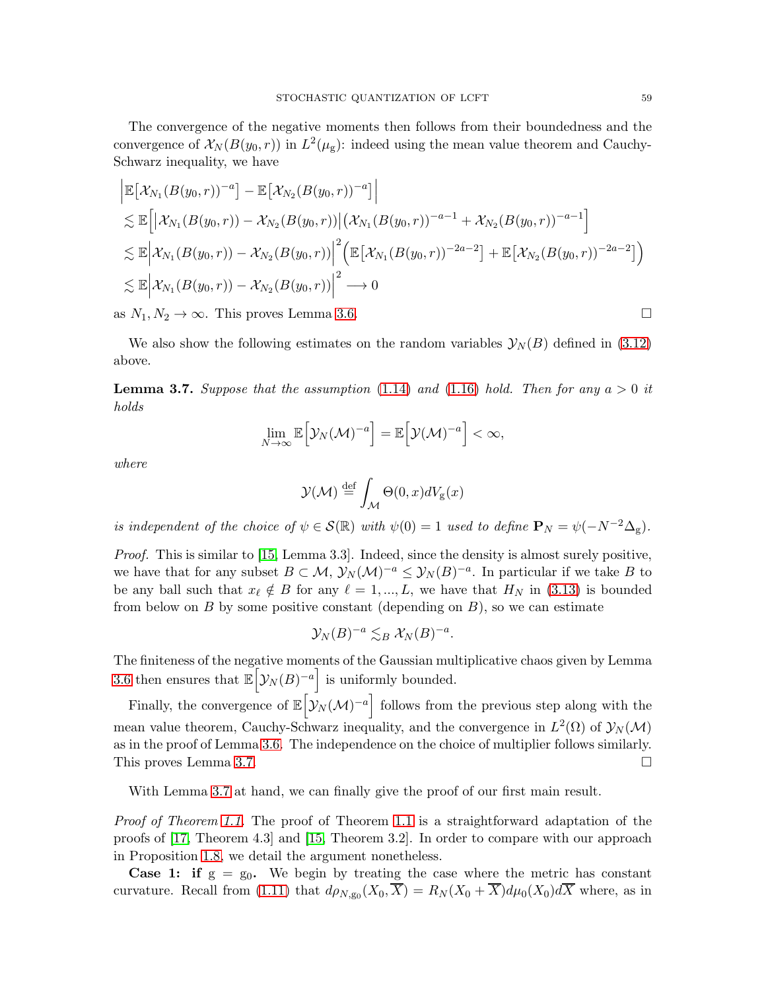The convergence of the negative moments then follows from their boundedness and the convergence of  $\mathcal{X}_N(B(y_0,r))$  in  $L^2(\mu_{\rm g})$ : indeed using the mean value theorem and Cauchy-Schwarz inequality, we have

$$
\begin{aligned}\n&\left|\mathbb{E}\left[\mathcal{X}_{N_{1}}(B(y_{0},r))^{-a}\right]-\mathbb{E}\left[\mathcal{X}_{N_{2}}(B(y_{0},r))^{-a}\right]\right| \\
&\lesssim \mathbb{E}\left[\left|\mathcal{X}_{N_{1}}(B(y_{0},r))-\mathcal{X}_{N_{2}}(B(y_{0},r))\right|\left(\mathcal{X}_{N_{1}}(B(y_{0},r))^{-a-1}+\mathcal{X}_{N_{2}}(B(y_{0},r))^{-a-1}\right]\right] \\
&\lesssim \mathbb{E}\left|\mathcal{X}_{N_{1}}(B(y_{0},r))-\mathcal{X}_{N_{2}}(B(y_{0},r))\right|^{2}\left(\mathbb{E}\left[\mathcal{X}_{N_{1}}(B(y_{0},r))^{-2a-2}\right]+\mathbb{E}\left[\mathcal{X}_{N_{2}}(B(y_{0},r))^{-2a-2}\right]\right) \\
&\lesssim \mathbb{E}\left|\mathcal{X}_{N_{1}}(B(y_{0},r))-\mathcal{X}_{N_{2}}(B(y_{0},r))\right|^{2}\longrightarrow 0\n\end{aligned}
$$

as  $N_1, N_2 \to \infty$ . This proves Lemma [3.6.](#page-54-0)

We also show the following estimates on the random variables  $\mathcal{Y}_N(B)$  defined in [\(3.12\)](#page-53-2) above.

<span id="page-58-0"></span>**Lemma 3.7.** Suppose that the assumption [\(1.14\)](#page-4-2) and [\(1.16\)](#page-4-4) hold. Then for any  $a > 0$  it *holds*

$$
\lim_{N \to \infty} \mathbb{E} \left[ \mathcal{Y}_N(\mathcal{M})^{-a} \right] = \mathbb{E} \left[ \mathcal{Y}(\mathcal{M})^{-a} \right] < \infty,
$$

*where*

$$
\mathcal{Y}(\mathcal{M}) \stackrel{\text{def}}{=} \int_{\mathcal{M}} \Theta(0, x) dV_{g}(x)
$$

*is independent of the choice of*  $\psi \in \mathcal{S}(\mathbb{R})$  *with*  $\psi(0) = 1$  *used to define*  $\mathbf{P}_N = \psi(-N^{-2}\Delta_g)$ *.* 

*Proof.* This is similar to [\[15,](#page-75-2) Lemma 3.3]. Indeed, since the density is almost surely positive, we have that for any subset  $B \subset M$ ,  $\mathcal{Y}_N(\mathcal{M})^{-a} \leq \mathcal{Y}_N(B)^{-a}$ . In particular if we take B to be any ball such that  $x_{\ell} \notin B$  for any  $\ell = 1, ..., L$ , we have that  $H_N$  in [\(3.13\)](#page-53-3) is bounded from below on  $B$  by some positive constant (depending on  $B$ ), so we can estimate

$$
\mathcal{Y}_N(B)^{-a} \lesssim_B \mathcal{X}_N(B)^{-a}.
$$

The finiteness of the negative moments of the Gaussian multiplicative chaos given by Lemma [3.6](#page-54-0) then ensures that  $\mathbb{E}\left[\mathcal{Y}_N(B)^{-a}\right]$  is uniformly bounded.

Finally, the convergence of  $\mathbb{E} \left[ \mathcal{Y}_N(\mathcal{M})^{-a} \right]$  follows from the previous step along with the mean value theorem, Cauchy-Schwarz inequality, and the convergence in  $L^2(\Omega)$  of  $\mathcal{Y}_N(\mathcal{M})$ as in the proof of Lemma [3.6.](#page-54-0) The independence on the choice of multiplier follows similarly. This proves Lemma [3.7.](#page-58-0)

With Lemma [3.7](#page-58-0) at hand, we can finally give the proof of our first main result.

*Proof of Theorem [1.1.](#page-4-5)* The proof of Theorem [1.1](#page-4-5) is a straightforward adaptation of the proofs of [\[17,](#page-75-3) Theorem 4.3] and [\[15,](#page-75-2) Theorem 3.2]. In order to compare with our approach in Proposition [1.8,](#page-11-1) we detail the argument nonetheless.

**Case 1: if**  $g = g_0$ . We begin by treating the case where the metric has constant curvature. Recall from [\(1.11\)](#page-4-1) that  $d\rho_{N,g_0}(X_0, X) = R_N(X_0 + X)d\mu_0(X_0)dX$  where, as in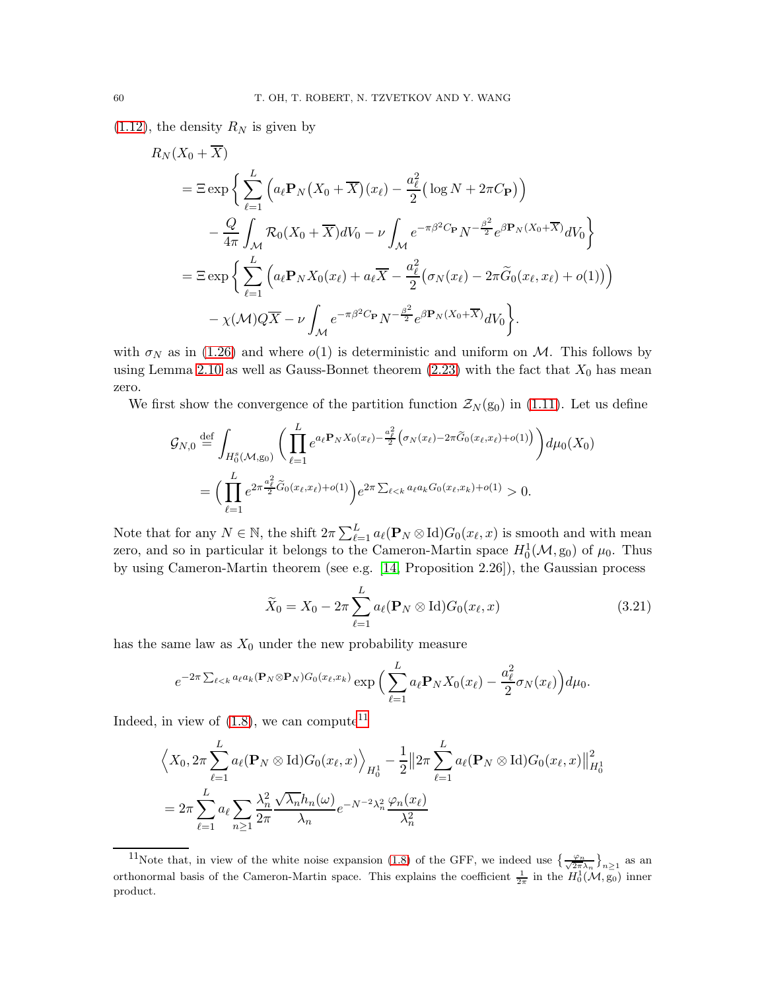$(1.12)$ , the density  $R_N$  is given by

$$
R_N(X_0 + \overline{X})
$$
  
=  $\Xi \exp \left\{ \sum_{\ell=1}^L \left( a_\ell \mathbf{P}_N(X_0 + \overline{X})(x_\ell) - \frac{a_\ell^2}{2} (\log N + 2\pi C_{\mathbf{P}}) \right) - \frac{Q}{4\pi} \int_M \mathcal{R}_0(X_0 + \overline{X}) dV_0 - \nu \int_M e^{-\pi \beta^2 C_{\mathbf{P}}} N^{-\frac{\beta^2}{2}} e^{\beta \mathbf{P}_N(X_0 + \overline{X})} dV_0 \right\}$   
=  $\Xi \exp \left\{ \sum_{\ell=1}^L \left( a_\ell \mathbf{P}_N X_0(x_\ell) + a_\ell \overline{X} - \frac{a_\ell^2}{2} (\sigma_N(x_\ell) - 2\pi \widetilde{G}_0(x_\ell, x_\ell) + o(1)) \right) - \chi(\mathcal{M}) Q \overline{X} - \nu \int_M e^{-\pi \beta^2 C_{\mathbf{P}}} N^{-\frac{\beta^2}{2}} e^{\beta \mathbf{P}_N(X_0 + \overline{X})} dV_0 \right\}.$ 

with  $\sigma_N$  as in [\(1.26\)](#page-8-1) and where  $o(1)$  is deterministic and uniform on M. This follows by using Lemma [2.10](#page-26-0) as well as Gauss-Bonnet theorem [\(2.23\)](#page-33-0) with the fact that  $X_0$  has mean zero.

We first show the convergence of the partition function  $\mathcal{Z}_N(\mathfrak{g}_0)$  in [\(1.11\)](#page-4-1). Let us define

$$
\mathcal{G}_{N,0} \stackrel{\text{def}}{=} \int_{H_0^s(\mathcal{M},g_0)} \bigg( \prod_{\ell=1}^L e^{a_\ell \mathbf{P}_N X_0(x_\ell) - \frac{a_\ell^2}{2} \left( \sigma_N(x_\ell) - 2\pi \tilde{G}_0(x_\ell,x_\ell) + o(1) \right)} \bigg) d\mu_0(X_0)
$$
  
= 
$$
\Big( \prod_{\ell=1}^L e^{2\pi \frac{a_\ell^2}{2} \tilde{G}_0(x_\ell,x_\ell) + o(1)} \Big) e^{2\pi \sum_{\ell < k} a_\ell a_k G_0(x_\ell,x_k) + o(1)} > 0.
$$

Note that for any  $N \in \mathbb{N}$ , the shift  $2\pi \sum_{\ell=1}^{L} a_{\ell}(\mathbf{P}_N \otimes \mathrm{Id}) G_0(x_{\ell}, x)$  is smooth and with mean zero, and so in particular it belongs to the Cameron-Martin space  $H_0^1(\mathcal{M}, g_0)$  of  $\mu_0$ . Thus by using Cameron-Martin theorem (see e.g. [\[14,](#page-75-5) Proposition 2.26]), the Gaussian process

$$
\widetilde{X}_0 = X_0 - 2\pi \sum_{\ell=1}^L a_\ell (\mathbf{P}_N \otimes \mathrm{Id}) G_0(x_\ell, x) \tag{3.21}
$$

has the same law as  $X_0$  under the new probability measure

$$
e^{-2\pi \sum_{\ell < k} a_{\ell} a_k (\mathbf{P}_N \otimes \mathbf{P}_N) G_0(x_{\ell}, x_k)} \exp\Big(\sum_{\ell=1}^L a_{\ell} \mathbf{P}_N X_0(x_{\ell}) - \frac{a_{\ell}^2}{2} \sigma_N(x_{\ell})\Big) d\mu_0.
$$

Indeed, in view of  $(1.8)$ , we can compute<sup>[11](#page-59-0)</sup>

$$
\left\langle X_0, 2\pi \sum_{\ell=1}^L a_\ell (\mathbf{P}_N \otimes \mathrm{Id}) G_0(x_\ell, x) \right\rangle_{H_0^1} - \frac{1}{2} \| 2\pi \sum_{\ell=1}^L a_\ell (\mathbf{P}_N \otimes \mathrm{Id}) G_0(x_\ell, x) \|_{H_0^1}^2
$$
  
= 
$$
2\pi \sum_{\ell=1}^L a_\ell \sum_{n \ge 1} \frac{\lambda_n^2}{2\pi} \frac{\sqrt{\lambda_n} h_n(\omega)}{\lambda_n} e^{-N^{-2} \lambda_n^2} \frac{\varphi_n(x_\ell)}{\lambda_n^2}
$$

<span id="page-59-0"></span><sup>&</sup>lt;sup>11</sup>Note that, in view of the white noise expansion [\(1.8\)](#page-3-0) of the GFF, we indeed use  $\{\frac{\varphi_n}{\sqrt{2\pi}\lambda_n}\}$  $n \geq 1$  as an orthonormal basis of the Cameron-Martin space. This explains the coefficient  $\frac{1}{2\pi}$  in the  $H_0^1(\mathcal{M}, g_0)$  inner product.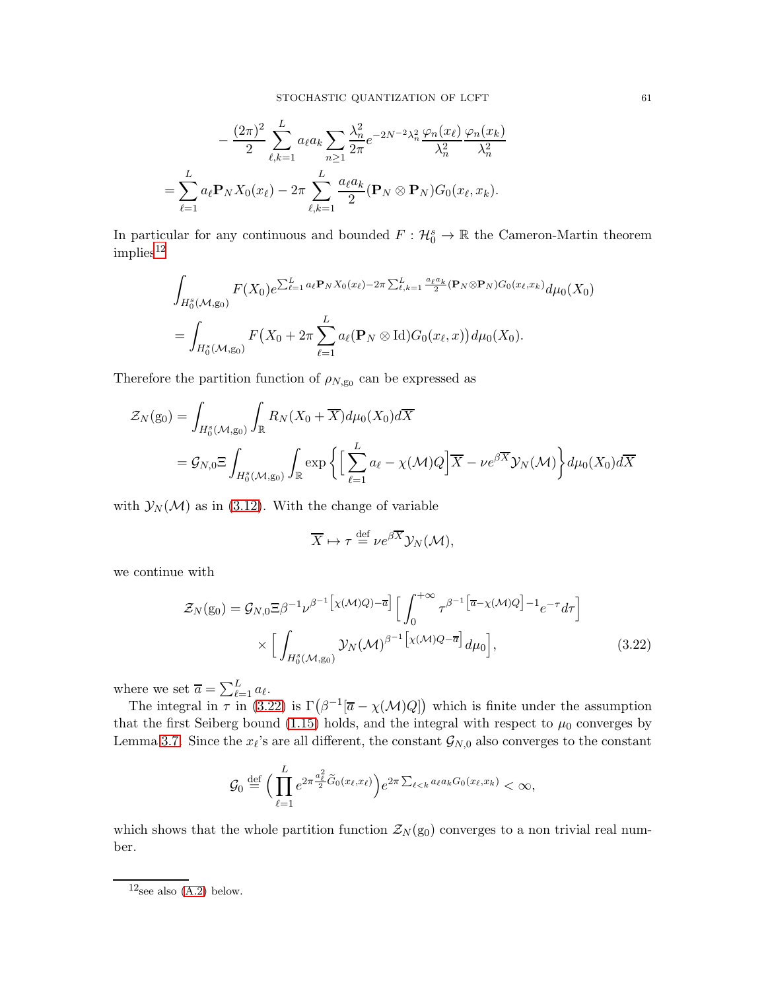$$
-\frac{(2\pi)^2}{2}\sum_{\ell,k=1}^L a_{\ell}a_k \sum_{n\geq 1} \frac{\lambda_n^2}{2\pi} e^{-2N^{-2}\lambda_n^2} \frac{\varphi_n(x_{\ell})}{\lambda_n^2} \frac{\varphi_n(x_k)}{\lambda_n^2}
$$

$$
=\sum_{\ell=1}^L a_{\ell} \mathbf{P}_N X_0(x_{\ell}) - 2\pi \sum_{\ell,k=1}^L \frac{a_{\ell}a_k}{2} (\mathbf{P}_N \otimes \mathbf{P}_N) G_0(x_{\ell}, x_k).
$$

In particular for any continuous and bounded  $F: \mathcal{H}_0^s \to \mathbb{R}$  the Cameron-Martin theorem  $implies$ <sup>[12](#page-60-0)</sup>

$$
\int_{H_0^s(\mathcal{M}, g_0)} F(X_0) e^{\sum_{\ell=1}^L a_\ell \mathbf{P}_N X_0(x_\ell) - 2\pi \sum_{\ell,k=1}^L \frac{a_\ell a_k}{2} (\mathbf{P}_N \otimes \mathbf{P}_N) G_0(x_\ell, x_k)} d\mu_0(X_0)
$$
\n
$$
= \int_{H_0^s(\mathcal{M}, g_0)} F(X_0 + 2\pi \sum_{\ell=1}^L a_\ell (\mathbf{P}_N \otimes \mathrm{Id}) G_0(x_\ell, x)) d\mu_0(X_0).
$$

Therefore the partition function of  $\rho_{N,g_0}$  can be expressed as

$$
\mathcal{Z}_N(g_0) = \int_{H_0^s(\mathcal{M}, g_0)} \int_{\mathbb{R}} R_N(X_0 + \overline{X}) d\mu_0(X_0) d\overline{X}
$$
  
=  $\mathcal{G}_{N,0} \Xi \int_{H_0^s(\mathcal{M}, g_0)} \int_{\mathbb{R}} \exp \left\{ \left[ \sum_{\ell=1}^L a_\ell - \chi(\mathcal{M}) Q \right] \overline{X} - \nu e^{\beta \overline{X}} \mathcal{Y}_N(\mathcal{M}) \right\} d\mu_0(X_0) d\overline{X}$ 

with  $\mathcal{Y}_N(\mathcal{M})$  as in [\(3.12\)](#page-53-2). With the change of variable

<span id="page-60-1"></span>
$$
\overline{X} \mapsto \tau \stackrel{\text{def}}{=} \nu e^{\beta \overline{X}} \mathcal{Y}_N(\mathcal{M}),
$$

we continue with

$$
\mathcal{Z}_N(\mathbf{g}_0) = \mathcal{G}_{N,0} \Xi \beta^{-1} \nu^{\beta^{-1} \left[ \chi(\mathcal{M}) Q \right] - \overline{a} \right]} \left[ \int_0^{+\infty} \tau^{\beta^{-1} \left[ \overline{a} - \chi(\mathcal{M}) Q \right] - 1} e^{-\tau} d\tau \right]
$$

$$
\times \left[ \int_{H_0^s(\mathcal{M}, \mathbf{g}_0)} \mathcal{Y}_N(\mathcal{M})^{\beta^{-1} \left[ \chi(\mathcal{M}) Q - \overline{a} \right]} d\mu_0 \right], \tag{3.22}
$$

where we set  $\overline{a} = \sum_{\ell=1}^{L} a_{\ell}$ .

The integral in  $\tau$  in [\(3.22\)](#page-60-1) is  $\Gamma(\beta^{-1}[\overline{a} - \chi(\mathcal{M})Q])$  which is finite under the assumption that the first Seiberg bound [\(1.15\)](#page-4-3) holds, and the integral with respect to  $\mu_0$  converges by Lemma [3.7.](#page-58-0) Since the  $x_{\ell}$ 's are all different, the constant  $\mathcal{G}_{N,0}$  also converges to the constant

$$
\mathcal{G}_0 \stackrel{\text{def}}{=} \Big( \prod_{\ell=1}^L e^{2\pi \frac{a_\ell^2}{2} \widetilde{G}_0(x_\ell, x_\ell)} \Big) e^{2\pi \sum_{\ell < k} a_\ell a_k G_0(x_\ell, x_k)} < \infty,
$$

which shows that the whole partition function  $\mathcal{Z}_N(g_0)$  converges to a non trivial real number.

<span id="page-60-0"></span> $12$ <sub>see</sub> also  $(A.2)$  below.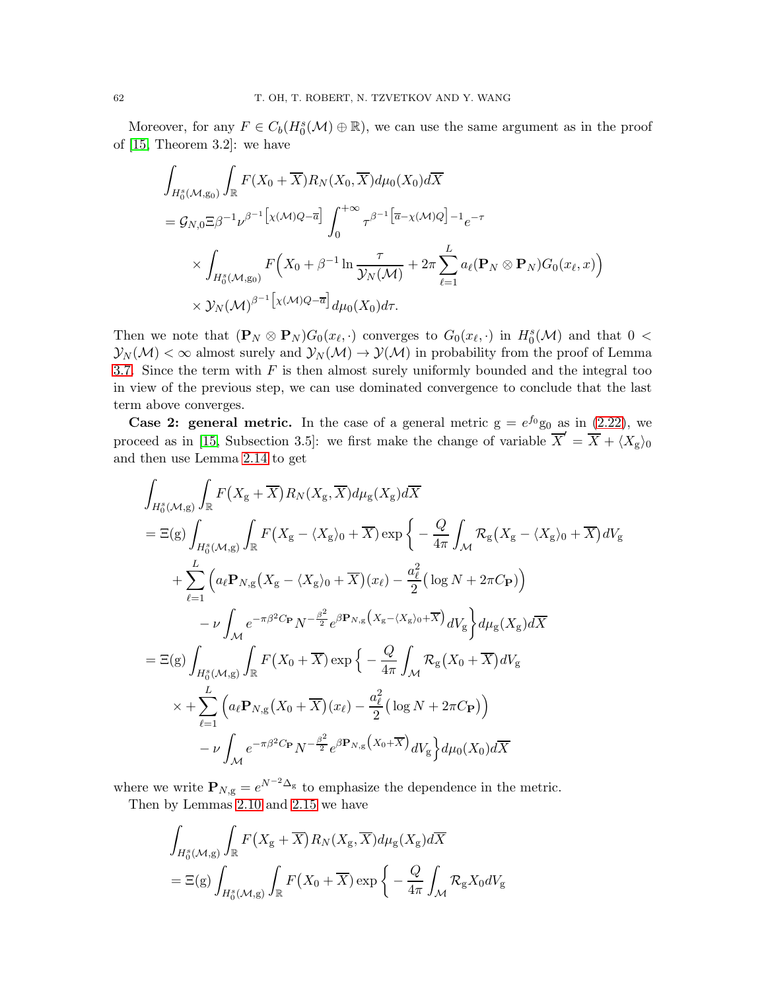Moreover, for any  $F \in C_b(H_0^s(\mathcal{M}) \oplus \mathbb{R})$ , we can use the same argument as in the proof of [\[15,](#page-75-2) Theorem 3.2]: we have

$$
\int_{H_0^s(\mathcal{M}, g_0)} \int_{\mathbb{R}} F(X_0 + \overline{X}) R_N(X_0, \overline{X}) d\mu_0(X_0) d\overline{X}
$$
\n
$$
= \mathcal{G}_{N,0} \Xi \beta^{-1} \nu^{\beta^{-1}} \Big[ \chi(\mathcal{M}) Q - \overline{a} \Big] \int_0^{+\infty} \tau^{\beta^{-1}} \Big[ \overline{a} - \chi(\mathcal{M}) Q \Big] - 1 e^{-\tau}
$$
\n
$$
\times \int_{H_0^s(\mathcal{M}, g_0)} F\Big(X_0 + \beta^{-1} \ln \frac{\tau}{\mathcal{Y}_N(\mathcal{M})} + 2\pi \sum_{\ell=1}^L a_\ell (\mathbf{P}_N \otimes \mathbf{P}_N) G_0(x_\ell, x) \Big)
$$
\n
$$
\times \mathcal{Y}_N(\mathcal{M})^{\beta^{-1}} \Big[ \chi(\mathcal{M}) Q - \overline{a} \Big] d\mu_0(X_0) d\tau.
$$

Then we note that  $(\mathbf{P}_N \otimes \mathbf{P}_N)G_0(x_\ell, \cdot)$  converges to  $G_0(x_\ell, \cdot)$  in  $H_0^s(\mathcal{M})$  and that  $0 <$  $\mathcal{Y}_N(\mathcal{M}) < \infty$  almost surely and  $\mathcal{Y}_N(\mathcal{M}) \to \mathcal{Y}(\mathcal{M})$  in probability from the proof of Lemma [3.7.](#page-58-0) Since the term with  $F$  is then almost surely uniformly bounded and the integral too in view of the previous step, we can use dominated convergence to conclude that the last term above converges.

**Case 2: general metric.** In the case of a general metric  $g = e^{f_0}g_0$  as in [\(2.22\)](#page-33-1), we proceed as in [\[15,](#page-75-2) Subsection 3.5]: we first make the change of variable  $\overline{X}' = \overline{X} + \langle X_{g} \rangle_{0}$ and then use Lemma [2.14](#page-33-2) to get

$$
\int_{H_0^s(\mathcal{M},g)} \int_{\mathbb{R}} F(X_g + \overline{X}) R_N(X_g, \overline{X}) d\mu_g(X_g) d\overline{X}
$$
\n
$$
= \Xi(g) \int_{H_0^s(\mathcal{M},g)} \int_{\mathbb{R}} F(X_g - \langle X_g \rangle_0 + \overline{X}) \exp \left\{ -\frac{Q}{4\pi} \int_{\mathcal{M}} \mathcal{R}_g(X_g - \langle X_g \rangle_0 + \overline{X}) dV_g \right\}
$$
\n
$$
+ \sum_{\ell=1}^L \left( a_\ell \mathbf{P}_{N,g}(X_g - \langle X_g \rangle_0 + \overline{X}) (x_\ell) - \frac{a_\ell^2}{2} (\log N + 2\pi C_\mathbf{P}) \right)
$$
\n
$$
- \nu \int_{\mathcal{M}} e^{-\pi \beta^2 C_\mathbf{P}} N^{-\frac{\beta^2}{2}} e^{\beta \mathbf{P}_{N,g}(X_g - \langle X_g \rangle_0 + \overline{X})} dV_g \right\} d\mu_g(X_g) d\overline{X}
$$
\n
$$
= \Xi(g) \int_{H_0^s(\mathcal{M},g)} \int_{\mathbb{R}} F(X_0 + \overline{X}) \exp \left\{ -\frac{Q}{4\pi} \int_{\mathcal{M}} \mathcal{R}_g(X_0 + \overline{X}) dV_g \right\}
$$
\n
$$
\times + \sum_{\ell=1}^L \left( a_\ell \mathbf{P}_{N,g}(X_0 + \overline{X}) (x_\ell) - \frac{a_\ell^2}{2} (\log N + 2\pi C_\mathbf{P}) \right)
$$
\n
$$
- \nu \int_{\mathcal{M}} e^{-\pi \beta^2 C_\mathbf{P}} N^{-\frac{\beta^2}{2}} e^{\beta \mathbf{P}_{N,g}(X_0 + \overline{X})} dV_g \right\} d\mu_0(X_0) d\overline{X}
$$

where we write  $\mathbf{P}_{N,g} = e^{N^{-2}\Delta_g}$  to emphasize the dependence in the metric. Then by Lemmas [2.10](#page-26-0) and [2.15](#page-34-0) we have

$$
\int_{H_0^s(\mathcal{M},g)} \int_{\mathbb{R}} F(X_g + \overline{X}) R_N(X_g, \overline{X}) d\mu_g(X_g) d\overline{X}
$$
  
=  $\Xi(g) \int_{H_0^s(\mathcal{M},g)} \int_{\mathbb{R}} F(X_0 + \overline{X}) \exp \left\{-\frac{Q}{4\pi} \int_{\mathcal{M}} \mathcal{R}_g X_0 dV_g\right\}$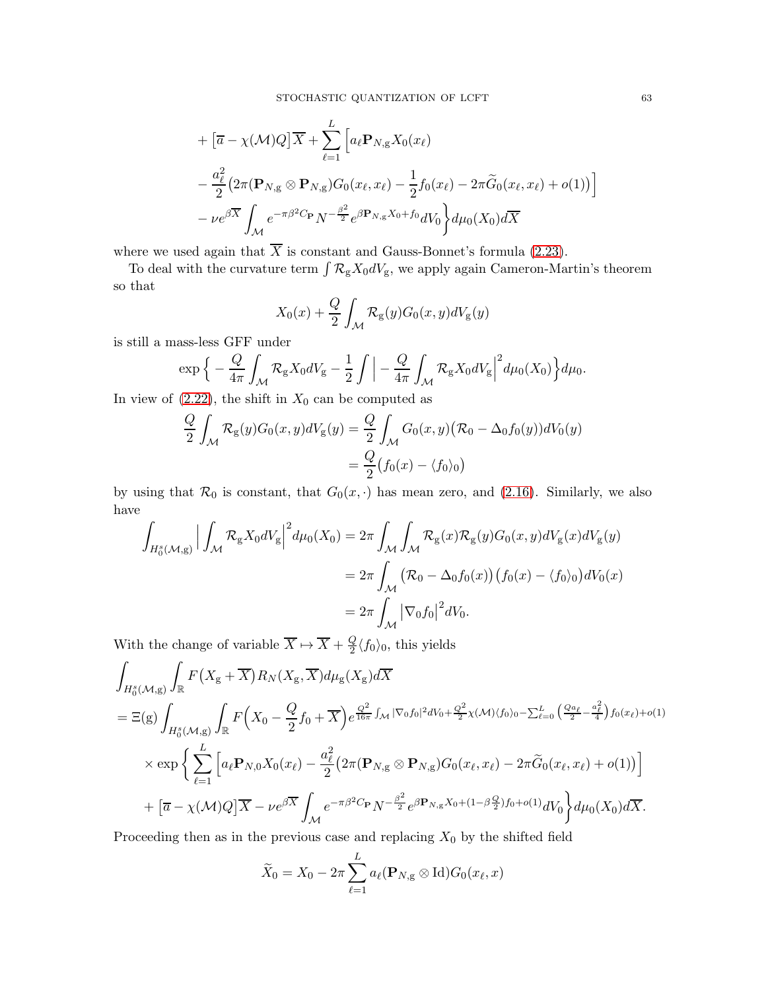+ 
$$
\left[\overline{a} - \chi(\mathcal{M})Q\right]\overline{X} + \sum_{\ell=1}^{L} \left[a_{\ell} \mathbf{P}_{N,g} X_{0}(x_{\ell})\right]
$$

$$
-\frac{a_{\ell}^{2}}{2} \left(2\pi (\mathbf{P}_{N,g} \otimes \mathbf{P}_{N,g})G_{0}(x_{\ell}, x_{\ell}) - \frac{1}{2}f_{0}(x_{\ell}) - 2\pi \widetilde{G}_{0}(x_{\ell}, x_{\ell}) + o(1)\right)\right]
$$

$$
-\nu e^{\beta \overline{X}} \int_{\mathcal{M}} e^{-\pi \beta^{2} C_{\mathbf{P}}} N^{-\frac{\beta^{2}}{2}} e^{\beta \mathbf{P}_{N,g} X_{0} + f_{0}} dV_{0} \bigg\} d\mu_{0}(X_{0}) d\overline{X}
$$

where we used again that  $\overline{X}$  is constant and Gauss-Bonnet's formula [\(2.23\)](#page-33-0).

To deal with the curvature term  $\int \mathcal{R}_{g} X_0 dV_g$ , we apply again Cameron-Martin's theorem so that

$$
X_0(x) + \frac{Q}{2} \int_{\mathcal{M}} \mathcal{R}_{\mathrm{g}}(y) G_0(x, y) dV_{\mathrm{g}}(y)
$$

is still a mass-less GFF under

$$
\exp\Big\{-\frac{Q}{4\pi}\int_{\mathcal{M}}\mathcal{R}_{g}X_{0}dV_{g}-\frac{1}{2}\int\Big|-\frac{Q}{4\pi}\int_{\mathcal{M}}\mathcal{R}_{g}X_{0}dV_{g}\Big|^{2}d\mu_{0}(X_{0})\Big\}d\mu_{0}.
$$

In view of  $(2.22)$ , the shift in  $X_0$  can be computed as

$$
\frac{Q}{2} \int_{\mathcal{M}} \mathcal{R}_{g}(y) G_{0}(x, y) dV_{g}(y) = \frac{Q}{2} \int_{\mathcal{M}} G_{0}(x, y) (\mathcal{R}_{0} - \Delta_{0} f_{0}(y)) dV_{0}(y)
$$

$$
= \frac{Q}{2} (f_{0}(x) - \langle f_{0} \rangle_{0})
$$

by using that  $\mathcal{R}_0$  is constant, that  $G_0(x, \cdot)$  has mean zero, and [\(2.16\)](#page-21-2). Similarly, we also have

$$
\int_{H_0^s(\mathcal{M},g)} \Big| \int_{\mathcal{M}} \mathcal{R}_g X_0 dV_g \Big|^2 d\mu_0(X_0) = 2\pi \int_{\mathcal{M}} \int_{\mathcal{M}} \mathcal{R}_g(x) \mathcal{R}_g(y) G_0(x,y) dV_g(x) dV_g(y)
$$
  

$$
= 2\pi \int_{\mathcal{M}} (\mathcal{R}_0 - \Delta_0 f_0(x)) (f_0(x) - \langle f_0 \rangle_0) dV_0(x)
$$
  

$$
= 2\pi \int_{\mathcal{M}} |\nabla_0 f_0|^2 dV_0.
$$

With the change of variable  $\overline{X} \mapsto \overline{X} + \frac{Q}{2}$  $\frac{Q}{2}\langle f_0 \rangle_0$ , this yields

$$
\int_{H_0^s(\mathcal{M},g)} \int_{\mathbb{R}} F(X_g + \overline{X}) R_N(X_g, \overline{X}) d\mu_g(X_g) d\overline{X}
$$
\n
$$
= \Xi(g) \int_{H_0^s(\mathcal{M},g)} \int_{\mathbb{R}} F\left(X_0 - \frac{Q}{2} f_0 + \overline{X}\right) e^{\frac{Q^2}{16\pi} \int_{\mathcal{M}} |\nabla_0 f_0|^2 dV_0 + \frac{Q^2}{2} \chi(\mathcal{M}) \langle f_0 \rangle_0 - \sum_{\ell=0}^L \left(\frac{Q a_{\ell}}{2} - \frac{a_{\ell}^2}{4}\right) f_0(x_{\ell}) + o(1)
$$
\n
$$
\times \exp \left\{ \sum_{\ell=1}^L \left[ a_{\ell} \mathbf{P}_{N,0} X_0(x_{\ell}) - \frac{a_{\ell}^2}{2} \left(2\pi (\mathbf{P}_{N,g} \otimes \mathbf{P}_{N,g}) G_0(x_{\ell}, x_{\ell}) - 2\pi \widetilde{G}_0(x_{\ell}, x_{\ell}) + o(1) \right) \right] + \left[ \overline{a} - \chi(\mathcal{M}) Q \right] \overline{X} - \nu e^{\beta \overline{X}} \int_{\mathcal{M}} e^{-\pi \beta^2 C_{\mathbf{P}} N} - \frac{\beta^2}{2} e^{\beta \mathbf{P}_{N,g} X_0 + (1 - \beta \frac{Q}{2}) f_0 + o(1)} dV_0 \right\} d\mu_0(X_0) d\overline{X}.
$$

Proceeding then as in the previous case and replacing  $X_0$  by the shifted field

$$
\widetilde{X}_0 = X_0 - 2\pi \sum_{\ell=1}^L a_\ell (\mathbf{P}_{N, \mathbf{g}} \otimes \mathrm{Id}) G_0(x_\ell, x)
$$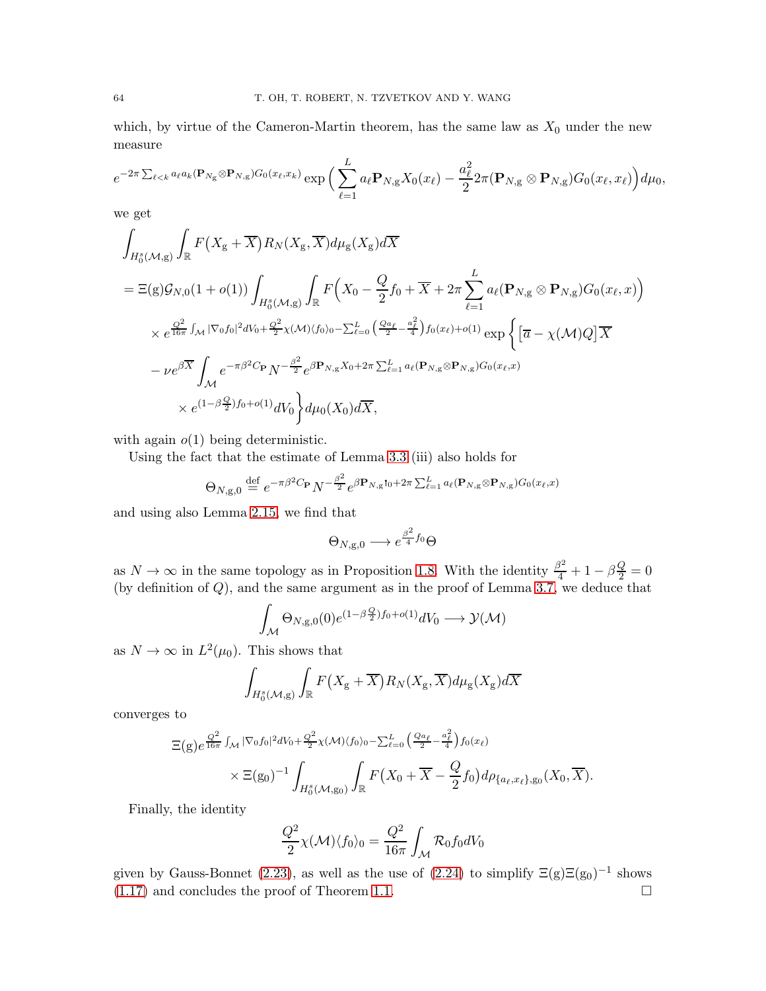which, by virtue of the Cameron-Martin theorem, has the same law as  $X_0$  under the new measure

$$
e^{-2\pi \sum_{\ell < k} a_{\ell} a_k (\mathbf{P}_{N_g} \otimes \mathbf{P}_{N,g}) G_0(x_{\ell},x_k)} \exp\Big(\sum_{\ell=1}^L a_{\ell} \mathbf{P}_{N,g} X_0(x_{\ell}) - \frac{a_{\ell}^2}{2} 2\pi (\mathbf{P}_{N,g} \otimes \mathbf{P}_{N,g}) G_0(x_{\ell},x_{\ell})\Big) d\mu_0,
$$

we get

$$
\int_{H_0^s(\mathcal{M},g)} \int_{\mathbb{R}} F(X_g + \overline{X}) R_N(X_g, \overline{X}) d\mu_g(X_g) d\overline{X}
$$
\n
$$
= \Xi(g) \mathcal{G}_{N,0}(1+o(1)) \int_{H_0^s(\mathcal{M},g)} \int_{\mathbb{R}} F\left(X_0 - \frac{Q}{2} f_0 + \overline{X} + 2\pi \sum_{\ell=1}^L a_\ell (\mathbf{P}_{N,g} \otimes \mathbf{P}_{N,g}) G_0(x_\ell, x) \right)
$$
\n
$$
\times e^{\frac{Q^2}{16\pi} \int_{\mathcal{M}} |\nabla_0 f_0|^2 dV_0 + \frac{Q^2}{2} \chi(\mathcal{M}) \langle f_0 \rangle_0 - \sum_{\ell=0}^L \left(\frac{Q a_\ell}{2} - \frac{a_\ell^2}{4}\right) f_0(x_\ell) + o(1) \exp \left\{ \left[ \overline{a} - \chi(\mathcal{M}) Q \right] \overline{X} - \nu e^{\beta \overline{X}} \int_{\mathcal{M}} e^{-\pi \beta^2 C_{\mathbf{P}}} N^{-\frac{\beta^2}{2}} e^{\beta \mathbf{P}_{N,g} X_0 + 2\pi \sum_{\ell=1}^L a_\ell (\mathbf{P}_{N,g} \otimes \mathbf{P}_{N,g}) G_0(x_\ell, x)} \times e^{(1-\beta \frac{Q}{2}) f_0 + o(1)} dV_0 \right\} d\mu_0(X_0) d\overline{X},
$$

with again  $o(1)$  being deterministic.

Using the fact that the estimate of Lemma [3.3](#page-44-0) (iii) also holds for

$$
\Theta_{N,\mathrm{g},0} \stackrel{\text{def}}{=} e^{-\pi \beta^2 C_{\mathbf{P}}} N^{-\frac{\beta^2}{2}} e^{\beta \mathbf{P}_{N,\mathrm{g}} t_0 + 2\pi \sum_{\ell=1}^L a_\ell (\mathbf{P}_{N,\mathrm{g}} \otimes \mathbf{P}_{N,\mathrm{g}}) G_0(x_\ell,x)}
$$

and using also Lemma [2.15,](#page-34-0) we find that

$$
\Theta_{N, \mathbf{g}, 0} \longrightarrow e^{\frac{\beta^2}{4} f_0} \Theta
$$

as  $N \to \infty$  in the same topology as in Proposition [1.8.](#page-11-1) With the identity  $\frac{\beta^2}{4} + 1 - \beta \frac{Q}{2} = 0$ (by definition of  $Q$ ), and the same argument as in the proof of Lemma [3.7,](#page-58-0) we deduce that

$$
\int_{\mathcal{M}} \Theta_{N,\mathrm{g},0}(0) e^{(1-\beta\frac{Q}{2})f_0 + o(1)} dV_0 \longrightarrow \mathcal{Y}(\mathcal{M})
$$

as  $N \to \infty$  in  $L^2(\mu_0)$ . This shows that

$$
\int_{H_0^s(\mathcal{M},g)} \int_{\mathbb{R}} F\left(X_g + \overline{X}\right) R_N(X_g, \overline{X}) d\mu_g(X_g) d\overline{X}
$$

converges to

$$
\Xi(g)e^{\frac{Q^2}{16\pi}\int_{\mathcal{M}}|\nabla_0 f_0|^2 dV_0 + \frac{Q^2}{2}\chi(\mathcal{M})\langle f_0\rangle_0 - \sum_{\ell=0}^L\left(\frac{Qa_\ell}{2} - \frac{a_\ell^2}{4}\right)f_0(x_\ell)} \times \Xi(g_0)^{-1}\int_{H_0^s(\mathcal{M}, g_0)}\int_{\mathbb{R}} F\left(X_0 + \overline{X} - \frac{Q}{2}f_0\right) d\rho_{\{a_\ell, x_\ell\}, g_0}(X_0, \overline{X}).
$$

Finally, the identity

$$
\frac{Q^2}{2}\chi(\mathcal{M})\langle f_0\rangle_0 = \frac{Q^2}{16\pi} \int_{\mathcal{M}} \mathcal{R}_0 f_0 dV_0
$$

given by Gauss-Bonnet [\(2.23\)](#page-33-0), as well as the use of [\(2.24\)](#page-33-3) to simplify  $\Xi(g)\Xi(g_0)^{-1}$  shows [\(1.17\)](#page-5-1) and concludes the proof of Theorem [1.1.](#page-4-5)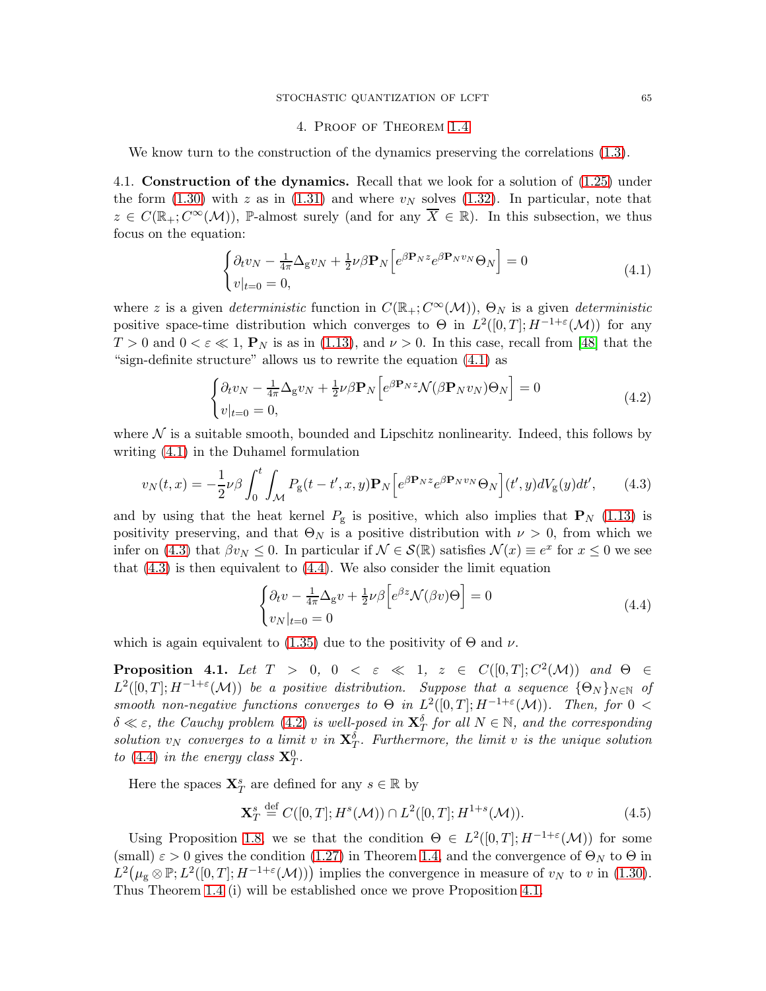## STOCHASTIC QUANTIZATION OF LCFT 65

## <span id="page-64-1"></span>4. Proof of Theorem [1.4](#page-8-2)

<span id="page-64-0"></span>We know turn to the construction of the dynamics preserving the correlations [\(1.3\)](#page-1-0).

4.1. Construction of the dynamics. Recall that we look for a solution of [\(1.25\)](#page-8-0) under the form [\(1.30\)](#page-11-3) with z as in [\(1.31\)](#page-11-4) and where  $v<sub>N</sub>$  solves [\(1.32\)](#page-11-5). In particular, note that  $z \in C(\mathbb{R}_+; C^{\infty}(\mathcal{M}))$ , P-almost surely (and for any  $\overline{X} \in \mathbb{R}$ ). In this subsection, we thus focus on the equation:

$$
\begin{cases} \partial_t v_N - \frac{1}{4\pi} \Delta_g v_N + \frac{1}{2} \nu \beta \mathbf{P}_N \Big[ e^{\beta \mathbf{P}_N z} e^{\beta \mathbf{P}_N v_N} \Theta_N \Big] = 0 \\ v|_{t=0} = 0, \end{cases} \tag{4.1}
$$

where z is a given *deterministic* function in  $C(\mathbb{R}_+; C^{\infty}(\mathcal{M}))$ ,  $\Theta_N$  is a given *deterministic* positive space-time distribution which converges to  $\Theta$  in  $L^2([0,T]; H^{-1+\varepsilon}(\mathcal{M}))$  for any  $T > 0$  and  $0 < \varepsilon \ll 1$ ,  $\mathbf{P}_N$  is as in [\(1.13\)](#page-4-0), and  $\nu > 0$ . In this case, recall from [\[48\]](#page-76-2) that the "sign-definite structure" allows us to rewrite the equation  $(4.1)$  as

<span id="page-64-4"></span>
$$
\begin{cases} \partial_t v_N - \frac{1}{4\pi} \Delta_g v_N + \frac{1}{2} \nu \beta \mathbf{P}_N \Big[ e^{\beta \mathbf{P}_N z} \mathcal{N}(\beta \mathbf{P}_N v_N) \Theta_N \Big] = 0 \\ v|_{t=0} = 0, \end{cases}
$$
(4.2)

where  $\mathcal N$  is a suitable smooth, bounded and Lipschitz nonlinearity. Indeed, this follows by writing [\(4.1\)](#page-64-1) in the Duhamel formulation

$$
v_N(t,x) = -\frac{1}{2}\nu\beta \int_0^t \int_{\mathcal{M}} P_{\rm g}(t-t',x,y) \mathbf{P}_N \left[ e^{\beta \mathbf{P}_N z} e^{\beta \mathbf{P}_N v_N} \Theta_N \right] (t',y) dV_{\rm g}(y) dt', \tag{4.3}
$$

and by using that the heat kernel  $P_{g}$  is positive, which also implies that  $P_{N}$  [\(1.13\)](#page-4-0) is positivity preserving, and that  $\Theta_N$  is a positive distribution with  $\nu > 0$ , from which we infer on [\(4.3\)](#page-64-2) that  $\beta v_N \leq 0$ . In particular if  $\mathcal{N} \in \mathcal{S}(\mathbb{R})$  satisfies  $\mathcal{N}(x) \equiv e^x$  for  $x \leq 0$  we see that  $(4.3)$  is then equivalent to  $(4.4)$ . We also consider the limit equation

<span id="page-64-3"></span><span id="page-64-2"></span>
$$
\begin{cases} \partial_t v - \frac{1}{4\pi} \Delta_g v + \frac{1}{2} \nu \beta \left[ e^{\beta z} \mathcal{N}(\beta v) \Theta \right] = 0 \\ v_N|_{t=0} = 0 \end{cases}
$$
(4.4)

which is again equivalent to [\(1.35\)](#page-12-0) due to the positivity of  $\Theta$  and  $\nu$ .

<span id="page-64-5"></span>**Proposition 4.1.** Let  $T > 0$ ,  $0 < \varepsilon \ll 1$ ,  $z \in C([0, T]; C^2(\mathcal{M}))$  and  $\Theta \in$  $L^2([0,T];H^{-1+\varepsilon}(\mathcal{M}))$  *be a positive distribution. Suppose that a sequence*  $\{\Theta_N\}_{N\in\mathbb{N}}$  of *smooth non-negative functions converges to*  $\Theta$  *in*  $L^2([0,T]; H^{-1+\varepsilon}(\mathcal{M}))$ *. Then, for* 0 <  $\delta \ll \varepsilon$ , the Cauchy problem [\(4.2\)](#page-64-4) is well-posed in  $\mathbf{X}_T^{\delta}$  for all  $N \in \mathbb{N}$ , and the corresponding solution  $v_N$  converges to a limit v in  $\mathbf{X}_T^{\delta}$ . Furthermore, the limit v is the unique solution *to* [\(4.4\)](#page-64-3) *in the energy class*  $\mathbf{X}_T^0$ .

Here the spaces  $\mathbf{X}_T^s$  are defined for any  $s \in \mathbb{R}$  by

$$
\mathbf{X}_T^s \stackrel{\text{def}}{=} C([0,T]; H^s(\mathcal{M})) \cap L^2([0,T]; H^{1+s}(\mathcal{M})).
$$
\n(4.5)

Using Proposition [1.8,](#page-11-1) we se that the condition  $\Theta \in L^2([0,T];H^{-1+\varepsilon}(\mathcal{M}))$  for some (small)  $\varepsilon > 0$  gives the condition [\(1.27\)](#page-8-3) in Theorem [1.4,](#page-8-2) and the convergence of  $\Theta_N$  to  $\Theta$  in  $L^2(\mu_{\rm g}\otimes\mathbb{P};L^2([0,T];H^{-1+\varepsilon}(\mathcal{M})))$  implies the convergence in measure of  $v_N$  to v in [\(1.30\)](#page-11-3). Thus Theorem [1.4](#page-8-2) (i) will be established once we prove Proposition [4.1.](#page-64-5)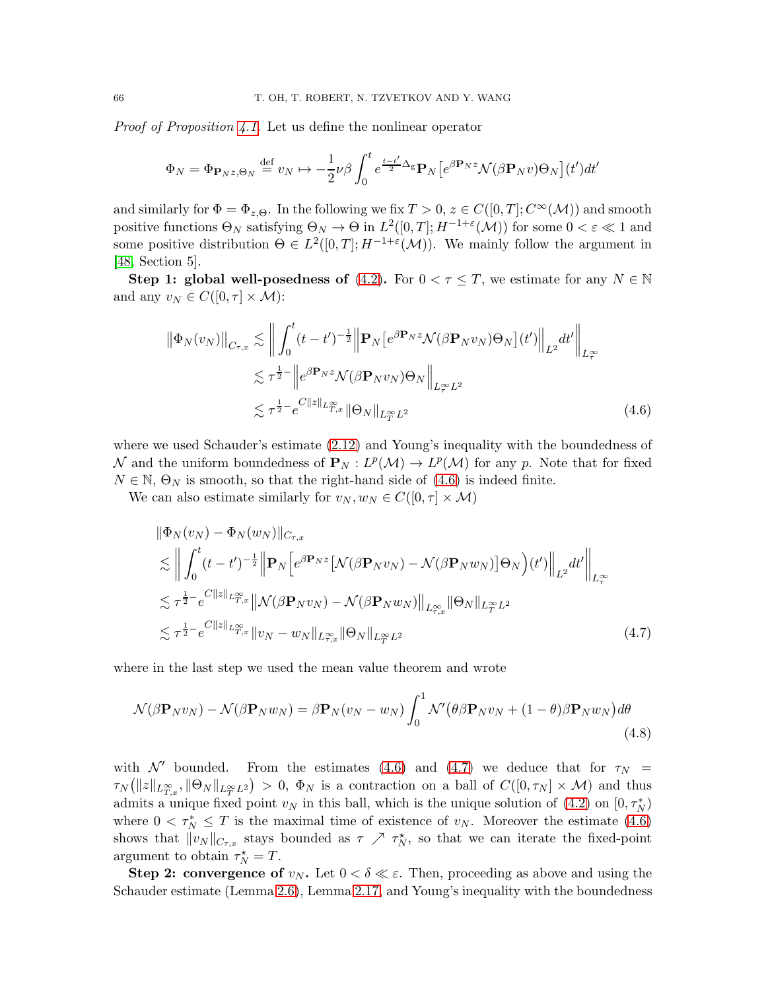*Proof of Proposition [4.1.](#page-64-5)* Let us define the nonlinear operator

$$
\Phi_N = \Phi_{\mathbf{P}_N z, \Theta_N} \stackrel{\text{def}}{=} v_N \mapsto -\frac{1}{2} \nu \beta \int_0^t e^{\frac{t-t'}{2} \Delta_g} \mathbf{P}_N \left[ e^{\beta \mathbf{P}_N z} \mathcal{N}(\beta \mathbf{P}_N v) \Theta_N \right] (t') dt'
$$

and similarly for  $\Phi = \Phi_{z,\Theta}$ . In the following we fix  $T > 0$ ,  $z \in C([0,T]; C^{\infty}(\mathcal{M}))$  and smooth positive functions  $\Theta_N$  satisfying  $\Theta_N \to \Theta$  in  $L^2([0,T]; H^{-1+\varepsilon}(\mathcal{M}))$  for some  $0 < \varepsilon \ll 1$  and some positive distribution  $\Theta \in L^2([0,T]; H^{-1+\varepsilon}(\mathcal{M}))$ . We mainly follow the argument in [\[48,](#page-76-2) Section 5].

Step 1: global well-posedness of [\(4.2\)](#page-64-4). For  $0 < \tau \leq T$ , we estimate for any  $N \in \mathbb{N}$ and any  $v_N \in C([0, \tau] \times \mathcal{M})$ :

<span id="page-65-0"></span>
$$
\|\Phi_N(v_N)\|_{C_{\tau,x}} \lesssim \left\| \int_0^t (t-t')^{-\frac{1}{2}} \left\| \mathbf{P}_N \left[e^{\beta \mathbf{P}_N z} \mathcal{N}(\beta \mathbf{P}_N v_N) \Theta_N \right](t') \right\|_{L^2} dt' \right\|_{L^{\infty}_{\tau}}
$$
  

$$
\lesssim \tau^{\frac{1}{2}-} \left\| e^{\beta \mathbf{P}_N z} \mathcal{N}(\beta \mathbf{P}_N v_N) \Theta_N \right\|_{L^{\infty}_{\tau} L^2}
$$
  

$$
\lesssim \tau^{\frac{1}{2}-} e^{C \|z\|_{L^{\infty}_{T,x}}} \|\Theta_N\|_{L^{\infty}_{T} L^2}
$$
(4.6)

where we used Schauder's estimate [\(2.12\)](#page-18-1) and Young's inequality with the boundedness of  $\mathcal N$  and the uniform boundedness of  $\mathbf P_N: L^p(\mathcal M) \to L^p(\mathcal M)$  for any p. Note that for fixed  $N \in \mathbb{N}$ ,  $\Theta_N$  is smooth, so that the right-hand side of [\(4.6\)](#page-65-0) is indeed finite.

We can also estimate similarly for  $v_N, w_N \in C([0, \tau] \times \mathcal{M})$ 

<span id="page-65-1"></span>
$$
\begin{split}\n\|\Phi_{N}(v_{N}) - \Phi_{N}(w_{N})\|_{C_{\tau,x}} \\
&\lesssim \left\| \int_{0}^{t} (t - t')^{-\frac{1}{2}} \left\| \mathbf{P}_{N} \left[ e^{\beta \mathbf{P}_{N} z} \left[ \mathcal{N}(\beta \mathbf{P}_{N} v_{N}) - \mathcal{N}(\beta \mathbf{P}_{N} w_{N}) \right] \Theta_{N} \right) (t') \right\|_{L^{2}} dt' \right\|_{L^{\infty}_{\tau}} \\
&\lesssim \tau^{\frac{1}{2} - e^{C \|z\|_{L^{\infty}_{T,x}} } \left\| \mathcal{N}(\beta \mathbf{P}_{N} v_{N}) - \mathcal{N}(\beta \mathbf{P}_{N} w_{N}) \right\|_{L^{\infty}_{\tau,x}} \left\| \Theta_{N} \right\|_{L^{\infty}_{T} L^{2}} \\
&\lesssim \tau^{\frac{1}{2} - e^{C \|z\|_{L^{\infty}_{T,x}} } \|v_{N} - w_{N} \|_{L^{\infty}_{\tau,x}} \|\Theta_{N} \|_{L^{\infty}_{T} L^{2}}\n\end{split} \tag{4.7}
$$

where in the last step we used the mean value theorem and wrote

<span id="page-65-2"></span>
$$
\mathcal{N}(\beta \mathbf{P}_N v_N) - \mathcal{N}(\beta \mathbf{P}_N w_N) = \beta \mathbf{P}_N (v_N - w_N) \int_0^1 \mathcal{N}'(\theta \beta \mathbf{P}_N v_N + (1 - \theta) \beta \mathbf{P}_N w_N) d\theta
$$
\n(4.8)

with  $\mathcal{N}'$  bounded. From the estimates [\(4.6\)](#page-65-0) and [\(4.7\)](#page-65-1) we deduce that for  $\tau_N$  =  $\tau_N(|z||_{L^{\infty}_{T,x}}, \|\Theta_N\|_{L^{\infty}_T L^2}) > 0$ ,  $\Phi_N$  is a contraction on a ball of  $C([0, \tau_N] \times \mathcal{M})$  and thus admits a unique fixed point  $v_N$  in this ball, which is the unique solution of  $(4.2)$  on  $[0, \tau_N^*)$ where  $0 < \tau_N^* \leq T$  is the maximal time of existence of  $v_N$ . Moreover the estimate [\(4.6\)](#page-65-0) shows that  $||v_N||_{C_{\tau,x}}$  stays bounded as  $\tau \nearrow \tau_N^*$ , so that we can iterate the fixed-point argument to obtain  $\tau_N^* = T$ .

Step 2: convergence of  $v_N$ . Let  $0 < \delta \ll \varepsilon$ . Then, proceeding as above and using the Schauder estimate (Lemma [2.6\)](#page-18-0), Lemma [2.17,](#page-39-2) and Young's inequality with the boundedness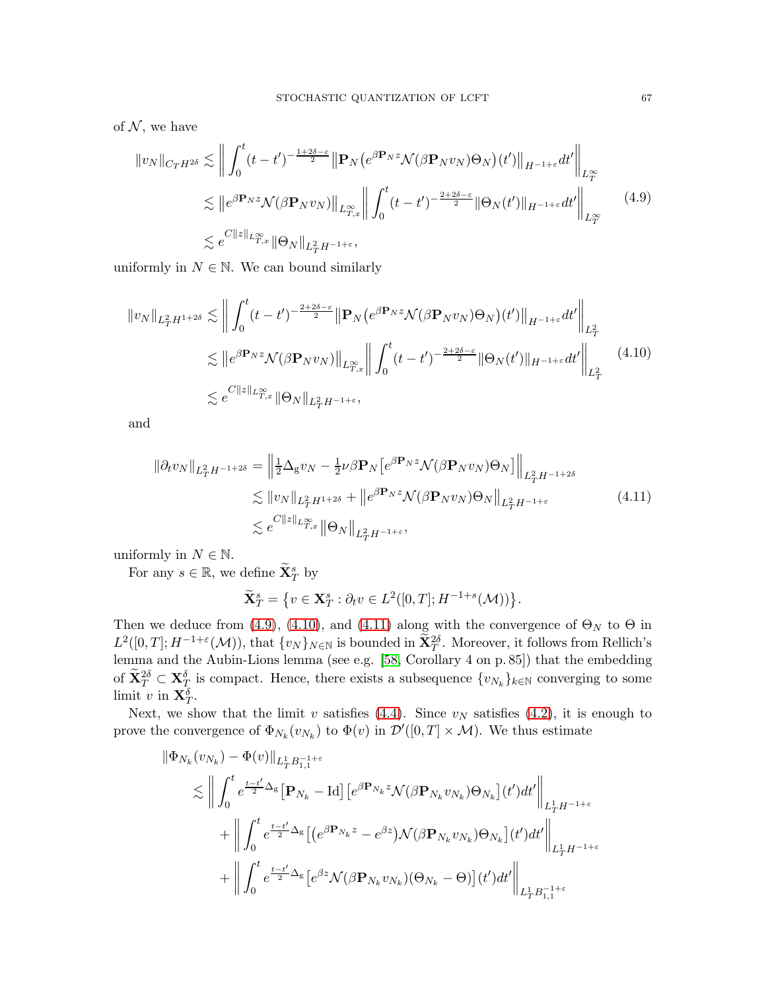of  $N$ , we have

<span id="page-66-0"></span>
$$
||v_N||_{C_T H^{2\delta}} \lesssim \left\| \int_0^t (t - t')^{-\frac{1+2\delta-\varepsilon}{2}} || \mathbf{P}_N(e^{\beta \mathbf{P}_N z} \mathcal{N}(\beta \mathbf{P}_N v_N) \Theta_N) (t') ||_{H^{-1+\varepsilon}} dt' \right\|_{L^{\infty}_T}
$$
  
\n
$$
\lesssim \| e^{\beta \mathbf{P}_N z} \mathcal{N}(\beta \mathbf{P}_N v_N) ||_{L^{\infty}_{T,x}} \left\| \int_0^t (t - t')^{-\frac{2+2\delta-\varepsilon}{2}} ||\Theta_N(t')||_{H^{-1+\varepsilon}} dt' \right\|_{L^{\infty}_T}
$$
  
\n
$$
\lesssim e^{C ||z||_{L^{\infty}_{T,x}} ||\Theta_N||_{L^2_T H^{-1+\varepsilon}}},
$$
\n(4.9)

uniformly in  $N \in \mathbb{N}$ . We can bound similarly

$$
||v_N||_{L_T^2 H^{1+2\delta}} \lesssim ||\int_0^t (t-t')^{-\frac{2+2\delta-\varepsilon}{2}} ||\mathbf{P}_N(e^{\beta \mathbf{P}_N z} \mathcal{N}(\beta \mathbf{P}_N v_N) \Theta_N) (t')||_{H^{-1+\varepsilon}} dt'||_{L_T^2}
$$
  
\n
$$
\lesssim ||e^{\beta \mathbf{P}_N z} \mathcal{N}(\beta \mathbf{P}_N v_N)||_{L_{T,x}^{\infty}} ||\int_0^t (t-t')^{-\frac{2+2\delta-\varepsilon}{2}} ||\Theta_N(t')||_{H^{-1+\varepsilon}} dt'||_{L_T^2}
$$
\n
$$
\lesssim e^{C ||z||_{L_{T,x}^{\infty}} ||\Theta_N||_{L_T^2 H^{-1+\varepsilon}}},
$$
\n(4.10)

and

$$
\|\partial_t v_N\|_{L^2_T H^{-1+2\delta}} = \left\|\frac{1}{2}\Delta_{\mathcal{S}} v_N - \frac{1}{2}\nu\beta \mathbf{P}_N \left[e^{\beta \mathbf{P}_N z} \mathcal{N}(\beta \mathbf{P}_N v_N) \Theta_N\right]\right\|_{L^2_T H^{-1+2\delta}}
$$
  
\n
$$
\lesssim \|v_N\|_{L^2_T H^{1+2\delta}} + \|e^{\beta \mathbf{P}_N z} \mathcal{N}(\beta \mathbf{P}_N v_N) \Theta_N\|_{L^2_T H^{-1+\varepsilon}}
$$
  
\n
$$
\lesssim e^{C\|z\|_{L^{\infty}_{T,x}}}\|\Theta_N\|_{L^2_T H^{-1+\varepsilon}},
$$
\n(4.11)

uniformly in  $N \in \mathbb{N}$ .

For any  $s \in \mathbb{R}$ , we define  $\widetilde{\mathbf{X}}_T^s$  by

<span id="page-66-2"></span><span id="page-66-1"></span>
$$
\widetilde{\mathbf{X}}_T^s = \{ v \in \mathbf{X}_T^s : \partial_t v \in L^2([0,T]; H^{-1+s}(\mathcal{M})) \}.
$$

Then we deduce from [\(4.9\)](#page-66-0), [\(4.10\)](#page-66-1), and [\(4.11\)](#page-66-2) along with the convergence of  $\Theta_N$  to  $\Theta$  in  $L^2([0,T]; H^{-1+\varepsilon}(\mathcal{M}))$ , that  $\{v_N\}_{N\in\mathbb{N}}$  is bounded in  $\widetilde{\mathbf{X}}_T^{2\delta}$ . Moreover, it follows from Rellich's lemma and the Aubin-Lions lemma (see e.g. [\[58,](#page-76-8) Corollary 4 on p. 85]) that the embedding of  $\widetilde{\mathbf{X}}_T^{2\delta} \subset \mathbf{X}_{T_\varsigma}^{\delta}$  is compact. Hence, there exists a subsequence  $\{v_{N_k}\}_{k\in\mathbb{N}}$  converging to some limit v in  $\mathbf{X}_T^{\delta}$ .

Next, we show that the limit v satisfies [\(4.4\)](#page-64-3). Since  $v<sub>N</sub>$  satisfies [\(4.2\)](#page-64-4), it is enough to prove the convergence of  $\Phi_{N_k}(v_{N_k})$  to  $\Phi(v)$  in  $\mathcal{D}'([0,T] \times \mathcal{M})$ . We thus estimate

$$
\|\Phi_{N_k}(v_{N_k}) - \Phi(v)\|_{L_T^1 B_{1,1}^{-1+\varepsilon}}\n\lesssim \left\| \int_0^t e^{\frac{t-t'}{2}\Delta_{\mathcal{B}}} [\mathbf{P}_{N_k} - \mathrm{Id}] \left[ e^{\beta \mathbf{P}_{N_k} z} \mathcal{N}(\beta \mathbf{P}_{N_k} v_{N_k}) \Theta_{N_k} \right] (t') dt' \right\|_{L_T^1 H^{-1+\varepsilon}}\n+ \left\| \int_0^t e^{\frac{t-t'}{2}\Delta_{\mathcal{B}}} \left[ (e^{\beta \mathbf{P}_{N_k} z} - e^{\beta z}) \mathcal{N}(\beta \mathbf{P}_{N_k} v_{N_k}) \Theta_{N_k} \right] (t') dt' \right\|_{L_T^1 H^{-1+\varepsilon}}\n+ \left\| \int_0^t e^{\frac{t-t'}{2}\Delta_{\mathcal{B}}} \left[ e^{\beta z} \mathcal{N}(\beta \mathbf{P}_{N_k} v_{N_k}) (\Theta_{N_k} - \Theta) \right] (t') dt' \right\|_{L_T^1 B_{1,1}^{-1+\varepsilon}}
$$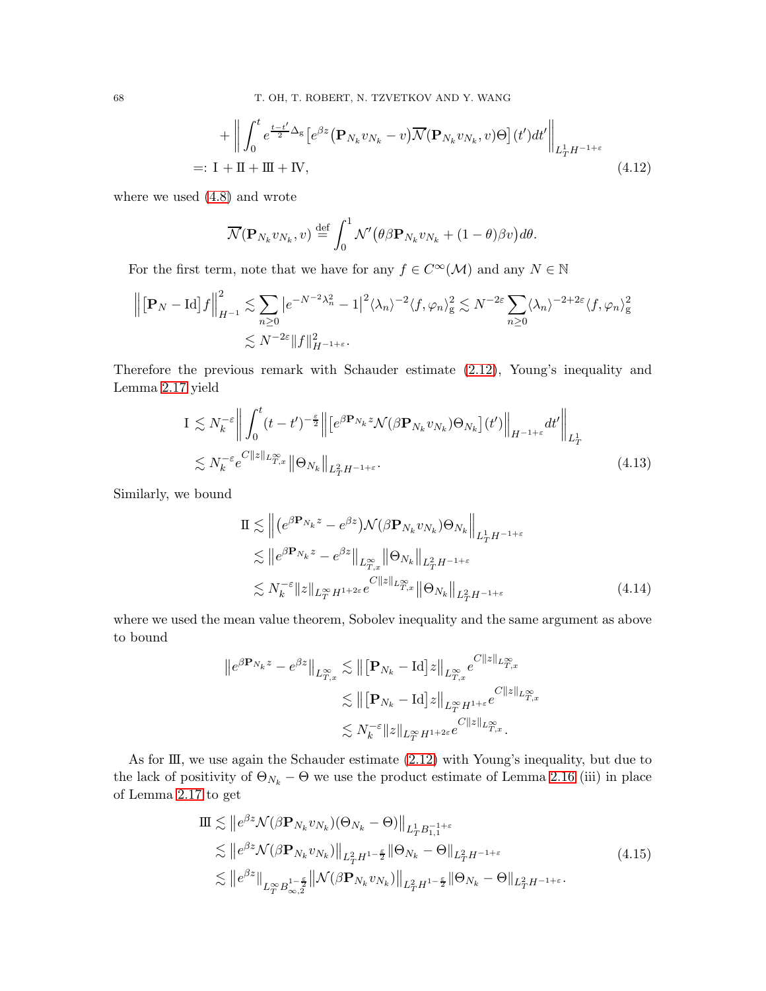68 T. OH, T. ROBERT, N. TZVETKOV AND Y. WANG

$$
+\left\|\int_{0}^{t} e^{\frac{t-t'}{2}\Delta_{\mathcal{S}}}\left[e^{\beta z} \left(\mathbf{P}_{N_k} v_{N_k} - v\right) \overline{\mathcal{N}}\left(\mathbf{P}_{N_k} v_{N_k}, v\right) \Theta\right](t')dt'\right\|_{L^1_T H^{-1+\varepsilon}}
$$
\n
$$
=: \mathcal{I} + \mathcal{I} + \mathcal{I} + \mathcal{I} + \mathcal{I}, \tag{4.12}
$$

where we used [\(4.8\)](#page-65-2) and wrote

<span id="page-67-1"></span>
$$
\overline{\mathcal{N}}(\mathbf{P}_{N_k} v_{N_k}, v) \stackrel{\text{def}}{=} \int_0^1 \mathcal{N}'(\theta \beta \mathbf{P}_{N_k} v_{N_k} + (1 - \theta) \beta v) d\theta.
$$

For the first term, note that we have for any  $f \in C^{\infty}(\mathcal{M})$  and any  $N \in \mathbb{N}$ 

$$
\left\| \left[ \mathbf{P}_N - \mathrm{Id} \right] f \right\|_{H^{-1}}^2 \lesssim \sum_{n \ge 0} \left| e^{-N^{-2} \lambda_n^2} - 1 \right|^2 \langle \lambda_n \rangle^{-2} \langle f, \varphi_n \rangle_g^2 \lesssim N^{-2\varepsilon} \sum_{n \ge 0} \langle \lambda_n \rangle^{-2 + 2\varepsilon} \langle f, \varphi_n \rangle_g^2
$$
  

$$
\lesssim N^{-2\varepsilon} \|f\|_{H^{-1+\varepsilon}}^2.
$$

Therefore the previous remark with Schauder estimate [\(2.12\)](#page-18-1), Young's inequality and Lemma [2.17](#page-39-2) yield

$$
I \lesssim N_k^{-\varepsilon} \left\| \int_0^t (t - t')^{-\frac{\varepsilon}{2}} \right\| [e^{\beta \mathbf{P}_{N_k} z} \mathcal{N}(\beta \mathbf{P}_{N_k} v_{N_k}) \Theta_{N_k}] (t') \Big\|_{H^{-1+\varepsilon}} dt' \Big\|_{L^1_T} \lesssim N_k^{-\varepsilon} e^{C \|z\|_{L^{\infty}_{T,x}}} \|\Theta_{N_k}\|_{L^2_T H^{-1+\varepsilon}}.
$$
\n(4.13)

Similarly, we bound

<span id="page-67-3"></span><span id="page-67-2"></span>
$$
\Pi \lesssim \| (e^{\beta \mathbf{P}_{N_k} z} - e^{\beta z}) \mathcal{N}(\beta \mathbf{P}_{N_k} v_{N_k}) \Theta_{N_k} \|_{L^1_T H^{-1+\varepsilon}}
$$
  
\n
$$
\lesssim \| e^{\beta \mathbf{P}_{N_k} z} - e^{\beta z} \|_{L^\infty_{T,x}} \| \Theta_{N_k} \|_{L^2_T H^{-1+\varepsilon}}
$$
  
\n
$$
\lesssim N_k^{-\varepsilon} \| z \|_{L^\infty_T H^{1+2\varepsilon}} e^{C \| z \|_{L^\infty_{T,x}} \| \Theta_{N_k} \|_{L^2_T H^{-1+\varepsilon}}} \tag{4.14}
$$

where we used the mean value theorem, Sobolev inequality and the same argument as above to bound

$$
\begin{aligned} \left\|e^{\beta \mathbf{P}_{N_k} z}-e^{\beta z}\right\|_{L^{\infty}_{T,x}}&\lesssim\left\|\left[\mathbf{P}_{N_k}-\operatorname{Id}\right]z\right\|_{L^{\infty}_{T,x}}e^{C\|z\|_{L^{\infty}_{T,x}}}\\ &\lesssim\left\|\left[\mathbf{P}_{N_k}-\operatorname{Id}\right]z\right\|_{L^{\infty}_{T}H^{1+\varepsilon}}e^{C\|z\|_{L^{\infty}_{T,x}}}\\ &\lesssim N_k^{-\varepsilon}\|z\|_{L^{\infty}_{T}H^{1+2\varepsilon}}e^{C\|z\|_{L^{\infty}_{T,x}}}.\end{aligned}
$$

As for III, we use again the Schauder estimate  $(2.12)$  with Young's inequality, but due to the lack of positivity of  $\Theta_{N_k}$  −  $\Theta$  we use the product estimate of Lemma [2.16](#page-39-0) (iii) in place of Lemma [2.17](#page-39-2) to get

<span id="page-67-0"></span>
$$
\begin{split} \n\mathbb{II} &\lesssim \left\| e^{\beta z} \mathcal{N}(\beta \mathbf{P}_{N_k} v_{N_k}) (\Theta_{N_k} - \Theta) \right\|_{L_T^1 B_{1,1}^{-1+\varepsilon}} \\ \n&\lesssim \left\| e^{\beta z} \mathcal{N}(\beta \mathbf{P}_{N_k} v_{N_k}) \right\|_{L_T^2 H^{1-\frac{\varepsilon}{2}}} \|\Theta_{N_k} - \Theta\|_{L_T^2 H^{-1+\varepsilon}} \\ \n&\lesssim \left\| e^{\beta z} \right\|_{L_T^\infty B_{\infty,2}^{-\frac{\varepsilon}{2}}} \left\| \mathcal{N}(\beta \mathbf{P}_{N_k} v_{N_k}) \right\|_{L_T^2 H^{1-\frac{\varepsilon}{2}}} \|\Theta_{N_k} - \Theta\|_{L_T^2 H^{-1+\varepsilon}} . \n\end{split} \tag{4.15}
$$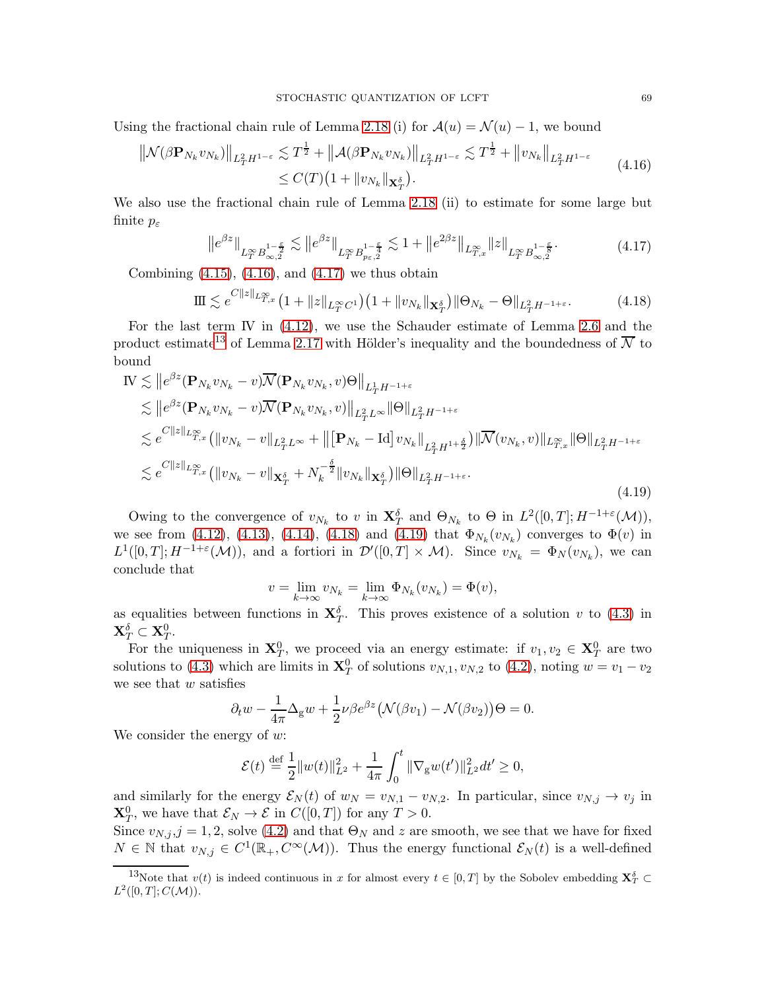Using the fractional chain rule of Lemma [2.18](#page-40-2) (i) for  $\mathcal{A}(u) = \mathcal{N}(u) - 1$ , we bound

$$
\|\mathcal{N}(\beta \mathbf{P}_{N_k} v_{N_k})\|_{L^2_T H^{1-\varepsilon}} \lesssim T^{\frac{1}{2}} + \|\mathcal{A}(\beta \mathbf{P}_{N_k} v_{N_k})\|_{L^2_T H^{1-\varepsilon}} \lesssim T^{\frac{1}{2}} + \|v_{N_k}\|_{L^2_T H^{1-\varepsilon}}
$$
\n
$$
\leq C(T) \left(1 + \|v_{N_k}\|_{\mathbf{X}_T^{\delta}}\right). \tag{4.16}
$$

We also use the fractional chain rule of Lemma [2.18](#page-40-2) (ii) to estimate for some large but finite  $p_{\varepsilon}$ 

<span id="page-68-3"></span><span id="page-68-1"></span><span id="page-68-0"></span>
$$
||e^{\beta z}||_{L_T^{\infty}B_{\infty,2}^{1-\frac{\varepsilon}{2}}} \lesssim ||e^{\beta z}||_{L_T^{\infty}B_{p_{\varepsilon,2}}^{1-\frac{\varepsilon}{4}}} \lesssim 1 + ||e^{2\beta z}||_{L_{T,x}^{\infty}} ||z||_{L_T^{\infty}B_{\infty,2}^{1-\frac{\varepsilon}{8}}}.
$$
 (4.17)

Combining  $(4.15)$ ,  $(4.16)$ , and  $(4.17)$  we thus obtain

$$
\mathbf{II} \lesssim e^{C||z||_{L_{T,x}^{\infty}}}\left(1+\|z\|_{L_T^{\infty}C^1}\right)\left(1+\|v_{N_k}\|_{\mathbf{X}_T^{\delta}}\right) \|\Theta_{N_k} - \Theta\|_{L_T^2 H^{-1+\varepsilon}}.\tag{4.18}
$$

For the last term IV in [\(4.12\)](#page-67-1), we use the Schauder estimate of Lemma [2.6](#page-18-0) and the product estimate<sup>[13](#page-68-2)</sup> of Lemma [2.17](#page-39-2) with Hölder's inequality and the boundedness of  $\overline{N}$  to bound

$$
\begin{split} \n\text{IV} &\lesssim \left\| e^{\beta z} (\mathbf{P}_{N_k} v_{N_k} - v) \overline{\mathcal{N}} (\mathbf{P}_{N_k} v_{N_k}, v) \Theta \right\|_{L^1_T H^{-1+\varepsilon}} \\ \n&\lesssim \left\| e^{\beta z} (\mathbf{P}_{N_k} v_{N_k} - v) \overline{\mathcal{N}} (\mathbf{P}_{N_k} v_{N_k}, v) \right\|_{L^2_T L^\infty} \|\Theta\|_{L^2_T H^{-1+\varepsilon}} \\ \n&\lesssim e^{C \|z\|_{L^\infty_{T,x}}} \left( \|v_{N_k} - v\|_{L^2_T L^\infty} + \left\| [\mathbf{P}_{N_k} - \text{Id} ] v_{N_k} \right\|_{L^2_T H^{1+\frac{\delta}{2}}} \right) \|\overline{\mathcal{N}}(v_{N_k}, v) \|_{L^\infty_{T,x}} \|\Theta\|_{L^2_T H^{-1+\varepsilon}} \\ \n&\lesssim e^{C \|z\|_{L^\infty_{T,x}}} \left( \|v_{N_k} - v\|_{\mathbf{X}^\delta_T} + N_k^{-\frac{\delta}{2}} \|v_{N_k}\|_{\mathbf{X}^\delta_T} \right) \|\Theta\|_{L^2_T H^{-1+\varepsilon}} . \n\end{split} \tag{4.19}
$$

Owing to the convergence of  $v_{N_k}$  to v in  $\mathbf{X}_T^{\delta}$  and  $\Theta_{N_k}$  to  $\Theta$  in  $L^2([0,T]; H^{-1+\varepsilon}(\mathcal{M}))$ , we see from [\(4.12\)](#page-67-1), [\(4.13\)](#page-67-2), [\(4.14\)](#page-67-3), [\(4.18\)](#page-68-3) and [\(4.19\)](#page-68-4) that  $\Phi_{N_k}(v_{N_k})$  converges to  $\Phi(v)$  in  $L^1([0,T];H^{-1+\varepsilon}(\mathcal{M}))$ , and a fortiori in  $\mathcal{D}'([0,T] \times \mathcal{M})$ . Since  $v_{N_k} = \Phi_N(v_{N_k})$ , we can conclude that

<span id="page-68-4"></span>
$$
v = \lim_{k \to \infty} v_{N_k} = \lim_{k \to \infty} \Phi_{N_k}(v_{N_k}) = \Phi(v),
$$

as equalities between functions in  $\mathbf{X}_T^{\delta}$ . This proves existence of a solution v to [\(4.3\)](#page-64-2) in  $\mathbf{X}_T^{\delta} \subset \mathbf{X}_T^0.$ 

For the uniqueness in  $X_T^0$ , we proceed via an energy estimate: if  $v_1, v_2 \in X_T^0$  are two solutions to [\(4.3\)](#page-64-2) which are limits in  $\mathbf{X}_T^0$  of solutions  $v_{N,1}, v_{N,2}$  to [\(4.2\)](#page-64-4), noting  $w = v_1 - v_2$ we see that  $w$  satisfies

$$
\partial_t w - \frac{1}{4\pi} \Delta_g w + \frac{1}{2} \nu \beta e^{\beta z} \big( \mathcal{N}(\beta v_1) - \mathcal{N}(\beta v_2) \big) \Theta = 0.
$$

We consider the energy of  $w$ :

$$
\mathcal{E}(t) \stackrel{\text{def}}{=} \frac{1}{2} ||w(t)||_{L^2}^2 + \frac{1}{4\pi} \int_0^t ||\nabla_{g} w(t')||_{L^2}^2 dt' \ge 0,
$$

and similarly for the energy  $\mathcal{E}_N(t)$  of  $w_N = v_{N,1} - v_{N,2}$ . In particular, since  $v_{N,j} \to v_j$  in  $\mathbf{X}_T^0$ , we have that  $\mathcal{E}_N \to \mathcal{E}$  in  $C([0,T])$  for any  $T > 0$ .

Since  $v_{N,j}$ ,  $j = 1, 2$ , solve [\(4.2\)](#page-64-4) and that  $\Theta_N$  and z are smooth, we see that we have for fixed  $N \in \mathbb{N}$  that  $v_{N,j} \in C^1(\mathbb{R}_+, C^{\infty}(\mathcal{M}))$ . Thus the energy functional  $\mathcal{E}_N(t)$  is a well-defined

<span id="page-68-2"></span><sup>&</sup>lt;sup>13</sup>Note that  $v(t)$  is indeed continuous in x for almost every  $t \in [0, T]$  by the Sobolev embedding  $\mathbf{X}_T^{\delta} \subset$  $L^2([0,T]; C(\mathcal{M})).$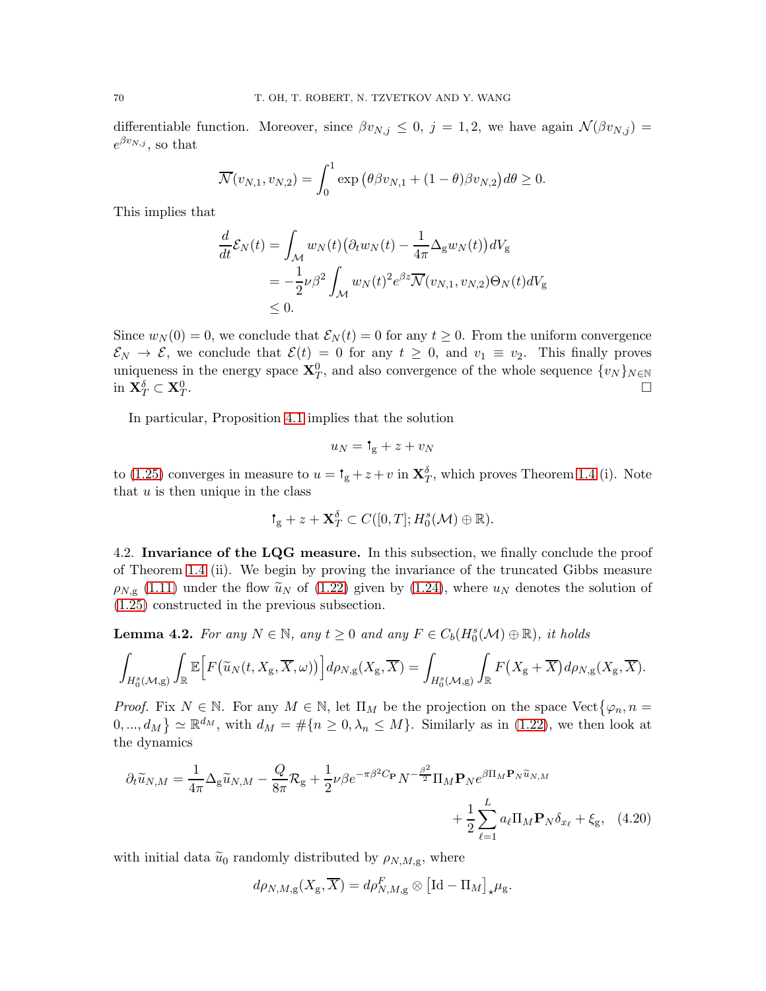differentiable function. Moreover, since  $\beta v_{N,j} \leq 0$ ,  $j = 1, 2$ , we have again  $\mathcal{N}(\beta v_{N,j}) =$  $e^{\beta v_{N,j}}$ , so that

$$
\overline{\mathcal{N}}(v_{N,1}, v_{N,2}) = \int_0^1 \exp \left( \theta \beta v_{N,1} + (1 - \theta) \beta v_{N,2} \right) d\theta \ge 0.
$$

This implies that

$$
\frac{d}{dt}\mathcal{E}_N(t) = \int_{\mathcal{M}} w_N(t) \big(\partial_t w_N(t) - \frac{1}{4\pi} \Delta_g w_N(t)\big) dV_g
$$
  
=  $-\frac{1}{2} \nu \beta^2 \int_{\mathcal{M}} w_N(t)^2 e^{\beta z} \overline{\mathcal{N}}(v_{N,1}, v_{N,2}) \Theta_N(t) dV_g$   
 $\leq 0.$ 

Since  $w_N(0) = 0$ , we conclude that  $\mathcal{E}_N(t) = 0$  for any  $t \geq 0$ . From the uniform convergence  $\mathcal{E}_N \to \mathcal{E}$ , we conclude that  $\mathcal{E}(t) = 0$  for any  $t \geq 0$ , and  $v_1 \equiv v_2$ . This finally proves uniqueness in the energy space  $\mathbf{X}_T^0$ , and also convergence of the whole sequence  $\{v_N\}_{N\in\mathbb{N}}$ in  $\mathbf{X}_T^{\delta} \subset \mathbf{X}_T^0$ .

In particular, Proposition [4.1](#page-64-5) implies that the solution

$$
u_N = \mathbf{1}_{\mathrm{g}} + z + v_N
$$

to [\(1.25\)](#page-8-0) converges in measure to  $u = \mathbf{1}_g + z + v$  in  $\mathbf{X}_T^{\delta}$ , which proves Theorem [1.4](#page-8-2) (i). Note that  $u$  is then unique in the class

$$
\mathbf{I}_g + z + \mathbf{X}_T^{\delta} \subset C([0,T]; H_0^s(\mathcal{M}) \oplus \mathbb{R}).
$$

4.2. Invariance of the LQG measure. In this subsection, we finally conclude the proof of Theorem [1.4](#page-8-2) (ii). We begin by proving the invariance of the truncated Gibbs measure  $\rho_{N,g}$  [\(1.11\)](#page-4-1) under the flow  $\tilde{u}_N$  of [\(1.22\)](#page-7-0) given by [\(1.24\)](#page-8-4), where  $u_N$  denotes the solution of [\(1.25\)](#page-8-0) constructed in the previous subsection.

<span id="page-69-1"></span>**Lemma 4.2.** For any  $N \in \mathbb{N}$ , any  $t \geq 0$  and any  $F \in C_b(H_0^s(\mathcal{M}) \oplus \mathbb{R})$ , it holds

$$
\int_{H_0^s(\mathcal{M},g)} \int_{\mathbb{R}} \mathbb{E}\Big[F\big(\widetilde{u}_N(t,X_g,\overline{X},\omega)\big)\Big] d\rho_{N,g}(X_g,\overline{X}) = \int_{H_0^s(\mathcal{M},g)} \int_{\mathbb{R}} F\big(X_g+\overline{X}\big) d\rho_{N,g}(X_g,\overline{X}).
$$

*Proof.* Fix  $N \in \mathbb{N}$ . For any  $M \in \mathbb{N}$ , let  $\Pi_M$  be the projection on the space  $\text{Vect}\{\varphi_n, n = 1\}$  $[0, ..., d_M] \simeq \mathbb{R}^{d_M}$ , with  $d_M = \#\{n \geq 0, \lambda_n \leq M\}$ . Similarly as in [\(1.22\)](#page-7-0), we then look at the dynamics

$$
\partial_t \widetilde{u}_{N,M} = \frac{1}{4\pi} \Delta_g \widetilde{u}_{N,M} - \frac{Q}{8\pi} \mathcal{R}_g + \frac{1}{2} \nu \beta e^{-\pi \beta^2 C_P} N^{-\frac{\beta^2}{2}} \Pi_M \mathbf{P}_N e^{\beta \Pi_M \mathbf{P}_N \widetilde{u}_{N,M}} + \frac{1}{2} \sum_{\ell=1}^L a_\ell \Pi_M \mathbf{P}_N \delta_{x_\ell} + \xi_g, \quad (4.20)
$$

with initial data  $\tilde{u}_0$  randomly distributed by  $\rho_{N,M,g}$ , where

<span id="page-69-0"></span>
$$
d\rho_{N,M,g}(X_g, \overline{X}) = d\rho_{N,M,g}^F \otimes \left[\mathrm{Id} - \Pi_M\right]_{\star} \mu_g.
$$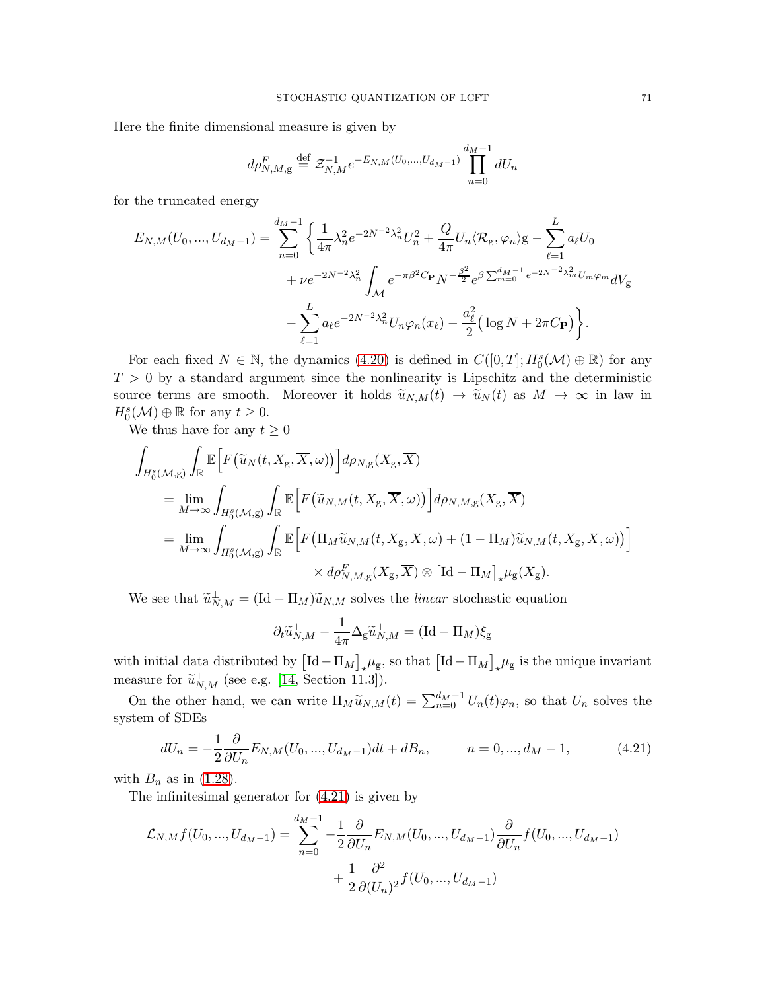Here the finite dimensional measure is given by

$$
d\rho_{N,M,g}^F \stackrel{\text{def}}{=} \mathcal{Z}_{N,M}^{-1} e^{-E_{N,M}(U_0,...,U_{d_M-1})} \prod_{n=0}^{d_M-1} dU_n
$$

for the truncated energy

$$
E_{N,M}(U_0, ..., U_{d_M-1}) = \sum_{n=0}^{d_M-1} \left\{ \frac{1}{4\pi} \lambda_n^2 e^{-2N^{-2}\lambda_n^2} U_n^2 + \frac{Q}{4\pi} U_n \langle \mathcal{R}_{g}, \varphi_n \rangle g - \sum_{\ell=1}^L a_\ell U_0 + \nu e^{-2N^{-2}\lambda_n^2} \int_{\mathcal{M}} e^{-\pi\beta^2 C_{\mathbf{P}}} N^{-\frac{\beta^2}{2}} e^{\beta \sum_{m=0}^{d_M-1} e^{-2N^{-2}\lambda_m^2} U_m \varphi_m} dV_g - \sum_{\ell=1}^L a_\ell e^{-2N^{-2}\lambda_n^2} U_n \varphi_n(x_\ell) - \frac{a_\ell^2}{2} \left( \log N + 2\pi C_{\mathbf{P}} \right) \right\}.
$$

For each fixed  $N \in \mathbb{N}$ , the dynamics [\(4.20\)](#page-69-0) is defined in  $C([0,T]; H_0^s(\mathcal{M}) \oplus \mathbb{R})$  for any  $T > 0$  by a standard argument since the nonlinearity is Lipschitz and the deterministic source terms are smooth. Moreover it holds  $\tilde{u}_{N,M}(t) \to \tilde{u}_N(t)$  as  $M \to \infty$  in law in  $H_0^s(\mathcal{M}) \oplus \mathbb{R}$  for any  $t \geq 0$ .

We thus have for any  $t \geq 0$ 

$$
\int_{H_0^s(\mathcal{M},g)} \int_{\mathbb{R}} \mathbb{E}\Big[F\big(\widetilde{u}_N(t,X_g,\overline{X},\omega)\big)\Big] d\rho_{N,g}(X_g,\overline{X})
$$
\n
$$
= \lim_{M \to \infty} \int_{H_0^s(\mathcal{M},g)} \int_{\mathbb{R}} \mathbb{E}\Big[F\big(\widetilde{u}_{N,M}(t,X_g,\overline{X},\omega)\big)\Big] d\rho_{N,M,g}(X_g,\overline{X})
$$
\n
$$
= \lim_{M \to \infty} \int_{H_0^s(\mathcal{M},g)} \int_{\mathbb{R}} \mathbb{E}\Big[F\big(\Pi_M \widetilde{u}_{N,M}(t,X_g,\overline{X},\omega) + (1 - \Pi_M)\widetilde{u}_{N,M}(t,X_g,\overline{X},\omega)\big)\Big]
$$
\n
$$
\times d\rho_{N,M,g}^F(X_g,\overline{X}) \otimes \Big[\text{Id} - \Pi_M\Big]_{\star} \mu_g(X_g).
$$

We see that  $\widetilde{u}_{N,M}^{\perp} = (\text{Id} - \Pi_M)\widetilde{u}_{N,M}$  solves the *linear* stochastic equation

<span id="page-70-0"></span>
$$
\partial_t \widetilde{u}_{N,M}^\perp - \frac{1}{4\pi} \Delta_g \widetilde{u}_{N,M}^\perp = (\mathrm{Id} - \Pi_M) \xi_g
$$

with initial data distributed by  $\left[\text{Id} - \Pi_M\right]_{\star} \mu_g$ , so that  $\left[\text{Id} - \Pi_M\right]_{\star} \mu_g$  is the unique invariant measure for  $\widetilde{u}_{N,M}^{\perp}$  (see e.g. [\[14,](#page-75-5) Section 11.3]).

On the other hand, we can write  $\Pi_M \tilde{u}_{N,M}(t) = \sum_{n=0}^{d_M - 1} U_n(t) \varphi_n$ , so that  $U_n$  solves the system of SDEs

$$
dU_n = -\frac{1}{2} \frac{\partial}{\partial U_n} E_{N,M}(U_0, ..., U_{d_M-1}) dt + dB_n, \qquad n = 0, ..., d_M - 1,
$$
\n(4.21)

with  $B_n$  as in [\(1.28\)](#page-10-1).

The infinitesimal generator for [\(4.21\)](#page-70-0) is given by

$$
\mathcal{L}_{N,M} f(U_0, ..., U_{d_M-1}) = \sum_{n=0}^{d_M-1} -\frac{1}{2} \frac{\partial}{\partial U_n} E_{N,M}(U_0, ..., U_{d_M-1}) \frac{\partial}{\partial U_n} f(U_0, ..., U_{d_M-1}) + \frac{1}{2} \frac{\partial^2}{\partial (U_n)^2} f(U_0, ..., U_{d_M-1})
$$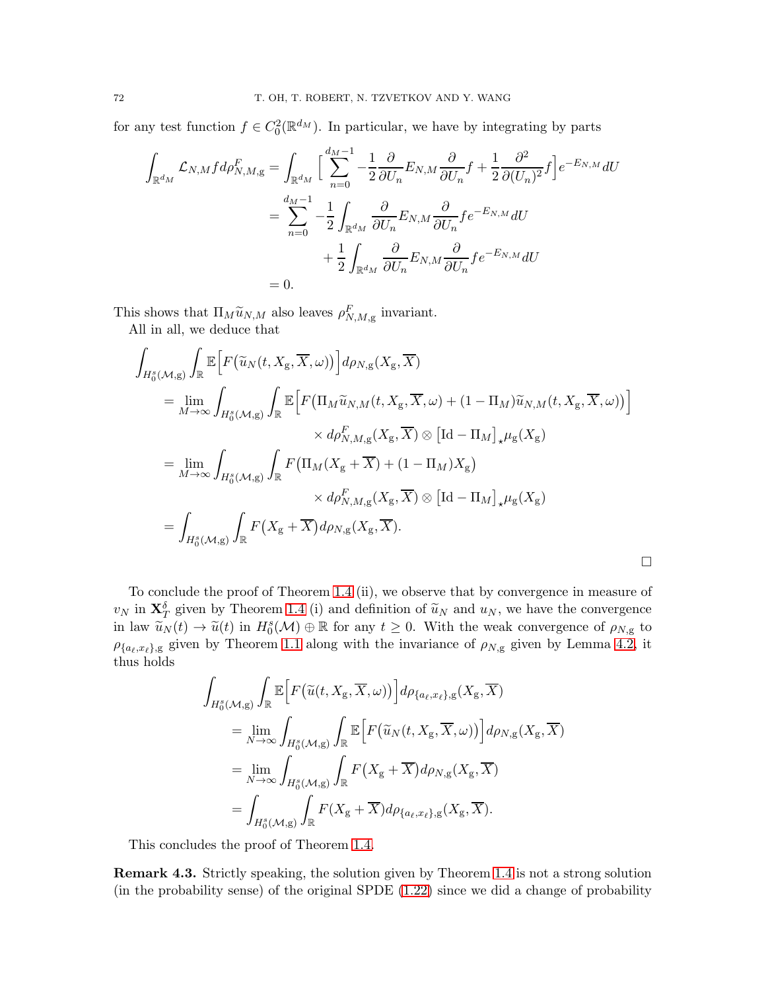for any test function  $f \in C_0^2(\mathbb{R}^{d_M})$ . In particular, we have by integrating by parts

$$
\int_{\mathbb{R}^{d_{M}}} \mathcal{L}_{N,M} f d\rho_{N,M,g}^{F} = \int_{\mathbb{R}^{d_{M}}} \left[ \sum_{n=0}^{d_{M}-1} -\frac{1}{2} \frac{\partial}{\partial U_{n}} E_{N,M} \frac{\partial}{\partial U_{n}} f + \frac{1}{2} \frac{\partial^{2}}{\partial (U_{n})^{2}} f \right] e^{-E_{N,M}} dU
$$
  
\n
$$
= \sum_{n=0}^{d_{M}-1} -\frac{1}{2} \int_{\mathbb{R}^{d_{M}}} \frac{\partial}{\partial U_{n}} E_{N,M} \frac{\partial}{\partial U_{n}} f e^{-E_{N,M}} dU
$$
  
\n
$$
+ \frac{1}{2} \int_{\mathbb{R}^{d_{M}}} \frac{\partial}{\partial U_{n}} E_{N,M} \frac{\partial}{\partial U_{n}} f e^{-E_{N,M}} dU
$$
  
\n
$$
= 0.
$$

This shows that  $\Pi_M \tilde{u}_{N,M}$  also leaves  $\rho_{N,M,g}^F$  invariant.

All in all, we deduce that

$$
\int_{H_0^s(M,g)} \int_{\mathbb{R}} \mathbb{E}\Big[F\big(\widetilde{u}_N(t, X_g, \overline{X}, \omega)\big)\Big] d\rho_{N,g}(X_g, \overline{X})
$$
\n
$$
= \lim_{M \to \infty} \int_{H_0^s(M,g)} \int_{\mathbb{R}} \mathbb{E}\Big[F\big(\Pi_M \widetilde{u}_{N,M}(t, X_g, \overline{X}, \omega) + (1 - \Pi_M)\widetilde{u}_{N,M}(t, X_g, \overline{X}, \omega)\big)\Big]
$$
\n
$$
\times d\rho_{N,M,g}^F(X_g, \overline{X}) \otimes \big[\text{Id} - \Pi_M\big]_{\star} \mu_g(X_g)
$$
\n
$$
= \lim_{M \to \infty} \int_{H_0^s(M,g)} \int_{\mathbb{R}} F\big(\Pi_M(X_g + \overline{X}) + (1 - \Pi_M)X_g\big)
$$
\n
$$
\times d\rho_{N,M,g}^F(X_g, \overline{X}) \otimes \big[\text{Id} - \Pi_M\big]_{\star} \mu_g(X_g)
$$
\n
$$
= \int_{H_0^s(M,g)} \int_{\mathbb{R}} F\big(X_g + \overline{X}\big) d\rho_{N,g}(X_g, \overline{X}).
$$

To conclude the proof of Theorem [1.4](#page-8-2) (ii), we observe that by convergence in measure of  $v_N$  in  $\mathbf{X}_T^{\delta}$  given by Theorem [1.4](#page-8-2) (i) and definition of  $\widetilde{u}_N$  and  $u_N$ , we have the convergence in law  $\widetilde{u}_N(t) \to \widetilde{u}(t)$  in  $H_0^s(\mathcal{M}) \oplus \mathbb{R}$  for any  $t \geq 0$ . With the weak convergence of  $\rho_{N,g}$  to  $\rho_{a_\ell,x_\ell}$  given by Theorem [1.1](#page-4-5) along with the invariance of  $\rho_{N,g}$  given by Lemma [4.2,](#page-69-1) it thus holds

$$
\int_{H_0^s(\mathcal{M},g)} \int_{\mathbb{R}} \mathbb{E}\Big[F\big(\widetilde{u}(t,X_g,\overline{X},\omega)\big)\Big] d\rho_{\{a_\ell,x_\ell\},g}(X_g,\overline{X})
$$
\n
$$
= \lim_{N \to \infty} \int_{H_0^s(\mathcal{M},g)} \int_{\mathbb{R}} \mathbb{E}\Big[F\big(\widetilde{u}_N(t,X_g,\overline{X},\omega)\big)\Big] d\rho_{N,g}(X_g,\overline{X})
$$
\n
$$
= \lim_{N \to \infty} \int_{H_0^s(\mathcal{M},g)} \int_{\mathbb{R}} F\big(X_g + \overline{X}\big) d\rho_{N,g}(X_g,\overline{X})
$$
\n
$$
= \int_{H_0^s(\mathcal{M},g)} \int_{\mathbb{R}} F(X_g + \overline{X}) d\rho_{\{a_\ell,x_\ell\},g}(X_g,\overline{X}).
$$

This concludes the proof of Theorem [1.4.](#page-8-2)

Remark 4.3. Strictly speaking, the solution given by Theorem [1.4](#page-8-2) is not a strong solution (in the probability sense) of the original SPDE [\(1.22\)](#page-7-0) since we did a change of probability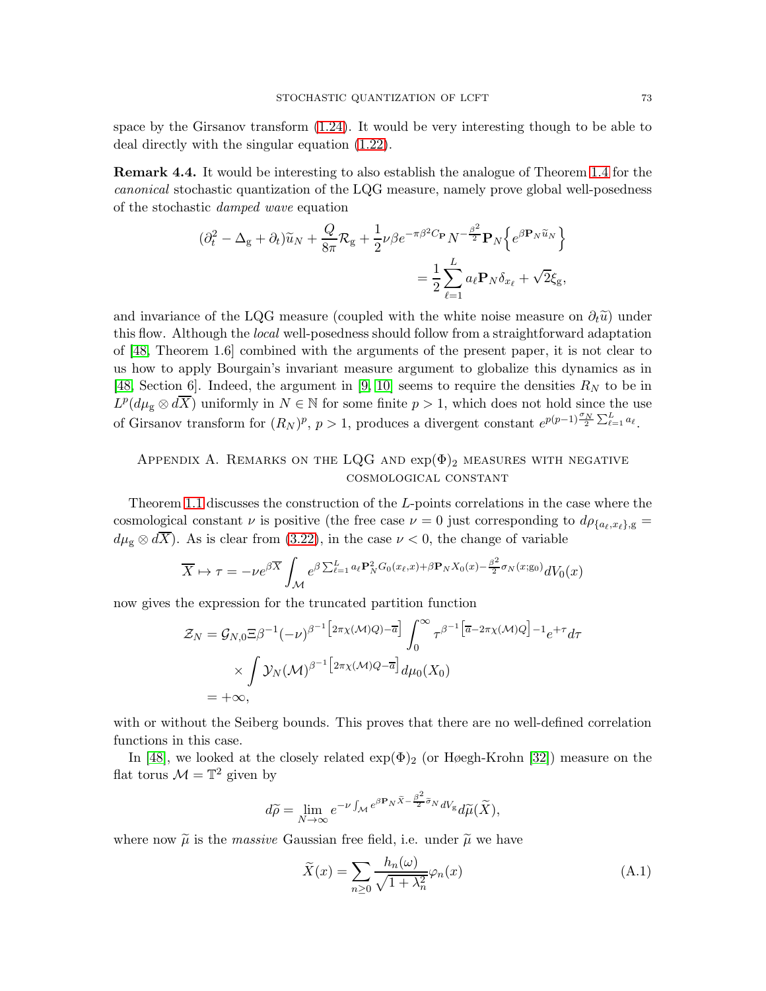space by the Girsanov transform [\(1.24\)](#page-8-0). It would be very interesting though to be able to deal directly with the singular equation [\(1.22\)](#page-7-0).

Remark 4.4. It would be interesting to also establish the analogue of Theorem [1.4](#page-8-1) for the *canonical* stochastic quantization of the LQG measure, namely prove global well-posedness of the stochastic *damped wave* equation

$$
(\partial_t^2 - \Delta_g + \partial_t)\widetilde{u}_N + \frac{Q}{8\pi}R_g + \frac{1}{2}\nu\beta e^{-\pi\beta^2 C_{\mathbf{P}}}N^{-\frac{\beta^2}{2}}\mathbf{P}_N\Big\{e^{\beta \mathbf{P}_N \widetilde{u}_N}\Big\}
$$
  

$$
= \frac{1}{2}\sum_{\ell=1}^L a_\ell \mathbf{P}_N \delta_{x_\ell} + \sqrt{2}\xi_g,
$$

and invariance of the LQG measure (coupled with the white noise measure on  $\partial_t \tilde{u}$ ) under this flow. Although the *local* well-posedness should follow from a straightforward adaptation of [\[48,](#page-76-0) Theorem 1.6] combined with the arguments of the present paper, it is not clear to us how to apply Bourgain's invariant measure argument to globalize this dynamics as in [\[48,](#page-76-0) Section 6]. Indeed, the argument in [\[9,](#page-74-0) [10\]](#page-74-1) seems to require the densities  $R_N$  to be in  $L^p(d\mu_{\mathbf{g}} \otimes d\overline{X})$  uniformly in  $N \in \mathbb{N}$  for some finite  $p > 1$ , which does not hold since the use of Girsanov transform for  $(R_N)^p$ ,  $p > 1$ , produces a divergent constant  $e^{p(p-1)\frac{\sigma_N}{2}\sum_{\ell=1}^L a_\ell}$ .

## APPENDIX A. REMARKS ON THE LQG AND  $\exp(\Phi)_2$  measures with negative cosmological constant

Theorem [1.1](#page-4-0) discusses the construction of the L-points correlations in the case where the cosmological constant  $\nu$  is positive (the free case  $\nu = 0$  just corresponding to  $d\rho_{\{a_\ell, x_\ell\},g}$  $d\mu_{\rm g} \otimes d\overline{X}$ . As is clear from [\(3.22\)](#page-60-0), in the case  $\nu < 0$ , the change of variable

$$
\overline{X} \mapsto \tau = -\nu e^{\beta \overline{X}} \int_{\mathcal{M}} e^{\beta \sum_{\ell=1}^{L} a_{\ell} \mathbf{P}_{N}^{2} G_{0}(x_{\ell}, x) + \beta \mathbf{P}_{N} X_{0}(x) - \frac{\beta^{2}}{2} \sigma_{N}(x; g_{0})} dV_{0}(x)
$$

now gives the expression for the truncated partition function

$$
\mathcal{Z}_N = \mathcal{G}_{N,0} \Xi \beta^{-1} (-\nu)^{\beta^{-1} \left[ 2\pi \chi(\mathcal{M}) Q \right] - \overline{a}} \right] \int_0^\infty \tau^{\beta^{-1} \left[ \overline{a} - 2\pi \chi(\mathcal{M}) Q \right] - 1} e^{+\tau} d\tau
$$

$$
\times \int \mathcal{Y}_N(\mathcal{M})^{\beta^{-1} \left[ 2\pi \chi(\mathcal{M}) Q - \overline{a} \right]} d\mu_0(X_0)
$$

$$
= +\infty,
$$

with or without the Seiberg bounds. This proves that there are no well-defined correlation functions in this case.

In [\[48\]](#page-76-0), we looked at the closely related  $\exp(\Phi)_2$  (or Høegh-Krohn [\[32\]](#page-75-0)) measure on the flat torus  $\mathcal{M} = \mathbb{T}^2$  given by

$$
d\widetilde{\rho} = \lim_{N \to \infty} e^{-\nu \int_{\mathcal{M}} e^{\beta \mathbf{P}_N \widetilde{X} - \frac{\beta^2}{2} \widetilde{\sigma}_N} dV_{\mathbf{g}} d\widetilde{\mu}(\widetilde{X}),
$$

where now  $\tilde{\mu}$  is the *massive* Gaussian free field, i.e. under  $\tilde{\mu}$  we have

<span id="page-72-0"></span>
$$
\widetilde{X}(x) = \sum_{n\geq 0} \frac{h_n(\omega)}{\sqrt{1 + \lambda_n^2}} \varphi_n(x)
$$
\n(A.1)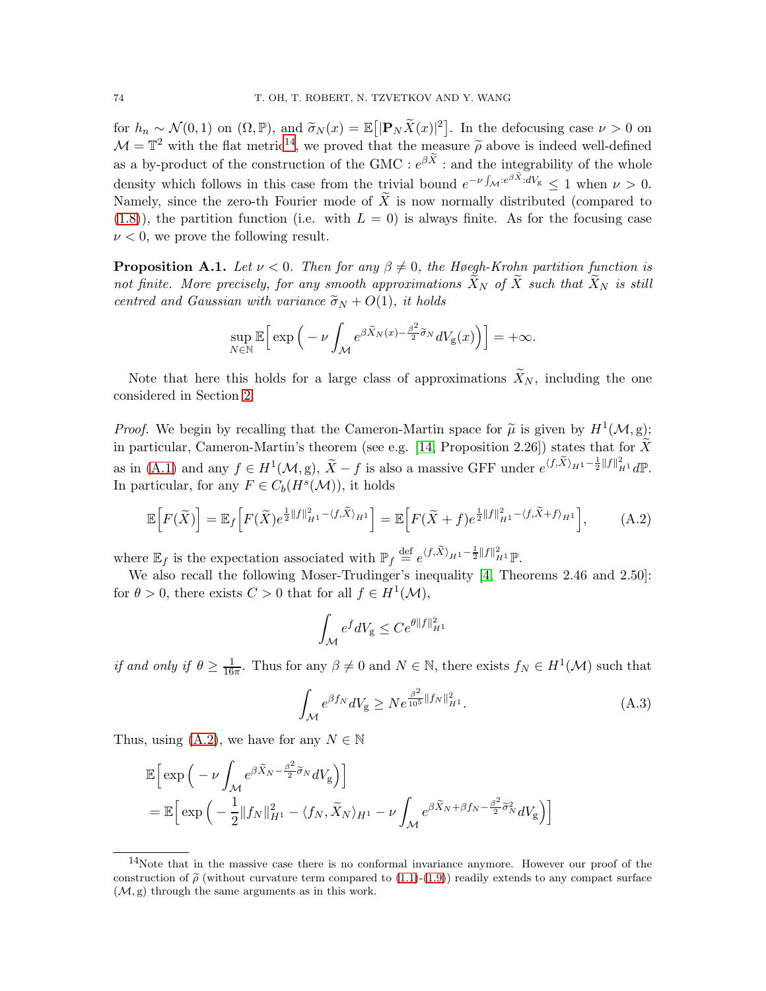for  $h_n \sim \mathcal{N}(0, 1)$  on  $(\Omega, \mathbb{P})$ , and  $\widetilde{\sigma}_N(x) = \mathbb{E}\left[ [\mathbf{P}_N \widetilde{X}(x)|^2 \right]$ . In the defocusing case  $\nu > 0$  on  $\mathcal{M} = \mathbb{T}^2$  with the flat metric<sup>[14](#page-73-0)</sup>, we proved that the measure  $\tilde{\rho}$  above is indeed well-defined as a by-product of the construction of the GMC :  $e^{\beta X}$  : and the integrability of the whole density which follows in this case from the trivial bound  $e^{-\nu \int_{\mathcal{M}} :e^{\beta \tilde{X}}:dV_g} \leq 1$  when  $\nu > 0$ . Namely, since the zero-th Fourier mode of  $\widetilde{X}$  is now normally distributed (compared to  $(1.8)$ , the partition function (i.e. with  $L = 0$ ) is always finite. As for the focusing case  $\nu < 0$ , we prove the following result.

<span id="page-73-3"></span>**Proposition A.1.** Let  $\nu < 0$ . Then for any  $\beta \neq 0$ , the Høegh-Krohn partition function is *not finite. More precisely, for any smooth approximations*  $\widetilde{X}_N$  *of*  $\widetilde{X}$  *such that*  $\widetilde{X}_N$  *is still centred and Gaussian with variance*  $\tilde{\sigma}_N + O(1)$ *, it holds* 

$$
\sup_{N \in \mathbb{N}} \mathbb{E} \Big[ \exp \Big( -\nu \int_{\mathcal{M}} e^{\beta \widetilde{X}_N(x) - \frac{\beta^2}{2} \widetilde{\sigma}_N} dV_{g}(x) \Big) \Big] = +\infty.
$$

Note that here this holds for a large class of approximations  $\widetilde{X}_N$ , including the one considered in Section [2.](#page-13-0)

*Proof.* We begin by recalling that the Cameron-Martin space for  $\tilde{\mu}$  is given by  $H^1(\mathcal{M}, g)$ ; in particular, Cameron-Martin's theorem (see e.g. [\[14,](#page-75-1) Proposition 2.26]) states that for  $\tilde{X}$ as in [\(A.1\)](#page-72-0) and any  $f \in H^1(\mathcal{M}, g)$ ,  $\widetilde{X} - f$  is also a massive GFF under  $e^{\langle f, \widetilde{X} \rangle_{H^1} - \frac{1}{2} ||f||_{H^1}^2} d\mathbb{P}$ . In particular, for any  $F \in C_b(H^s(\mathcal{M}))$ , it holds

$$
\mathbb{E}\Big[F(\widetilde{X})\Big] = \mathbb{E}_f\Big[F(\widetilde{X})e^{\frac{1}{2}\|f\|_{H^1}^2 - \langle f,\widetilde{X}\rangle_{H^1}}\Big] = \mathbb{E}\Big[F(\widetilde{X}+f)e^{\frac{1}{2}\|f\|_{H^1}^2 - \langle f,\widetilde{X}+f\rangle_{H^1}}\Big],\tag{A.2}
$$

where  $\mathbb{E}_f$  is the expectation associated with  $\mathbb{P}_f \stackrel{\text{def}}{=} e^{\langle f, \tilde{X} \rangle_{H^1} - \frac{1}{2} ||f||_{H^1}^2} \mathbb{P}.$ 

We also recall the following Moser-Trudinger's inequality [\[4,](#page-74-2) Theorems 2.46 and 2.50]: for  $\theta > 0$ , there exists  $C > 0$  that for all  $f \in H^1(\mathcal{M})$ ,

<span id="page-73-2"></span><span id="page-73-1"></span>
$$
\int_{\mathcal{M}} e^f dV_{\mathbf{g}} \leq Ce^{\theta ||f||_{H^1}^2}
$$

*if and only if*  $\theta \ge \frac{1}{16\pi}$ . Thus for any  $\beta \ne 0$  and  $N \in \mathbb{N}$ , there exists  $f_N \in H^1(\mathcal{M})$  such that

$$
\int_{\mathcal{M}} e^{\beta f_N} dV_{\mathbf{g}} \ge N e^{\frac{\beta^2}{10^5} ||f_N||_{H^1}^2}.
$$
\n(A.3)

Thus, using  $(A.2)$ , we have for any  $N \in \mathbb{N}$ 

$$
\mathbb{E}\Big[\exp\Big(-\nu \int_{\mathcal{M}} e^{\beta \widetilde{X}_N - \frac{\beta^2}{2} \widetilde{\sigma}_N} dV_g\Big)\Big] \n= \mathbb{E}\Big[\exp\Big(-\frac{1}{2} ||f_N||_{H^1}^2 - \langle f_N, \widetilde{X}_N \rangle_{H^1} - \nu \int_{\mathcal{M}} e^{\beta \widetilde{X}_N + \beta f_N - \frac{\beta^2}{2} \widetilde{\sigma}_N^2} dV_g\Big)\Big]
$$

<span id="page-73-0"></span> $14$ Note that in the massive case there is no conformal invariance anymore. However our proof of the construction of  $\tilde{\rho}$  (without curvature term compared to [\(1.1\)](#page-1-0)-[\(1.9\)](#page-3-1)) readily extends to any compact surface  $(\mathcal{M}, g)$  through the same arguments as in this work.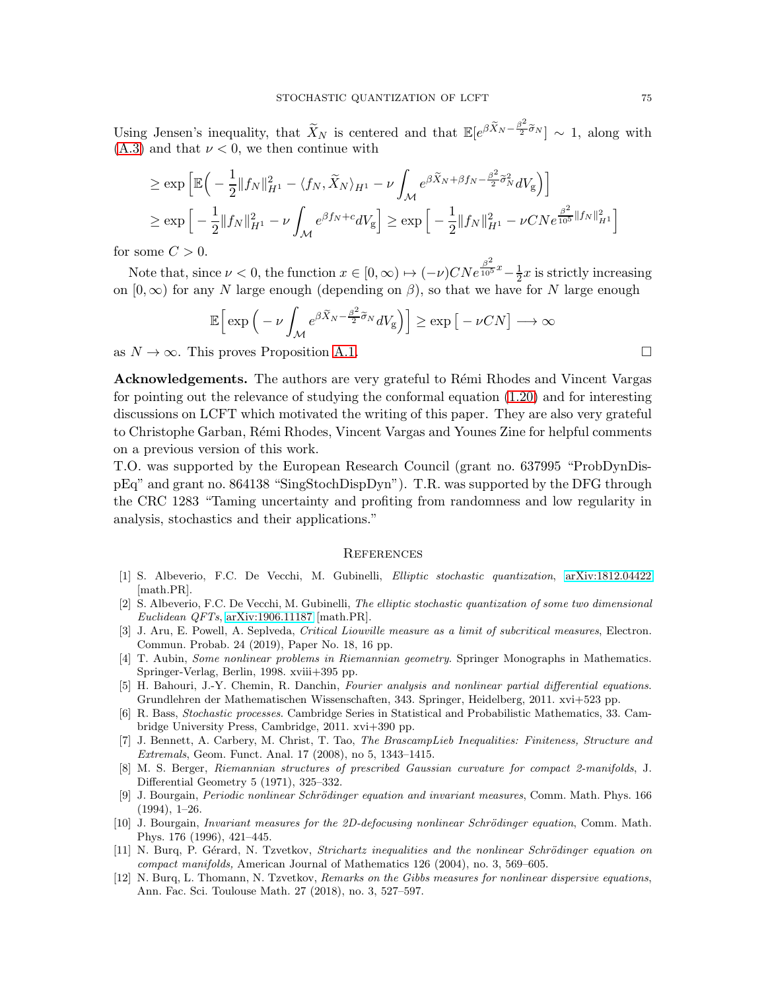Using Jensen's inequality, that  $\widetilde{X}_N$  is centered and that  $\mathbb{E}[e^{\beta \widetilde{X}_N - \frac{\beta^2}{2}}]$  $\left[\frac{\partial}{\partial \sigma} \tilde{\sigma}_N\right] \sim 1$ , along with  $(A.3)$  and that  $\nu < 0$ , we then continue with

$$
\geq \exp\left[\mathbb{E}\left(-\frac{1}{2}||f_N||_{H^1}^2 - \langle f_N, \widetilde{X}_N \rangle_{H^1} - \nu \int_M e^{\beta \widetilde{X}_N + \beta f_N - \frac{\beta^2}{2} \widetilde{\sigma}_N^2} dV_g\right)\right]
$$
  

$$
\geq \exp\left[-\frac{1}{2}||f_N||_{H^1}^2 - \nu \int_M e^{\beta f_N + c} dV_g\right] \geq \exp\left[-\frac{1}{2}||f_N||_{H^1}^2 - \nu CN e^{\frac{\beta^2}{105}||f_N||_{H^1}^2}\right]
$$

for some  $C > 0$ .

Note that, since  $\nu < 0$ , the function  $x \in [0, \infty) \mapsto (-\nu)CNe^{\frac{\beta^2}{10^5}}$  $\frac{p}{10^5}x-\frac{1}{2}x$  is strictly increasing on  $[0, \infty)$  for any N large enough (depending on  $\beta$ ), so that we have for N large enough

$$
\mathbb{E}\Big[\exp\Big(-\nu \int_{\mathcal{M}} e^{\beta \widetilde{X}_N - \frac{\beta^2}{2} \widetilde{\sigma}_N} dV_{g}\Big)\Big] \geq \exp\big[-\nu CN\big] \longrightarrow \infty
$$

as  $N \to \infty$ . This proves Proposition [A.1.](#page-73-3)

Acknowledgements. The authors are very grateful to Rémi Rhodes and Vincent Vargas for pointing out the relevance of studying the conformal equation [\(1.20\)](#page-7-1) and for interesting discussions on LCFT which motivated the writing of this paper. They are also very grateful to Christophe Garban, Rémi Rhodes, Vincent Vargas and Younes Zine for helpful comments on a previous version of this work.

T.O. was supported by the European Research Council (grant no. 637995 "ProbDynDispEq" and grant no. 864138 "SingStochDispDyn"). T.R. was supported by the DFG through the CRC 1283 "Taming uncertainty and profiting from randomness and low regularity in analysis, stochastics and their applications."

## **REFERENCES**

- [1] S. Albeverio, F.C. De Vecchi, M. Gubinelli, Elliptic stochastic quantization, [arXiv:1812.04422](http://arxiv.org/abs/1812.04422) [math.PR].
- [2] S. Albeverio, F.C. De Vecchi, M. Gubinelli, The elliptic stochastic quantization of some two dimensional Euclidean QFTs, [arXiv:1906.11187](http://arxiv.org/abs/1906.11187) [math.PR].
- [3] J. Aru, E. Powell, A. Seplveda, Critical Liouville measure as a limit of subcritical measures, Electron. Commun. Probab. 24 (2019), Paper No. 18, 16 pp.
- <span id="page-74-2"></span>[4] T. Aubin, Some nonlinear problems in Riemannian geometry. Springer Monographs in Mathematics. Springer-Verlag, Berlin, 1998. xviii+395 pp.
- [5] H. Bahouri, J.-Y. Chemin, R. Danchin, Fourier analysis and nonlinear partial differential equations. Grundlehren der Mathematischen Wissenschaften, 343. Springer, Heidelberg, 2011. xvi+523 pp.
- [6] R. Bass, Stochastic processes. Cambridge Series in Statistical and Probabilistic Mathematics, 33. Cambridge University Press, Cambridge, 2011. xvi+390 pp.
- [7] J. Bennett, A. Carbery, M. Christ, T. Tao, The BrascampLieb Inequalities: Finiteness, Structure and Extremals, Geom. Funct. Anal. 17 (2008), no 5, 1343–1415.
- [8] M. S. Berger, Riemannian structures of prescribed Gaussian curvature for compact 2-manifolds, J. Differential Geometry 5 (1971), 325–332.
- <span id="page-74-0"></span>[9] J. Bourgain, *Periodic nonlinear Schrödinger equation and invariant measures*, Comm. Math. Phys. 166 (1994), 1–26.
- <span id="page-74-1"></span>[10] J. Bourgain, *Invariant measures for the 2D-defocusing nonlinear Schrödinger equation*, Comm. Math. Phys. 176 (1996), 421–445.
- [11] N. Burq, P. Gérard, N. Tzvetkov, Strichartz inequalities and the nonlinear Schrödinger equation on compact manifolds, American Journal of Mathematics 126 (2004), no. 3, 569–605.
- [12] N. Burq, L. Thomann, N. Tzvetkov, Remarks on the Gibbs measures for nonlinear dispersive equations, Ann. Fac. Sci. Toulouse Math. 27 (2018), no. 3, 527–597.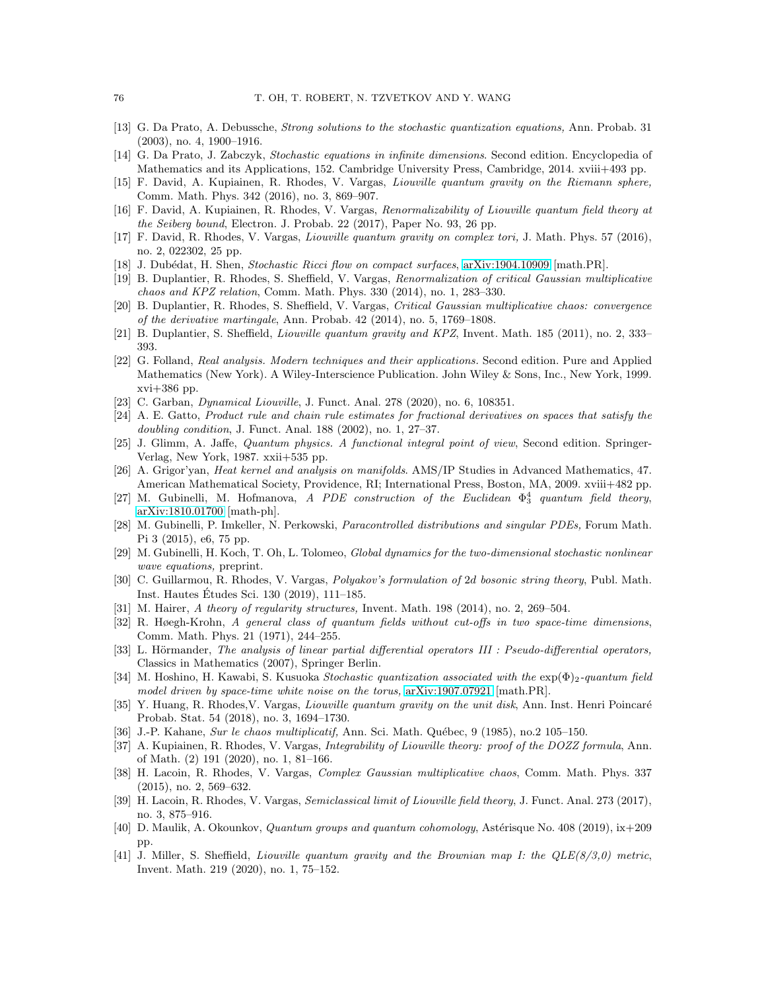- <span id="page-75-1"></span>[13] G. Da Prato, A. Debussche, Strong solutions to the stochastic quantization equations, Ann. Probab. 31 (2003), no. 4, 1900–1916.
- [14] G. Da Prato, J. Zabczyk, Stochastic equations in infinite dimensions. Second edition. Encyclopedia of Mathematics and its Applications, 152. Cambridge University Press, Cambridge, 2014. xviii+493 pp.
- [15] F. David, A. Kupiainen, R. Rhodes, V. Vargas, Liouville quantum gravity on the Riemann sphere, Comm. Math. Phys. 342 (2016), no. 3, 869–907.
- [16] F. David, A. Kupiainen, R. Rhodes, V. Vargas, Renormalizability of Liouville quantum field theory at the Seiberg bound, Electron. J. Probab. 22 (2017), Paper No. 93, 26 pp.
- [17] F. David, R. Rhodes, V. Vargas, Liouville quantum gravity on complex tori, J. Math. Phys. 57 (2016), no. 2, 022302, 25 pp.
- [18] J. Dub´edat, H. Shen, Stochastic Ricci flow on compact surfaces, [arXiv:1904.10909](http://arxiv.org/abs/1904.10909) [math.PR].
- [19] B. Duplantier, R. Rhodes, S. Sheffield, V. Vargas, Renormalization of critical Gaussian multiplicative chaos and KPZ relation, Comm. Math. Phys. 330 (2014), no. 1, 283–330.
- [20] B. Duplantier, R. Rhodes, S. Sheffield, V. Vargas, Critical Gaussian multiplicative chaos: convergence of the derivative martingale, Ann. Probab. 42 (2014), no. 5, 1769–1808.
- [21] B. Duplantier, S. Sheffield, Liouville quantum gravity and KPZ, Invent. Math. 185 (2011), no. 2, 333– 393.
- [22] G. Folland, Real analysis. Modern techniques and their applications. Second edition. Pure and Applied Mathematics (New York). A Wiley-Interscience Publication. John Wiley & Sons, Inc., New York, 1999.  $xvi+386$  pp.
- [23] C. Garban, Dynamical Liouville, J. Funct. Anal. 278 (2020), no. 6, 108351.
- [24] A. E. Gatto, Product rule and chain rule estimates for fractional derivatives on spaces that satisfy the doubling condition, J. Funct. Anal. 188 (2002), no. 1, 27–37.
- [25] J. Glimm, A. Jaffe, Quantum physics. A functional integral point of view, Second edition. Springer-Verlag, New York, 1987. xxii+535 pp.
- [26] A. Grigor'yan, Heat kernel and analysis on manifolds. AMS/IP Studies in Advanced Mathematics, 47. American Mathematical Society, Providence, RI; International Press, Boston, MA, 2009. xviii+482 pp.
- [27] M. Gubinelli, M. Hofmanova, A PDE construction of the Euclidean  $\Phi_3^4$  quantum field theory, [arXiv:1810.01700](http://arxiv.org/abs/1810.01700) [math-ph].
- [28] M. Gubinelli, P. Imkeller, N. Perkowski, Paracontrolled distributions and singular PDEs, Forum Math. Pi 3 (2015), e6, 75 pp.
- [29] M. Gubinelli, H. Koch, T. Oh, L. Tolomeo, Global dynamics for the two-dimensional stochastic nonlinear wave equations, preprint.
- [30] C. Guillarmou, R. Rhodes, V. Vargas, Polyakov's formulation of 2d bosonic string theory, Publ. Math. Inst. Hautes Etudes Sci. 130 (2019), 111–185. ´
- <span id="page-75-0"></span>[31] M. Hairer, A theory of regularity structures, Invent. Math. 198 (2014), no. 2, 269–504.
- [32] R. Høegh-Krohn, A general class of quantum fields without cut-offs in two space-time dimensions, Comm. Math. Phys. 21 (1971), 244–255.
- [33] L. Hörmander, The analysis of linear partial differential operators III : Pseudo-differential operators, Classics in Mathematics (2007), Springer Berlin.
- [34] M. Hoshino, H. Kawabi, S. Kusuoka Stochastic quantization associated with the  $\exp(\Phi)_2$ -quantum field model driven by space-time white noise on the torus, [arXiv:1907.07921](http://arxiv.org/abs/1907.07921) [math.PR].
- [35] Y. Huang, R. Rhodes, V. Vargas, *Liouville quantum gravity on the unit disk*, Ann. Inst. Henri Poincaré Probab. Stat. 54 (2018), no. 3, 1694–1730.
- [36] J.-P. Kahane, Sur le chaos multiplicatif, Ann. Sci. Math. Québec, 9 (1985), no.2 105–150.
- [37] A. Kupiainen, R. Rhodes, V. Vargas, Integrability of Liouville theory: proof of the DOZZ formula, Ann. of Math. (2) 191 (2020), no. 1, 81–166.
- [38] H. Lacoin, R. Rhodes, V. Vargas, Complex Gaussian multiplicative chaos, Comm. Math. Phys. 337 (2015), no. 2, 569–632.
- [39] H. Lacoin, R. Rhodes, V. Vargas, Semiclassical limit of Liouville field theory, J. Funct. Anal. 273 (2017), no. 3, 875–916.
- [40] D. Maulik, A. Okounkov, *Quantum groups and quantum cohomology*, Astérisque No.  $408$  (2019), ix $+209$ pp.
- [41] J. Miller, S. Sheffield, *Liouville quantum gravity and the Brownian map I: the*  $QLE(8/3,0)$  *metric*, Invent. Math. 219 (2020), no. 1, 75–152.